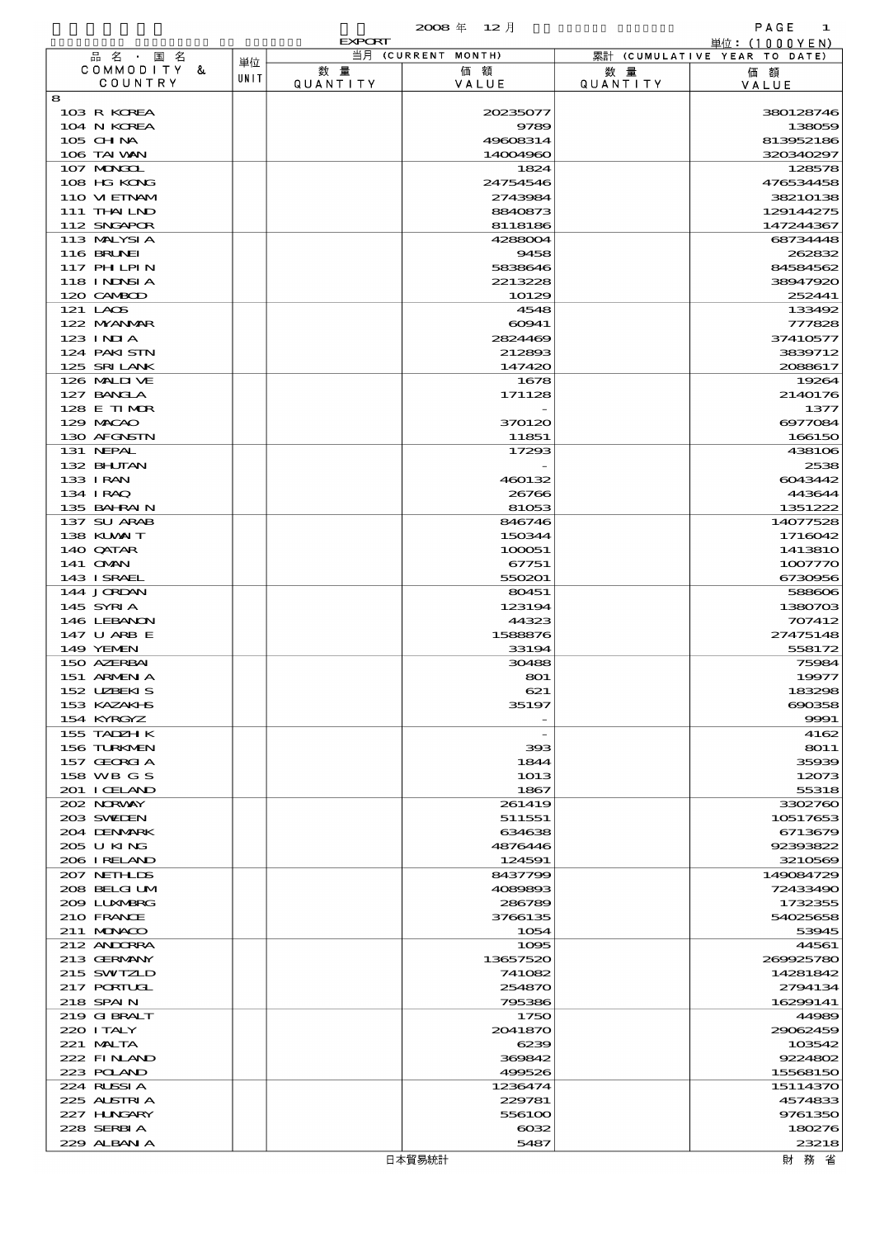$\overline{2008}$   $\overline{4}$   $\overline{12}$   $\overline{1}$   $\overline{2}$   $\overline{1}$   $\overline{2}$   $\overline{1}$   $\overline{2}$   $\overline{1}$   $\overline{2}$   $\overline{1}$   $\overline{2}$   $\overline{1}$   $\overline{2}$   $\overline{1}$   $\overline{2}$   $\overline{1}$   $\overline{2}$   $\overline{1}$   $\overline{2}$   $\overline{1}$   $\overline{2}$   $\overline{1}$ 

|                              |      | <b>EXPORT</b>         |                      |                        | 単位:(1000YEN)                 |
|------------------------------|------|-----------------------|----------------------|------------------------|------------------------------|
| 品名・国名                        | 単位   |                       | 当月 (CURRENT MONTH)   |                        | 累計 (CUMULATIVE YEAR TO DATE) |
| COMMODITY &<br>COUNTRY       | UNIT | 数量<br><b>QUANTITY</b> | 価額<br>VALUE          | 数 量<br><b>QUANTITY</b> | 価額<br>VALUE                  |
| 8                            |      |                       |                      |                        |                              |
| 103 R KOREA                  |      |                       | 20235077             |                        | 380128746                    |
| 104 N KOREA                  |      |                       | 9789                 |                        | 138059                       |
| 105 CH NA<br>106 TAI VAN     |      |                       | 49608314<br>14004960 |                        | 813952186<br>320340297       |
| 107 MONGOL                   |      |                       | 1824                 |                        | 128578                       |
| 108 HG KONG                  |      |                       | 24754546             |                        | 476534458                    |
| 110 VIEINAM                  |      |                       | 2743984              |                        | 38210138                     |
| 111 THAILND                  |      |                       | 8840873              |                        | 129144275                    |
| 112 SNGAPOR                  |      |                       | 8118186              |                        | 147244367                    |
| 113 MALYSIA<br>116 BRUNEI    |      |                       | 4288004              |                        | 68734448                     |
| 117 PH LPIN                  |      |                       | 9458<br>5838646      |                        | 262832<br>84584562           |
| 118 INDSIA                   |      |                       | 2213228              |                        | 38947920                     |
| 120 CAMBOD                   |      |                       | 10129                |                        | 252441                       |
| 121 LAOS                     |      |                       | 4548                 |                        | 133492                       |
| 122 NYANAR                   |      |                       | 60941                |                        | 777828                       |
| $123$ INIA                   |      |                       | 2824469              |                        | 37410577                     |
| 124 PAKISTN<br>125 SRILANK   |      |                       | 212893<br>147420     |                        | 3839712<br>2088617           |
| 126 MALIJ VE                 |      |                       | 1678                 |                        | 19264                        |
| 127 BANCLA                   |      |                       | 171128               |                        | 2140176                      |
| 128 E TIMOR                  |      |                       |                      |                        | 1377                         |
| 129 MACAO                    |      |                       | 370120               |                        | 6977084                      |
| 130 AFGNSTN                  |      |                       | 11851                |                        | 166150                       |
| 131 NEPAL                    |      |                       | 17293                |                        | 438106                       |
| 132 BHUTAN<br>133 I RAN      |      |                       |                      |                        | 2538                         |
| 134 I RAQ                    |      |                       | 460132<br>26766      |                        | 6043442<br>443644            |
| 135 BAHRAIN                  |      |                       | 81053                |                        | 1351222                      |
| 137 SU ARAB                  |      |                       | 846746               |                        | 14077528                     |
| 138 KUWAIT                   |      |                       | 150344               |                        | 1716042                      |
| 140 QATAR                    |      |                       | 100051               |                        | 141381O                      |
| 141 OMN                      |      |                       | 67751                |                        | 1007770                      |
| 143 ISRAEL<br>144 JORDAN     |      |                       | 550201<br>80451      |                        | 6730956<br>588606            |
| 145 SYRIA                    |      |                       | 123194               |                        | 1380703                      |
| 146 LEBANON                  |      |                       | 44323                |                        | 707412                       |
| 147 U ARB E                  |      |                       | 1588876              |                        | 27475148                     |
| 149 YEMEN                    |      |                       | 33194                |                        | 558172                       |
| 150 AZERBAI                  |      |                       | 30488                |                        | 75984                        |
| 151 ARMENIA<br>152 UZBEKIS   |      |                       | 801<br>621           |                        | 19977<br>183298              |
| 153 KAZAKI B                 |      |                       | 35197                |                        | 690358                       |
| 154 KYRGYZ                   |      |                       |                      |                        | 9991                         |
| 155 TADZH K                  |      |                       |                      |                        | 4162                         |
| 156 TURKMEN                  |      |                       | 393                  |                        | 8011                         |
| 157 GEORGIA                  |      |                       | 1844                 |                        | 35939                        |
| 158 WB G S                   |      |                       | 1013                 |                        | 12073                        |
| 201 I CELAND<br>202 NORWAY   |      |                       | 1867<br>261419       |                        | 55318<br>3302760             |
| 203 SWIDEN                   |      |                       | 511551               |                        | 10517653                     |
| 204 DENMARK                  |      |                       | 634638               |                        | 6713679                      |
| 205 U KING                   |      |                       | 4876446              |                        | 92393822                     |
| 206 IRELAND                  |      |                       | 124591               |                        | 3210569                      |
| 207 NETHLIDS                 |      |                       | 8437799              |                        | 149084729                    |
| 208 BELGI UM<br>2009 LUNABRG |      |                       | 4089893<br>286789    |                        | 72433490<br>1732355          |
| 210 FRANCE                   |      |                       | 3766135              |                        | 54025658                     |
| $211$ MONACO                 |      |                       | 1054                 |                        | 53945                        |
| 212 ANDORRA                  |      |                       | 1095                 |                        | 44561                        |
| 213 GERMANY                  |      |                       | 13657520             |                        | 260025780                    |
| 215 SWIZLD                   |      |                       | 741082               |                        | 14281842                     |
| 217 PORTUGL<br>218 SPAIN     |      |                       | 254870<br>795386     |                        | 2794134<br>16299141          |
| 219 GIBRALT                  |      |                       | 1750                 |                        | 44989                        |
| 220 I TALY                   |      |                       | 2041870              |                        | 29062459                     |
| 221 MALTA                    |      |                       | 6239                 |                        | 103542                       |
| 222 FINLAND                  |      |                       | 369842               |                        | 9224802                      |
| 223 POLAND                   |      |                       | 499526               |                        | 15568150                     |
| 224 RUSSIA                   |      |                       | 1236474              |                        | 15114370                     |
| 225 ALSTRIA                  |      |                       | 229781               |                        | 4574833                      |
| 227 HUNGARY<br>228 SERBIA    |      |                       | 556100<br>$\cos z$   |                        | 9761350<br>180276            |
| 229 ALBAN A                  |      |                       | 5487                 |                        | 23218                        |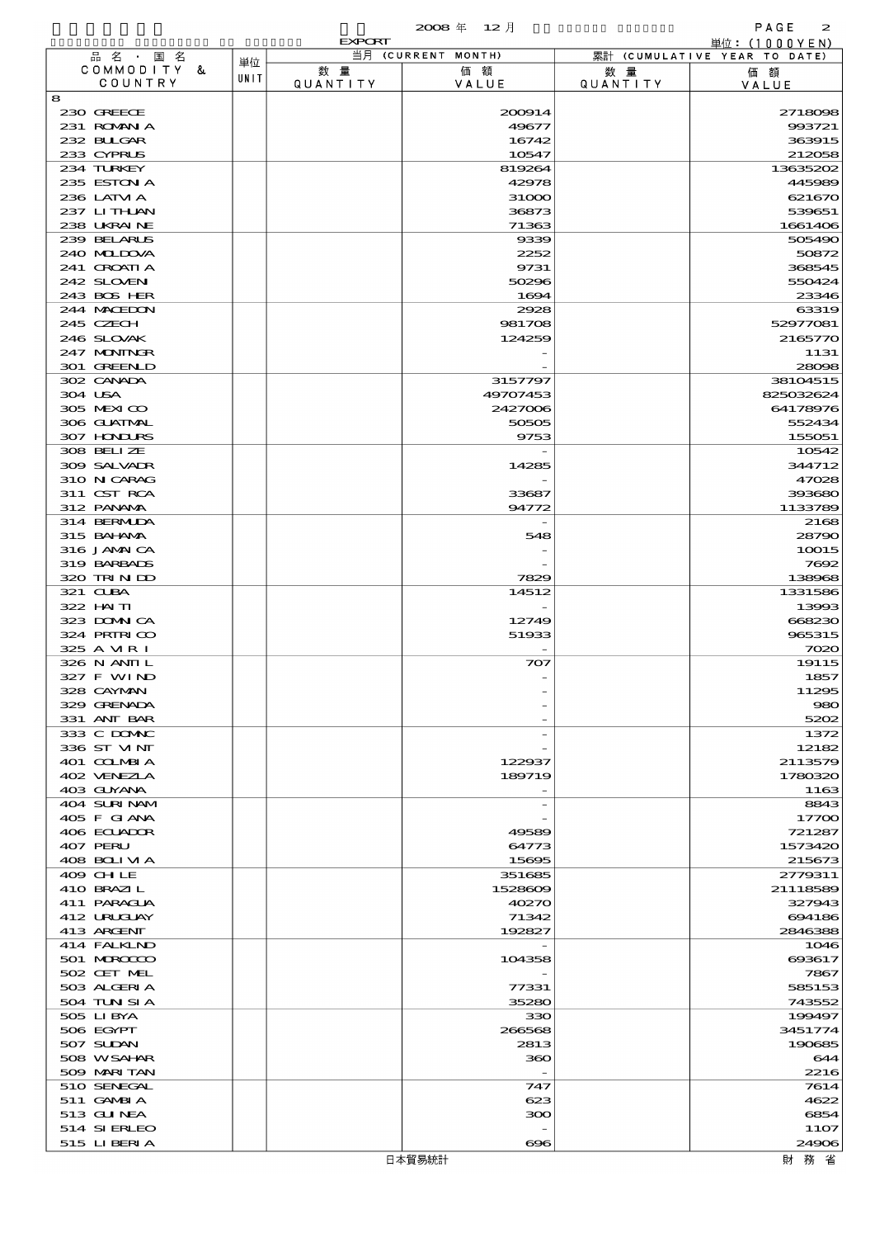$\alpha$  $\alpha$   $\alpha \notin \Box$  12  $\overline{f}$  and  $\overline{f}$  and  $\overline{f}$  and  $\overline{f}$  and  $\overline{f}$  and  $\overline{f}$  and  $\overline{f}$  and  $\overline{f}$  and  $\overline{f}$  and  $\overline{f}$  and  $\overline{f}$  and  $\overline{f}$  and  $\overline{f}$  and  $\overline{f}$  and  $\overline{f}$  and  $\overline{$ 

|                            |      | <b>EXPORT</b>  |                      |                       | <u> 単位: (1000YEN)</u>        |
|----------------------------|------|----------------|----------------------|-----------------------|------------------------------|
| 品名・国名<br>COMMODITY &       | 単位   |                | 当月 (CURRENT MONTH)   |                       | 累計 (CUMULATIVE YEAR TO DATE) |
| COUNTRY                    | UNIT | 数量<br>QUANTITY | 価額<br>VALUE          | 数量<br><b>QUANTITY</b> | 価額<br>VALUE                  |
| 8                          |      |                |                      |                       |                              |
| 230 GREECE                 |      |                | 200914               |                       | 2718098                      |
| 231 ROMNA                  |      |                | 49677                |                       | 993721                       |
| 232 BULGAR<br>233 CYPRUS   |      |                | 16742<br>10547       |                       | 363915<br>212058             |
| 234 TURKEY                 |      |                | 819264               |                       | 13635202                     |
| 235 ESTON A                |      |                | 42978                |                       | 445989                       |
| 236 LATM A                 |      |                | 31000                |                       | 621670                       |
| 237 LITHAN                 |      |                | 36873                |                       | 539651                       |
| 238 UKRAINE                |      |                | 71363                |                       | 1661406                      |
| 239 BELARUS<br>240 MIDJA   |      |                | 9339<br>2252         |                       | 505490<br>50872              |
| 241 CROATIA                |      |                | 9731                 |                       | 368545                       |
| 242 SLOVEN                 |      |                | 50296                |                       | 550424                       |
| 243 BOS HER                |      |                | 1694                 |                       | 23346                        |
| 244 MACEDON                |      |                | 2928                 |                       | 63319                        |
| 245 CZECH                  |      |                | 981708               |                       | 52977081                     |
| 246 SLOVAK                 |      |                | 124259               |                       | 2165770                      |
| 247 MONINGR<br>301 GREENLD |      |                |                      |                       | 1131<br>28098                |
| 302 CANADA                 |      |                | 3157797              |                       | 38104515                     |
| 304 USA                    |      |                | 49707453             |                       | 825032624                    |
| 305 MEXICO                 |      |                | 2427006              |                       | 64178976                     |
| 306 GUATMAL                |      |                | 50505                |                       | 552434                       |
| 307 HONDURS                |      |                | 9753                 |                       | 155051                       |
| 308 BELIZE                 |      |                |                      |                       | 10542                        |
| 309 SALVAIR                |      |                | 14285                |                       | 344712                       |
| 310 N CARAG<br>311 CST RCA |      |                | 33687                |                       | 47028<br>393680              |
| 312 PANAMA                 |      |                | 94772                |                       | 1133789                      |
| 314 BERMIDA                |      |                |                      |                       | 2168                         |
| 315 BAHAMA                 |      |                | 548                  |                       | 28790                        |
| 316 JAMAICA                |      |                |                      |                       | 10015                        |
| 319 BARBADS                |      |                |                      |                       | 7692                         |
| 320 TRIN ID                |      |                | 7829                 |                       | 138968                       |
| 321 CLBA<br>322 HAITI      |      |                | 14512                |                       | 1331586<br>13993             |
| 323 DOMNICA                |      |                | 12749                |                       | 668230                       |
| 324 PRIRICO                |      |                | 51933                |                       | 965315                       |
| 325 A MRI                  |      |                |                      |                       | 7020                         |
| 326 N ANII L               |      |                | 707                  |                       | 19115                        |
| 327 F WIND                 |      |                |                      |                       | 1857                         |
| 328 CAYMAN<br>329 GRENADA  |      |                |                      |                       | 11295<br>980                 |
| 331 ANT BAR                |      |                |                      |                       | 5202                         |
| 333 C DOMAC                |      |                |                      |                       | 1372                         |
| 336 ST MNT                 |      |                |                      |                       | 12182                        |
| 401 COLMBIA                |      |                | 122937               |                       | 2113579                      |
| 402 VENEZIA                |      |                | 189719               |                       | 1780320                      |
| 403 GUYANA<br>404 SURINAM  |      |                |                      |                       | 1163                         |
| 405 F GIANA                |      |                |                      |                       | 8843<br>17700                |
| 406 ECUADOR                |      |                | 49589                |                       | 721287                       |
| 407 PERU                   |      |                | 64773                |                       | 1573420                      |
| 408 BOLIVIA                |      |                | 15695                |                       | 215673                       |
| 409 CHLE                   |      |                | 351685               |                       | 2779311                      |
| 410 BRAZIL                 |      |                | 1528609              |                       | 21118589                     |
| 411 PARAGUA<br>412 URUCUAY |      |                | 40270<br>71342       |                       | 327943<br>694186             |
| 413 ARGENT                 |      |                | 192827               |                       | 2846388                      |
| 414 FALKIND                |      |                |                      |                       | 1046                         |
| 501 MROCCO                 |      |                | 104358               |                       | 693617                       |
| 502 CET MEL                |      |                |                      |                       | 7867                         |
| 503 ALGERIA                |      |                | 77331                |                       | 585153                       |
| 504 TUN SI A               |      |                | 35280                |                       | 743552                       |
| 505 LIBYA<br>506 EGYPT     |      |                | 330<br>266568        |                       | 199497<br>3451774            |
| 507 SUDAN                  |      |                | 2813                 |                       | 190685                       |
| 508 WSAHAR                 |      |                | 360                  |                       | 644                          |
| 509 MARI TAN               |      |                |                      |                       | 2216                         |
| 510 SENEGAL                |      |                | 747                  |                       | 7614                         |
| 511 GAMBIA                 |      |                | 623                  |                       | 4622                         |
| 513 GUNEA                  |      |                | ဆာ                   |                       | 6854                         |
| 514 SIERLEO                |      |                |                      |                       | 11O7                         |
| 515 LIBERTA                |      |                | $\bf{e}\bf{e}\bf{s}$ |                       | 24906                        |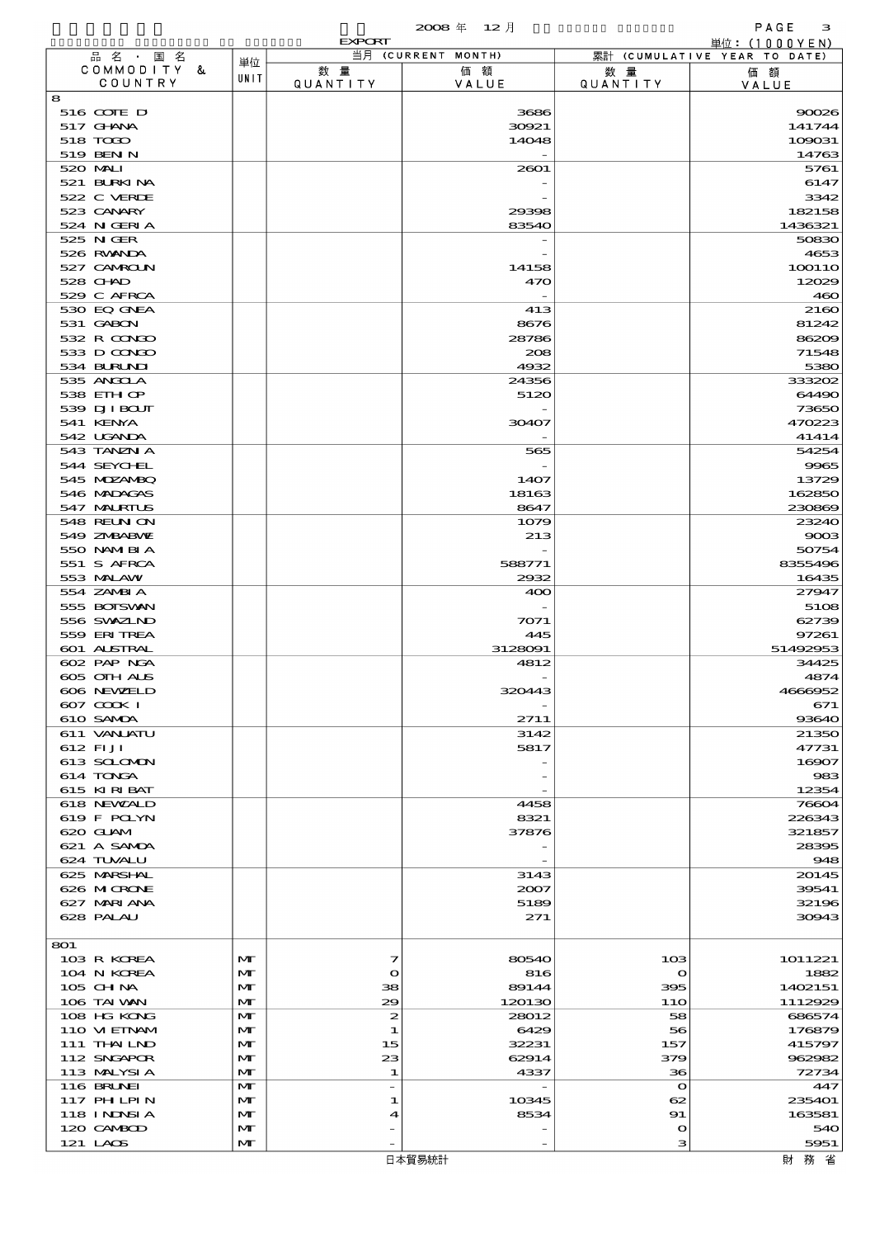$\overline{2008}$   $\overline{4}$   $\overline{12}$   $\overline{12}$   $\overline{12}$   $\overline{12}$   $\overline{12}$   $\overline{12}$   $\overline{12}$   $\overline{12}$   $\overline{12}$   $\overline{12}$   $\overline{12}$   $\overline{12}$   $\overline{12}$   $\overline{12}$   $\overline{12}$   $\overline{12}$   $\overline{12}$   $\overline{12}$   $\overline{12}$   $\overline{12}$ 

|     |                                  |              | <b>EXPORT</b>          |                    |                   | 単位: (1000YEN)                |
|-----|----------------------------------|--------------|------------------------|--------------------|-------------------|------------------------------|
|     | 品名・国名                            | 単位           |                        | 当月 (CURRENT MONTH) |                   | 累計 (CUMULATIVE YEAR TO DATE) |
|     | COMMODITY &<br>COUNTRY           | UNIT         | 数 量<br><b>QUANTITY</b> | 価額<br>VALUE        | 数 暈<br>QUANTITY   | 価額<br>VALUE                  |
| 8   |                                  |              |                        |                    |                   |                              |
|     | 516 COTE D                       |              |                        | 3686               |                   | 90026                        |
|     | 517 GHNA                         |              |                        | 30921              |                   | 141744                       |
|     | 518 TODO                         |              |                        | 14048              |                   | 109031                       |
|     | 519 BEN N<br>520 MAI             |              |                        | 2601               |                   | 14763<br>5761                |
|     | 521 BURKINA                      |              |                        |                    |                   | 6147                         |
|     | 522 C VERDE                      |              |                        |                    |                   | 3342                         |
|     | 523 CANARY                       |              |                        | 29398              |                   | 182158                       |
|     | 524 N GERIA                      |              |                        | 83540              |                   | 1436321                      |
|     | 525 N GER<br>526 RWANDA          |              |                        |                    |                   | 50830<br>4653                |
|     | 527 CAMROLN                      |              |                        | 14158              |                   | 100110                       |
|     | 528 CHAD                         |              |                        | 470                |                   | 12029                        |
|     | 529 C AFRCA                      |              |                        |                    |                   | 460                          |
|     | 530 EQ GNEA                      |              |                        | 413                |                   | 2160                         |
|     | 531 GABON<br>532 R CONDO         |              |                        | 8676<br>28786      |                   | 81242<br>86209               |
|     | 533 D CONDO                      |              |                        | 208                |                   | 71548                        |
|     | 534 BURUNI                       |              |                        | 4932               |                   | 5380                         |
|     | 535 ANGOLA                       |              |                        | 24356              |                   | 333202                       |
|     | 538 EIH OP                       |              |                        | 5120               |                   | 64490                        |
|     | 539 DJI BOUT<br>541 KENYA        |              |                        |                    |                   | 73650                        |
|     | 542 UGANDA                       |              |                        | 30407              |                   | 470223<br>41414              |
|     | 543 TANZN A                      |              |                        | 565                |                   | 54254                        |
|     | 544 SEYCHL                       |              |                        |                    |                   | 9965                         |
|     | 545 MDZANBQ                      |              |                        | 1407               |                   | 13729                        |
|     | 546 MADAGAS                      |              |                        | 18163              |                   | 162850                       |
|     | 547 MALRIUS<br><b>548 RELNON</b> |              |                        | 8647<br>1079       |                   | 230869<br>23240              |
|     | 549 ZNBABVE                      |              |                        | 213                |                   | 9003                         |
|     | 550 NAMERIA                      |              |                        |                    |                   | 50754                        |
|     | 551 S AFRCA                      |              |                        | 588771             |                   | 8355496                      |
|     | 553 MALAW                        |              |                        | 2932               |                   | 16435                        |
|     | 554 ZAMBIA<br>555 BOISVAN        |              |                        | 400                |                   | 27947<br>5108                |
|     | 556 SVXZIND                      |              |                        | 7071               |                   | 62739                        |
|     | 559 ERITREA                      |              |                        | 445                |                   | 97261                        |
|     | 601 ALSTRAL                      |              |                        | 3128091            |                   | 51492953                     |
|     | 602 PAP NGA                      |              |                        | 4812               |                   | 34425                        |
|     | 605 OIH ALS<br>606 NEWELD        |              |                        | 320443             |                   | 4874<br>4666952              |
|     | 607 COOK I                       |              |                        |                    |                   | 671                          |
|     | 610 SAMDA                        |              |                        | 2711               |                   | 93640                        |
|     | 611 VANJATU                      |              |                        | 3142               |                   | 21350                        |
|     | 612 FIJI                         |              |                        | 5817               |                   | 47731                        |
|     | 613 SCLOMON<br>614 TONGA         |              |                        |                    |                   | 16907<br>983                 |
|     | 615 KIRIBAT                      |              |                        |                    |                   | 12354                        |
|     | 618 NEWALD                       |              |                        | 4458               |                   | 76604                        |
|     | 619 F POLYN                      |              |                        | 8321               |                   | 226343                       |
|     | 620 GLAM                         |              |                        | 37876              |                   | 321857                       |
|     | 621 A SAMDA<br>624 TUVALU        |              |                        |                    |                   | 28395<br>948                 |
|     | 625 MARSHAL                      |              |                        | 3143               |                   | 20145                        |
|     | 626 MICRONE                      |              |                        | 2007               |                   | 39541                        |
|     | 627 MARI ANA                     |              |                        | 5189               |                   | 32196                        |
|     | 628 PALAU                        |              |                        | 271                |                   | 30943                        |
| 801 |                                  |              |                        |                    |                   |                              |
|     | 103 R KOREA                      | M            | 7                      | 80540              | 10B               | 1011221                      |
|     | 104 N KOREA                      | M            | $\mathbf{\Omega}$      | 816                | $\Omega$          | 1882                         |
|     | $105$ CHNA                       | M            | 38                     | 89144              | 395               | 1402151                      |
|     | 106 TAI VAN                      | M            | 29                     | 120130             | 11O               | 1112929                      |
|     | 108 HG KONG<br>110 VIEINAM       | M<br>M       | $\boldsymbol{z}$       | 28012              | 58<br>56          | 686574<br>176879             |
|     | 111 THAILND                      | M            | 1<br>15                | 6429<br>32231      | 157               | 415797                       |
|     | 112 SNGAPOR                      | M            | 23                     | 62914              | 379               | 962982                       |
|     | 113 MALYSIA                      | M            | 1                      | 4337               | 36                | 72734                        |
|     | 116 BRUNEI                       | M            | $\overline{a}$         |                    | $\Omega$          | 447                          |
|     | 117 PH LPIN                      | M            | 1                      | 10345              | 62                | 235401                       |
|     | 118 I NJNSI A<br>120 CAMBOD      | M<br>M       | 4                      | 8534               | 91<br>$\mathbf o$ | 163581<br>540                |
|     | 121 LAOS                         | $\mathbf{M}$ |                        |                    | з                 | 5951                         |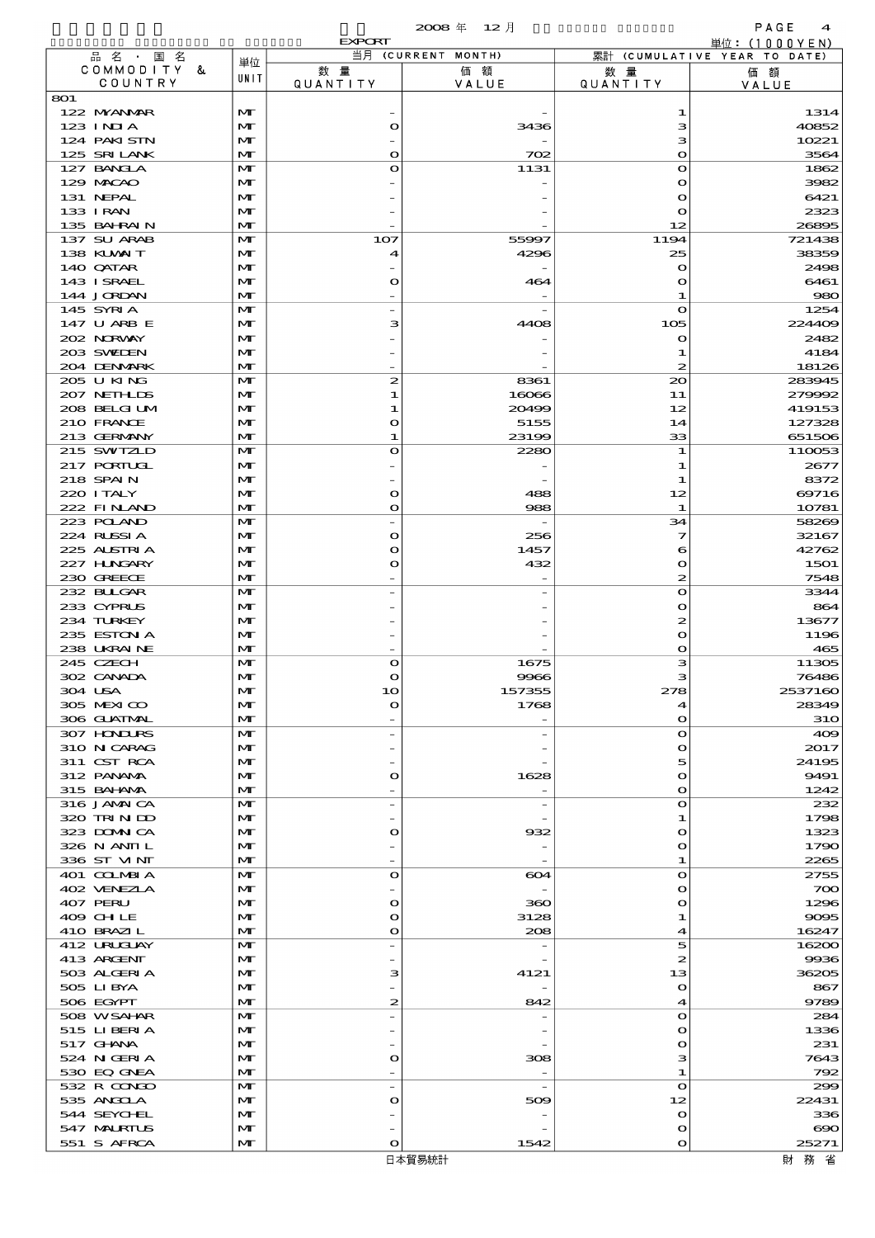|                            |                              | <b>EXPORT</b>                  |                          |                            | 単位: (1000 Y E N)                   |
|----------------------------|------------------------------|--------------------------------|--------------------------|----------------------------|------------------------------------|
| 品名・国名<br>COMMODITY &       | 単位                           | 数量                             | 当月 (CURRENT MONTH)<br>価額 | 数 量                        | 累計 (CUMULATIVE YEAR TO DATE)<br>価額 |
| COUNTRY                    | UNIT                         | <b>QUANTITY</b>                | VALUE                    | <b>QUANTITY</b>            | VALUE                              |
| 801                        |                              |                                |                          |                            |                                    |
| 122 MYANMAR<br>123 INIA    | M<br>$\mathbf{M}$            | $\mathbf o$                    | 3436                     | 1<br>з                     | 1314<br>40852                      |
| 124 PAKISTN                | $\mathbf{M}$                 |                                |                          | з                          | 10221                              |
| 125 SRILANK                | M                            | $\mathbf o$                    | 702                      | $\mathbf o$                | 3564                               |
| 127 BANGLA                 | $\mathbf{M}$                 | $\mathbf o$                    | 1131                     | $\mathbf o$                | 1862                               |
| 129 MACAO                  | $\mathbf{M}$                 |                                |                          | O                          | 3982                               |
| 131 NEPAL<br>133 I RAN     | M<br>$\mathbf{M}$            |                                |                          | $\mathbf o$<br>O           | 6421<br>2323                       |
| 135 BAHRAIN                | $\mathbf{M}$                 |                                |                          | 12                         | 26895                              |
| 137 SU ARAB                | $\mathbf{M}$                 | 107                            | 55997                    | 1194                       | 721438                             |
| 138 KUWAIT                 | M                            | $\boldsymbol{\mathcal{A}}$     | 4296                     | 25                         | 38359                              |
| 140 QATAR<br>143 ISRAEL    | M<br>$\mathbf{M}$            | $\mathbf{\Omega}$              | 464                      | $\Omega$<br>$\mathbf o$    | 2498<br>6461                       |
| 144 JORDAN                 | M                            |                                |                          | 1                          | 980                                |
| 145 SYRIA                  | $\mathbf{M}$                 |                                |                          | $\mathbf o$                | 1254                               |
| 147 U ARB E                | $\mathbf{M}$                 | з                              | 4408                     | 105                        | 224409                             |
| 202 NORWAY<br>203 SWIDEN   | M<br>$\mathbf{M}$            |                                |                          | $\mathbf o$<br>1           | 2482<br>4184                       |
| 204 DENMARK                | $\mathbf{M}$                 |                                |                          | 2                          | 18126                              |
| 205 U KING                 | $\mathbf{M}$                 | $\boldsymbol{z}$               | 8361                     | $\infty$                   | 283945                             |
| 207 NETHLIDS               | M                            | 1                              | 16066                    | 11                         | 279992                             |
| 208 BELGI UM               | M                            | 1                              | 20499<br>5155            | 12                         | 419153                             |
| 210 FRANCE<br>213 GERMANY  | $\mathbf{M}$<br>M            | $\mathbf o$<br>1.              | 23199                    | 14<br>33                   | 127328<br>651506                   |
| 215 SWIZLD                 | $\mathbf{M}$                 | $\bullet$                      | 2280                     | 1                          | 110053                             |
| 217 PORTUGL                | M                            |                                |                          | 1                          | 2677                               |
| 218 SPAIN                  | M                            |                                |                          | 1                          | 8372                               |
| 220 I TALY<br>222 FINAND   | $\mathbf{M}$<br>$\mathbf{M}$ | $\mathbf{\Omega}$<br>$\bullet$ | 488<br>988               | 12<br>1                    | 69716<br>10781                     |
| 223 POLAND                 | $\mathbf{M}$                 |                                |                          | 34                         | 58269                              |
| 224 RUSSIA                 | M                            | $\mathbf o$                    | 256                      | 7                          | 32167                              |
| 225 ALSTRIA                | M                            | $\bullet$                      | 1457                     | 6                          | 42762                              |
| 227 HUNGARY<br>230 GREECE  | $\mathbf{M}$<br>$\mathbf{M}$ | $\mathbf o$                    | 432                      | $\mathbf o$<br>2           | 1501<br>7548                       |
| 232 BULGAR                 | $\mathbf{M}$                 |                                |                          | $\mathbf o$                | 3344                               |
| 233 CYPRUS                 | $\mathbf{M}$                 |                                |                          | $\mathbf o$                | 864                                |
| 234 TURKEY                 | M                            |                                |                          | 2                          | 13677                              |
| 235 ESTON A<br>238 UKRAINE | $\mathbf{M}$<br>$\mathbf{M}$ |                                |                          | $\mathbf o$<br>$\mathbf o$ | 1196<br>465                        |
| 245 CZECH                  | $\mathbf{M}$                 | $\mathbf o$                    | 1675                     | з                          | 11305                              |
| 302 CANADA                 | M                            | $\bullet$                      | 9966                     | з                          | 76486                              |
| 304 USA                    | M                            |                                | 157355                   | 278                        | 2537160                            |
| 305 MEXICO<br>306 GUATMAL  | $\mathbf{M}$<br>$\mathbf{M}$ | $\mathbf o$                    | 1768                     | 4<br>$\mathbf{\Omega}$     | 28349<br><b>31O</b>                |
| 307 HONDURS                | M                            |                                |                          | $\mathbf{\Omega}$          | 409                                |
| 310 N CARAG                | M                            |                                |                          | $\mathbf{\Omega}$          | 2017                               |
| 311 CST RCA                | M                            |                                |                          | 5                          | 24195                              |
| 312 PANAMA<br>315 BAI ANA  | $\mathbf{M}$<br>$\mathbf{M}$ | $\mathbf o$                    | 1628                     | O<br>$\mathbf{\Omega}$     | 9491<br>1242                       |
| 316 JAMAICA                | $\mathbf{M}$                 |                                |                          | $\mathbf{\Omega}$          | 232                                |
| 320 TRIN ID                | M                            |                                |                          | 1                          | 1798                               |
| 323 DOMNICA                | M                            | $\mathbf o$                    | 932                      | $\mathbf{\Omega}$          | 1323                               |
| 326 N ANII L<br>336 ST MNT | M<br>$\mathbf{M}$            |                                |                          | O<br>1                     | 1790<br>2265                       |
| 401 COLMBIA                | $\mathbf{M}$                 | $\bullet$                      | 604                      | $\mathbf{\Omega}$          | 2755                               |
| 402 VENEZIA                | M                            |                                |                          | $\mathbf{\Omega}$          | 700                                |
| 407 PERU                   | M                            | $\mathbf o$                    | 360                      | $\mathbf{\Omega}$          | 1296                               |
| 409 CHLE<br>410 BRAZIL     | $\mathbf{M}$<br>$\mathbf{M}$ | $\mathbf o$<br>$\mathbf o$     | 3128<br>208              | 1<br>4                     | 9095<br>16247                      |
| 412 URUGUAY                | $\mathbf{M}$                 |                                |                          | 5                          | 16200                              |
| 413 ARGENT                 | M                            |                                |                          | 2                          | 9936                               |
| 503 ALGERIA                | $\mathbf{M}$                 | з                              | 4121                     | 13                         | 36205                              |
| 505 LIBYA<br>506 EGYPT     | M<br>$\mathbf{M}$            | $\boldsymbol{z}$               | 842                      | $\mathbf o$<br>4           | 867<br>9789                        |
| 508 WSAHAR                 | $\mathbf{M}$                 |                                |                          | $\mathbf{\Omega}$          | 284                                |
| 515 LIBERIA                | M                            |                                |                          | $\mathbf{\Omega}$          | 1336                               |
| 517 GHANA                  | M                            |                                |                          | $\mathbf{\Omega}$          | 231                                |
| 524 N GERIA                | M<br>$\mathbf{M}$            | $\mathbf o$                    | 308                      | з<br>1                     | 7643<br>792                        |
| 530 EQ GNEA<br>532 R CONDO | M                            |                                |                          | $\mathbf{\Omega}$          | 299                                |
| 535 ANGOLA                 | M                            | $\mathbf o$                    | 509                      | 12                         | 22431                              |
| 544 SEYCHEL                | M                            |                                |                          | $\mathbf{\Omega}$          | 336                                |
| 547 MALRIUS                | $\mathbf{M}$                 |                                |                          | O                          | $\infty$                           |
| 551 S AFRCA                | $\mathbf{M}$                 | $\mathbf o$                    | 1542                     | O                          | 25271                              |

財務省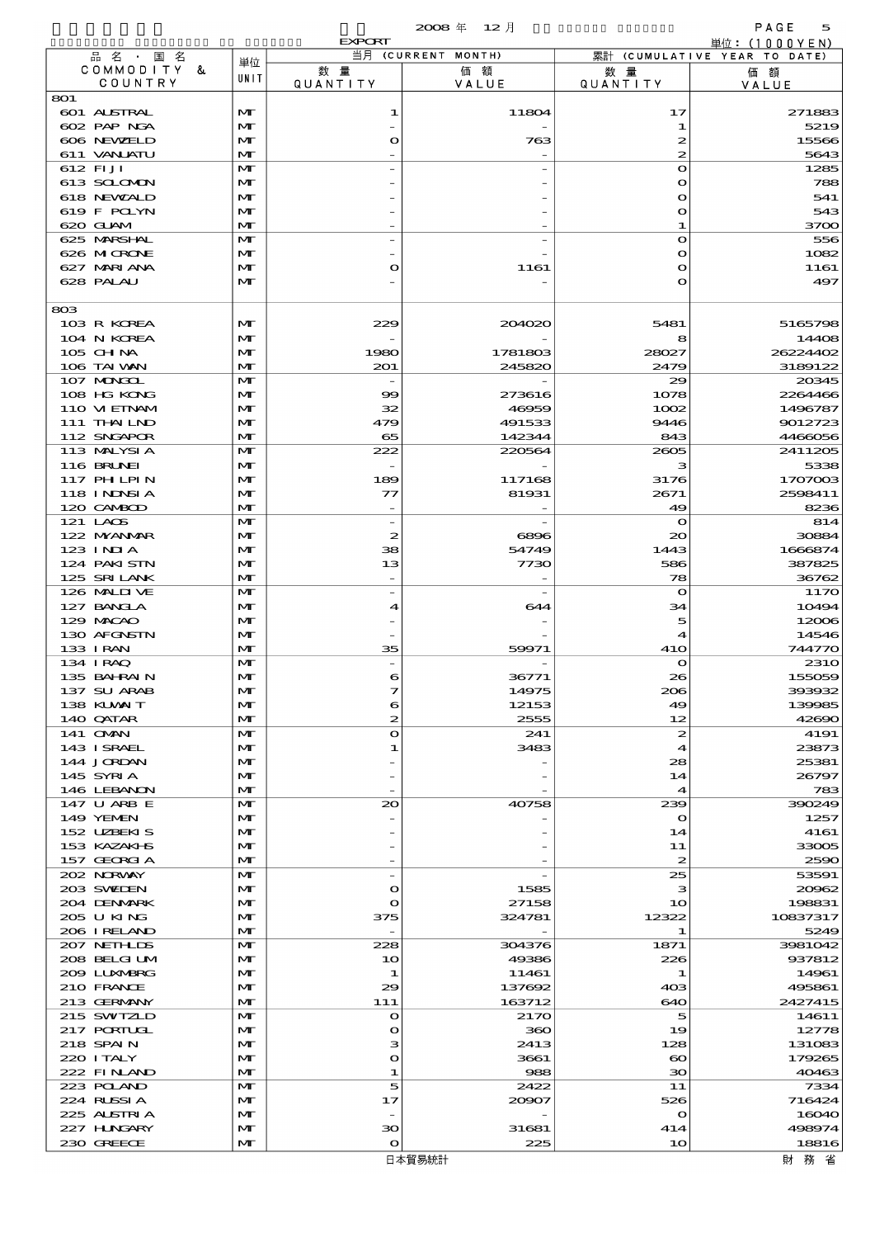|                            |                              | <b>EXPORT</b>                | 当月 (CURRENT MONTH) |                                       | 単位: (1000YEN)                      |
|----------------------------|------------------------------|------------------------------|--------------------|---------------------------------------|------------------------------------|
| 品名・国名<br>COMMODITY &       | 単位                           | 数量                           | 価額                 | 数 量                                   | 累計 (CUMULATIVE YEAR TO DATE)<br>価額 |
| COUNTRY                    | UNIT                         | <b>QUANTITY</b>              | VALUE              | QUANTITY                              | VALUE                              |
| 801<br>601 ALSTRAL         | M                            | 1                            | 11804              | 17                                    | 271883                             |
| 602 PAP NGA                | $\mathbf{M}$                 |                              |                    | 1                                     | 5219                               |
| 606 NEWELD                 | M                            | $\circ$                      | 763                | 2                                     | 15566                              |
| 611 VANLATU<br>612 FIJI    | $\mathbf{M}$<br>$\mathbf{M}$ |                              |                    | $\mathbf{z}$<br>$\mathbf{o}$          | 5643<br>1285                       |
| 613 SCLOMON                | M                            |                              |                    | $\mathbf{o}$                          | 788                                |
| 618 NEWALD                 | M                            |                              |                    | $\mathbf{o}$                          | 541                                |
| 619 F POLYN<br>620 GUAM    | $\mathbf{M}$<br>$\mathbf{M}$ |                              |                    | $\mathbf{o}$<br>1                     | 543<br>3700                        |
| 625 MARSHAL                | $\mathbf{M}$                 |                              |                    | $\mathbf{o}$                          | 556                                |
| 626 MICRONE                | M                            |                              |                    | $\mathbf{o}$                          | 1082                               |
| 627 MARI ANA               | M                            | $\mathbf o$                  | 1161               | $\mathbf{o}$                          | 1161                               |
| 628 PALAU                  | $\mathbf{M}$                 |                              |                    | $\mathbf{o}$                          | 497                                |
| 803                        |                              |                              |                    |                                       |                                    |
| 103 R KOREA                | M                            | 229                          | 204020             | 5481                                  | 5165798                            |
| 104 N KOREA<br>$105$ CHNA  | $\mathbf{M}$<br>$\mathbf{M}$ | 1980                         | 1781803            | 8<br>28027                            | 14408<br>26224402                  |
| 106 TAI WAN                | $\mathbf{M}$                 | 201                          | 245820             | 2479                                  | 3189122                            |
| 107 MONGOL                 | $\mathbf{M}$                 |                              |                    | 29                                    | 20345                              |
| 108 HG KONG                | M                            | 99                           | 273616             | 1078                                  | 2264466                            |
| 110 VIEINAM<br>111 THAILND | $\mathbf{M}$<br>$\mathbf{M}$ | 32<br>479                    | 46959<br>491533    | 1002<br>9446                          | 1496787<br>9012723                 |
| 112 SNGAPOR                | $\mathbf{M}$                 | 65                           | 142344             | 843                                   | 4466056                            |
| 113 MALYSIA                | $\mathbf{M}$                 | 222                          | 220564             | 2605                                  | 2411205                            |
| 116 BRUNEI                 | $\mathbf{M}$                 |                              |                    | з                                     | 5338                               |
| 117 PH LPIN<br>118 INDSIA  | $\mathbf{M}$<br>$\mathbf{M}$ | 189<br>77                    | 117168<br>81931    | 3176<br>2671                          | 1707003<br>2598411                 |
| 120 CAMBOD                 | $\mathbf{M}$                 |                              |                    | 49                                    | 8236                               |
| 121 LACS                   | $\mathbf{M}$                 |                              |                    | $\mathbf o$                           | 814                                |
| 122 MYANMAR<br>$123$ INJA  | $\mathbf{M}$<br>$\mathbf{M}$ | 2<br>38                      | 6896<br>54749      | 20<br>1443                            | 30884<br>1666874                   |
| 124 PAKISTN                | $\mathbf{M}$                 | 13                           | 7730               | 586                                   | 387825                             |
| 125 SRILANK                | $\mathbf{M}$                 |                              |                    | 78                                    | 36762                              |
| 126 MALII VE               | $\mathbf{M}$                 |                              |                    | $\mathbf o$                           | 1170                               |
| 127 BANCLA<br>129 MACAO    | $\mathbf{M}$<br>$\mathbf{M}$ | $\blacktriangleleft$         | 644                | 34<br>5                               | 10494<br>12006                     |
| 130 AFGNSTN                | $\mathbf{M}$                 |                              |                    | $\boldsymbol{4}$                      | 14546                              |
| 133 I RAN                  | $\mathbf{M}$                 | 35                           | 59971              | <b>41O</b>                            | 744770                             |
| 134 I RAQ                  | $\mathbf{M}$                 |                              |                    | $\mathbf o$                           | <b>2310</b>                        |
| 135 BAHRAIN<br>137 SU ARAB | M<br>$\mathbf{M}$            | 6<br>$\overline{\mathbf{z}}$ | 36771<br>14975     | 26<br>206                             | 155059<br>393932                   |
| 138 KUWAIT                 | $\mathbf{M}$                 | 6                            | 12153              | 49                                    | 139985                             |
| 140 QATAR                  | M                            | 2                            | 2555               | 12                                    | 42690                              |
| 141 OMN<br>143 ISRAEL      | $\mathbf{M}$<br>$\mathbf{M}$ | $\circ$<br>1                 | 241<br>3483        | 2<br>4                                | 4191<br>23873                      |
| 144 JORDAN                 | $\mathbf{M}$                 |                              |                    | 28                                    | 25381                              |
| 145 SYRIA                  | M                            |                              |                    | 14                                    | 26797                              |
| 146 LEBANON                | $\mathbf{M}$                 |                              |                    | $\boldsymbol{4}$                      | 783                                |
| 147 U ARB E<br>149 YEMEN   | M<br>$\mathbf{M}$            | 20                           | 40758              | 239<br>$\mathbf o$                    | 390249<br>1257                     |
| 152 UZBEKIS                | $\mathbf{M}$                 |                              |                    | 14                                    | 4161                               |
| 153 KAZAKI B               | M                            |                              |                    | 11                                    | 33005                              |
| 157 GEORGIA<br>202 NORWAY  | $\mathbf{M}$<br>M            |                              |                    | $\boldsymbol{z}$<br>25                | 2590<br>53591                      |
| 203 SWIDEN                 | $\mathbf{M}$                 | $\mathbf o$                  | 1585               | з                                     | 20962                              |
| 204 DENMARK                | $\mathbf{M}$                 | $\bullet$                    | 27158              | 10                                    | 198831                             |
| 205 U KING<br>206 I RELAND | M<br>$\mathbf{M}$            | 375                          | 324781             | 12322<br>1                            | 10837317<br>5249                   |
| 207 NETH LIS               | M                            | 228                          | 304376             | 1871                                  | 3981042                            |
| 208 BELGI UM               | $\mathbf{M}$                 | 10                           | 49386              | 226                                   | 937812                             |
| 2009 LUNABRG               | $\mathbf{M}$                 | 1                            | 11461              | 1                                     | 14961                              |
| 210 FRANCE<br>213 GERMANY  | M<br>$\mathbf{M}\mathbf{T}$  | 29<br>111                    | 137692<br>163712   | 403<br>640                            | 495861<br>2427415                  |
| 215 SWIZLD                 | $\mathbf{M}$                 | $\mathbf o$                  | 2170               | 5                                     | 14611                              |
| 217 PORTUGL                | $\mathbf{M}$                 | $\mathbf o$                  | 360                | 19                                    | 12778                              |
| 218 SPAIN                  | $\mathbf{M}$                 | з                            | 2413               | 128                                   | 131083                             |
| 220 I TALY<br>222 FINAND   | M<br>$\mathbf{M}$            | $\circ$<br>1                 | 3661<br>988        | $\boldsymbol{\infty}$<br>$30^{\circ}$ | 179265<br>40463                    |
| 223 POLAND                 | $\mathbf{M}$                 | 5                            | 2422               | 11                                    | 7334                               |
| 224 RUSSIA                 | $\mathbf{M}$                 | 17                           | 20907              | 526                                   | 716424                             |
| 225 ALSTRIA                | $\mathbf{M}$                 |                              |                    | $\bullet$                             | 16040                              |
| 227 HUNGARY<br>230 GREECE  | $\mathbf{M}$<br>$\mathbf{M}$ | 30<br>$\bullet$              | 31681<br>225       | 414<br>10                             | 498974<br>18816                    |
|                            |                              |                              |                    |                                       |                                    |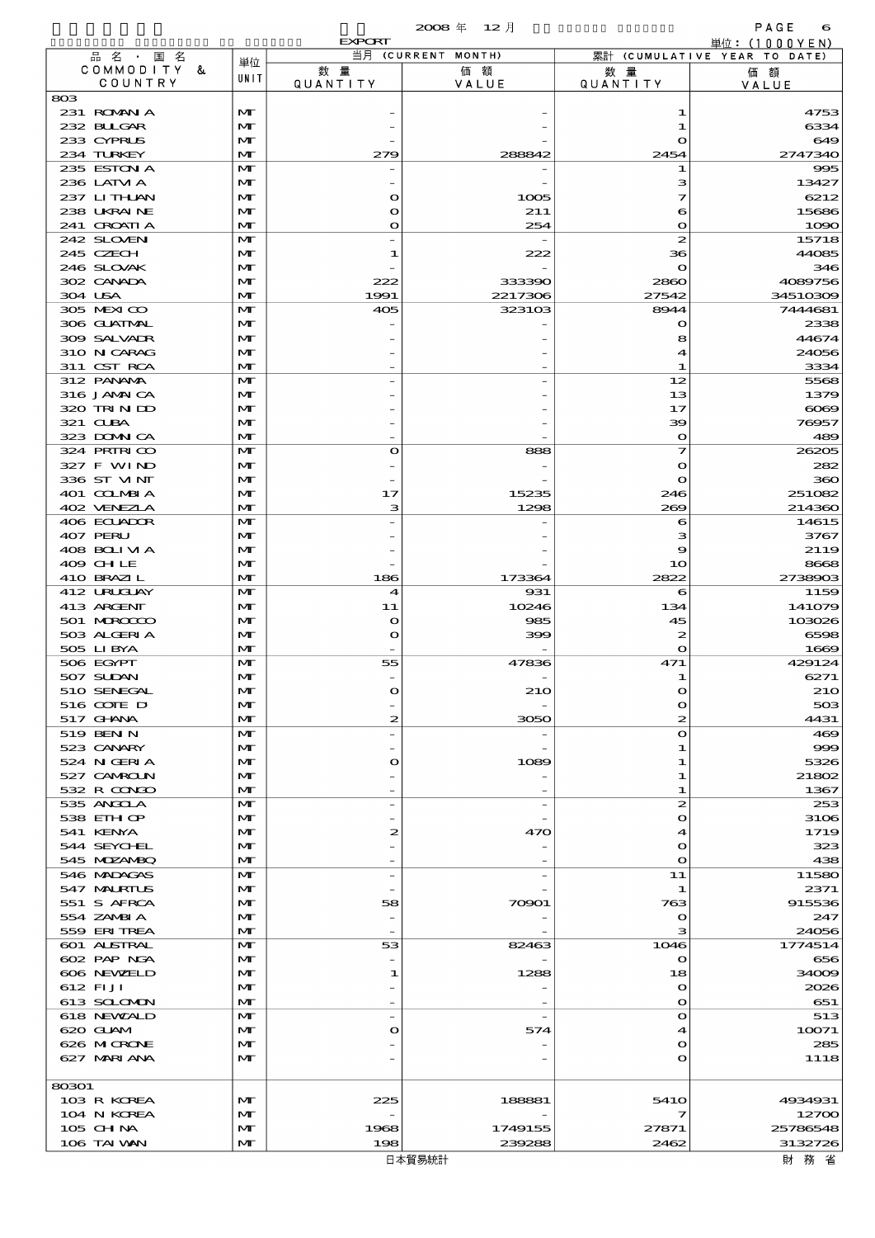|                            |                              | <b>EXPORT</b>              |                          |                              | 単位: (1000YEN)                |
|----------------------------|------------------------------|----------------------------|--------------------------|------------------------------|------------------------------|
| 品名・国名<br>COMMODITY &       | 単位                           | 数量                         | 当月 (CURRENT MONTH)<br>価額 | 数量                           | 累計 (CUMULATIVE YEAR TO DATE) |
| COUNTRY                    | UNIT                         | <b>QUANTITY</b>            | VALUE                    | <b>QUANTITY</b>              | 価額<br>VALUE                  |
| 803                        |                              |                            |                          |                              |                              |
| 231 ROMANIA                | M                            |                            |                          | 1                            | 4753                         |
| 232 BLLGAR<br>233 CYPRUS   | $\mathbf{M}$<br>$\mathbf{M}$ |                            |                          | 1<br>$\mathbf O$             | 6334<br>649                  |
| 234 TURKEY                 | $\mathbf{M}$                 | 279                        | 288842                   | 2454                         | 2747340                      |
| 235 ESTON A                | M                            |                            |                          | 1                            | 995                          |
| 236 LATM A                 | M                            |                            |                          | з                            | 13427                        |
| 237 LITHAN                 | $\mathbf{M}$                 | O                          | 1005                     | 7                            | 6212                         |
| 238 UKRAINE<br>241 CROATIA | $\mathbf{M}$<br>$\mathbf{M}$ | $\mathbf o$<br>$\circ$     | 211<br>254               | 6<br>$\mathbf{o}$            | 15686<br>1090                |
| 242 SLOVEN                 | M                            |                            |                          | $\boldsymbol{z}$             | 15718                        |
| 245 CZECH                  | M                            | 1                          | 222                      | 36                           | 44085                        |
| 246 SLOVAK                 | $\mathbf{M}$                 |                            |                          | $\mathbf{o}$                 | 346                          |
| 302 CANADA                 | M                            | 222                        | 333390                   | 2860                         | 4089756                      |
| 304 USA<br>305 MEXICO      | $\mathbf{M}$<br>M            | 1991<br>405                | 2217306<br>323103        | 27542<br>8944                | 34510309<br>7444681          |
| 306 GUATMAL                | M                            |                            |                          | $\mathbf o$                  | 2338                         |
| 309 SALVAIR                | $\mathbf{M}$                 |                            |                          | 8                            | 44674                        |
| 310 N CARAG                | M                            |                            |                          | 4                            | 24056                        |
| 311 CST RCA                | $\mathbf{M}$                 |                            |                          | 1                            | 3334                         |
| 312 PANAMA<br>316 JAMAICA  | M<br>M                       |                            |                          | 12<br>13                     | 5568<br>1379                 |
| 320 TRIN ID                | $\mathbf{M}$                 |                            |                          | 17                           | $\infty$                     |
| 321 CUBA                   | M                            |                            |                          | 39                           | 76957                        |
| 323 DOMNICA                | M                            |                            |                          | $\mathbf{o}$                 | 489                          |
| 324 PRIRICO                | M                            | $\circ$                    | 888                      | 7                            | 26205                        |
| 327 F WIND<br>336 ST MNT   | M<br>$\mathbf{M}$            |                            |                          | $\mathbf{o}$<br>$\mathbf{o}$ | 282<br>360                   |
| 401 COLMBIA                | M                            | 17                         | 15235                    | 246                          | 251082                       |
| 402 VENEZIA                | $\mathbf{M}$                 | з                          | 1298                     | 269                          | 214360                       |
| 406 ECUADOR                | M                            |                            |                          | 6                            | 14615                        |
| 407 PERU<br>408 BOLIVIA    | M<br>$\mathbf{M}$            |                            |                          | з<br>9                       | 3767                         |
| 409 CHLE                   | M                            |                            |                          | 10                           | 2119<br>8668                 |
| 410 BRAZIL                 | $\mathbf{M}$                 | 186                        | 173364                   | 2822                         | 2738903                      |
| 412 URUCLAY                | M                            | $\blacktriangleleft$       | 931                      | 6                            | 1159                         |
| 413 ARGENT                 | M                            | 11                         | 10246                    | 134                          | 141079                       |
| 501 MROCCO<br>503 ALGERIA  | $\mathbf{M}$<br>M            | $\mathbf o$<br>$\mathbf o$ | 985<br>399               | 45<br>2                      | 103026<br>6598               |
| 505 LIBYA                  | $\mathbf{M}$                 |                            |                          | $\mathbf{o}$                 | 1669                         |
| 506 EGYPT                  | $\mathbf{M}$                 | 55                         | 47836                    | 471                          | 429124                       |
| 507 SUDAN                  | M                            |                            |                          | 1                            | 6271                         |
| 510 SENEGAL                | M                            |                            | 21C                      |                              | <b>210</b>                   |
| 516 COTE D<br>517 GHNA     | M<br>M                       | 2                          | 3050                     | $\mathbf{o}$<br>2            | 503<br>4431                  |
| 519 BEN N                  | M                            |                            |                          | $\mathbf{o}$                 | 469                          |
| 523 CANARY                 | M                            |                            |                          | 1                            | 999                          |
| 524 N GERIA                | $\mathbf{M}$                 | O                          | 1089                     | 1                            | 5326                         |
| 527 CAMROLN<br>532 R CONDO | M<br>$\mathbf{M}$            |                            |                          | 1<br>1                       | 21802<br>1367                |
| 535 ANGOLA                 | M                            |                            |                          | 2                            | 253                          |
| 538 EIHOP                  | M                            |                            |                          | $\bullet$                    | 3106                         |
| 541 KENYA                  | M                            | 2                          | 470                      | 4                            | 1719                         |
| 544 SEYCHEL                | M                            |                            |                          | $\mathbf o$                  | 323                          |
| 545 MDZANBQ<br>546 MADAGAS | $\mathbf{M}$<br>M            |                            |                          | $\mathbf o$<br>11            | 438<br>11580                 |
| 547 MALRIUS                | M                            |                            |                          | 1                            | 2371                         |
| 551 S AFRCA                | M                            | 58                         | 70901                    | 763                          | 915536                       |
| 554 ZAMBIA                 | M                            |                            |                          | $\mathbf o$                  | 247                          |
| 559 ERITREA                | $\mathbf{M}$<br>M            | 53                         | 82463                    | з<br>1046                    | 24056                        |
| 601 ALSTRAL<br>602 PAP NGA | M                            |                            |                          | $\mathbf o$                  | 1774514<br>656               |
| 606 NEWELD                 | M                            | 1                          | 1288                     | 18                           | 34009                        |
| 612 FIJI                   | M                            |                            |                          | $\mathbf o$                  | 2026                         |
| 613 SCLOMON                | $\mathbf{M}$                 |                            |                          | $\mathbf o$                  | 651                          |
| 618 NEWALD<br>620 GLAM     | M<br>M                       | $\circ$                    | 574                      | $\mathbf{o}$<br>4            | 513<br>10071                 |
| 626 MICRONE                | M                            |                            |                          | $\mathbf o$                  | 285                          |
| 627 MARIANA                | M                            |                            |                          | $\mathbf o$                  | 1118                         |
|                            |                              |                            |                          |                              |                              |
| 80301                      |                              |                            |                          |                              |                              |
| 103 R KOREA<br>104 N KOREA | M<br>M                       | 225                        | 188881                   | 541O<br>7                    | 4934931<br>12700             |
| 105 CH NA                  | M                            | 1968                       | 1749155                  | 27871                        | 25786548                     |
| 106 TAI VAN                | $\mathbf{M}$                 | 198                        | 239288                   | 2462                         | 3132726                      |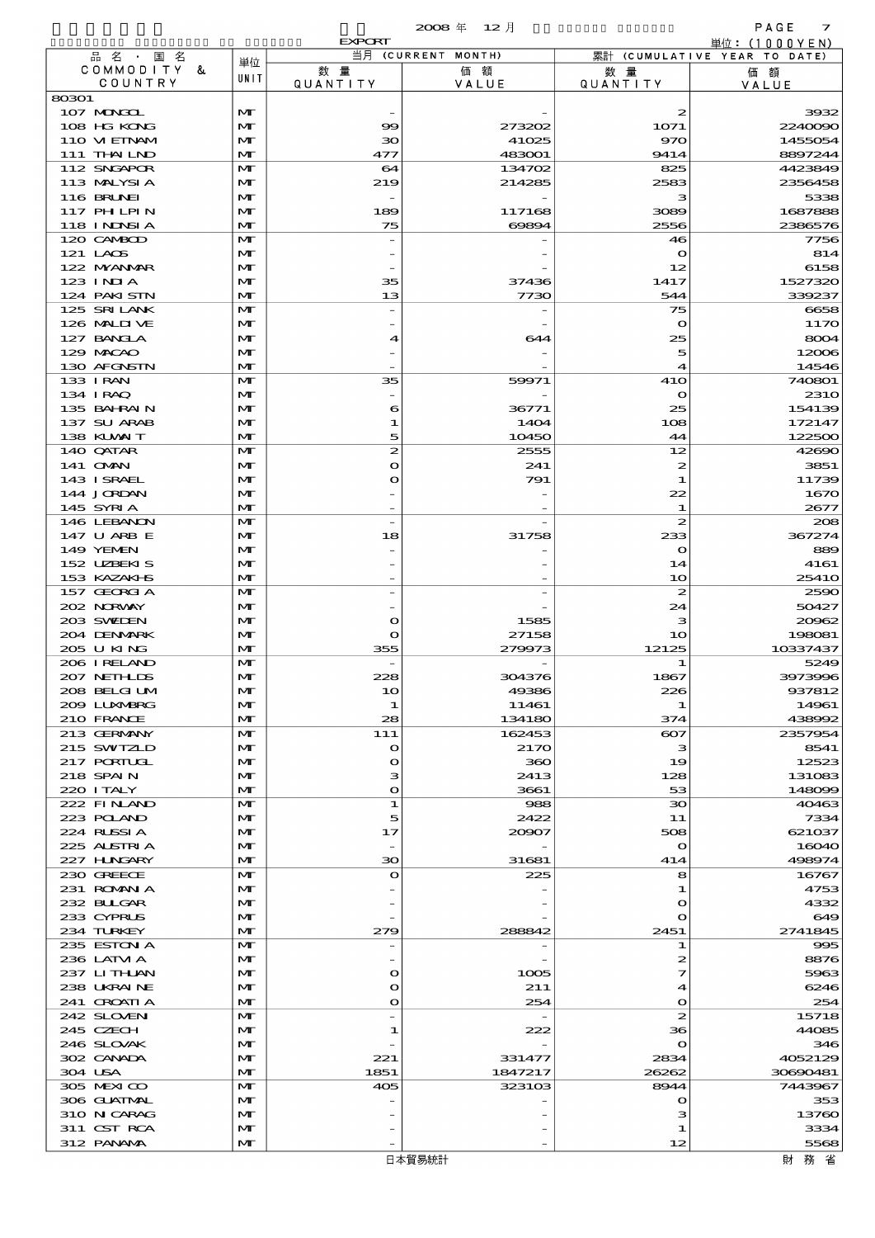|                            |                              | <b>EXPORT</b>         |                    |                        | 単位:(1000YEN)                 |
|----------------------------|------------------------------|-----------------------|--------------------|------------------------|------------------------------|
| 品名・国名                      | 単位                           |                       | 当月 (CURRENT MONTH) |                        | 累計 (CUMULATIVE YEAR TO DATE) |
| COMMODITY &<br>COUNTRY     | UNIT                         | 数量<br><b>QUANTITY</b> | 価額<br>VALUE        | 数 暈<br><b>QUANTITY</b> | 価額<br>VALUE                  |
| 80301                      |                              |                       |                    |                        |                              |
| 107 MONGOL                 | M                            |                       |                    | 2                      | 3932                         |
| 108 HG KONG                | $\mathbf{M}$                 | $\infty$              | 273202             | 1071                   | 2240090                      |
| 110 VIEINAM                | M                            | ЗО                    | 41025              | 970                    | 1455054                      |
| 111 THAILND                | $\mathbf{M}$                 | 477                   | 483001             | 9414                   | 8897244                      |
| 112 SNGAPOR<br>113 MALYSIA | M<br>M                       | 64<br>219             | 134702<br>214285   | 825<br>2583            | 4423849<br>2356458           |
| <b>116 BRUNEI</b>          | $\mathbf{M}$                 |                       |                    | з                      | 5338                         |
| 117 PH LPIN                | $\mathbf{M}$                 | 189                   | 117168             | 3089                   | 1687888                      |
| 118 I NDSI A               | $\mathbf{M}$                 | 75                    | 60894              | 2556                   | 2386576                      |
| 120 CAMBOD                 | $\mathbf{M}$                 |                       |                    | 46                     | 7756                         |
| 121 LACS                   | M                            |                       |                    | $\mathbf o$            | 814                          |
| 122 NYANAR<br>123 INIA     | M<br>$\mathbf{M}$            | 35                    | 37436              | 12<br>1417             | 6158<br>1527320              |
| 124 PAKISTN                | M                            | 13                    | 7730               | 544                    | 339237                       |
| 125 SRILANK                | $\mathbf{M}$                 |                       |                    | 75                     | 6658                         |
| 126 MALII VE               | M                            |                       |                    | $\mathbf o$            | 1170                         |
| 127 BANCLA                 | M                            | 4                     | 644                | 25                     | 8004                         |
| 129 MACAO                  | $\mathbf{M}$                 |                       |                    | 5                      | 12006                        |
| 130 AFGNSTN                | M                            |                       |                    | $\boldsymbol{A}$       | 14546                        |
| 133 I RAN<br>134 IRAQ      | $\mathbf{M}$<br>M            | 35                    | 59971              | 41O<br>$\mathbf o$     | 740801<br><b>2310</b>        |
| 135 BAHRAIN                | M                            | 6                     | 36771              | 25                     | 154139                       |
| 137 SU ARAB                | $\mathbf{M}$                 | 1                     | 1404               | 108                    | 172147                       |
| 138 KUWAIT                 | M                            | 5                     | 10450              | 44                     | 122500                       |
| 140 QATAR                  | $\mathbf{M}$                 | 2                     | 2555               | 12                     | 42690                        |
| 141 <b>OMN</b>             | $\mathbf{M}$                 | $\circ$               | 241                | 2                      | 3851                         |
| 143 ISRAEL                 | $\mathbf{M}$                 | $\circ$               | 791                | 1                      | 11739                        |
| 144 JORDAN<br>145 SYRIA    | $\mathbf{M}$<br>M            |                       |                    | 22<br>1                | 1670<br>2677                 |
| 146 LEBANON                | $\mathbf{M}$                 |                       |                    | $\boldsymbol{z}$       | 208                          |
| 147 U ARB E                | M                            | 18                    | 31758              | 233                    | 367274                       |
| 149 YEMEN                  | $\mathbf{M}$                 |                       |                    | $\bullet$              | 889                          |
| 152 UZBEKIS                | $\mathbf{M}$                 |                       |                    | 14                     | 4161                         |
| 153 KAZAKI S               | $\mathbf{M}$                 |                       |                    | 10                     | 2541O                        |
| 157 GEORGIA                | $\mathbf{M}$                 |                       |                    | $\boldsymbol{z}$       | 2590                         |
| 202 NORWAY<br>203 SWIDEN   | $\mathbf{M}$<br>$\mathbf{M}$ | $\mathbf o$           | 1585               | 24<br>з                | 50427<br>20962               |
| 204 DENMARK                | $\mathbf{M}$                 | $\mathbf o$           | 27158              | 10                     | 198081                       |
| 205 U KING                 | $\mathbf{M}$                 | 355                   | 279973             | 12125                  | 10337437                     |
| 206 IRELAND                | $\mathbf{M}$                 |                       |                    | 1                      | 5249                         |
| 207 NETHLIS                | M                            | 228                   | 304376             | 1867                   | 3973996                      |
| 208 BELGI UM               | $\mathbf{M}$                 | 1 <sub>O</sub>        | 49386              | 226                    | 937812                       |
| 2009 LUXWERG<br>210 FRANCE | M                            | 1<br>28               | 11461<br>134180    | 1                      | 14961<br>438992              |
| 213 GERMANY                | M<br>M                       | 111                   | 162453             | 374<br>$_{\rm e}$      | 2357954                      |
| 215 SWIZLD                 | $\mathbf{M}$                 | $\mathbf{\Omega}$     | 2170               | з                      | 8541                         |
| 217 PORTUGL                | M                            | $\bullet$             | 360                | 19                     | 12523                        |
| 218 SPAIN                  | M                            | з                     | 2413               | 128                    | 131083                       |
| 220 I TALY                 | $\mathbf{M}$                 | $\mathbf{o}$          | 3661               | 53                     | 148099                       |
| 222 FINAND                 | M                            | 1                     | 988                | $30^{\circ}$           | 40463                        |
| 223 POLAND<br>224 RUSSIA   | $\mathbf{M}$<br>M            | 5<br>17               | 2422<br>20907      | 11<br>508              | 7334<br>621037               |
| 225 ALSTRIA                | M                            |                       |                    | $\mathbf o$            | 16040                        |
| 227 H.NGARY                | $\mathbf{M}$                 | 30                    | 31681              | 414                    | 498974                       |
| 230 GREECE                 | M                            | $\mathbf{\Omega}$     | 225                | 8                      | 16767                        |
| 231 ROMANIA                | $\mathbf{M}$                 |                       |                    | 1                      | 4753                         |
| 232 BULGAR                 | M                            |                       |                    | $\bullet$              | 4332                         |
| 233 CYPRUS                 | M                            |                       |                    | $\mathbf{\Omega}$      | 649                          |
| 234 TURKEY<br>235 ESTON A  | $\mathbf{M}$<br>M            | 279                   | 288842             | 2451<br>1              | 2741845<br>995               |
| 236 LATM A                 | $\mathbf{M}$                 |                       |                    | 2                      | 8876                         |
| 237 LITHAN                 | M                            | $\mathbf o$           | 1005               | 7                      | 5963                         |
| 238 UKRAINE                | M                            | $\mathbf o$           | 211                | 4                      | 6246                         |
| 241 CROATIA                | $\mathbf{M}$                 | $\circ$               | 254                | $\mathbf{o}$           | 254                          |
| 242 SLOVEN                 | M                            |                       |                    | $\boldsymbol{z}$       | 15718                        |
| 245 CZECH                  | $\mathbf{M}$                 | 1                     | 222                | 36                     | 44085                        |
| 246 SLOVAK<br>302 CANADA   | M<br>M                       | 221                   | 331477             | $\mathbf o$<br>2834    | 346<br>4052129               |
| 304 USA                    | M                            | 1851                  | 1847217            | 26262                  | 30690481                     |
| 305 MEXICO                 | M                            | 405                   | 323103             | 8944                   | 7443967                      |
| 306 GUATMAL                | $\mathbf{M}$                 |                       |                    | $\mathbf o$            | 353                          |
| 310 N CARAG                | $\mathbf{M}$                 |                       |                    | з                      | 13760                        |
| 311 CST RCA                | M                            |                       |                    | 1                      | 3334                         |
| 312 PANAMA                 | $\mathbf{M}$                 |                       |                    | 12                     | 5568                         |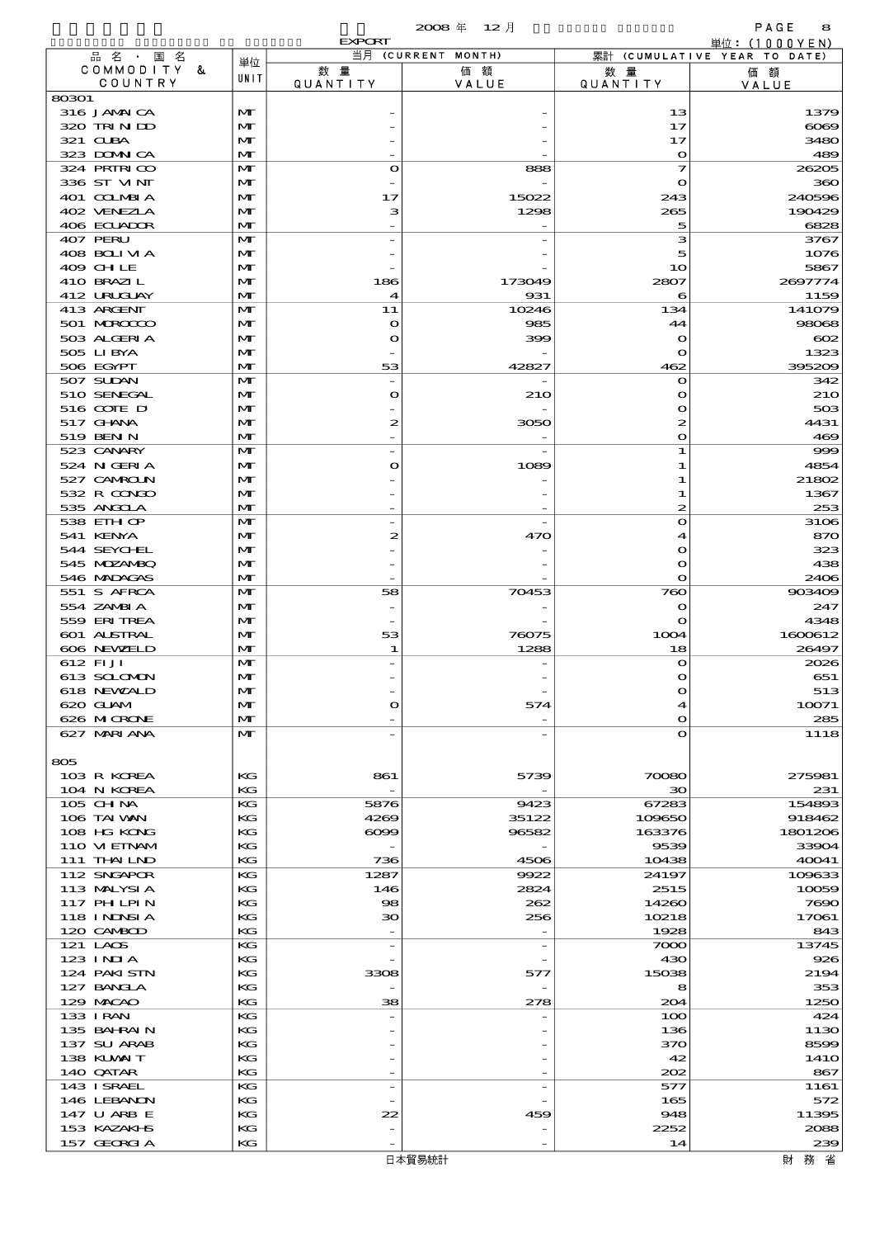|                            |                              |                        | 2008年 12月          |                     | PAGE<br>8                                       |
|----------------------------|------------------------------|------------------------|--------------------|---------------------|-------------------------------------------------|
| 品名·国名                      |                              | <b>EXPORT</b>          | 当月 (CURRENT MONTH) |                     | 単位: $(1000YEN)$<br>累計 (CUMULATIVE YEAR TO DATE) |
| COMMODITY &                | 単位                           | 数量                     | 価額                 | 数 量                 | 価額                                              |
| COUNTRY                    | UNIT                         | QUANTITY               | VALUE              | <b>QUANTITY</b>     | VALUE                                           |
| 80301                      |                              |                        |                    |                     |                                                 |
| 316 JAMAICA                | $\mathbf{M}$                 |                        |                    | 13                  | 1379                                            |
| 320 TRINDO                 | $\mathbf{M}$                 |                        |                    | 17                  | 6069                                            |
| 321 CUBA                   | $\mathbf{M}$                 |                        |                    | 17                  | 3480                                            |
| 323 DOMNICA<br>324 PRIRICO | $\mathbf{M}$<br>$\mathbf{M}$ | $\circ$                | 888                | $\bullet$<br>7      | 489<br>26205                                    |
| 336 ST VINT                | $\mathbf{M}$                 |                        |                    | $\mathbf o$         | 360                                             |
| 401 COLMBIA                | $\mathbf{M}$                 | 17                     | 15022              | 243                 | 240596                                          |
| 402 VENEZIA                | $\mathbf{M}$                 | з                      | 1298               | 265                 | 190429                                          |
| 406 ECUADOR                | $\mathbf{M}$                 |                        |                    | 5                   | 6828                                            |
| 407 PERU                   | $\mathbf{M}$                 |                        |                    | з                   | 3767                                            |
| 408 BOLIVIA                | $\mathbf{M}$                 |                        |                    | 5                   | 1076                                            |
| 409 CHLE                   | $\mathbf{M}$                 |                        |                    | 10                  | 5867                                            |
| 410 BRAZIL                 | $\mathbf{M}$                 | 186                    | 173049             | 2807                | 2697774                                         |
| 412 URUJAY<br>413 ARCENT   | $\mathbf{M}$<br>$\mathbf{M}$ | $\boldsymbol{4}$<br>11 | 931<br>10246       | 6<br>134            | 1159<br>141079                                  |
| 501 MROCCO                 | $\mathbf{M}$                 | $\mathbf o$            | 985                | 44                  | 98068                                           |
| 503 ALGERIA                | $\mathbf{M}$                 | $\mathbf o$            | 399                | $\mathbf o$         | $\infty$                                        |
| 505 LIBYA                  | $\mathbf{M}$                 |                        |                    | $\mathbf{o}$        | 1323                                            |
| 506 EGYPT                  | $\mathbf{M}$                 | 53                     | 42827              | 462                 | 395209                                          |
| 507 SUDAN                  | $\mathbf{M}$                 |                        |                    | $\mathbf o$         | 342                                             |
| 510 SENEGAL                | $\mathbf{M}$                 | $\mathbf o$            | 210                | $\mathbf o$         | <b>21O</b>                                      |
| 516 COIE D                 | $\mathbf{M}$                 |                        |                    | $\bullet$           | 503                                             |
| 517 <b>GHNA</b>            | $\mathbf{M}$                 | 2                      | 3050               | $\boldsymbol{z}$    | 4431                                            |
| 519 BEN N                  | $\mathbf{M}$                 |                        |                    | $\bullet$           | 469                                             |
| 523 CANARY                 | $\mathbf{M}$                 |                        |                    | 1                   | 999                                             |
| 524 N GERIA<br>527 CAMROLN | $\mathbf{M}$<br>$\mathbf{M}$ | O                      | 1089               | 1<br>1              | 4854<br>21802                                   |
| 532 R CONDO                | $\mathbf{M}$                 |                        |                    | 1                   | 1367                                            |
| 535 ANGCLA                 | $\mathbf{M}$                 |                        |                    | 2                   | 253                                             |
| 538 EIH OP                 | $\mathbf{M}$                 |                        |                    | $\bullet$           | 3106                                            |
| 541 KENYA                  | $\mathbf{M}$                 | 2                      | 470                | 4                   | 870                                             |
| 544 SEYCHL                 | $\mathbf{M}$                 |                        |                    | $\bullet$           | 323                                             |
| 545 MDZANBQ                | $\mathbf{M}$                 |                        |                    | $\bullet$           | 438                                             |
| 546 MADAGAS                | $\mathbf{M}$                 |                        |                    | $\bullet$           | 2406                                            |
| 551 S AFRCA                | $\mathbf{M}$                 | 58                     | 70453              | 760                 | 903409                                          |
| 554 ZAMBIA                 | $\mathbf{M}$                 |                        |                    | $\bullet$           | 247                                             |
| 559 ERITREA<br>601 ALSTRAL | $\mathbf{M}$<br>$\mathbf{M}$ | 53                     | 76075              | $\mathbf o$<br>1004 | 4348<br>1600612                                 |
| 606 NEWELD                 | $\mathbf{M}$                 | 1                      | 1288               | 18                  | 26497                                           |
| 612 FIJI                   | $\mathbf{M}$                 |                        |                    | $\bullet$           | 2026                                            |
| 613 SCLOMON                | $\mathbf{M}$                 |                        |                    |                     | 651                                             |
| 618 NEWALD                 | $\mathbf{M}$                 |                        |                    | $\bullet$           | 513                                             |
| 620 GLAM                   | $\mathbf{M}$                 | $\mathbf o$            | 574                | 4                   | 10071                                           |
| 626 MICRONE                | $\mathbf{M}$                 |                        |                    | $\bullet$           | 285                                             |
| 627 MARIANA                | $\mathbf{M}$                 |                        |                    | $\bullet$           | 1118                                            |
|                            |                              |                        |                    |                     |                                                 |
| 805                        |                              |                        |                    |                     |                                                 |
| 103 R KOREA                | KG                           | 861                    | 5739               | 70080               | 275981                                          |
| 104 N KOREA<br>$105$ CHNA  | KG<br>KG                     | $\overline{a}$<br>5876 | 9423               | 30<br>67283         | 231<br>154893                                   |
| 106 TAI VAN                | КG                           | 4269                   | 35122              | 109650              | 918462                                          |
| 108 HG KONG                | KG                           | $\infty$               | 96582              | 163376              | 1801206                                         |
| 110 VIEINAM                | KG                           |                        |                    | 9539                | 33904                                           |
| 111 THAILND                | KG                           | 736                    | 4506               | 10438               | 40041                                           |
| 112 SNGAPOR                | KG                           | 1287                   | 9922               | 24197               | 109633                                          |
| 113 MALYSIA                | КG                           | 146                    | 2824               | 2515                | 10059                                           |
| 117 PH LPIN                | KG                           | 98                     | 262                | 14260               | 7690                                            |
| 118 I NJNSI A              | KG                           | 30                     | 256                | 10218               | 17061                                           |
| 120 CAMBOD<br>121 LAOS     | KG<br>KG                     |                        |                    | 1928                | 843<br>13745                                    |
| $123$ INIA                 | KG                           | $\qquad \qquad -$      |                    | 7000<br>430         | 926                                             |
| 124 PAKISTN                | KG                           | 3308                   | 577                | 15038               | 2194                                            |
| 127 BANCLA                 | KG                           |                        |                    | 8                   | 353                                             |
| 129 MACAO                  | KG                           | 38                     | 278                | 204                 | 1250                                            |
| 133 I RAN                  | KG                           |                        |                    | 100                 | 424                                             |
| 135 BAHRAIN                | KG                           |                        |                    | 136                 | 1130                                            |
| 137 SU ARAB                | KG                           |                        |                    | 370                 | 8599                                            |
| 138 KUWAIT                 | KG                           |                        |                    | 42                  | 141O                                            |
| 140 QATAR                  | KG                           |                        |                    | 202                 | 867                                             |
| 143 ISRAEL                 | KG                           | $\overline{a}$         |                    | 577                 | 1161                                            |
| 146 LEBANON<br>147 U ARB E | KG<br>KG                     | 22                     | 459                | 165<br>948          | 572<br>11395                                    |
| 153 KAZAKI B               | KG                           |                        |                    | 2252                | 2088                                            |
| 157 GEORGIA                | KG                           |                        |                    | 14                  | 239                                             |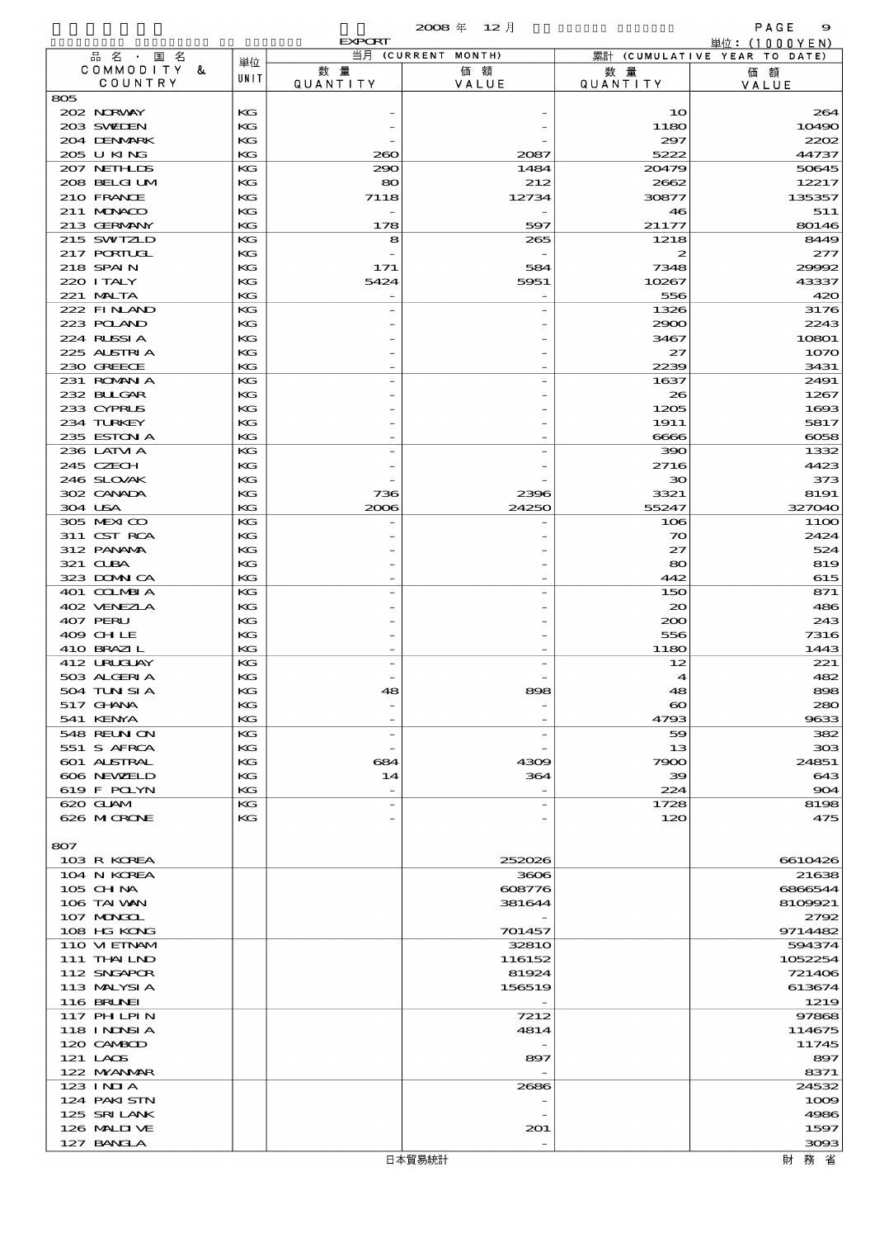|                            |            |                | $2008$ 年 12月       |                             | PAGE<br>9                                       |
|----------------------------|------------|----------------|--------------------|-----------------------------|-------------------------------------------------|
| 品名·国名                      |            | <b>EXPORT</b>  | 当月 (CURRENT MONTH) |                             | 単位: $(1000YEN)$<br>累計 (CUMULATIVE YEAR TO DATE) |
| COMMODITY &<br>COUNTRY     | 単位<br>UNIT | 数量<br>QUANTITY | 価額<br>VALUE        | 数 量<br><b>QUANTITY</b>      | 価額<br>VALUE                                     |
| 805                        |            |                |                    |                             |                                                 |
| 202 NRWAY                  | KG         |                |                    | 10                          | 264                                             |
| 203 SWIEN                  | KG         |                |                    | 1180                        | 10490                                           |
| 204 DENMARK                | KG         |                |                    | 297                         | 2202                                            |
| 205 U KING                 | KG         | 200            | 2087               | 5222                        | 44737                                           |
| 207 NETH LIS               | KG         | 290            | 1484               | 20479                       | 50645                                           |
| 208 BELGI UM<br>210 FRANCE | KG<br>KG   | 80<br>7118     | 212<br>12734       | 2662                        | 12217<br>135357                                 |
| 211 MUNACO                 | KG         |                |                    | 30877<br>46                 | 511                                             |
| 213 GERMANY                | KG         | 178            | 597                | 21177                       | 80146                                           |
| 215 SWIZLD                 | KG         | 8              | 265                | 1218                        | 8449                                            |
| 217 PORTUGL                | KG         |                |                    | 2                           | 277                                             |
| 218 SPAIN                  | KG         | 171            | 584                | 7348                        | 29992                                           |
| 220 I TALY                 | KG         | 5424           | 5951               | 10267                       | 43337                                           |
| 221 MALTA<br>222 FINAND    | KG         |                |                    | 556                         | 420                                             |
| 223 POLAND                 | KG<br>KG   |                |                    | 1326<br>2900                | 3176<br>2243                                    |
| 224 RUSSIA                 | KG         |                |                    | 3467                        | 10801                                           |
| 225 ALSTRIA                | KG         |                |                    | 27                          | 1070                                            |
| 230 GREECE                 | KG         |                |                    | 2239                        | 3431                                            |
| 231 ROMNA                  | KG         |                |                    | 1637                        | 2491                                            |
| 232 BULGAR                 | KG         |                |                    | 26                          | 1267                                            |
| 233 CYPRUS                 | KG         |                |                    | 1205                        | 1693                                            |
| 234 TURKEY<br>235 ESTON A  | KG<br>KG   |                |                    | 1911                        | 5817                                            |
| 236 LATM A                 | KG         |                |                    | 6666<br>390                 | 6058<br>1332                                    |
| 245 CZECH                  | KG         |                |                    | 2716                        | 4423                                            |
| 246 SLOVAK                 | KG         |                |                    | 30                          | 373                                             |
| 302 CANADA                 | KG         | 736            | 2396               | 3321                        | 8191                                            |
| 304 USA                    | KG         | 2006           | 24250              | 55247                       | 327040                                          |
| 305 MEXICO                 | KG         |                |                    | 106                         | <b>1100</b>                                     |
| 311 CST RCA                | KG         |                |                    | 70                          | 2424                                            |
| 312 PANAMA                 | KG         |                |                    | 27                          | 524                                             |
| 321 CLBA<br>323 DOMNICA    | KG<br>KG   |                |                    | 80<br>442                   | 819<br>615                                      |
| 401 COLMBIA                | KG         |                |                    | 150                         | 871                                             |
| 402 VENEZLA                | KG         |                |                    | 20                          | 486                                             |
| 407 PERU                   | KG         |                |                    | 200                         | 243                                             |
| 409 CHLE                   | KG         |                |                    | 556                         | 7316                                            |
| 410 BRAZIL                 | KG         |                |                    | 1180                        | 1443                                            |
| 412 URUCUAY                | KG         |                |                    | 12                          | 221                                             |
| 503 ALGERIA                | КG         |                |                    | 4                           | 482                                             |
| 504 TUN SI A<br>517 GHANA  | KG<br>КG   | 48             | 898                | 48<br>$\boldsymbol{\infty}$ | 898<br>280                                      |
| 541 KENYA                  | KG         |                |                    | 4793                        | 9633                                            |
| 548 REUN ON                | KG         |                |                    | 59                          | 382                                             |
| 551 S AFRCA                | KG         |                |                    | 13                          | 303                                             |
| 601 ALSTRAL                | KG         | 684            | 4309               | 7900                        | 24851                                           |
| 606 NEWELD                 | KG         | 14             | 364                | 39                          | 643                                             |
| 619 F POLYN<br>620 GLAM    | KG<br>KG   |                |                    | 224                         | 904<br>8198                                     |
| 626 MCRONE                 | $K$ $G$    |                |                    | 1728<br>120                 | 475                                             |
|                            |            |                |                    |                             |                                                 |
| 807                        |            |                |                    |                             |                                                 |
| 103 R KOREA                |            |                | 252026             |                             | 6610426                                         |
| 104 N KOREA                |            |                | 3606               |                             | 21638                                           |
| 105 CH NA                  |            |                | 608776             |                             | 6866544                                         |
| 106 TAI VAN                |            |                | 381644             |                             | 8109921                                         |
| 107 MONGOL<br>108 HG KONG  |            |                | 701457             |                             | 2792<br>9714482                                 |
| 110 VIEINAM                |            |                | 3281O              |                             | 594374                                          |
| 111 THAILND                |            |                | 116152             |                             | 1052254                                         |
| 112 SNGAPOR                |            |                | 81924              |                             | 721406                                          |
| 113 MALYSIA                |            |                | 156519             |                             | 613674                                          |
| <b>116 BRUNEI</b>          |            |                |                    |                             | 1219                                            |
| 117 PH LPIN                |            |                | 7212               |                             | 97868                                           |
| 118 I NJNSI A              |            |                | 4814               |                             | 114675                                          |
| 120 CAMBOD<br>121 LAOS     |            |                | 897                |                             | 11745<br>897                                    |
| 122 NYANAR                 |            |                |                    |                             | 8371                                            |
| 123 INIA                   |            |                | 2686               |                             | 24532                                           |
| 124 PAKISIN                |            |                |                    |                             | 1009                                            |
| 125 SRILANK                |            |                |                    |                             | 4986                                            |
| 126 MALIJUE                |            |                | 201                |                             | 1597                                            |
| 127 BANCLA                 |            |                |                    |                             | 3093                                            |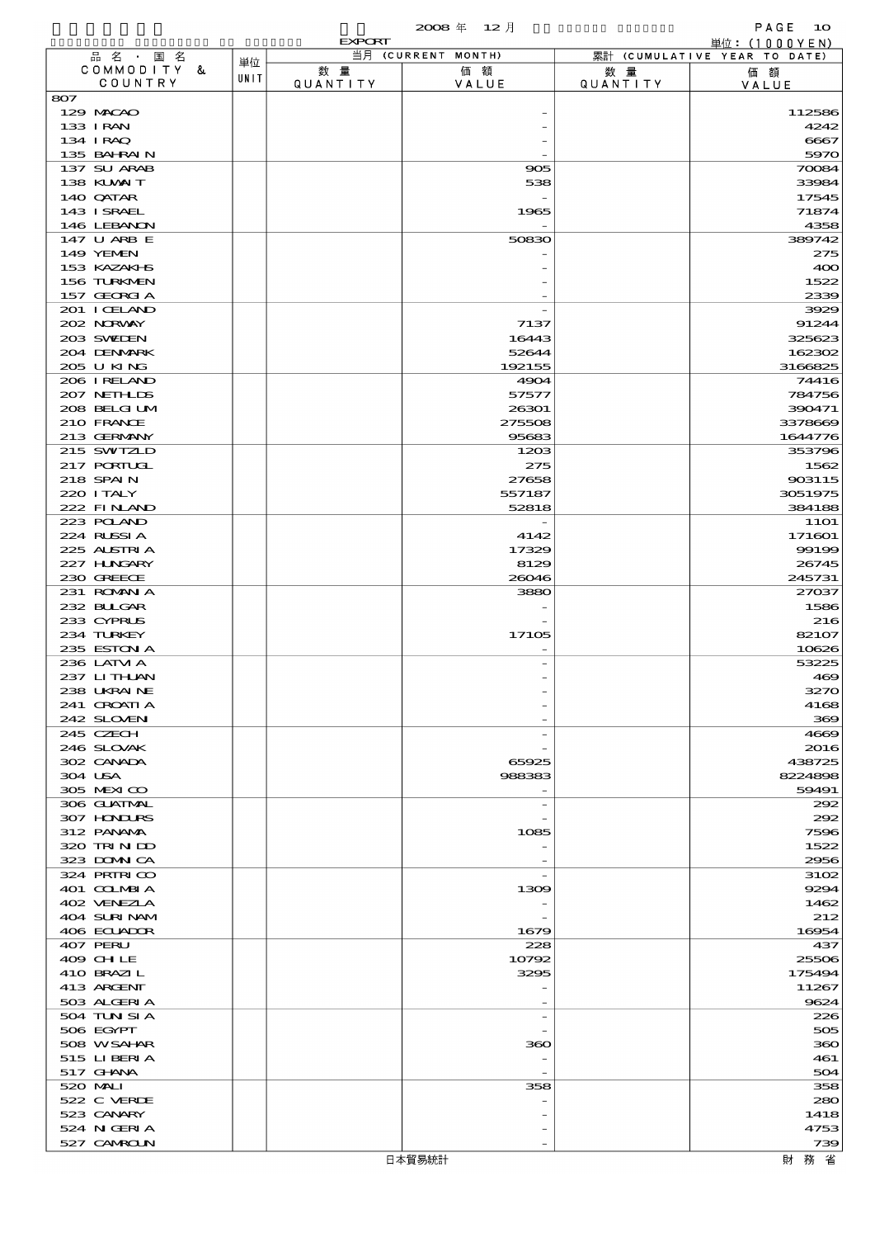|                           |      | <b>EXPORT</b>   |                    |                        | 単位: (1000YEN)                |
|---------------------------|------|-----------------|--------------------|------------------------|------------------------------|
| 品名・国名                     | 単位   |                 | 当月 (CURRENT MONTH) |                        | 累計 (CUMULATIVE YEAR TO DATE) |
| COMMODITY &<br>COUNTRY    | UNIT | 数 量<br>QUANTITY | 価額<br>VALUE        | 数 量<br><b>QUANTITY</b> | 価額<br>VALUE                  |
| 807                       |      |                 |                    |                        |                              |
| 129 MACAO                 |      |                 |                    |                        | 112586                       |
| 133 I RAN                 |      |                 |                    |                        | 4242                         |
| 134 IRAQ<br>135 BAHRAIN   |      |                 |                    |                        | 6667<br>5970                 |
| 137 SU ARAB               |      |                 | 905                |                        | 70084                        |
| 138 KUWAIT                |      |                 | 538                |                        | 33984                        |
| 140 QATAR                 |      |                 |                    |                        | 17545                        |
| 143 ISRAEL                |      |                 | 1965               |                        | 71874                        |
| 146 LEBANON               |      |                 |                    |                        | 4358                         |
| 147 U ARB E<br>149 YEMEN  |      |                 | 50830              |                        | 389742<br>275                |
| 153 KAZAKI B              |      |                 |                    |                        | 400                          |
| 156 TURKMEN               |      |                 |                    |                        | 1522                         |
| 157 GEORGIA               |      |                 |                    |                        | 2339                         |
| 201 I CELAND              |      |                 |                    |                        | 3929                         |
| 202 NORWAY                |      |                 | 7137               |                        | 91244                        |
| 203 SWIEN                 |      |                 | 16443              |                        | 325623                       |
| 204 DENMARK               |      |                 | 52644              |                        | 162302                       |
| 205 U KING<br>206 IRELAND |      |                 | 192155<br>4904     |                        | 3166825<br>74416             |
| 207 NETHLIS               |      |                 | 57577              |                        | 784756                       |
| 208 BELGI UM              |      |                 | 26301              |                        | 390471                       |
| 210 FRANCE                |      |                 | 275508             |                        | 3378669                      |
| 213 GERMANY               |      |                 | 95683              |                        | 1644776                      |
| 215 SWIZLD                |      |                 | 1203               |                        | 353796                       |
| 217 PORTUGL               |      |                 | 275                |                        | 1562                         |
| 218 SPAIN                 |      |                 | 27658              |                        | 903115                       |
| 220 I TALY<br>222 FINAND  |      |                 | 557187<br>52818    |                        | 3051975<br>384188            |
| 223 POLAND                |      |                 |                    |                        | <b>11O1</b>                  |
| 224 RLSSIA                |      |                 | 4142               |                        | 171601                       |
| 225 ALSTRIA               |      |                 | 17329              |                        | 99199                        |
| 227 HUNGARY               |      |                 | 8129               |                        | 26745                        |
| 230 GREECE                |      |                 | 26046              |                        | 245731                       |
| 231 ROMNA                 |      |                 | 3880               |                        | 27037                        |
| 232 BUGAR<br>233 CYPRUS   |      |                 |                    |                        | 1586<br>216                  |
| 234 TURKEY                |      |                 | 17105              |                        | 82107                        |
| 235 ESTON A               |      |                 |                    |                        | 10626                        |
| 236 LATM A                |      |                 |                    |                        | 53225                        |
| 237 LITHAN                |      |                 |                    |                        | 469                          |
| 238 UKRAINE               |      |                 |                    |                        | 3270                         |
| 241 GROATIA               |      |                 |                    |                        | 4168                         |
| 242 SLOVEN<br>245 CZECH   |      |                 |                    |                        | 369<br>4669                  |
| 246 SLOVAK                |      |                 |                    |                        | 2016                         |
| 302 CANADA                |      |                 | 65925              |                        | 438725                       |
| 304 USA                   |      |                 | 988383             |                        | 8224898                      |
| 305 MEXICO                |      |                 |                    |                        | 59491                        |
| 306 GUATMAL               |      |                 |                    |                        | 292                          |
| 307 HONDURS               |      |                 |                    |                        | 292                          |
| 312 PANAMA<br>320 TRINDO  |      |                 | 1085               |                        | 7596<br>1522                 |
| 323 DOMNICA               |      |                 |                    |                        | 2956                         |
| 324 PRIRICO               |      |                 |                    |                        | 3102                         |
| 401 COLMBIA               |      |                 | 1309               |                        | 9294                         |
| 402 VENEZIA               |      |                 |                    |                        | 1462                         |
| 404 SURINAM               |      |                 |                    |                        | 212                          |
| 406 ECUADOR               |      |                 | 1679               |                        | 16954                        |
| 407 PERU<br>409 CHLE      |      |                 | 228                |                        | 437                          |
| 410 BRAZIL                |      |                 | 10792<br>3295      |                        | 25506<br>175494              |
| 413 ARCENT                |      |                 |                    |                        | 11267                        |
| 503 ALGERIA               |      |                 |                    |                        | 9624                         |
| 504 TUN SI A              |      |                 |                    |                        | 226                          |
| 506 EGYPT                 |      |                 |                    |                        | 505                          |
| 508 WSAHAR                |      |                 | 360                |                        | 360                          |
| 515 LIBERIA               |      |                 |                    |                        | 461                          |
| 517 GHNA<br>520 MAI       |      |                 |                    |                        | 504<br>358                   |
| 522 C VERDE               |      |                 | 358                |                        | 280                          |
| 523 CANARY                |      |                 |                    |                        | 1418                         |
| 524 N GERIA               |      |                 |                    |                        | 4753                         |
| 527 CAMROLN               |      |                 |                    |                        | 739                          |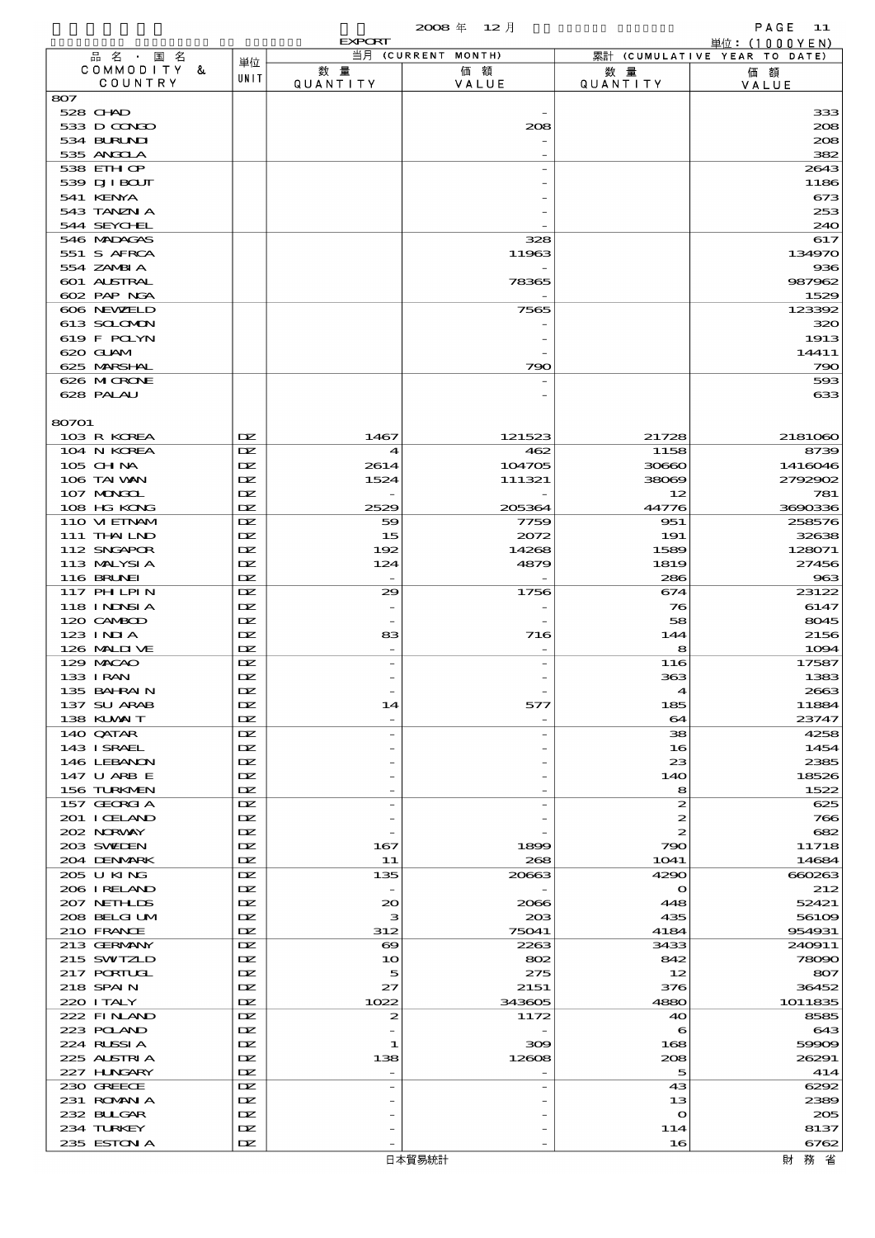|                            |            | <b>EXPORT</b>                      |                    |                        | 単位: (1000 Y E N)             |
|----------------------------|------------|------------------------------------|--------------------|------------------------|------------------------------|
| 品名・国名                      | 単位         |                                    | 当月 (CURRENT MONTH) |                        | 累計 (CUMULATIVE YEAR TO DATE) |
| COMMODITY &<br>COUNTRY     | UNIT       | 数量<br><b>QUANTITY</b>              | 価額<br>VALUE        | 数 暈<br><b>QUANTITY</b> | 価額<br>VALUE                  |
| 807                        |            |                                    |                    |                        |                              |
| 528 CHAD                   |            |                                    |                    |                        | 333                          |
| 533 D CONDO                |            |                                    | 208                |                        | 208                          |
| 534 BURLNI                 |            |                                    |                    |                        | 208                          |
| 535 ANGCLA<br>538 EIHOP    |            |                                    |                    |                        | 382<br>2643                  |
| 539 DJI BOUT               |            |                                    |                    |                        | 1186                         |
| 541 KENYA                  |            |                                    |                    |                        | 673                          |
| 543 TANZN A                |            |                                    |                    |                        | 253                          |
| 544 SEYCHEL                |            |                                    |                    |                        | 240                          |
| 546 MADAGAS<br>551 S AFRCA |            |                                    | 328<br>11963       |                        | 617<br>134970                |
| 554 ZAMBIA                 |            |                                    |                    |                        | 936                          |
| 601 ALSTRAL                |            |                                    | 78365              |                        | 987962                       |
| 602 PAP NGA                |            |                                    |                    |                        | 1529                         |
| 606 NEWELD                 |            |                                    | 7565               |                        | 123392                       |
| 613 SCLOMON                |            |                                    |                    |                        | 320                          |
| 619 F POLYN<br>620 GUAM    |            |                                    |                    |                        | 1913<br>14411                |
| 625 MARSHAL                |            |                                    | 790                |                        | 790                          |
| 626 MICRONE                |            |                                    |                    |                        | 593                          |
| 628 PALAU                  |            |                                    |                    |                        | 633                          |
|                            |            |                                    |                    |                        |                              |
| 80701                      |            |                                    |                    |                        |                              |
| 103 R KOREA<br>104 N KOREA | DZ.<br>DZ. | 1467                               | 121523<br>462      | 21728<br>1158          | 2181060<br>8739              |
| 105 CH NA                  | DZ.        | $\boldsymbol{\mathcal{A}}$<br>2614 | 104705             | 30660                  | 1416046                      |
| 106 TAI VAN                | IX         | 1524                               | 111321             | 38069                  | 2792902                      |
| 107 MAGAL                  | DZ.        |                                    |                    | 12                     | 781                          |
| 108 HG KONG                | DZ.        | 2529                               | 205364             | 44776                  | 3690336                      |
| 110 VIEINAM                | DZ.        | 59                                 | 7759               | 951                    | 258576                       |
| 111 THAILND<br>112 SNGAPOR | DZ.<br>IX  | 15<br>192                          | 2072<br>14268      | 191<br>1589            | 32638<br>128071              |
| 113 MALYSIA                | DZ.        | 124                                | 4879               | 1819                   | 27456                        |
| 116 BRUNEI                 | DZ.        |                                    |                    | 286                    | 963                          |
| 117 PH LPIN                | DZ.        | 29                                 | 1756               | 674                    | 23122                        |
| 118 I NJNSI A              | DZ.        |                                    |                    | 76                     | 6147                         |
| 120 CAMBOD                 | IX         |                                    |                    | 58                     | 8045                         |
| $123$ INJA<br>126 MALIJ VE | DZ.<br>DZ. | 83                                 | 716                | 144<br>8               | 2156<br>1094                 |
| 129 MACAO                  | DZ.        |                                    |                    | 116                    | 17587                        |
| 133 I RAN                  | DZ.        |                                    |                    | 363                    | 1383                         |
| 135 BAHRAIN                | DZ.        |                                    |                    | $\blacktriangle$       | 2663                         |
| 137 SU ARAB                | DZ.        | 14                                 | 577                | 185                    | 11884                        |
| 138 KLVXIT                 | DZ.<br>DZ. | $\overline{\phantom{0}}$           |                    | 64<br>38               | 23747                        |
| 140 QATAR<br>143 ISRAEL    | DZ.        | $\overline{a}$                     |                    | 16                     | 4258<br>1454                 |
| 146 LEBANON                | DZ.        |                                    |                    | 23                     | 2385                         |
| 147 U ARB E                | DZ.        |                                    |                    | 140                    | 18526                        |
| 156 TURKMEN                | DZ.        |                                    |                    | 8                      | 1522                         |
| 157 GEORGIA                | DZ.        | $\overline{a}$                     |                    | 2                      | 625                          |
| 201 I CELAND<br>202 NORWAY | DZ.<br>IX  |                                    |                    | 2<br>2                 | 766<br>682                   |
| 203 SWIDEN                 | DZ.        | 167                                | 1899               | 790                    | 11718                        |
| 204 DENMARK                | DZ.        | 11                                 | 268                | 1041                   | 14684                        |
| 205 U KING                 | DZ.        | 135                                | 20663              | 4290                   | 660263                       |
| 206 I RELAND               | DZ.        |                                    |                    | $\mathbf o$            | 212                          |
| 207 NETHLIS                | IX         | $_{\infty}$                        | 2066               | 448                    | 52421                        |
| 208 BELGI UM<br>210 FRANCE | DZ.<br>DZ. | з<br>312                           | 203<br>75041       | 435<br>4184            | 56109<br>954931              |
| 213 GERMANY                | DZ.        | $\boldsymbol{\infty}$              | 2263               | 3433                   | 240911                       |
| 215 SWIZLD                 | DZ.        | 10                                 | 802                | 842                    | 78090                        |
| 217 PORTUGL                | IX         | 5                                  | 275                | 12                     | 807                          |
| 218 SPAIN                  | DZ.        | 27                                 | 2151               | 376                    | 36452                        |
| 220 I TALY                 | DZ.        | 1022                               | 343605             | 4880                   | 1011835                      |
| 222 FINAND<br>223 POLAND   | DZ.<br>DZ. | 2                                  | 1172               | 40<br>6                | 8585<br>643                  |
| 224 RUSSIA                 | IX         | 1                                  | 309                | 168                    | 59909                        |
| 225 ALSTRIA                | DZ.        | 138                                | 12608              | 208                    | 26291                        |
| 227 H.NGARY                | DZ.        | $\overline{\phantom{0}}$           |                    | 5                      | 414                          |
| 230 GREECE                 | DZ.        | $\overline{a}$                     |                    | 43                     | 6292                         |
| 231 ROMANIA                | DZ.        |                                    |                    | 13                     | 2389                         |
| 232 BULGAR                 | IX<br>DZ.  |                                    |                    | $\mathbf{o}$           | 205                          |
| 234 TURKEY<br>235 ESTON A  | DZ.        |                                    |                    | 114<br>16              | 8137<br>6762                 |

財務省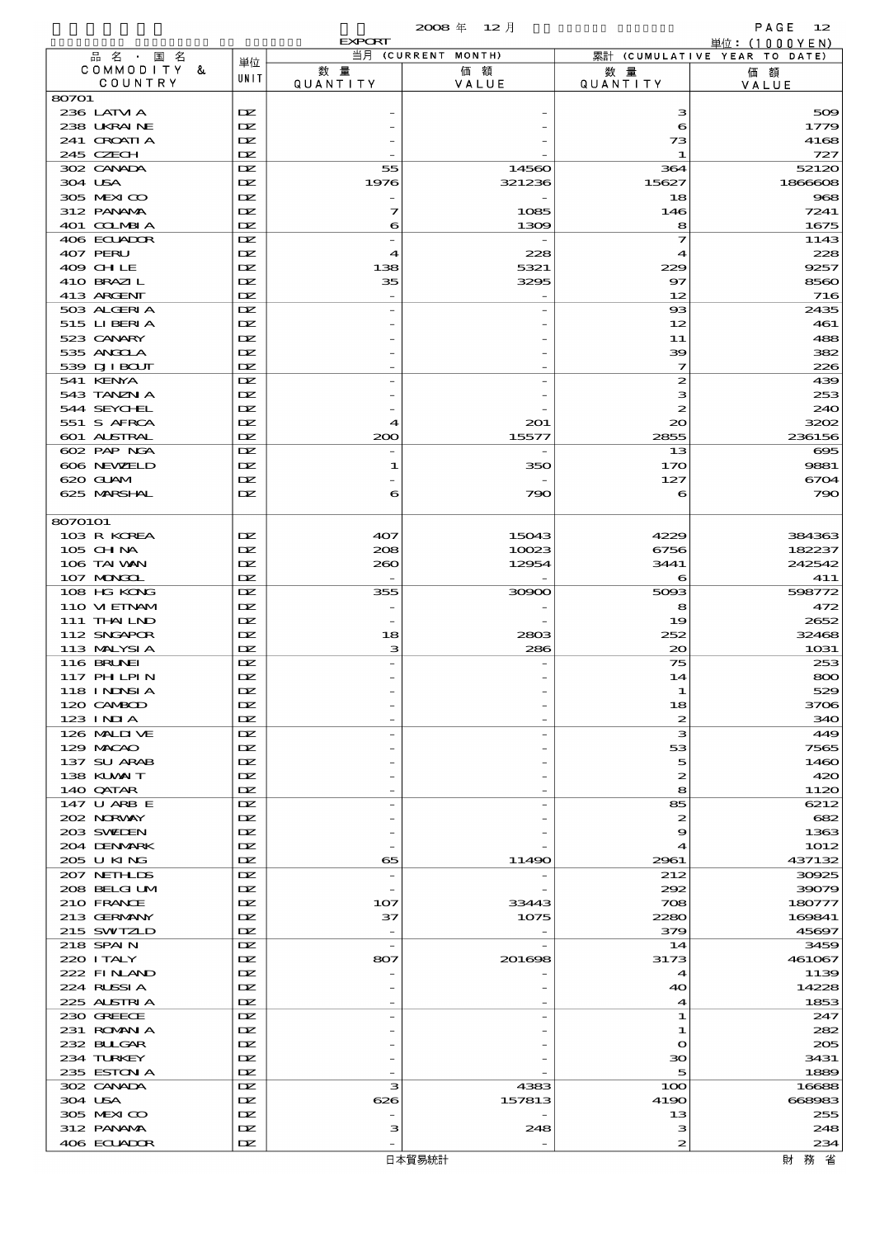|                            |            | <b>EXPORT</b> |                          |                       | 単位: (1000 Y E N)             |
|----------------------------|------------|---------------|--------------------------|-----------------------|------------------------------|
| 品 名 ・ 国 名<br>COMMODITY &   | 単位         | 数量            | 当月 (CURRENT MONTH)<br>価額 | 数 暈                   | 累計 (CUMULATIVE YEAR TO DATE) |
| COUNTRY                    | UNIT       | QUANTITY      | VALUE                    | <b>QUANTITY</b>       | 価額<br>VALUE                  |
| 80701                      |            |               |                          |                       |                              |
| 236 LATM A                 | DZ.        |               |                          | з                     | 509                          |
| 238 UKRAINE                | IX         |               |                          | 6                     | 1779                         |
| 241 CROATIA<br>245 CZECH   | IX<br>DZ.  |               |                          | 73<br>1               | 4168<br>727                  |
| 302 CANADA                 | DZ.        | 55            | 14560                    | 364                   | 52120                        |
| 304 USA                    | DZ.        | 1976          | 321236                   | 15627                 | 1866608                      |
| 305 MEXICO                 | IX         |               |                          | 18                    | 968                          |
| 312 PANAMA                 | DZ.        | 7             | 1085                     | 146                   | 7241                         |
| 401 COLMBIA                | DZ.        | 6             | 1309                     | 8                     | 1675                         |
| 406 ECUADOR<br>407 PERU    | DZ.<br>DZ. | 4             | 228                      | 7<br>4                | 1143<br>228                  |
| 409 CHLE                   | IX         | 138           | 5321                     | 229                   | 9257                         |
| 410 BRAZIL                 | DZ.        | 35            | 3295                     | 97                    | 8560                         |
| 413 ARGENT                 | DZ.        |               |                          | 12                    | 716                          |
| 503 ALGERIA                | DZ.        |               |                          | $_{\rm ss}$           | 2435                         |
| 515 LIBERIA                | DZ.        |               |                          | 12                    | 461                          |
| 523 CANARY                 | IX         |               |                          | 11                    | 488                          |
| 535 ANGOLA<br>539 DJI BOUT | DZ.<br>DZ. |               |                          | 39<br>7               | 382<br>226                   |
| 541 KENYA                  | DZ.        |               |                          | $\boldsymbol{z}$      | 439                          |
| 543 TANZN A                | DZ.        |               |                          | з                     | 253                          |
| 544 SEYCHEL                | IX         |               |                          | 2                     | 240                          |
| 551 S AFRCA                | DZ.        | ◢             | 201                      | 20                    | 3202                         |
| 601 ALSTRAL                | DZ.        | 200           | 15577                    | 2855                  | 236156                       |
| 602 PAP NGA                | DZ.        |               |                          | 13                    | $\boldsymbol{\alpha}$        |
| 606 NEWELD                 | DZ.        | 1             | 350                      | 170                   | 9881                         |
| 620 GLAM<br>625 MARSHAL    | IX<br>DZ.  | 6             | 790                      | 127<br>6              | 6704<br>790                  |
|                            |            |               |                          |                       |                              |
| 8070101                    |            |               |                          |                       |                              |
| 103 R KOREA                | DZ.        | 407           | 15043                    | 4229                  | 384363                       |
| 105 CH NA                  | IX         | 208           | 10023                    | 6756                  | 182237                       |
| 106 TAI VAN                | DZ.        | 260           | 12954                    | 3441                  | 242542                       |
| 107 MONGOL                 | DZ.        |               |                          | 6                     | 411                          |
| 108 HG KONG<br>110 VIEINAM | DZ.<br>DZ. | 355           | 30900                    | 5093<br>8             | 598772<br>472                |
| 111 THAILND                | IX         |               |                          | 19                    | 2652                         |
| 112 SNGAPOR                | DZ.        | 18            | 2803                     | 252                   | 32468                        |
| 113 MALYSIA                | DZ.        | з             | 286                      | $\infty$              | 1031                         |
| <b>116 BRUNEI</b>          | DZ.        |               |                          | 75                    | 253                          |
| <b>117 PHLPIN</b>          | IX         |               |                          | 14                    | 800                          |
| 118 INDSIA                 | DZ.        |               |                          |                       | 529                          |
| 120 CAMBOD                 | DZ.        |               |                          | 18                    | 3706                         |
| 123 INIA<br>126 MALIJ VE   | DZ.<br>DZ. |               |                          | $\boldsymbol{z}$<br>з | 340<br>449                   |
| 129 MACAO                  | DZ.        |               |                          | 53                    | 7565                         |
| 137 SU ARAB                | DZ.        |               |                          | 5                     | 1460                         |
| 138 KUWAIT                 | DZ.        |               |                          | 2                     | 420                          |
| 140 QATAR                  | DZ.        |               |                          | 8                     | 1120                         |
| 147 U ARB E                | DZ.        |               |                          | 85                    | 6212                         |
| 202 NORWAY                 | DZ.        |               |                          | 2                     | 682                          |
| 203 SWIDEN<br>204 DENMARK  | DZ.<br>DZ. |               |                          | 9<br>4                | 1363<br>1012                 |
| 205 U KING                 | DZ.        | 65            | 11490                    | 2961                  | 437132                       |
| 207 NETH LIS               | DZ.        |               |                          | 212                   | 30925                        |
| 208 BELGI UM               | DZ.        |               |                          | 292                   | 39079                        |
| 210 FRANCE                 | DZ.        | 107           | 33443                    | 708                   | 180777                       |
| 213 GERMANY                | DZ.        | 37            | 1075                     | 2280                  | 169841                       |
| 215 SWIZLD                 | DZ.        |               |                          | 379                   | 45697                        |
| 218 SPAIN<br>220 I TALY    | DZ.<br>DZ. | 807           | 201698                   | 14<br>3173            | 3459<br>461067               |
| 222 FINAND                 | DZ.        |               |                          | 4                     | 1139                         |
| 224 RUSSI A                | DZ.        |               |                          | 40                    | 14228                        |
| 225 ALSTRIA                | DZ.        |               |                          | $\boldsymbol{4}$      | 1853                         |
| 230 GREECE                 | DZ.        |               |                          | 1                     | 247                          |
| 231 ROMANIA                | DZ.        |               |                          | 1                     | 282                          |
| 232 BULGAR                 | DZ.        |               |                          | $\mathbf o$           | 205                          |
| 234 TURKEY<br>235 ESTON A  | DZ.<br>DZ. |               |                          | 30<br>5               | 3431<br>1889                 |
| 302 CANADA                 | DZ.        | з             | 4383                     | 100                   | 16688                        |
| 304 USA                    | DZ.        | 626           | 157813                   | 4190                  | 668983                       |
| 305 MEXICO                 | DZ.        |               |                          | 13                    | 255                          |
| 312 PANAMA                 | DZ.        | з             | 248                      | з                     | 248                          |
| 406 ECUADOR                | DZ.        |               |                          | 2                     | 234                          |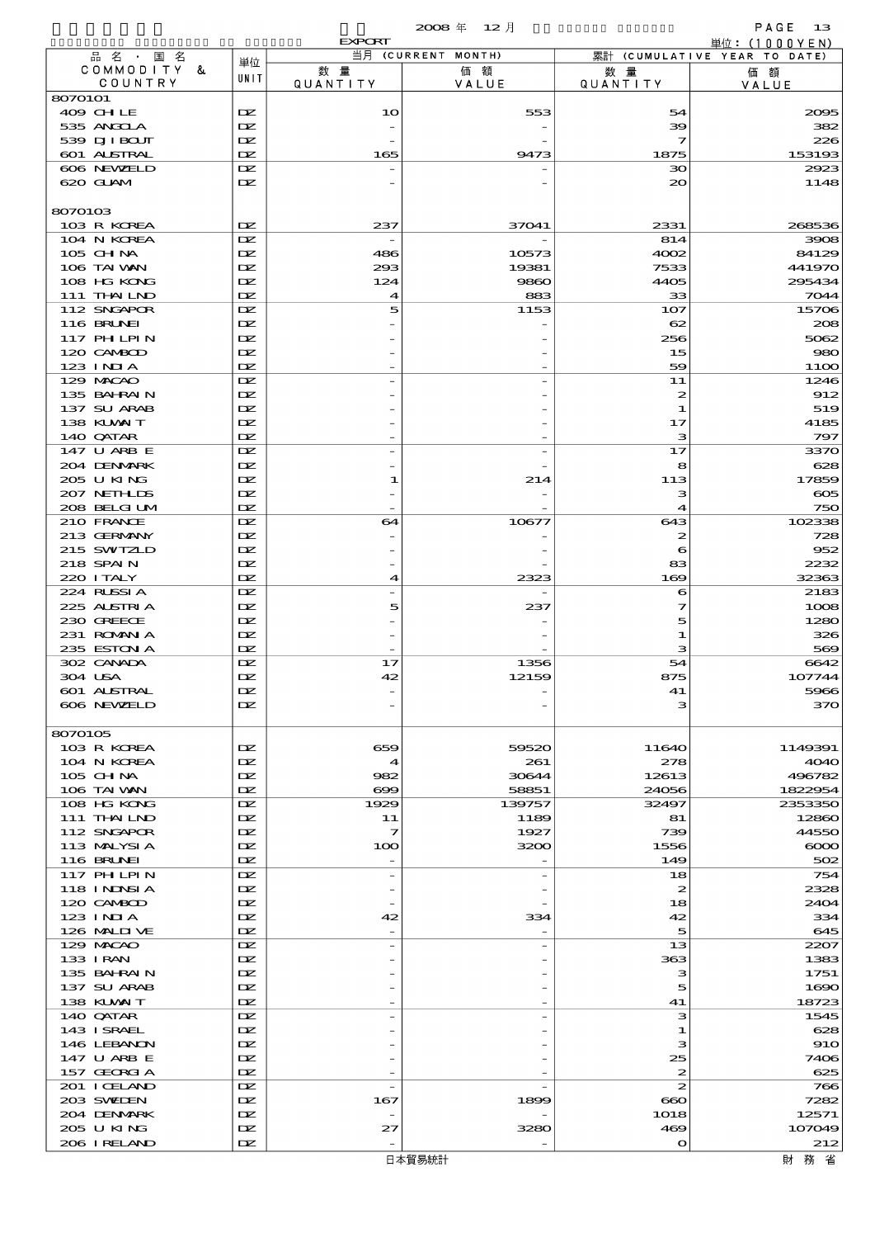|                                 |            | <b>EXPORT</b>                  |                          |                         | 単位: (1000YEN)                      |
|---------------------------------|------------|--------------------------------|--------------------------|-------------------------|------------------------------------|
| 品 名 ・ 国 名<br>COMMODITY &        | 単位         | 数量                             | 当月 (CURRENT MONTH)<br>価額 | 数量                      | 累計 (CUMULATIVE YEAR TO DATE)<br>価額 |
| COUNTRY                         | UNIT       | QUANTITY                       | VALUE                    | QUANTITY                | VALUE                              |
| 8070101                         |            |                                |                          |                         |                                    |
| 409 CHLE                        | DZ.        | 10                             | 553                      | 54                      | 2005                               |
| 535 ANGCLA<br>539 DJI BOUT      | DZ.<br>DZ. |                                |                          | 39<br>7                 | 382<br>226                         |
| 601 ALSTRAL                     | DZ.        | 165                            | 9473                     | 1875                    | 153193                             |
| 606 NEWELD                      | DZ.        |                                |                          | зо                      | 2923                               |
| 620 GLAM                        | DZ.        |                                |                          | 20                      | 1148                               |
|                                 |            |                                |                          |                         |                                    |
| 8070103                         |            |                                |                          |                         |                                    |
| 103 R KOREA<br>104 N KOREA      | DZ.<br>DZ. | 237                            | 37041                    | 2331<br>814             | 268536<br>3908                     |
| 105 CH NA                       | DZ.        | 486                            | 10573                    | 4002                    | 84129                              |
| 106 TAI VAN                     | DZ.        | 293                            | 19381                    | 7533                    | 441970                             |
| 108 HG KONG                     | DZ.        | 124                            | 9860                     | 4405                    | 295434                             |
| 111 THAILND                     | DZ.        | 4                              | 883                      | 33                      | 7044                               |
| 112 SNGAPOR                     | DZ.        | 5                              | 1153                     | 107                     | 15706                              |
| 116 BRUNEI<br><b>117 PHLPIN</b> | DZ.<br>DZ. |                                |                          | 62<br>256               | 208<br>5062                        |
| 120 CAMBOD                      | DZ.        |                                |                          | 15                      | 980                                |
| $123$ INIA                      | DZ.        |                                |                          | 59                      | <b>1100</b>                        |
| 129 MACAO                       | DZ.        |                                |                          | 11                      | 1246                               |
| 135 BAHRAIN                     | DZ.        |                                |                          | $\boldsymbol{z}$        | 912                                |
| 137 SU ARAB                     | DZ.        |                                |                          | 1                       | 519                                |
| 138 KUWAIT<br>140 QATAR         | DZ.<br>DZ. |                                |                          | 17<br>з                 | 4185<br>797                        |
| 147 U ARB E                     | DZ.        |                                |                          | 17                      | 3370                               |
| 204 DENMARK                     | DZ.        |                                |                          | 8                       | 628                                |
| 205 U KING                      | DZ.        | 1                              | 214                      | 113                     | 17859                              |
| 207 NETHLIS                     | DZ.        |                                |                          | з                       | $\infty$                           |
| 208 BELGI UM                    | DZ.        |                                |                          | 4                       | 750                                |
| 210 FRANCE<br>213 GERMANY       | DZ.<br>DZ. | 64                             | 10677                    | 643<br>$\boldsymbol{z}$ | 102338<br>728                      |
| 215 SWIZLD                      | DZ.        |                                |                          | 6                       | 952                                |
| 218 SPAIN                       | DZ.        |                                |                          | 83                      | 2232                               |
| 220 I TALY                      | DZ.        | $\blacktriangleleft$           | 2323                     | 169                     | 32363                              |
| 224 RUSSIA                      | DZ.        |                                |                          | 6                       | 2183                               |
| 225 ALSTRIA                     | DZ.        | 5                              | 237                      | 7                       | 1008                               |
| 230 GREECE<br>231 ROMANIA       | DZ.<br>DZ. |                                |                          | 5<br>1                  | 1280<br>326                        |
| 235 ESTON A                     | DZ.        |                                |                          | з                       | 569                                |
| 302 CANADA                      | DZ.        | 17                             | 1356                     | 54                      | 6642                               |
| 304 USA                         | DZ.        | 42                             | 12159                    | 875                     | 107744                             |
| 601 ALSTRAL                     | DZ.        |                                |                          | 41                      | 5966                               |
| 606 NEWELD                      | DZ.        |                                |                          | з                       | 370                                |
| 8070105                         |            |                                |                          |                         |                                    |
| 103 R KOREA                     | DZ.        | 659                            | 59520                    | 11640                   | 1149391                            |
| 104 N KOREA                     | DZ.        | 4                              | 261                      | 278                     | <b>4040</b>                        |
| $105$ CHNA                      | DZ.        | 982                            | 30644                    | 12613                   | 496782                             |
| 106 TAI VAN                     | DZ.        | $\infty$                       | 58851                    | 24056                   | 1822954                            |
| 108 HG KONG                     | DZ.        | 1929                           | 139757                   | 32497                   | 2353350                            |
| 111 THAILND<br>112 SNGAPOR      | DZ.<br>DZ. | 11<br>7                        | 1189<br>1927             | 81<br>739               | 12860<br>44550                     |
| 113 MALYSIA                     | DZ.        | 100                            | 3200                     | 1556                    | $\infty$                           |
| <b>116 BRUNEI</b>               | DZ.        |                                |                          | 149                     | 502                                |
| <b>117 PHLPIN</b>               | DZ.        | $\overline{a}$                 |                          | 18                      | 754                                |
| 118 I NJNSI A                   | DZ.        |                                |                          | $\boldsymbol{z}$        | 2328                               |
| 120 CAMBOD                      | DZ.        |                                |                          | 18                      | 2404                               |
| $123$ INJA<br>126 MALIT VE      | DZ.<br>DZ. | 42<br>$\overline{\phantom{0}}$ | 334                      | 42<br>5                 | 334<br>645                         |
| 129 MACAO                       | DZ.        | $\overline{\phantom{0}}$       |                          | 13                      | 2207                               |
| 133 I RAN                       | DZ.        |                                |                          | 363                     | 1383                               |
| 135 BAHRAIN                     | DZ.        |                                |                          | з                       | 1751                               |
| 137 SU ARAB                     | DZ.        |                                |                          | 5                       | 1690                               |
| 138 KUWAIT                      | DZ.<br>DZ. |                                |                          | 41                      | 18723                              |
| 140 QATAR<br>143 ISRAEL         | DZ.        | $\overline{a}$                 |                          | з<br>1                  | 1545<br>628                        |
| 146 LEBANON                     | DZ.        |                                |                          | з                       | 910                                |
| 147 U ARB E                     | DZ.        |                                |                          | 25                      | 7406                               |
| 157 GEORGIA                     | DZ.        |                                |                          | 2                       | 625                                |
| 201 I CELAND                    | DZ.        |                                |                          | $\boldsymbol{z}$        | 766                                |
| 203 SWIDEN                      | DZ.        | 167                            | 1899                     | $\bf{60}$               | 7282                               |
| 204 DENMARK<br>205 U KING       | DZ.<br>DZ. | 27                             | 3280                     | 1018<br>469             | 12571<br>107049                    |
| 206 I RELAND                    | DZ.        |                                |                          | $\Omega$                | 212                                |
|                                 |            |                                |                          |                         |                                    |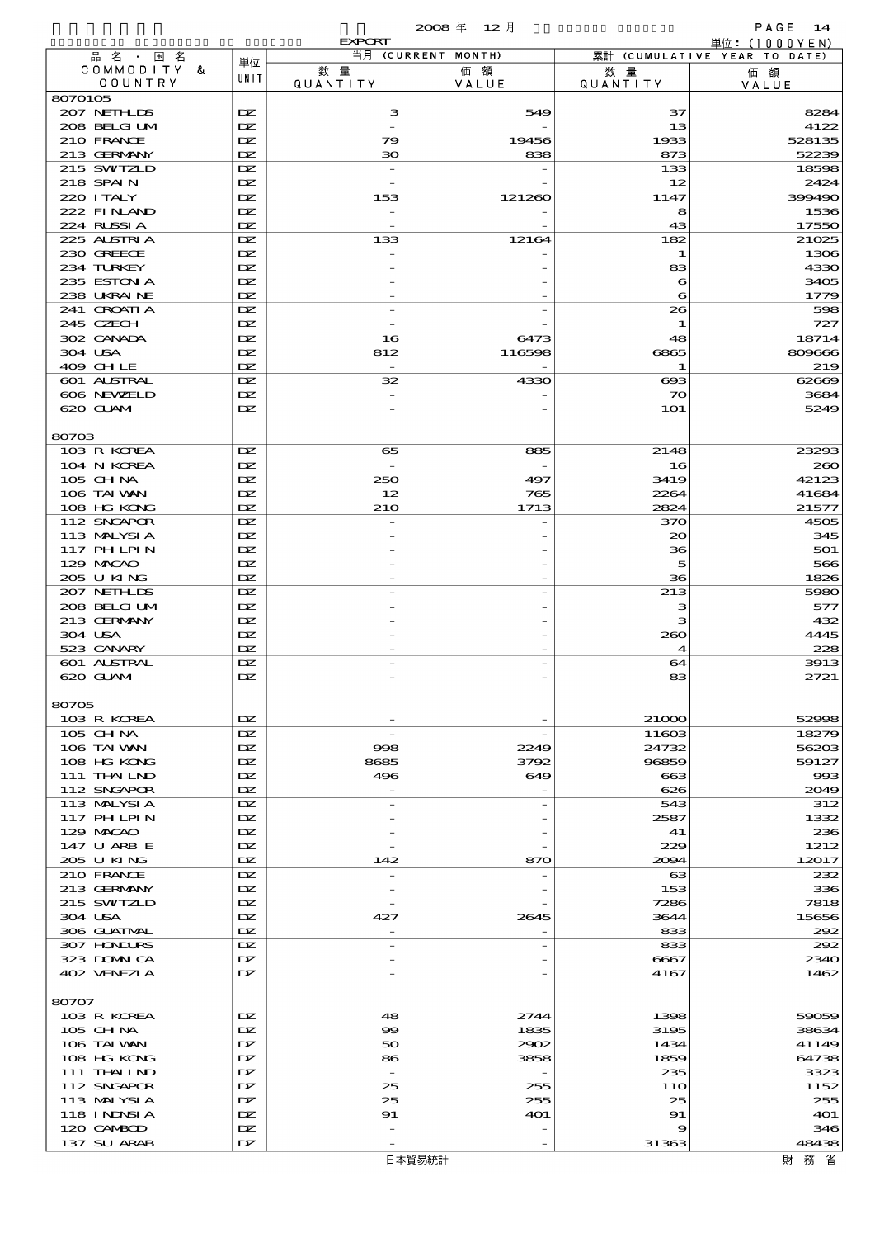|                             |            | <b>EXPORT</b>            |                    |                  | 単位: (1000YEN)                |
|-----------------------------|------------|--------------------------|--------------------|------------------|------------------------------|
| 品名・国名                       | 単位         |                          | 当月 (CURRENT MONTH) |                  | 累計 (CUMULATIVE YEAR TO DATE) |
| COMMODITY &<br>COUNTRY      | UNIT       | 数量<br>QUANTITY           | 価額<br>VALUE        | 数 量<br>QUANTITY  | 価額<br>VALUE                  |
| 8070105                     |            |                          |                    |                  |                              |
| 207 NETHLIS                 | DZ.        | з                        | 549                | 37               | 8284                         |
| 208 BELGIUM                 | DZ.        |                          |                    | 13               | 4122                         |
| 210 FRANCE                  | DZ.        | 79                       | 19456              | 1933             | 528135                       |
| 213 GERMANY                 | DZ.        | 30                       | 838                | 873              | 52239                        |
| 215 SWIZLD<br>218 SPAIN     | DZ.<br>DZ. |                          |                    | 133<br>12        | 18598<br>2424                |
| 220 I TALY                  | DZ.        | 153                      | 121260             | 1147             | 399490                       |
| 222 FINAND                  | DZ.        | $\overline{\phantom{0}}$ |                    | 8                | 1536                         |
| 224 RUSSIA                  | DZ.        |                          |                    | 43               | 17550                        |
| 225 ALSTRIA                 | DZ.        | 133                      | 12164              | 182              | 21025                        |
| 230 GREECE                  | DZ.        |                          |                    | 1                | 1306                         |
| 234 TURKEY                  | DZ.        |                          |                    | 83               | 4330                         |
| 235 ESTON A                 | DZ.        |                          |                    | 6                | 3405                         |
| 238 UKRAINE                 | DZ.<br>DZ. |                          |                    | 6<br>26          | 1779                         |
| 241 CROATIA<br>245 CZECH    | DZ.        |                          |                    | -1               | 598<br>727                   |
| 302 CANADA                  | DZ.        | 16                       | 6473               | 48               | 18714                        |
| 304 USA                     | DZ.        | 812                      | 116598             | 6865             | 809666                       |
| 409 CHLE                    | DZ.        |                          |                    | -1               | 219                          |
| 601 ALSTRAL                 | DZ.        | 32                       | 4330               | $\bf{0}$         | 62669                        |
| 606 NEWELD                  | DZ.        |                          |                    | $\infty$         | 3684                         |
| 620 GUAM                    | DZ.        |                          |                    | <b>1O1</b>       | 5249                         |
|                             |            |                          |                    |                  |                              |
| 80703<br>103 R KOREA        | DZ.        | 65                       | 885                | 2148             | 23293                        |
| 104 N KOREA                 | IX         |                          |                    | 16               | 260                          |
| 105 CH NA                   | DZ.        | 250                      | 497                | 3419             | 42123                        |
| 106 TAI WAN                 | DZ.        | 12                       | 765                | 2264             | 41684                        |
| 108 HG KONG                 | DZ.        | 210                      | 1713               | 2824             | 21577                        |
| 112 SNGAPOR                 | DZ.        |                          |                    | 370              | 4505                         |
| 113 MALYSIA                 | DZ.        |                          |                    | $\infty$         | 345                          |
| 117 PH LPIN                 | DZ.        |                          |                    | 36               | 501                          |
| 129 MACAO                   | DZ.        |                          |                    | 5                | 566                          |
| 205 U KING                  | DZ.        |                          |                    | 36               | 1826                         |
| 207 NETHLIS<br>208 BELGI UM | DZ.<br>DZ. |                          |                    | 213<br>з         | 5980<br>577                  |
| 213 GERMANY                 | DZ.        |                          |                    | з                | 432                          |
| 304 USA                     | DZ.        |                          |                    | 260              | 4445                         |
| 523 CANARY                  | DZ.        |                          |                    | $\boldsymbol{4}$ | 228                          |
| <b>601 ALSTRAL</b>          | DZ.        |                          |                    | 64               | 3913                         |
| 620 GUAM                    | DZ.        |                          |                    | 83               | 2721                         |
|                             |            |                          |                    |                  |                              |
| 80705                       |            |                          |                    |                  |                              |
| 103 R KOREA<br>$105$ CHNA   | DZ.<br>DZ. |                          |                    | 21000<br>11603   | 52998<br>18279               |
| 106 TAI VAN                 | IX         | 998                      | 2249               | 24732            | 56203                        |
| 108 HG KONG                 | DZ.        | 8685                     | 3792               | 96859            | 59127                        |
| $111$ THN LND               | DZ.        | 496                      | 649                | 663              | 993                          |
| 112 SNGAPOR                 | DZ.        |                          |                    | 626              | 2049                         |
| 113 MALYSIA                 | DZ.        |                          |                    | 543              | 312                          |
| 117 PH LPIN                 | DZ.        |                          |                    | 2587             | 1332                         |
| 129 MACAO                   | DZ.        |                          |                    | 41               | 236                          |
| 147 U ARB E<br>205 U KING   | DZ.        |                          |                    | 229              | 1212                         |
| 210 FRANCE                  | DZ.<br>DZ. | 142                      | 870                | 2094<br>63       | 12017<br>232                 |
| 213 GERMANY                 | DZ.        |                          |                    | 153              | 336                          |
| 215 SWIZLD                  | DZ.        |                          |                    | 7286             | 7818                         |
| 304 USA                     | DZ.        | 427                      | 2645               | 3644             | 15656                        |
| 306 GUATMAL                 | DZ.        | $\overline{a}$           |                    | 833              | 292                          |
| 307 HINIURS                 | DZ.        |                          |                    | 833              | 292                          |
| 323 DOMNICA                 | DZ.        |                          |                    | 6667             | 2340                         |
| 402 VENEZIA                 | DZ.        |                          |                    | 4167             | 1462                         |
|                             |            |                          |                    |                  |                              |
| 80707<br>103 R KOREA        | DZ.        | 48                       | 2744               | 1398             | 59059                        |
| 105 CH NA                   | DZ.        | 99                       | 1835               | 3195             | 38634                        |
| 106 TAI WAN                 | DZ.        | 50                       | 2902               | 1434             | 41149                        |
| 108 HG KONG                 | DZ.        | 86                       | 3858               | 1859             | 64738                        |
| 111 THAILND                 | DZ.        |                          |                    | 235              | 3323                         |
| 112 SNGAPOR                 | DZ.        | 25                       | 255                | <b>11O</b>       | 1152                         |
| 113 MALYSIA                 | DZ.        | 25                       | 255                | 25               | 255                          |
| 118 INDSIA                  | DZ.        | 91                       | 4O1                | 91               | 4O1                          |
| 120 CAMBOD                  | DZ.        |                          |                    | 9                | 346                          |
| 137 SU ARAB                 | DZ.        |                          |                    | 31363            | 48438                        |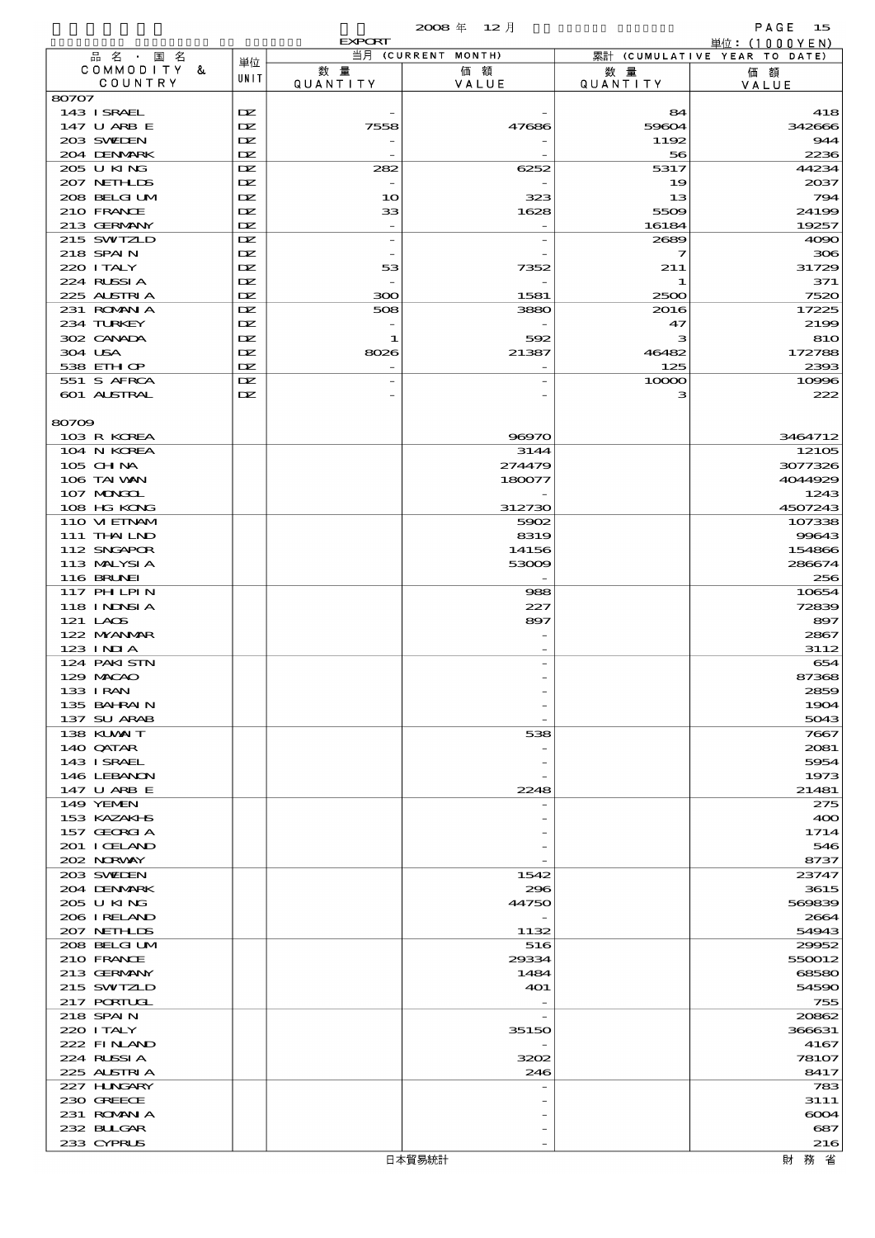|                             |            | <b>EXPORT</b>                  | $2008 \text{ } \#$<br>$12$ 月 |                 | PAGE<br>15<br>単位: $(1000YEN)$ |
|-----------------------------|------------|--------------------------------|------------------------------|-----------------|-------------------------------|
| 品名・国名                       |            |                                | 当月 (CURRENT MONTH)           |                 | 累計 (CUMULATIVE YEAR TO DATE)  |
| COMMODITY &<br>COUNTRY      | 単位<br>UNIT | 数量                             | 価額                           | 数 量             | 価額                            |
| 80707                       |            | <b>QUANTITY</b>                | VALUE                        | <b>QUANTITY</b> | VALUE                         |
| 143 ISRAEL                  | DZ.        |                                |                              | 84              | 418                           |
| 147 U ARB E                 | DZ.        | 7558                           | 47686                        | 59604           | 342666                        |
| 203 SWIEN                   | DZ.        |                                |                              | 1192            | 944                           |
| 204 DENMARK                 | DZ.        |                                |                              | 56              | 2236                          |
| 205 U KING                  | DZ.        | 282                            | 6252                         | 5317            | 44234                         |
| 207 NETHLIDS                | DZ.        | $\overline{\phantom{a}}$       |                              | 19              | 2037                          |
| 208 BELGI UM                | DZ.        | 10                             | 323                          | 13              | 794                           |
| 210 FRANCE<br>213 GERMANY   | DZ.<br>DZ. | 33<br>$\overline{\phantom{a}}$ | 1628<br>$\overline{a}$       | 5509<br>16184   | 24199<br>19257                |
| 215 SWIZLD                  | DZ.        | $\overline{\phantom{a}}$       | $\overline{\phantom{0}}$     | 2689            | 4000                          |
| 218 SPAIN                   | DZ.        |                                |                              | 7               | 306                           |
| 220 I TALY                  | DZ.        | 53                             | 7352                         | 211             | 31729                         |
| 224 RUSSIA                  | DZ.        | $\overline{\phantom{a}}$       |                              | 1               | 371                           |
| 225 ALSTRIA                 | DZ.        | 300                            | 1581                         | 2500            | 7520                          |
| 231 ROMAN A                 | DZ.        | 508                            | 3880                         | 2016            | 17225                         |
| 234 TURKEY                  | DZ.        | $\overline{a}$                 |                              | 47              | 2199                          |
| 302 CANADA                  | DZ.        | 1                              | 592                          | з               | 810                           |
| 304 USA<br>538 EIH OP       | DZ.<br>DZ. | 8026<br>$\overline{a}$         | 21387                        | 46482<br>125    | 172788<br>2393                |
| 551 S AFRCA                 | DZ.        | $\overline{\phantom{0}}$       |                              | 10000           | 10996                         |
| 601 ALSTRAL                 | DZ.        |                                |                              | з               | 222                           |
|                             |            |                                |                              |                 |                               |
| 80709                       |            |                                |                              |                 |                               |
| 103 R KOREA                 |            |                                | 96970                        |                 | 3464712                       |
| 104 N KOREA                 |            |                                | 3144                         |                 | 12105                         |
| $105$ CHNA                  |            |                                | 274479                       |                 | 3077326                       |
| 106 TAI VAN                 |            |                                | 180077                       |                 | 4044929                       |
| 107 MAGAL<br>108 HG KONG    |            |                                | 312730                       |                 | 1243<br>4507243               |
| 110 VIEINAM                 |            |                                | 5902                         |                 | 107338                        |
| 111 THAILND                 |            |                                | 8319                         |                 | 99643                         |
| 112 SNGAPOR                 |            |                                | 14156                        |                 | 154866                        |
| 113 MALYSIA                 |            |                                | 53009                        |                 | 286674                        |
| 116 BRUNEI                  |            |                                |                              |                 | 256                           |
| 117 PH LPIN                 |            |                                | 988                          |                 | 10654                         |
| 118 INDSIA                  |            |                                | 227                          |                 | 72839                         |
| $121$ LACS                  |            |                                | 897                          |                 | 897                           |
| 122 NYANAR<br>$123$ INJA    |            |                                |                              |                 | 2867                          |
| 124 PAKISTN                 |            |                                |                              |                 | 3112<br>654                   |
| 129 MACAO                   |            |                                |                              |                 | 87368                         |
| 133 I RAN                   |            |                                |                              |                 | 2859                          |
| 135 BAHRAIN                 |            |                                |                              |                 | 1904                          |
| 137 SU ARAB                 |            |                                |                              |                 | 5043                          |
| 138 KUWAIT                  |            |                                | 538                          |                 | 7667                          |
| 140 QATAR                   |            |                                |                              |                 | 2081                          |
| 143 ISRAEL                  |            |                                |                              |                 | 5954                          |
| 146 LEBANON                 |            |                                |                              |                 | 1973                          |
| 147 U ARB E<br>149 YEMEN    |            |                                | 2248                         |                 | 21481<br>275                  |
| 153 KAZAKI B                |            |                                |                              |                 | 400                           |
| 157 GEORGIA                 |            |                                |                              |                 | 1714                          |
| 201 I CELAND                |            |                                |                              |                 | 546                           |
| 202 NORWAY                  |            |                                |                              |                 | 8737                          |
| 203 SWIDEN                  |            |                                | 1542                         |                 | 23747                         |
| 204 DENMARK                 |            |                                | 296                          |                 | 3615                          |
| 205 U KING                  |            |                                | 44750                        |                 | 569839                        |
| 206 IRELAND                 |            |                                |                              |                 | 2664<br>54943                 |
| 207 NETHLIS<br>208 BELGI UM |            |                                | 1132<br>516                  |                 | 29952                         |
| 210 FRANCE                  |            |                                | 29334                        |                 | 550012                        |
| 213 GERMANY                 |            |                                | 1484                         |                 | 68580                         |
| 215 SWIZLD                  |            |                                | 401                          |                 | 54590                         |
| 217 PORTUGL                 |            |                                |                              |                 | 755                           |
| 218 SPAIN                   |            |                                |                              |                 | 20862                         |
| 220 I TALY                  |            |                                | 35150                        |                 | 366631                        |
| 222 FINAND                  |            |                                |                              |                 | 4167                          |
| 224 RUSSIA                  |            |                                | 3202                         |                 | 78107                         |
| 225 ALSTRIA<br>227 H.NGARY  |            |                                | 246                          |                 | 8417<br>783                   |
| 230 GREECE                  |            |                                |                              |                 | 3111                          |
| 231 ROMAN A                 |            |                                |                              |                 | 6004                          |
| 232 BULGAR                  |            |                                |                              |                 | 687                           |
| 233 CYPRUS                  |            |                                |                              |                 | 216                           |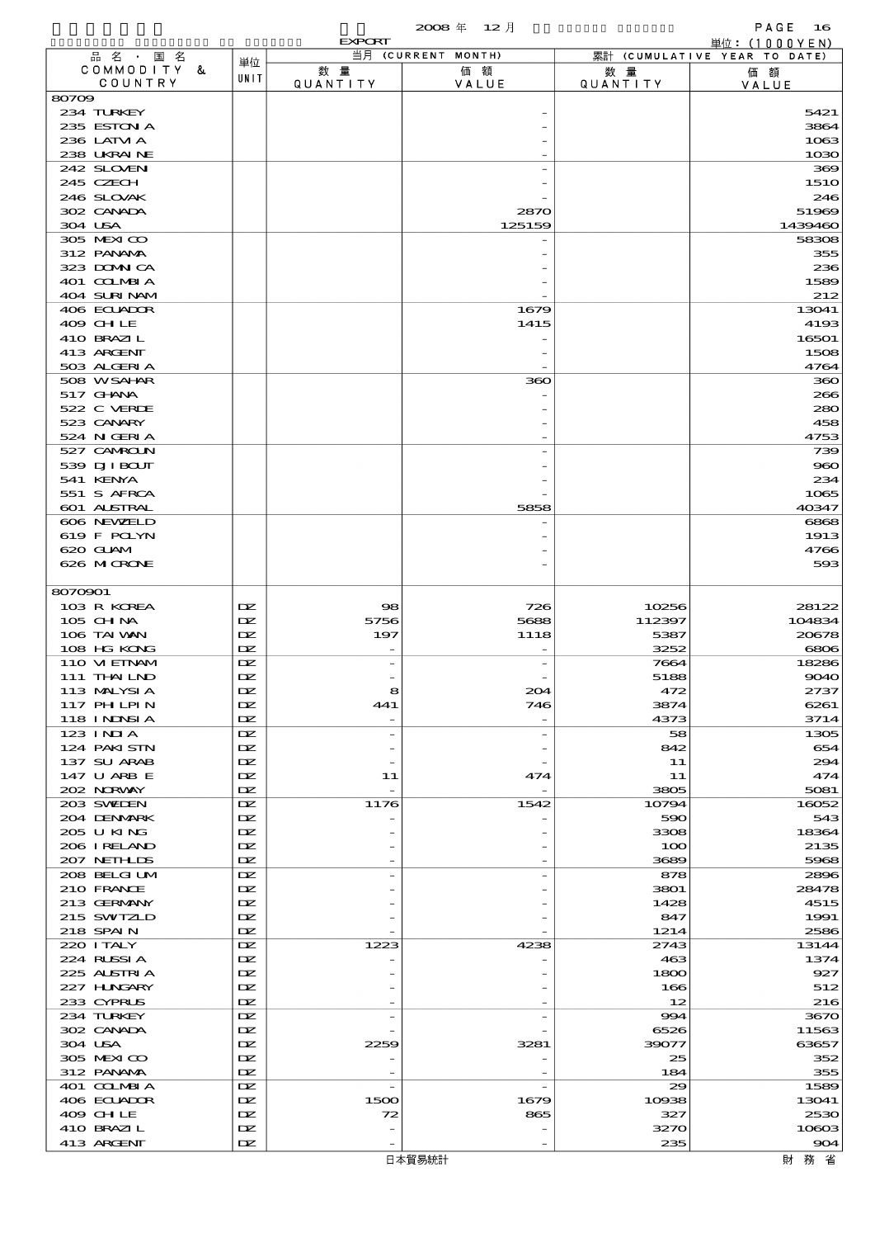|         |                            |            | <b>EXPORT</b>         |                    |                 | 単位: (1000YEN)                |
|---------|----------------------------|------------|-----------------------|--------------------|-----------------|------------------------------|
|         | 品名・国名                      | 単位         |                       | 当月 (CURRENT MONTH) |                 | 累計 (CUMULATIVE YEAR TO DATE) |
|         | COMMODITY &<br>COUNTRY     | UNIT       | 数量<br><b>QUANTITY</b> | 価額                 | 数 暈             | 価額                           |
| 80709   |                            |            |                       | VALUE              | <b>QUANTITY</b> | VALUE                        |
|         | 234 TURKEY                 |            |                       |                    |                 | 5421                         |
|         | 235 ESTON A                |            |                       |                    |                 | 3864                         |
|         | 236 LATM A                 |            |                       |                    |                 | 1063                         |
|         | 238 UKRAINE                |            |                       |                    |                 | 1030                         |
|         | 242 SLOVEN                 |            |                       |                    |                 | 369                          |
|         | 245 CZECH                  |            |                       |                    |                 | <b>1510</b>                  |
|         | 246 SLOVAK                 |            |                       |                    |                 | 246                          |
|         | 302 CANADA                 |            |                       | 2870               |                 | 51969                        |
| 304 USA |                            |            |                       | 125159             |                 | 1439460                      |
|         | 305 MEXICO<br>312 PANAMA   |            |                       |                    |                 | 58308<br>355                 |
|         | 323 DOMNICA                |            |                       |                    |                 | 236                          |
|         | 401 COLMBIA                |            |                       |                    |                 | 1589                         |
|         | 404 SURINAM                |            |                       |                    |                 | 212                          |
|         | 406 ECUADOR                |            |                       | 1679               |                 | 13041                        |
|         | 409 CHLE                   |            |                       | 1415               |                 | 4193                         |
|         | 410 BRAZIL                 |            |                       |                    |                 | 16501                        |
|         | 413 ARCENT                 |            |                       |                    |                 | 1508                         |
|         | 503 ALGERIA                |            |                       |                    |                 | 4764                         |
|         | 508 WSAHAR                 |            |                       | 360                |                 | 360                          |
|         | $517$ GHNA                 |            |                       |                    |                 | 266                          |
|         | 522 C VERDE                |            |                       |                    |                 | 280                          |
|         | 523 CANARY                 |            |                       |                    |                 | 458                          |
|         | 524 N GERIA<br>527 CAMROLN |            |                       |                    |                 | 4753<br>739                  |
|         | 539 DJI BOUT               |            |                       |                    |                 | 960                          |
|         | 541 KENYA                  |            |                       |                    |                 | 234                          |
|         | 551 S AFRCA                |            |                       |                    |                 | 1065                         |
|         | 601 ALSTRAL                |            |                       | 5858               |                 | 40347                        |
|         | 606 NEWELD                 |            |                       |                    |                 | 6868                         |
|         | 619 F POLYN                |            |                       |                    |                 | 1913                         |
|         | 620 GLAM                   |            |                       |                    |                 | 4766                         |
|         | 626 MICRONE                |            |                       |                    |                 | 593                          |
|         |                            |            |                       |                    |                 |                              |
|         |                            |            |                       |                    |                 |                              |
| 8070901 |                            |            |                       |                    |                 |                              |
|         | 103 R KOREA                | DZ.        | $\circledast$         | 726                | 10256           | 28122                        |
|         | 105 CH NA                  | DZ.        | 5756                  | 5688               | 112397          | 104834                       |
|         | 106 TAI WAN<br>108 HG KONG | DZ.<br>DZ. | 197                   | 1118               | 5387<br>3252    | 20678<br>6806                |
|         | 110 VIEINAM                | DZ.        |                       |                    | 7664            | 18286                        |
|         | 111 THAILND                | DZ.        |                       |                    | 5188            | 9040                         |
|         | 113 MALYSI A               | DZ.        |                       | 204                | 472             | 2737                         |
|         | 117 PH LPIN                | DZ.        | 441                   | 746                | 3874            | 6261                         |
|         | 118 I NJNSI A              | DZ.        |                       |                    | 4373            | 3714                         |
|         | $123$ INIA                 | DZ.        |                       |                    | 58              | 1305                         |
|         | 124 PAKI STN               | DZ.        |                       |                    | 842             | 654                          |
|         | 137 SU ARAB                | IX         |                       |                    | 11              | 294                          |
|         | 147 U ARB E                | DZ.        | 11                    | 474                | 11              | 474                          |
|         | 202 NORWAY<br>203 SWIDEN   | DZ.<br>IX  | 1176                  | 1542               | 3805<br>10794   | 5081<br>16052                |
|         | 204 DENMARK                | DZ.        |                       |                    | 590             | 543                          |
|         | 205 U KING                 | DZ.        |                       |                    | 3308            | 18364                        |
|         | 206 IRELAND                | DZ.        |                       |                    | 100             | 2135                         |
|         | 207 NETHLIS                | DZ.        |                       |                    | 3689            | 5968                         |
|         | 208 BELGI UM               | IX         |                       |                    | 878             | 2896                         |
|         | 210 FRANCE                 | DZ.        |                       |                    | 3801            | 28478                        |
|         | 213 GERMANY                | DZ.        |                       |                    | 1428            | 4515                         |
|         | 215 SWIZLD                 | DZ.        |                       |                    | 847             | 1991                         |
|         | 218 SPAIN                  | DZ.        |                       |                    | 1214            | 2586                         |
|         | 220 I TALY                 | IX         | 1223                  | 4238               | 2743            | 13144                        |
|         | 224 RUSSIA                 | DZ.        |                       |                    | 463             | 1374                         |
|         | 225 ALSTRIA<br>227 HUNGARY | IX<br>DZ.  |                       |                    | 1800<br>166     | 927<br>512                   |
|         | 233 CYPRUS                 | DZ.        |                       |                    | 12              | 216                          |
|         | 234 TURKEY                 | IX         | $\overline{a}$        |                    | 994             | 3670                         |
|         | 302 CANADA                 | DZ.        |                       |                    | 6526            | 11563                        |
| 304 USA |                            | IX         | 2259                  | 3281               | 39077           | 63657                        |
|         | 305 MEXICO                 | DZ.        |                       |                    | 25              | 352                          |
|         | 312 PANAMA                 | DZ.        |                       |                    | 184             | 355                          |
|         | 401 COLMBIA                | IX         | $\overline{a}$        |                    | 29              | 1589                         |
|         | 406 ECUADOR                | DZ.        | 1500                  | 1679               | 10938           | 13041                        |
|         | 409 CHLE<br>410 BRAZIL     | DZ.<br>DZ. | 72                    | 865                | 327<br>3270     | 2530<br>10003                |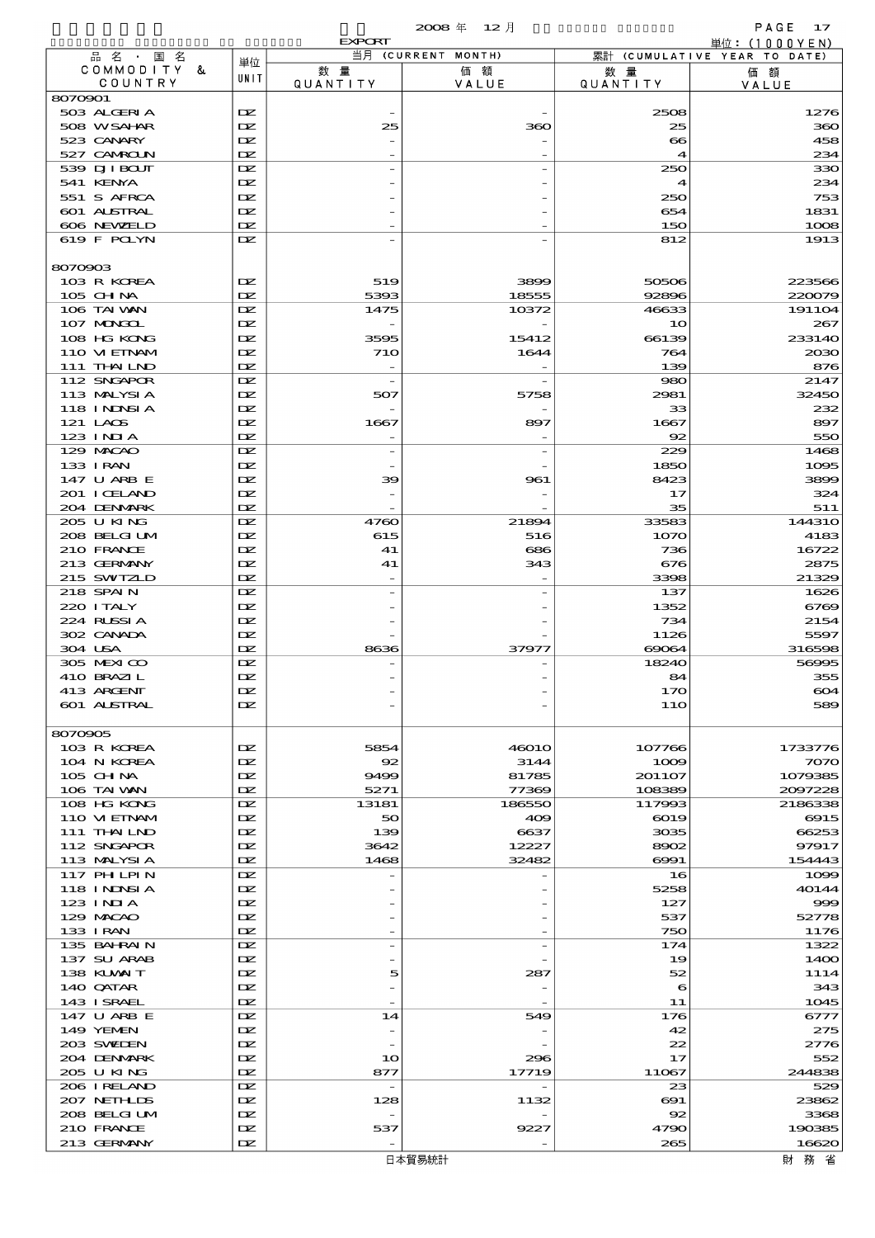|                                    |            | <b>EXPORT</b>                   |                          |                         | 単位: (1000YEN)                |
|------------------------------------|------------|---------------------------------|--------------------------|-------------------------|------------------------------|
| 品名・国名                              | 単位         |                                 | 当月 (CURRENT MONTH)       |                         | 累計 (CUMULATIVE YEAR TO DATE) |
| COMMODITY &<br>COUNTRY             | UNIT       | 数量<br>QUANTITY                  | 価額<br>VALUE              | 数 量<br><b>QUANTITY</b>  | 価額<br>VALUE                  |
| 8070901                            |            |                                 |                          |                         |                              |
| 503 ALGERIA                        | DZ.        |                                 |                          | 2508                    | 1276                         |
| 508 WSAHAR                         | DZ.        | 25                              | 360                      | 25                      | 360                          |
| 523 CANARY                         | DZ.<br>DZ. |                                 |                          | $\bullet$               | 458                          |
| 527 CAMROLN<br>539 DJI BOUT        | DZ.        |                                 |                          | $\boldsymbol{4}$<br>250 | 234<br>330                   |
| 541 KENYA                          | DZ.        |                                 |                          | 4                       | 234                          |
| 551 S AFRCA                        | DZ.        |                                 |                          | 250                     | 753                          |
| 601 ALSTRAL                        | DZ.        |                                 |                          | 654                     | 1831                         |
| 606 NEWELD                         | DZ.        |                                 |                          | 150                     | 1008                         |
| 619 F POLYN                        | DZ.        |                                 |                          | 812                     | 1913                         |
|                                    |            |                                 |                          |                         |                              |
| 8070903<br>103 R KOREA             | DZ.        | 519                             | 3899                     | 50506                   | 223566                       |
| 105 CHNA                           | DZ.        | 5393                            | 18555                    | 92896                   | 220079                       |
| 106 TAI VAN                        | DZ.        | 1475                            | 10372                    | 46633                   | 191104                       |
| 107 MAGAL                          | DZ.        |                                 |                          | 10                      | 267                          |
| 108 HG KONG                        | DZ.        | 3595                            | 15412                    | 66139                   | 233140                       |
| 110 VIEINAM                        | DZ.        | 710                             | 1644                     | 764                     | 2030                         |
| 111 THAILND                        | DZ.        |                                 |                          | 139                     | 876                          |
| 112 SNGAPOR<br>113 MALYSIA         | DZ.<br>DZ. | $\overline{\phantom{a}}$<br>507 |                          | 980<br>2981             | 2147<br>32450                |
| 118 INNSI A                        | DZ.        |                                 | 5758                     | 33                      | 232                          |
| 121 LAOS                           | DZ.        | 1667                            | 897                      | 1667                    | 897                          |
| $123$ INIA                         | DZ.        |                                 |                          | 92                      | 550                          |
| 129 MACAO                          | DZ.        | $\overline{a}$                  |                          | 229                     | 1468                         |
| 133 I RAN                          | DZ.        |                                 |                          | 1850                    | 1095                         |
| 147 U ARB E                        | DZ.        | 39                              | 961                      | 8423                    | 3899                         |
| 201 I CELAND                       | DZ.        |                                 |                          | 17                      | 324                          |
| 204 DENMARK                        | DZ.        |                                 |                          | 35                      | 511                          |
| 205 U KING<br>208 BELGI UM         | DZ.<br>DZ. | 4760<br>615                     | 21894<br>516             | 33583<br>1070           | <b>144310</b><br>4183        |
| 210 FRANCE                         | DZ.        | 41                              | 686                      | 736                     | 16722                        |
| 213 GERMANY                        | DZ.        | 41                              | 343                      | 676                     | 2875                         |
| 215 SWIZLD                         | DZ.        |                                 |                          | 3398                    | 21329                        |
| 218 SPAIN                          | DZ.        |                                 |                          | 137                     | 1626                         |
| 220 I TALY                         | DZ.        |                                 |                          | 1352                    | 6769                         |
| 224 RUSSIA                         | DZ.        |                                 |                          | 734                     | 2154                         |
| 302 CANADA                         | DZ.        |                                 |                          | 1126                    | 5597                         |
| 304 USA                            | DZ.        | 8636                            | 37977                    | 69064                   | 316598                       |
| 305 MEXICO<br>410 BRAZIL           | DZ.<br>DZ. |                                 |                          | 18240<br>84             | 56995<br>355                 |
| 413 ARCENT                         | DZ.        |                                 |                          | 17C                     | 604                          |
| 601 ALSTRAL                        | DZ.        |                                 |                          | 11O                     | 589                          |
|                                    |            |                                 |                          |                         |                              |
| 8070905                            |            |                                 |                          |                         |                              |
| 103 R KOREA<br>104 N KOREA         | DZ.<br>DZ. | 5854<br>92                      | 46010<br>3144            | 107766<br>1009          | 1733776<br>7070              |
| 105 CHNA                           | DZ.        | 9499                            | 81785                    | 201107                  | 1079385                      |
| 106 TAI VAN                        | DZ.        | 5271                            | 77369                    | 108389                  | 2097228                      |
| 108 HG KONG                        | DZ.        | 13181                           | 186550                   | 117993                  | 2186338                      |
| 110 VIEINAM                        | DZ.        | 50                              | 409                      | 6019                    | 6915                         |
| 111 THAILND                        | DZ.        | 139                             | 6637                     | 3035                    | 66253                        |
| 112 SNGAPOR                        | DZ.        | 3642                            | 12227                    | 8902                    | 97917                        |
| 113 MALYSIA                        | DZ.        | 1468                            | 32482                    | $\Theta$ $\Theta$ 1     | 154443                       |
| <b>117 PHLPIN</b><br>118 I NJNSI A | DZ.<br>DZ. |                                 |                          | 16<br>5258              | 1099<br>40144                |
| $123$ INIA                         | DZ.        |                                 |                          | 127                     | 999                          |
| 129 MACAO                          | DZ.        |                                 |                          | 537                     | 52778                        |
| 133 I RAN                          | DZ.        |                                 |                          | 750                     | 1176                         |
| 135 BAHRAIN                        | DZ.        | $\overline{\phantom{a}}$        | $\overline{\phantom{a}}$ | 174                     | 1322                         |
| 137 SU ARAB                        | DZ.        |                                 |                          | 19                      | 14OO                         |
| 138 KLVXIT                         | DZ.        | 5                               | 287                      | 52                      | 1114                         |
| 140 QATAR                          | DZ.        | $\qquad \qquad -$               |                          | 6                       | 343                          |
| 143 ISRAEL<br>147 U ARB E          | DZ.<br>DZ. | 14                              | 549                      | 11<br>176               | 1045<br>6777                 |
| 149 YEMEN                          | DZ.        | $\overline{\phantom{a}}$        |                          | 42                      | 275                          |
| 203 SWIEN                          | DZ.        |                                 |                          | 22                      | 2776                         |
| 204 DENMARK                        | DZ.        | 10                              | 296                      | 17                      | 552                          |
| 205 U KING                         | DZ.        | 877                             | 17719                    | 11067                   | 244838                       |
| 206 IRELAND                        | DZ.        | $\overline{\phantom{a}}$        |                          | 23                      | 529                          |
| 207 NETHLIDS                       | DZ.        | 128                             | 1132                     | $\boldsymbol{\infty}$   | 23862                        |
| 208 BELGI UM                       | DZ.        |                                 |                          | 92                      | 3368                         |
| 210 FRANCE<br>213 GERMANY          | DZ.<br>DZ. | 537                             | 9227                     | 4790<br>265             | 190385<br>16620              |
|                                    |            |                                 |                          |                         |                              |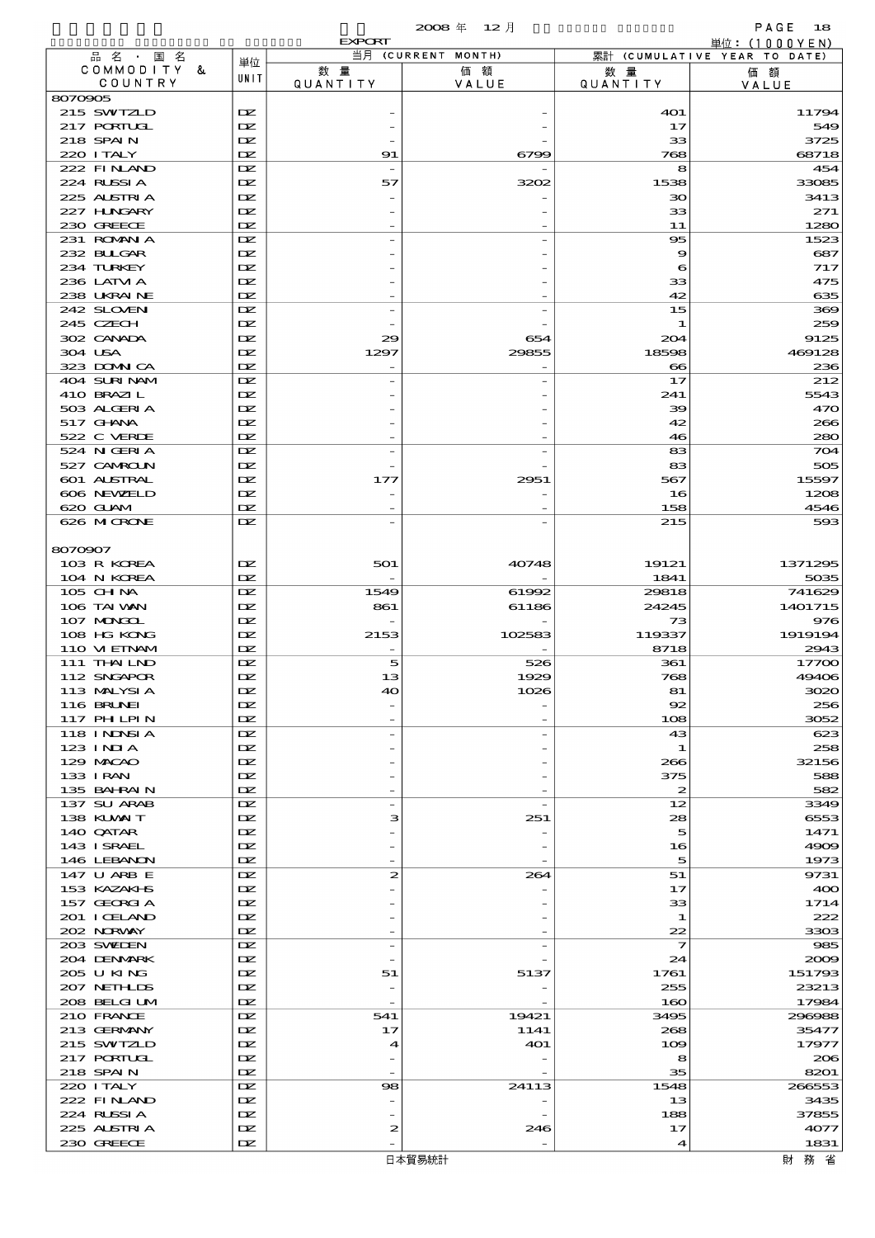|                            |            | <b>EXPORT</b>  |                          |                         | 単位: (1000YEN)                |
|----------------------------|------------|----------------|--------------------------|-------------------------|------------------------------|
| 品名・国名<br>COMMODITY &       | 単位         | 数量             | 当月 (CURRENT MONTH)<br>価額 |                         | 累計 (CUMULATIVE YEAR TO DATE) |
| COUNTRY                    | UNIT       | QUANTITY       | VALUE                    | 数 量<br>QUANTITY         | 価額<br>VALUE                  |
| 8070905                    |            |                |                          |                         |                              |
| 215 SWIZLD                 | DZ.        |                |                          | <b>401</b>              | 11794                        |
| 217 PORTUGL                | DZ.        |                |                          | 17                      | 549                          |
| 218 SPAIN<br>220 I TALY    | DZ.<br>DZ. | 91             | 6799                     | 33<br>768               | 3725<br>68718                |
| 222 FINAND                 | DZ.        |                |                          | 8                       | 454                          |
| 224 RUSSIA                 | DZ.        | 57             | 3202                     | 1538                    | 33085                        |
| 225 ALSTRIA                | DZ.        |                |                          | 30                      | 3413                         |
| 227 HNGARY                 | DZ.        |                |                          | 33                      | 271                          |
| 230 GREECE                 | DZ.        |                |                          | 11                      | 1280                         |
| 231 ROMANIA<br>232 BULGAR  | DZ.<br>DZ. |                |                          | 95<br>9                 | 1523<br>687                  |
| 234 TURKEY                 | DZ.        |                |                          | 6                       | 717                          |
| 236 LATM A                 | DZ.        |                |                          | 33                      | 475                          |
| 238 UKRAINE                | DZ.        |                |                          | 42                      | 635                          |
| 242 SLOVEN                 | DZ.        | $\overline{a}$ |                          | 15                      | 369                          |
| 245 CZECH                  | DZ.        |                |                          | 1                       | 259                          |
| 302 CANADA                 | DZ.        | 29             | 654                      | 204                     | 9125                         |
| 304 USA<br>323 DOMN CA     | DZ.<br>DZ. | 1297           | 29855                    | 18598<br>$\infty$       | 469128<br>236                |
| 404 SURINAM                | DZ.        |                |                          | 17                      | 212                          |
| 410 BRAZIL                 | DZ.        |                |                          | 241                     | 5543                         |
| 503 ALGERIA                | DZ.        |                |                          | 39                      | 470                          |
| $517$ GHNA                 | DZ.        |                |                          | 42                      | 266                          |
| 522 C VERDE                | DZ.        |                |                          | 46                      | 280                          |
| 524 N GERIA                | DZ.        | $\overline{a}$ |                          | 83                      | 704                          |
| 527 CAMROLN<br>601 ALSTRAL | DZ.<br>DZ. | 177            | 2951                     | 83<br>567               | 505<br>15597                 |
| 606 NEWELD                 | DZ.        |                |                          | 16                      | 1208                         |
| 620 GLAM                   | DZ.        |                |                          | 158                     | 4546                         |
| 626 MCRONE                 | DZ.        |                |                          | 215                     | 593                          |
|                            |            |                |                          |                         |                              |
| 8070907                    |            |                |                          |                         |                              |
| 103 R KOREA                | DZ.        | 501            | 40748                    | 19121                   | 1371295                      |
| 104 N KOREA                | DZ.        |                |                          | 1841                    | 5035                         |
| 105 CH NA<br>106 TAI VAN   | DZ.<br>DZ. | 1549<br>861    | 61992<br>61186           | 29818<br>24245          | 741629<br>1401715            |
| 107 MONGOL                 | DZ.        |                |                          | 73                      | 976                          |
| 108 HG KONG                | DZ.        | 2153           | 102583                   | 119337                  | 1919194                      |
| 110 VIEINAM                | DZ.        |                |                          | 8718                    | 2943                         |
| 111 THAILND                | DZ.        | 5              | 526                      | 361                     | 17700                        |
| 112 SNGAPOR                | DZ.        | 13             | 1929                     | 768                     | 49406                        |
| 113 MALYSIA                | DZ.        | 40             | 1026                     | 81                      | 3020                         |
| 116 BRUNEI<br>117 PHLPIN   | DZ.<br>DZ. |                |                          | 92<br>108               | 256<br>3052                  |
| 118 I NJNSI A              | DZ.        |                |                          | 43                      | 623                          |
| $123$ INIA                 | DZ.        |                |                          | 1                       | 258                          |
| 129 MACAO                  | DZ.        |                |                          | 266                     | 32156                        |
| 133 I RAN                  | DZ.        |                |                          | 375                     | 588                          |
| 135 BAHRAIN                | DZ.        |                |                          | $\boldsymbol{z}$        | 582                          |
| 137 SU ARAB                | DZ.        | $\overline{a}$ |                          | 12<br>28                | 3349                         |
| 138 KUWAIT<br>140 QATAR    | DZ.<br>DZ. | з              | 251                      | 5                       | 6553<br>1471                 |
| 143 ISRAEL                 | DZ.        |                |                          | 16                      | 4909                         |
| 146 LEBANON                | DZ.        |                |                          | 5                       | 1973                         |
| 147 U ARB E                | DZ.        | 2              | 264                      | 51                      | 9731                         |
| 153 KAZAKHS                | DZ.        |                |                          | 17                      | 400                          |
| 157 GEORGIA                | DZ.        |                |                          | 33                      | 1714                         |
| 201 I CELAND<br>202 NORWAY | DZ.<br>DZ. |                |                          | 1<br>22                 | 222<br>3303                  |
| 203 SWIDEN                 | DZ.        | $\overline{a}$ |                          | $\overline{\mathbf{z}}$ | 985                          |
| 204 DENMARK                | DZ.        |                |                          | 24                      | 2009                         |
| 205 U KING                 | DZ.        | 51             | 5137                     | 1761                    | 151793                       |
| 207 NETHLIS                | DZ.        |                |                          | 255                     | 23213                        |
| 208 BELGI UM               | DZ.        |                |                          | 160                     | 17984                        |
| 210 FRANCE                 | DZ.        | 541            | 19421                    | 3495                    | 296988                       |
| 213 GERMANY<br>215 SWIZLD  | DZ.<br>DZ. | 17<br>4        | 1141<br>401              | 268<br>109              | 35477<br>17977               |
| 217 PORTUGL                | DZ.        |                |                          | 8                       | 206                          |
| 218 SPAIN                  | DZ.        |                |                          | 35                      | 8201                         |
| 220 I TALY                 | DZ.        | 98             | 24113                    | 1548                    | 266553                       |
| 222 FINAND                 | DZ.        |                |                          | 13                      | 3435                         |
| 224 RUSSIA                 | DZ.        |                |                          | 188                     | 37855                        |
| 225 ALSTRIA                | DZ.        | 2              | 246                      | 17                      | 4077                         |
| 230 GREECE                 | DZ.        |                |                          | 4                       | 1831                         |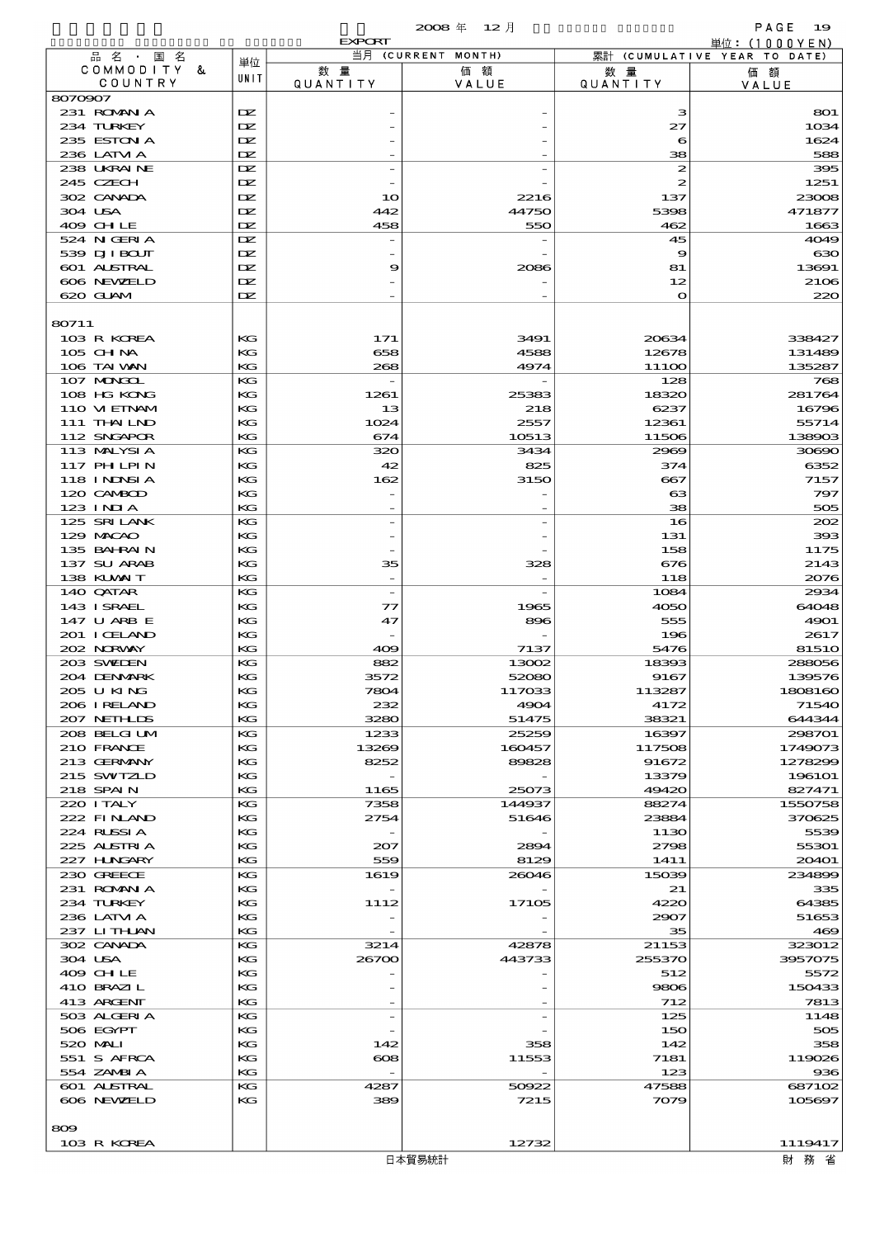|                             |                  |                        | 2008年 12月          |                        | PAGE<br>19                                      |
|-----------------------------|------------------|------------------------|--------------------|------------------------|-------------------------------------------------|
| 品名・国名                       |                  | <b>EXPORT</b>          | 当月 (CURRENT MONTH) |                        | 単位: $(1000YEN)$<br>累計 (CUMULATIVE YEAR TO DATE) |
| COMMODITY &<br>COUNTRY      | 単位<br>UNIT       | 数 量<br><b>QUANTITY</b> | 価額<br>VALUE        | 数 量<br><b>QUANTITY</b> | 価額<br>VALUE                                     |
| 8070907                     |                  |                        |                    |                        |                                                 |
| 231 ROMAN A                 | <b>IX</b>        |                        |                    | з                      | 801                                             |
| 234 TURKEY                  | DZ.              |                        |                    | 27                     | 1034                                            |
| 235 ESTON A<br>236 LATM A   | <b>IX</b><br>DZ. |                        |                    | 6<br>38                | 1624<br>588                                     |
| 238 UKRAINE                 | DZ.              |                        |                    | $\boldsymbol{z}$       | 395                                             |
| 245 CZECH                   | DZ.              |                        |                    | 2                      | 1251                                            |
| 302 CANADA                  | DZ.              | 10                     | 2216               | 137                    | 23008                                           |
| 304 USA                     | DZ.              | 442                    | 44750              | 5398                   | 471877                                          |
| 409 CHLE                    | DZ.              | 458                    | 550                | 462                    | 1663                                            |
| 524 N GERIA<br>539 DJI BOUT | IX<br>DZ.        |                        |                    | 45<br>9                | 4049<br>630                                     |
| 601 ALSTRAL                 | DZ.              | 9                      | 2086               | 81                     | 13691                                           |
| 606 NEWELD                  | DZ.              |                        |                    | 12                     | 2106                                            |
| 620 GLAM                    | DZ.              |                        |                    | $\mathbf{o}$           | 220                                             |
| 80711                       |                  |                        |                    |                        |                                                 |
| 103 R KOREA                 | KG               | 171                    | 3491               | 20634                  | 338427                                          |
| $105$ CHNA                  | KG               | 658                    | 4588               | 12678                  | 131489                                          |
| 106 TAI VAN                 | KG               | 268                    | 4974               | 1110O                  | 135287                                          |
| 107 MONGOL<br>108 HG KONG   | KG               |                        |                    | 128                    | 768                                             |
| 110 VIEINAM                 | KG<br>KG         | 1261<br>13             | 25383<br>218       | 18320<br>6237          | 281764<br>16796                                 |
| 111 THAILND                 | KG               | 1024                   | 2557               | 12361                  | 55714                                           |
| 112 SNGAPOR                 | KG               | 674                    | 10513              | 11506                  | 138903                                          |
| 113 MALYSIA                 | KG               | 320                    | 3434               | 2969                   | 30690                                           |
| 117 PH LPIN                 | KG               | 42                     | 825                | 374                    | 6352                                            |
| 118 I NJNSI A               | KG               | 162                    | 3150               | 667                    | 7157                                            |
| 120 CAMBOD<br>$123$ INIA    | KG<br>KG         |                        |                    | ങ<br>38                | 797<br>505                                      |
| 125 SRILANK                 | КG               |                        |                    | 16                     | 202                                             |
| 129 MACAO                   | KG               |                        |                    | 131                    | 393                                             |
| 135 BAHRAIN                 | KG               |                        |                    | 158                    | 1175                                            |
| 137 SU ARAB                 | KG               | 35                     | 328                | 676                    | 2143                                            |
| 138 KUWAIT                  | KG               |                        |                    | 118                    | 2076                                            |
| 140 QATAR                   | KG               |                        |                    | 1084                   | 2934                                            |
| 143 ISRAEL<br>147 U ARB E   | KG<br>KG         | 77<br>47               | 1965<br>896        | 4050<br>555            | 64048<br>4901                                   |
| 201 I CELAND                | KG               |                        |                    | 196                    | 2617                                            |
| 202 NORWAY                  | KG               | 409                    | 7137               | 5476                   | 81510                                           |
| 203 SWIDEN                  | КG               | 882                    | 13002              | 18393                  | 288056                                          |
| 204 DENMARK                 | KG               | 3572                   | 52080              | 9167                   | 139576                                          |
| 205 U KING                  | КG               | 7804                   | 117033             | 113287                 | 1808160                                         |
| 206 I RELAND<br>207 NETHLIS | КG               | 232                    | 4904<br>51475      | 4172                   | 71540                                           |
| 208 BELGI UM                | KG<br>KG         | 3280<br>1233           | 25259              | 38321<br>16397         | 644344<br>298701                                |
| 210 FRANCE                  | KG               | 13269                  | 160457             | 117508                 | 1749073                                         |
| 213 GERMANY                 | КG               | 8252                   | 89828              | 91672                  | 1278299                                         |
| 215 SWIZLD                  | KG               |                        |                    | 13379                  | 196101                                          |
| 218 SPAIN                   | КG               | 1165                   | 25073              | 49420                  | 827471                                          |
| 220 I TALY                  | KG               | 7358                   | 144937             | 88274                  | 1550758                                         |
| 222 FINAND<br>224 RUSSIA    | KG<br>КG         | 2754                   | 51646              | 23884<br>1130          | 370625<br>5539                                  |
| 225 ALSTRIA                 | KG               | 207                    | 2894               | 2798                   | 55301                                           |
| 227 HUNGARY                 | KG               | 559                    | 8129               | 1411                   | 20401                                           |
| 230 GREECE                  | КG               | 1619                   | 26046              | 15039                  | 234899                                          |
| 231 ROMANIA                 | KG               |                        |                    | 21                     | 335                                             |
| 234 TURKEY                  | КG<br>KG         | 1112                   | 17105              | 4220                   | 64385                                           |
| 236 LATM A<br>237 LITHAN    | КG               |                        |                    | 2907<br>35             | 51653<br>469                                    |
| 302 CANADA                  | КG               | 3214                   | 42878              | 21153                  | 323012                                          |
| 304 USA                     | KG               | 26700                  | 443733             | 255370                 | 3957075                                         |
| 409 CHLE                    | KG               |                        |                    | 512                    | 5572                                            |
| 410 BRAZIL                  | КG               |                        |                    | 9806                   | 150433                                          |
| 413 ARGENT                  | KG               |                        |                    | 712                    | 7813                                            |
| 503 ALGERIA<br>506 EGYPT    | КG<br>КG         |                        |                    | 125<br>150             | 1148<br>505                                     |
| 520 MAI I                   | КG               | 142                    | 358                | 142                    | 358                                             |
| 551 S AFRCA                 | КG               | $\bf{cos}$             | 11553              | 7181                   | 119026                                          |
| 554 ZAMBIA                  | КG               |                        |                    | 123                    | 936                                             |
| 601 ALSTRAL                 | KG               | 4287                   | 50922              | 47588                  | 687102                                          |
| 606 NEWELD                  | KG               | 389                    | 7215               | 7079                   | 105697                                          |
| 809                         |                  |                        |                    |                        |                                                 |
| 103 R KOREA                 |                  |                        | 12732              |                        | 1119417                                         |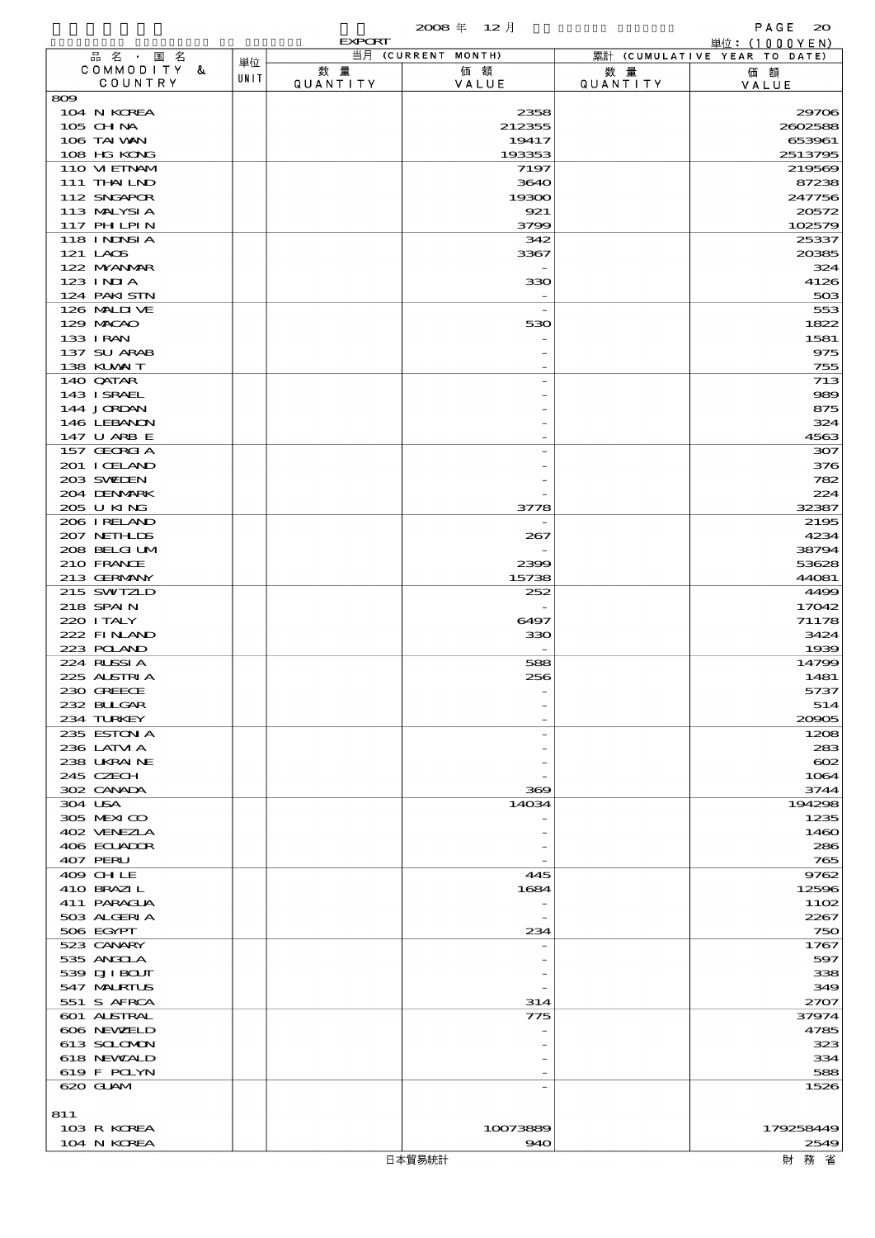|                             |      | <b>EXPORT</b>  |                    |                       | 単位: $(1000YEN)$              |
|-----------------------------|------|----------------|--------------------|-----------------------|------------------------------|
| 品名・国名                       | 単位   |                | 当月 (CURRENT MONTH) |                       | 累計 (CUMULATIVE YEAR TO DATE) |
| COMMODITY &<br>COUNTRY      | UNIT | 数量<br>QUANTITY | 価額<br>VALUE        | 数量<br><b>QUANTITY</b> | 価額<br>VALUE                  |
| $\infty$                    |      |                |                    |                       |                              |
| 104 N KOREA                 |      |                | 2358               |                       | 29706                        |
| 105 CHNA                    |      |                | 212355             |                       | 2602588                      |
| 106 TAI VAN                 |      |                | 19417              |                       | 653961                       |
| 108 HG KONG<br>110 VI EINAM |      |                | 193353             |                       | 2513795                      |
| 111 THAILND                 |      |                | 7197<br>3640       |                       | 219569<br>87238              |
| 112 SNGAPOR                 |      |                | 19300              |                       | 247756                       |
| 113 MALYSIA                 |      |                | 921                |                       | 20572                        |
| 117 PH LPIN                 |      |                | 3799               |                       | 102579                       |
| 118 INNSI A                 |      |                | 342                |                       | 25337                        |
| 121 LAOS                    |      |                | 3367               |                       | 20385                        |
| 122 NYANAR<br>$123$ INIA    |      |                | 330                |                       | 324<br>4126                  |
| 124 PAKISTN                 |      |                |                    |                       | 503                          |
| 126 MALIJ VE                |      |                |                    |                       | 553                          |
| 129 MACAO                   |      |                | 530                |                       | 1822                         |
| 133 I RAN                   |      |                |                    |                       | 1581                         |
| 137 SU ARAB                 |      |                |                    |                       | 975                          |
| 138 KUWAIT<br>140 QATAR     |      |                |                    |                       | 755<br>713                   |
| 143 ISRAEL                  |      |                |                    |                       | 989                          |
| 144 JORDAN                  |      |                |                    |                       | 875                          |
| 146 LEBANON                 |      |                |                    |                       | 324                          |
| 147 U ARB E                 |      |                |                    |                       | 4563                         |
| 157 GEORGIA                 |      |                |                    |                       | 307                          |
| 201 I CELAND<br>203 SWIEN   |      |                |                    |                       | 376<br>782                   |
| 204 DENMARK                 |      |                |                    |                       | 224                          |
| 205 U KING                  |      |                | 3778               |                       | 32387                        |
| 206 IRELAND                 |      |                |                    |                       | 2195                         |
| 207 NETHLIS<br>208 BELGI UM |      |                | 267                |                       | 4234                         |
| 210 FRANCE                  |      |                | 2399               |                       | 38794<br>53628               |
| 213 GERMANY                 |      |                | 15738              |                       | 44081                        |
| 215 SWIZLD                  |      |                | 252                |                       | 4499                         |
| 218 SPAIN                   |      |                |                    |                       | 17042                        |
| 220 I TALY                  |      |                | 6497               |                       | 71178                        |
| 222 FINAND<br>223 POLAND    |      |                | 330                |                       | 3424<br>1939                 |
| 224 RUSSIA                  |      |                | 588                |                       | 14799                        |
| 225 ALSTRIA                 |      |                | 256                |                       | 1481                         |
| 230 GREECE                  |      |                |                    |                       | 5737                         |
| 232 BUGAR                   |      |                |                    |                       | 514                          |
| 234 TURKEY<br>235 ESTON A   |      |                |                    |                       | 20905<br>1208                |
| 236 LATM A                  |      |                |                    |                       | 283                          |
| 238 UKRAINE                 |      |                |                    |                       | $\infty$                     |
| 245 CZECH                   |      |                |                    |                       | 1064                         |
| 302 CANADA                  |      |                | 369                |                       | 3744                         |
| 304 USA<br>305 MEXICO       |      |                | 14034              |                       | 194298<br>1235               |
| 402 VENEZIA                 |      |                |                    |                       | 1460                         |
| 406 ECUADOR                 |      |                |                    |                       | 286                          |
| 407 PERU                    |      |                |                    |                       | 765                          |
| 409 CHLE                    |      |                | 445                |                       | 9762                         |
| 410 BRAZIL<br>411 PARAGUA   |      |                | 1684               |                       | 12596<br>1102                |
| 503 ALGERIA                 |      |                |                    |                       | 2267                         |
| 506 EGYPT                   |      |                | 234                |                       | 750                          |
| 523 CANARY                  |      |                |                    |                       | 1767                         |
| 535 ANGCLA                  |      |                |                    |                       | 597                          |
| 539 DJI BOUT<br>547 MALRIUS |      |                |                    |                       | 338<br>349                   |
| 551 S AFRCA                 |      |                | 314                |                       | 2707                         |
| 601 ALSTRAL                 |      |                | 775                |                       | 37974                        |
| 606 NEWELD                  |      |                |                    |                       | 4785                         |
| 613 SCLOMON                 |      |                |                    |                       | 323                          |
| 618 NEWALD                  |      |                |                    |                       | 334                          |
| 619 F POLYN<br>620 GLAM     |      |                |                    |                       | 588<br>1526                  |
|                             |      |                |                    |                       |                              |
| 811                         |      |                |                    |                       |                              |
| 103 R KOREA                 |      |                | 10073889           |                       | 179258449                    |
| 104 N KOREA                 |      |                | 940                |                       | 2549                         |

日本貿易統計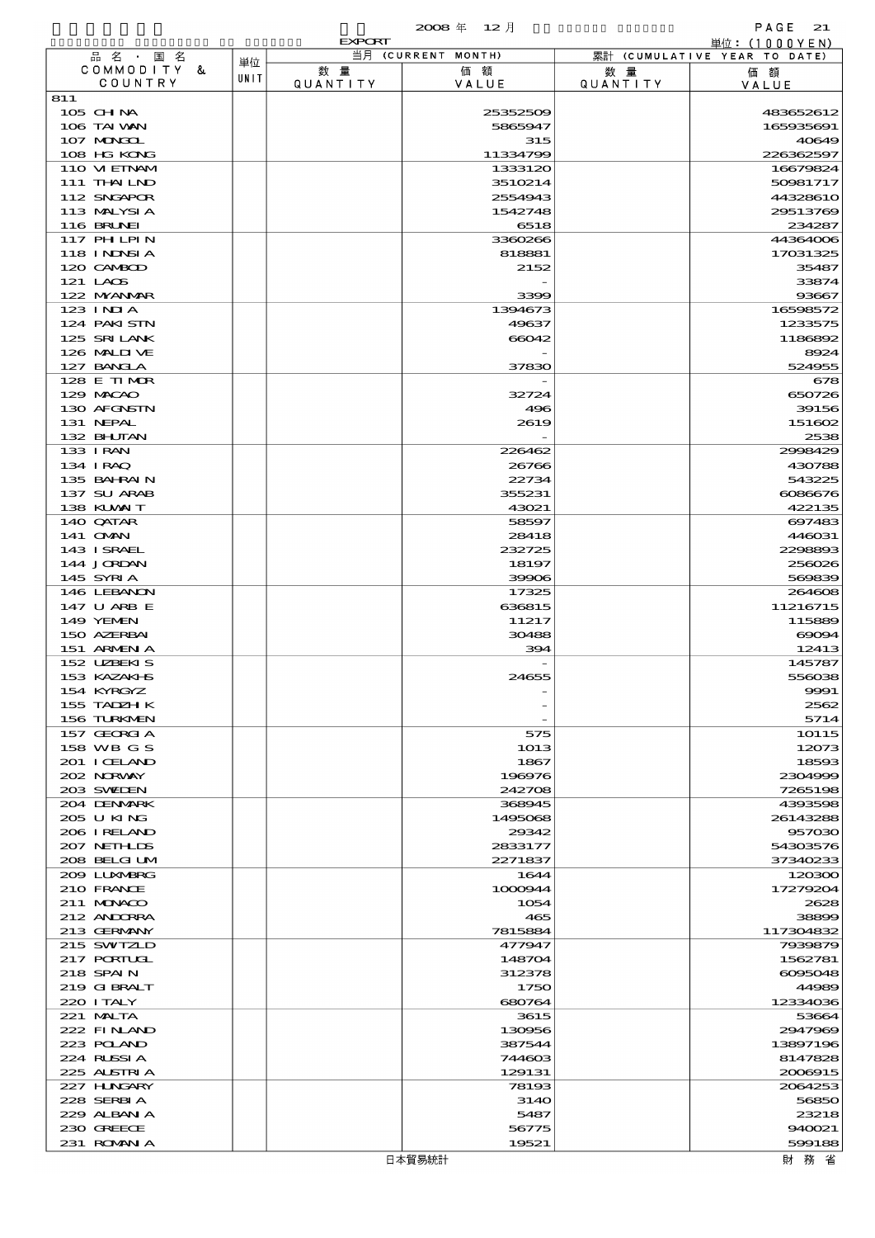|                              |      | <b>EXPORT</b>  |                      |                        | 単位: (1000YEN)                |
|------------------------------|------|----------------|----------------------|------------------------|------------------------------|
| 品名・国名<br>COMMODITY &         | 単位   |                | 当月 (CURRENT MONTH)   |                        | 累計 (CUMULATIVE YEAR TO DATE) |
| COUNTRY                      | UNIT | 数量<br>QUANTITY | 価額<br>VALUE          | 数 量<br><b>QUANTITY</b> | 価額<br>VALUE                  |
| 811                          |      |                |                      |                        |                              |
| 105 CHNA                     |      |                | 25352509             |                        | 483652612                    |
| 106 TAI VAN<br>107 MONGOL    |      |                | 5865947<br>315       |                        | 165935691<br>40649           |
| 108 HG KONG                  |      |                | 11334799             |                        | 226362597                    |
| 110 VIEINAM                  |      |                | 1333120              |                        | 16679824                     |
| 111 THAILND                  |      |                | 3510214              |                        | 50981717                     |
| 112 SNGAPOR<br>113 MALYSIA   |      |                | 2554943<br>1542748   |                        | 44328610<br>29513769         |
| <b>116 BRUNEI</b>            |      |                | 6518                 |                        | 234287                       |
| <b>117 PHLPIN</b>            |      |                | 3360266              |                        | 44364006                     |
| 118 I NJNSI A                |      |                | 818881               |                        | 17031325                     |
| 120 CAMBOD                   |      |                | 2152                 |                        | 35487                        |
| 121 LAOS<br>122 MYANMAR      |      |                | 3399                 |                        | 33874<br>93667               |
| 123 INIA                     |      |                | 1394673              |                        | 16598572                     |
| 124 PAKISTN                  |      |                | 49637                |                        | 1233575                      |
| 125 SRILANK                  |      |                | 66042                |                        | 1186892                      |
| 126 MALIJ VE                 |      |                |                      |                        | 8924                         |
| 127 BANCLA<br>128 E TIMOR    |      |                | 37830                |                        | 524955<br>678                |
| 129 MACAO                    |      |                | 32724                |                        | 650726                       |
| 130 AFGNSTN                  |      |                | 496                  |                        | 39156                        |
| 131 NEPAL                    |      |                | 2619                 |                        | 151602                       |
| 132 BHUTAN                   |      |                |                      |                        | 2538                         |
| 133 I RAN<br>134 I RAQ       |      |                | 226462<br>26766      |                        | 2998429<br>430788            |
| 135 BAHRAIN                  |      |                | 22734                |                        | 543225                       |
| 137 SU ARAB                  |      |                | 355231               |                        | 6086676                      |
| 138 KUWAIT                   |      |                | 43021                |                        | 422135                       |
| 140 QATAR                    |      |                | 58597                |                        | 697483                       |
| 141 <b>OMN</b><br>143 ISRAEL |      |                | 28418<br>232725      |                        | 446031<br>2298893            |
| 144 JORDAN                   |      |                | 18197                |                        | 256026                       |
| 145 SYRIA                    |      |                | 39906                |                        | 569839                       |
| 146 LEBANON                  |      |                | 17325                |                        | 264608                       |
| 147 U ARB E<br>149 YEMEN     |      |                | 636815<br>11217      |                        | 11216715<br>115889           |
| 150 AZERBAI                  |      |                | 30488                |                        | $\Theta$ OO $\Theta$ 4       |
| 151 ARMENIA                  |      |                | 394                  |                        | 12413                        |
| 152 UZBEKIS                  |      |                |                      |                        | 145787                       |
| 153 KAZAKI B                 |      |                | 24655                |                        | 556038                       |
| 154 KYRGYZ<br>155 TADZH K    |      |                |                      |                        | 9991<br>2562                 |
| 156 TURKMEN                  |      |                |                      |                        | 5714                         |
| 157 GEORGIA                  |      |                | 575                  |                        | 10115                        |
| 158 WB G S                   |      |                | 1013                 |                        | 12073                        |
| 201 I CELAND                 |      |                | 1867                 |                        | 18593                        |
| 202 NORVAY<br>203 SWIDEN     |      |                | 196976<br>242708     |                        | 2304999<br>7265198           |
| 204 DENMARK                  |      |                | 368945               |                        | 4393598                      |
| 205 U KING                   |      |                | 1495068              |                        | 26143288                     |
| 206 I RELAND                 |      |                | 29342                |                        | 957030                       |
| 207 NETHLIS<br>208 BELGI UM  |      |                | 2833177<br>2271837   |                        | 54303576<br>37340233         |
| 209 LUNABRG                  |      |                | 1644                 |                        | 120300                       |
| 210 FRANCE                   |      |                | 1000944              |                        | 17279204                     |
| 211 MUNACO                   |      |                | 1054                 |                        | 2628                         |
| 212 ANDORRA<br>213 GERMANY   |      |                | 465<br>7815884       |                        | 38899                        |
| 215 SWIZLD                   |      |                | 477947               |                        | 117304832<br>7939879         |
| 217 PORTUGL                  |      |                | 148704               |                        | 1562781                      |
| 218 SPAIN                    |      |                | 312378               |                        | 6095048                      |
| 219 GIBRALT                  |      |                | 1750                 |                        | 44989                        |
| 220 I TALY<br>221 MALTA      |      |                | 680764<br>3615       |                        | 12334036<br>53664            |
| 222 FINAND                   |      |                | 130956               |                        | 2947969                      |
| 223 POLAND                   |      |                | 387544               |                        | 13897196                     |
| 224 RUSSI A                  |      |                | 744603               |                        | 8147828                      |
| 225 ALSTRIA                  |      |                | 129131               |                        | 2006915                      |
| 227 HUNGARY<br>228 SERBIA    |      |                | 78193<br><b>3140</b> |                        | 2064253<br>56850             |
| 229 ALBAN A                  |      |                | 5487                 |                        | 23218                        |
| 230 GREECE                   |      |                | 56775                |                        | 940021                       |
| 231 ROMANIA                  |      |                | 19521                |                        | 599188                       |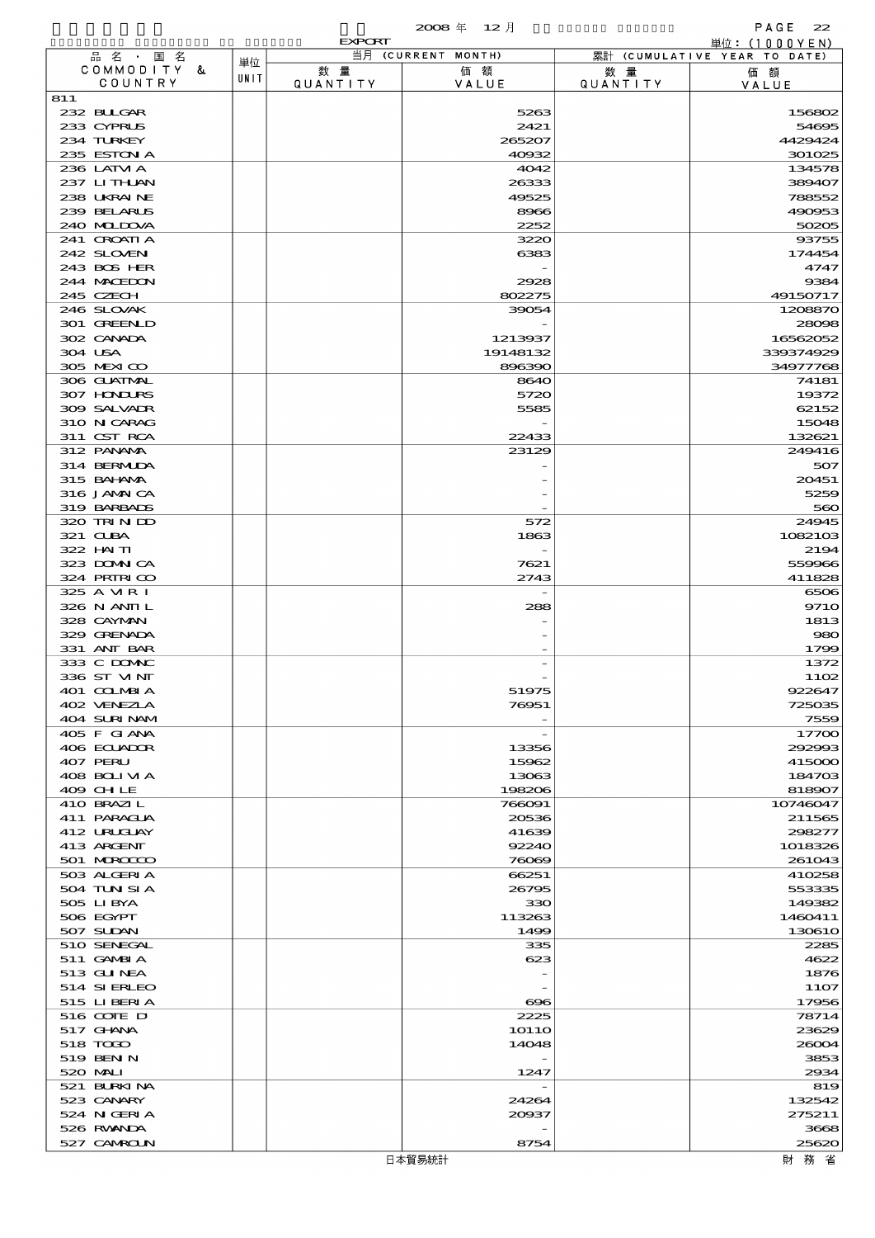|                            |      |                 | 2008年 12月           |                 | PAGE<br>22                                      |
|----------------------------|------|-----------------|---------------------|-----------------|-------------------------------------------------|
| 品 名 ・ 国 名                  |      | <b>EXPORT</b>   | 当月 (CURRENT MONTH)  |                 | 単位: $(1000YEN)$<br>累計 (CUMULATIVE YEAR TO DATE) |
| COMMODITY &                | 単位   | 数量              | 価額                  | 数 量             | 価額                                              |
| COUNTRY                    | UNIT | <b>QUANTITY</b> | VALUE               | <b>QUANTITY</b> | VALUE                                           |
| 811<br>232 BLLGAR          |      |                 | 5263                |                 | 156802                                          |
| 233 CYPRUS                 |      |                 | 2421                |                 | 54695                                           |
| 234 TURKEY                 |      |                 | 265207              |                 | 4429424                                         |
| 235 ESTON A                |      |                 | 40932               |                 | 301025                                          |
| 236 LATM A                 |      |                 | 4042                |                 | 134578                                          |
| 237 LITHLAN<br>238 UKRAINE |      |                 | 26333<br>49525      |                 | 389407<br>788552                                |
| 239 BELARUS                |      |                 | 8966                |                 | 490953                                          |
| 240 MIDOVA                 |      |                 | 2252                |                 | 50205                                           |
| 241 GROATIA                |      |                 | 3220                |                 | 93755                                           |
| 242 SLOVEN                 |      |                 | 6383                |                 | 174454                                          |
| 243 BOS HER<br>244 MACEDON |      |                 | 2928                |                 | 4747<br>9384                                    |
| 245 CZECH                  |      |                 | 802275              |                 | 49150717                                        |
| 246 SLOVAK                 |      |                 | 39054               |                 | 1208870                                         |
| 301 GREENLD                |      |                 |                     |                 | 28098                                           |
| 302 CANADA<br>304 USA      |      |                 | 1213937<br>19148132 |                 | 16562052<br>339374929                           |
| 305 MEXICO                 |      |                 | 896390              |                 | 34977768                                        |
| 306 GUATMAL                |      |                 | 8640                |                 | 74181                                           |
| 307 HONDURS                |      |                 | 5720                |                 | 19372                                           |
| 309 SALVAIR                |      |                 | 5585                |                 | 62152                                           |
| 310 N CARAG<br>311 CST RCA |      |                 | 22433               |                 | 15048<br>132621                                 |
| 312 PANAMA                 |      |                 | 23129               |                 | 249416                                          |
| 314 BERMIDA                |      |                 |                     |                 | 507                                             |
| 315 BAHANA                 |      |                 |                     |                 | 20451                                           |
| 316 JAMAICA                |      |                 |                     |                 | 5259                                            |
| 319 BARBADS<br>320 TRINDO  |      |                 | 572                 |                 | 560<br>24945                                    |
| 321 CLBA                   |      |                 | 1863                |                 | 1082103                                         |
| 322 HAITI                  |      |                 |                     |                 | 2194                                            |
| 323 DOMNICA                |      |                 | 7621                |                 | 559966                                          |
| 324 PRIRICO<br>325 A VIR I |      |                 | 2743                |                 | 411828<br>6506                                  |
| 326 N ANII L               |      |                 | 288                 |                 | <b>9710</b>                                     |
| 328 CAYMAN                 |      |                 |                     |                 | 1813                                            |
| 329 GRENADA                |      |                 |                     |                 | 980                                             |
| 331 ANT BAR<br>333 C DOMAC |      |                 |                     |                 | 1799                                            |
| 336 ST VINI                |      |                 |                     |                 | 1372<br>1102                                    |
| 401 COLMBIA                |      |                 | 51975               |                 | 922647                                          |
| 402 VENEZIA                |      |                 | 76951               |                 | 725035                                          |
| 404 SURINAM                |      |                 |                     |                 | 7559                                            |
| 405 F GIANA<br>406 ECUADOR |      |                 | 13356               |                 | 17700<br>292993                                 |
| 407 PERU                   |      |                 | 15962               |                 | 415000                                          |
| 408 BOLIVIA                |      |                 | 13063               |                 | 184703                                          |
| 409 CHLE                   |      |                 | 198206              |                 | 818907                                          |
| 410 BRAZIL<br>411 PARAGUA  |      |                 | 766091<br>20536     |                 | 10746047<br>211565                              |
| 412 URUGUAY                |      |                 | 41639               |                 | 298277                                          |
| 413 ARGENT                 |      |                 | 92240               |                 | 1018326                                         |
| 501 MROCCO                 |      |                 | 76069               |                 | 261043                                          |
| 503 ALGERIA                |      |                 | 66251               |                 | 410258                                          |
| 504 TUN SI A<br>505 LIBYA  |      |                 | 26795<br>330        |                 | 553335<br>149382                                |
| 506 EGYPT                  |      |                 | 113263              |                 | 1460411                                         |
| 507 SUDAN                  |      |                 | 1499                |                 | 130610                                          |
| 510 SENEGAL                |      |                 | 335                 |                 | 2285                                            |
| 511 GAMBIA<br>513 GUNEA    |      |                 | 623                 |                 | 4622<br>1876                                    |
| 514 SIERLEO                |      |                 |                     |                 | 1107                                            |
| 515 LIBERIA                |      |                 | $\infty$            |                 | 17956                                           |
| 516 CONE D                 |      |                 | 2225                |                 | 78714                                           |
| 517 GHANA                  |      |                 | 1O1 1O              |                 | 23629                                           |
| 518 TODO<br>519 BEN N      |      |                 | 14048               |                 | 26004<br>3853                                   |
| 520 MAI I                  |      |                 | 1247                |                 | 2934                                            |
| 521 BURKINA                |      |                 |                     |                 | 819                                             |
| 523 CANARY                 |      |                 | 24264               |                 | 132542                                          |
| 524 N GERIA<br>526 RWANDA  |      |                 | 20037               |                 | 275211<br>3668                                  |
| 527 CAMROLN                |      |                 | 8754                |                 | 25620                                           |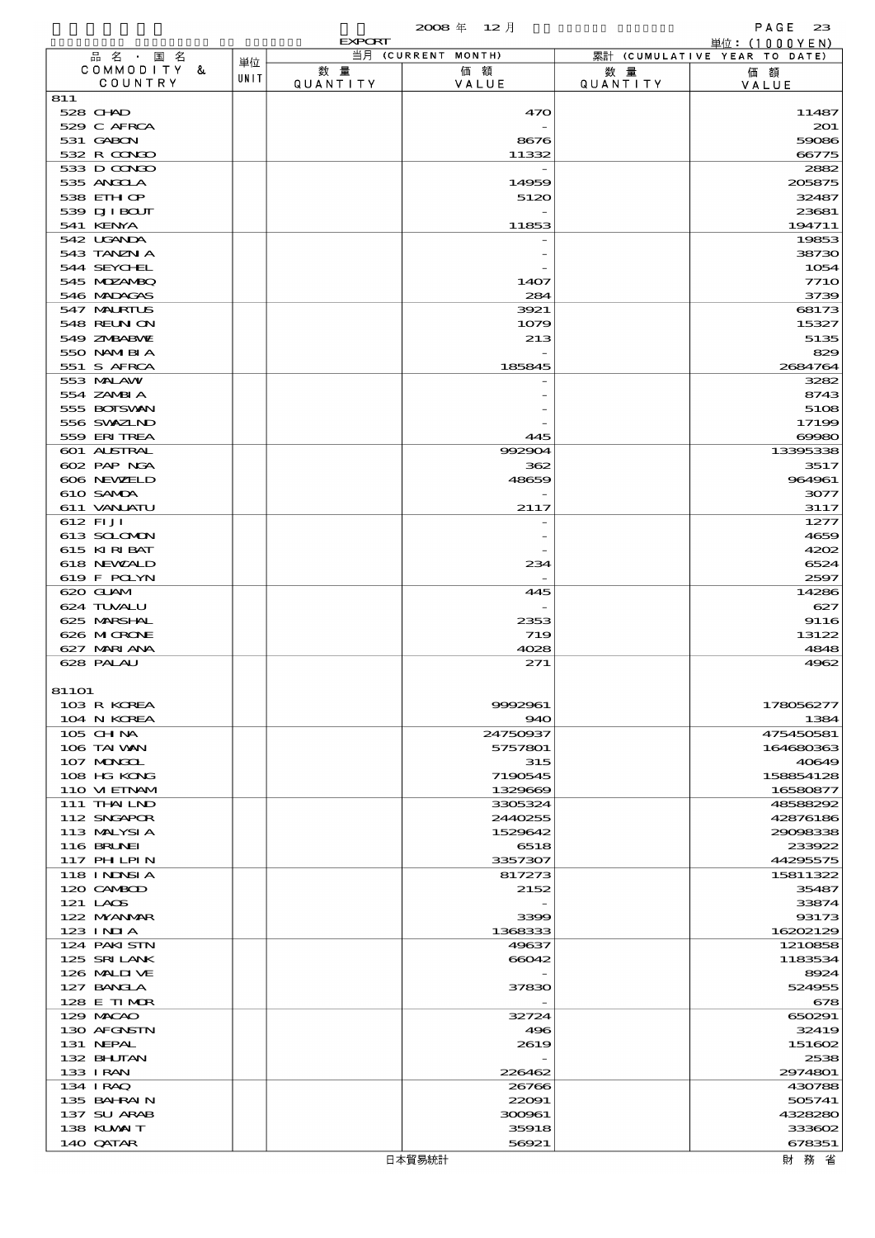|                             |                        |      | <b>EXPORT</b>         |                     |                        | 単位: (1000YEN)                |
|-----------------------------|------------------------|------|-----------------------|---------------------|------------------------|------------------------------|
|                             | 品名・国名                  | 単位   |                       | 当月 (CURRENT MONTH)  |                        | 累計 (CUMULATIVE YEAR TO DATE) |
|                             | COMMODITY &<br>COUNTRY | UNIT | 数量<br><b>QUANTITY</b> | 価額<br>VALUE         | 数 量<br><b>QUANTITY</b> | 価額<br>VALUE                  |
| 811                         |                        |      |                       |                     |                        |                              |
| $528$ CHAD                  |                        |      |                       | 470                 |                        | 11487                        |
| 529 C AFRCA<br>531 GABON    |                        |      |                       | 8676                |                        | 201<br>59086                 |
| 532 R CONDO                 |                        |      |                       | 11332               |                        | 66775                        |
| 533 D CONDO                 |                        |      |                       |                     |                        | 2882                         |
| 535 ANGCLA                  |                        |      |                       | 14959               |                        | 205875                       |
| 538 EIHOP<br>539 DJI BOUT   |                        |      |                       | 5120                |                        | 32487<br>23681               |
| 541 KENYA                   |                        |      |                       | 11853               |                        | 194711                       |
| 542 UGANDA                  |                        |      |                       |                     |                        | 19853                        |
| 543 TANZN A                 |                        |      |                       |                     |                        | 38730                        |
| 544 SEYCHL<br>545 MDZANBQ   |                        |      |                       |                     |                        | 1054<br><b>7710</b>          |
| 546 MADAGAS                 |                        |      |                       | 1407<br>284         |                        | 3739                         |
| 547 MALRIUS                 |                        |      |                       | 3921                |                        | 68173                        |
| 548 REUN ON                 |                        |      |                       | 1079                |                        | 15327                        |
| 549 ZNBABVIE                |                        |      |                       | 213                 |                        | 5135                         |
| 550 NAMERIA<br>551 S AFRCA  |                        |      |                       | 185845              |                        | 829<br>2684764               |
| 553 MALAW                   |                        |      |                       |                     |                        | 3282                         |
| 554 ZAMBI A                 |                        |      |                       |                     |                        | 8743                         |
| 555 BOISVAN                 |                        |      |                       |                     |                        | 5108                         |
| 556 SWXZLND<br>559 ERITREA  |                        |      |                       | 445                 |                        | 17199<br>69980               |
| 601 ALSTRAL                 |                        |      |                       | 992904              |                        | 13395338                     |
| 602 PAP NGA                 |                        |      |                       | 362                 |                        | 3517                         |
| 606 NEWELD                  |                        |      |                       | 48659               |                        | 964961                       |
| 610 SAMDA                   |                        |      |                       |                     |                        | 3077                         |
| 611 VANLATU<br>612 FIJI     |                        |      |                       | 2117                |                        | 3117<br>1277                 |
| 613 SCLOMON                 |                        |      |                       |                     |                        | 4659                         |
| 615 KIRIBAT                 |                        |      |                       |                     |                        | 4202                         |
| 618 NEWALD                  |                        |      |                       | 234                 |                        | 6524                         |
| 619 F POLYN<br>620 GLAM     |                        |      |                       |                     |                        | 2597                         |
| 624 TUVALU                  |                        |      |                       | 445                 |                        | 14286<br>627                 |
| 625 MARSHAL                 |                        |      |                       | 2353                |                        | 9116                         |
| 626 MICRONE                 |                        |      |                       | 719                 |                        | 13122                        |
| 627 MARIANA                 |                        |      |                       | 4028                |                        | 4848                         |
| 628 PALAU                   |                        |      |                       | 271                 |                        | 4962                         |
| 81101                       |                        |      |                       |                     |                        |                              |
| 103 R KOREA                 |                        |      |                       | 9992961             |                        | 178056277                    |
| 104 N KOREA                 |                        |      |                       | 940                 |                        | 1384                         |
| 105 CHNA<br>106 TAI VAN     |                        |      |                       | 24750937<br>5757801 |                        | 475450581<br>164680363       |
| 107 MONGOL                  |                        |      |                       | 315                 |                        | 40649                        |
| 108 HG KONG                 |                        |      |                       | 7190545             |                        | 158854128                    |
| 110 VIEINAM                 |                        |      |                       | 1329669             |                        | 16580877                     |
| 111 THAILND                 |                        |      |                       | 3305324<br>2440255  |                        | 48588292                     |
| 112 SNGAPOR<br>113 MALYSIA  |                        |      |                       | 1529642             |                        | 42876186<br>29098338         |
| 116 BRUNEI                  |                        |      |                       | 6518                |                        | 233922                       |
| <b>117 PHLPIN</b>           |                        |      |                       | 3357307             |                        | 44295575                     |
| 118 I NJNSI A               |                        |      |                       | 817273              |                        | 15811322                     |
| 120 CAMBOD<br>121 LAOS      |                        |      |                       | 2152                |                        | 35487<br>33874               |
| 122 NYANAR                  |                        |      |                       | 3399                |                        | 93173                        |
| $123$ INIA                  |                        |      |                       | 1368333             |                        | 16202129                     |
| 124 PAKISTN                 |                        |      |                       | 49637               |                        | 1210858                      |
| 125 SRILANK<br>126 MALII VE |                        |      |                       | 66042               |                        | 1183534<br>8924              |
| 127 BANCLA                  |                        |      |                       | 37830               |                        | 524955                       |
| 128 E TIMOR                 |                        |      |                       |                     |                        | 678                          |
| 129 MACAO                   |                        |      |                       | 32724               |                        | 650291                       |
| 130 AFGNSTN<br>131 NEPAL    |                        |      |                       | 496<br>2619         |                        | 32419<br>151602              |
| 132 BHUTAN                  |                        |      |                       |                     |                        | 2538                         |
| 133 I RAN                   |                        |      |                       | 226462              |                        | 2974801                      |
| 134 IRAQ                    |                        |      |                       | 26766               |                        | 430788                       |
| 135 BAHRAIN                 |                        |      |                       | 22091               |                        | 505741                       |
| 137 SU ARAB<br>138 KUWAIT   |                        |      |                       | 300961<br>35918     |                        | 4328280<br>333602            |
| 140 QATAR                   |                        |      |                       | 56921               |                        | 678351                       |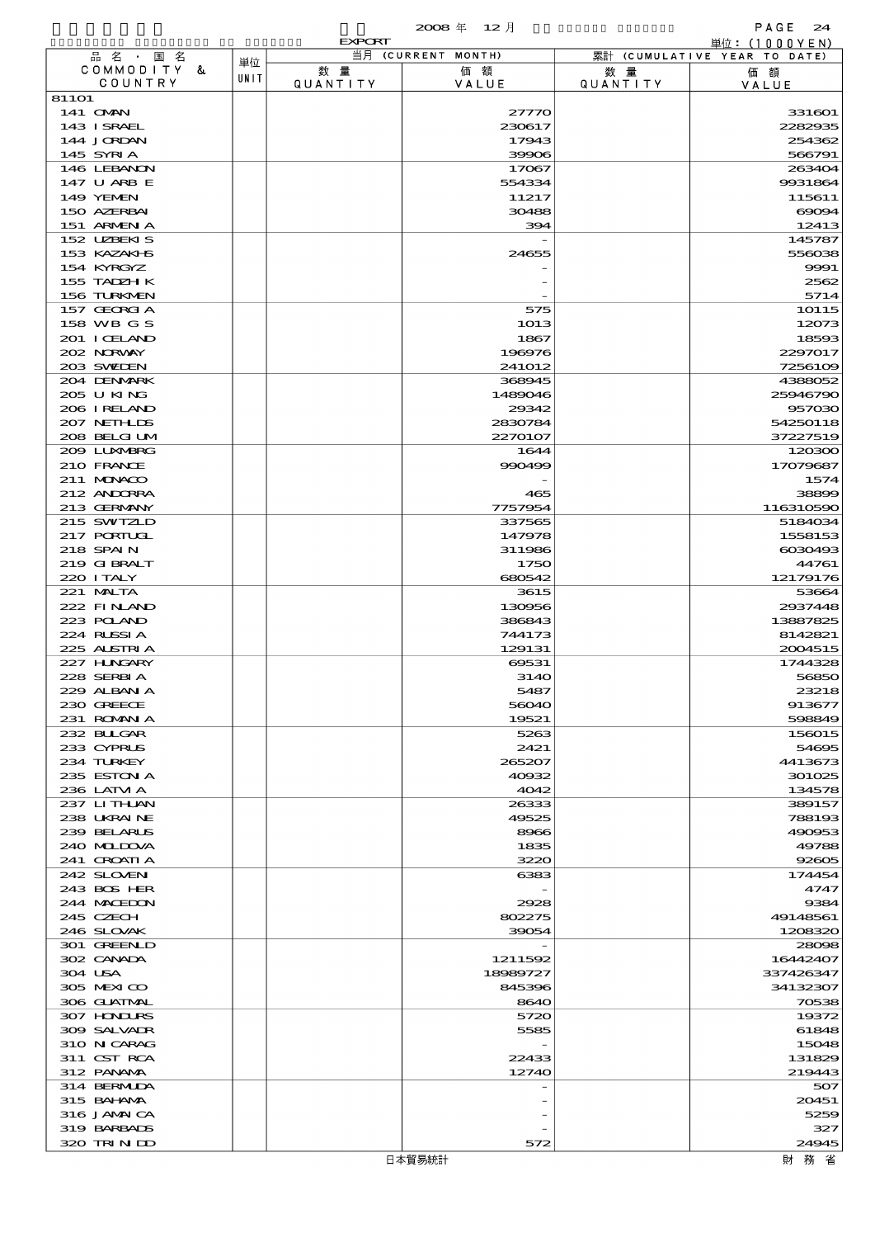|                             |      | <b>EXPORT</b> |                    |                 | <u> 単位: (1000YEN)</u>        |
|-----------------------------|------|---------------|--------------------|-----------------|------------------------------|
| 品名・国名                       | 単位   |               | 当月 (CURRENT MONTH) |                 | 累計 (CUMULATIVE YEAR TO DATE) |
| COMMODITY &<br>COUNTRY      | UNIT | 数量            | 価額                 | 数量              | 価額                           |
| 81101                       |      | QUANTITY      | VALUE              | <b>QUANTITY</b> | VALUE                        |
| 141 <b>OMN</b>              |      |               | 27770              |                 | 331601                       |
| 143 I SRAEL                 |      |               | 230617             |                 | 2282935                      |
| 144 JORDAN                  |      |               | 17943              |                 | 254362                       |
| 145 SYRIA                   |      |               | 39906              |                 | 566791                       |
| 146 LEBANON                 |      |               | 17067              |                 | 263404                       |
| 147 U ARB E                 |      |               | 554334             |                 | 9931864                      |
| 149 YEMEN                   |      |               | 11217              |                 | 115611                       |
| 150 AZERBAI                 |      |               | 30488              |                 | 69094                        |
| 151 ARMENIA                 |      |               | 394                |                 | 12413                        |
| 152 UZBEKIS<br>153 KAZAKI B |      |               | 24655              |                 | 145787<br>556038             |
| 154 KYRGYZ                  |      |               |                    |                 | 9991                         |
| 155 TADZH K                 |      |               |                    |                 | 2562                         |
| 156 TURKMEN                 |      |               |                    |                 | 5714                         |
| 157 GEORGIA                 |      |               | 575                |                 | 10115                        |
| 158 WB G S                  |      |               | 1013               |                 | 12073                        |
| 201 I CELAND                |      |               | 1867               |                 | 18593                        |
| 202 NORWAY                  |      |               | 196976             |                 | 2297017                      |
| 203 SWEDEN                  |      |               | 241012             |                 | 7256109                      |
| 204 DENMARK                 |      |               | 368945             |                 | 4388052                      |
| 205 U KING                  |      |               | 1489046            |                 | 25946790                     |
| 206 IRELAND                 |      |               | 29342              |                 | 957030                       |
| 207 NETHLIS                 |      |               | 2830784            |                 | 54250118                     |
| 208 BELGI UM                |      |               | 2270107            |                 | 37227519                     |
| 209 LUNABRG<br>210 FRANCE   |      |               | 1644<br>990499     |                 | 120300<br>17079687           |
| 211 MUNACO                  |      |               |                    |                 | 1574                         |
| 212 ANDORRA                 |      |               | 465                |                 | 38899                        |
| 213 GERMANY                 |      |               | 7757954            |                 | 116310590                    |
| 215 SWIZLD                  |      |               | 337565             |                 | 5184034                      |
| 217 PORTUGL                 |      |               | 147978             |                 | 1558153                      |
| 218 SPAIN                   |      |               | 311986             |                 | 6030493                      |
| 219 GIBRALT                 |      |               | 1750               |                 | 44761                        |
| 220 I TALY                  |      |               | 680542             |                 | 12179176                     |
| 221 MALTA                   |      |               | 3615               |                 | 53664                        |
| 222 FINAND                  |      |               | 130956             |                 | 2937448                      |
| 223 POLAND                  |      |               | 386843             |                 | 13887825                     |
| 224 RUSSIA                  |      |               | 744173             |                 | 8142821                      |
| 225 ALSTRIA<br>227 H.NGARY  |      |               | 129131<br>69531    |                 | 2004515<br>1744328           |
| 228 SERBIA                  |      |               | <b>3140</b>        |                 | 56850                        |
| 229 ALBAN A                 |      |               | 5487               |                 | 23218                        |
| 230 GREECE                  |      |               | 56040              |                 | 913677                       |
| 231 ROMANIA                 |      |               | 19521              |                 | 598849                       |
| 232 BULGAR                  |      |               | 5263               |                 | 156015                       |
| 233 CYPRUS                  |      |               | 2421               |                 | 54695                        |
| 234 TURKEY                  |      |               | 265207             |                 | 4413673                      |
| 235 ESTON A                 |      |               | 40932              |                 | 301025                       |
| 236 LATM A                  |      |               | 4042               |                 | 134578                       |
| 237 LITHAN                  |      |               | 26333              |                 | 389157                       |
| 238 UKRAINE<br>239 BELARUS  |      |               | 49525              |                 | 788193                       |
| 240 MIDIXA                  |      |               | 8966<br>1835       |                 | 490953<br>49788              |
| 241 GROATIA                 |      |               | 3220               |                 | 92605                        |
| 242 SLOVEN                  |      |               | 6383               |                 | 174454                       |
| 243 BOS HER                 |      |               |                    |                 | 4747                         |
| 244 MACEDON                 |      |               | 2928               |                 | 9384                         |
| 245 CZECH                   |      |               | 802275             |                 | 49148561                     |
| 246 SLOVAK                  |      |               | 39054              |                 | 1208320                      |
| 301 GREENLD                 |      |               |                    |                 | 28098                        |
| 302 CANADA                  |      |               | 1211592            |                 | 16442407                     |
| 304 USA                     |      |               | 18989727           |                 | 337426347                    |
| 305 MEXICO                  |      |               | 845396             |                 | 34132307                     |
| 306 GLATMAL                 |      |               | 8640               |                 | 70538                        |
| 307 HINIURS                 |      |               | 5720               |                 | 19372                        |
| 309 SALVADR<br>310 N CARAG  |      |               | 5585               |                 | 61848<br>15048               |
| 311 CST RCA                 |      |               | 22433              |                 | 131829                       |
| 312 PANAMA                  |      |               | 12740              |                 | 219443                       |
| 314 BERMIDA                 |      |               |                    |                 | 507                          |
| 315 BAHAMA                  |      |               |                    |                 | 20451                        |
| 316 JAMAICA                 |      |               |                    |                 | 5259                         |
| 319 BARBADS                 |      |               |                    |                 | 327                          |
| 320 TRIN DO                 |      |               | 572                |                 | 24945                        |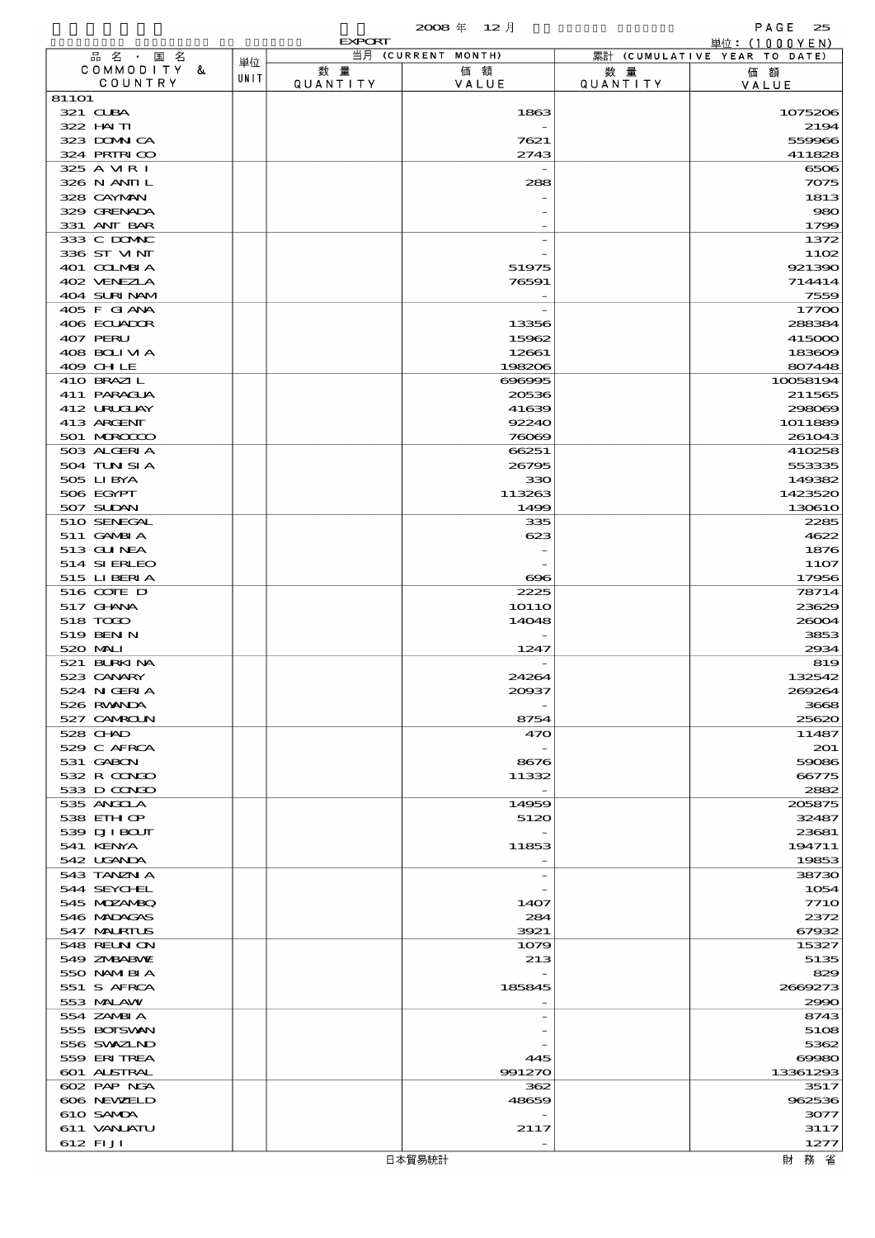|                            |      | <b>EXPORT</b>   | 2008年 12月          |                 | PAGE<br>25<br>単位: $(1000YEN)$ |
|----------------------------|------|-----------------|--------------------|-----------------|-------------------------------|
| 品名·国名                      |      |                 | 当月 (CURRENT MONTH) |                 | 累計 (CUMULATIVE YEAR TO DATE)  |
| COMMODITY &                | 単位   | 数 量             | 価額                 | 数 量             | 価額                            |
| COUNTRY                    | UNIT | <b>QUANTITY</b> | VALUE              | <b>QUANTITY</b> | VALUE                         |
| 81101                      |      |                 |                    |                 |                               |
| 321 CLBA                   |      |                 | 1863               |                 | 1075206                       |
| 322 HAITI<br>323 DOMNICA   |      |                 | 7621               |                 | 2194<br>559966                |
| 324 PRIRICO                |      |                 | 2743               |                 | 411828                        |
| 325 A MR I                 |      |                 |                    |                 | 6506                          |
| 326 N ANII L               |      |                 | 288                |                 | 7075                          |
| 328 CAYMAN                 |      |                 |                    |                 | 1813                          |
| 329 GRENADA                |      |                 |                    |                 | 980                           |
| 331 ANT BAR                |      |                 |                    |                 | 1799                          |
| 333 C DOMIC                |      |                 |                    |                 | 1372                          |
| 336 ST MNT                 |      |                 |                    |                 | 1102                          |
| 401 COLMBIA                |      |                 | 51975              |                 | 921390                        |
| 402 VENEZIA                |      |                 | 76591              |                 | 714414                        |
| 404 SURINAM                |      |                 |                    |                 | 7559                          |
| 405 F GIANA<br>406 ECUADOR |      |                 |                    |                 | 17700<br>288384               |
| 407 PERU                   |      |                 | 13356<br>15962     |                 | 415000                        |
| 408 BOLIVIA                |      |                 | 12661              |                 | 183609                        |
| 409 CHLE                   |      |                 | 198206             |                 | 807448                        |
| 410 BRAZIL                 |      |                 | 696995             |                 | 10058194                      |
| 411 PARAGUA                |      |                 | 20536              |                 | 211565                        |
| 412 URUCLAY                |      |                 | 41639              |                 | 298069                        |
| 413 ARCENT                 |      |                 | 92240              |                 | 1011889                       |
| 501 MROCCO                 |      |                 | 76069              |                 | 261043                        |
| 503 ALGERIA                |      |                 | 66251              |                 | 410258                        |
| 504 TUN SI A               |      |                 | 26795              |                 | 553335                        |
| 505 LIBYA                  |      |                 | 330                |                 | 149382                        |
| 506 EGYPT                  |      |                 | 113263             |                 | 1423520                       |
| 507 SUDAN                  |      |                 | 1499               |                 | 130610                        |
| 510 SENEGAL<br>511 GAMBIA  |      |                 | 335<br>623         |                 | 2285<br>4622                  |
| 513 GUNEA                  |      |                 |                    |                 | 1876                          |
| 514 SIERLEO                |      |                 |                    |                 | <b>11O7</b>                   |
| 515 LIBERIA                |      |                 | $_{\rm \alpha}$    |                 | 17956                         |
| 516 COTE D                 |      |                 | 2225               |                 | 78714                         |
| 517 GHNA                   |      |                 | <b>10110</b>       |                 | 23629                         |
| 518 TODO                   |      |                 | 14048              |                 | 26004                         |
| 519 BEN N                  |      |                 |                    |                 | 3853                          |
| 520 MAI                    |      |                 | 1247               |                 | 2934                          |
| 521 BURKINA                |      |                 |                    |                 | 819                           |
| 523 CANARY                 |      |                 | 24264              |                 | 132542                        |
| 524 N GERI A               |      |                 | 20037              |                 | 269264                        |
| 526 RWANDA                 |      |                 |                    |                 | 3668                          |
| 527 CAMROLN<br>528 CHAD    |      |                 | 8754<br>470        |                 | 25620<br>11487                |
| 529 C AFRCA                |      |                 |                    |                 | 201                           |
| 531 GABON                  |      |                 | 8676               |                 | 59086                         |
| 532 R CONDO                |      |                 | 11332              |                 | 66775                         |
| 533 D CONDO                |      |                 |                    |                 | 2882                          |
| 535 ANGOLA                 |      |                 | 14959              |                 | 205875                        |
| 538 EIH OP                 |      |                 | 5120               |                 | 32487                         |
| 539 DJI BOUT               |      |                 |                    |                 | 23681                         |
| 541 KENYA                  |      |                 | 11853              |                 | 194711                        |
| 542 UGANDA                 |      |                 |                    |                 | 19853                         |
| 543 TANZN A                |      |                 |                    |                 | 38730                         |
| 544 SEYCHEL<br>545 MDZANBQ |      |                 | 1407               |                 | 1054<br><b>7710</b>           |
| 546 MADAGAS                |      |                 | 284                |                 | 2372                          |
| 547 MALRIUS                |      |                 | 3921               |                 | 67932                         |
| 548 REUN ON                |      |                 | 1079               |                 | 15327                         |
| 549 ZNBABNE                |      |                 | 213                |                 | 5135                          |
| 550 NAMERIA                |      |                 |                    |                 | 829                           |
| 551 S AFRCA                |      |                 | 185845             |                 | 2669273                       |
| 553 MALAW                  |      |                 |                    |                 | 2990                          |
| 554 ZAMBI A                |      |                 |                    |                 | 8743                          |
| 555 BOISVAN                |      |                 |                    |                 | 5108                          |
| 556 SVXZIND                |      |                 |                    |                 | 5362                          |
| 559 ERITREA                |      |                 | 445                |                 | $\Theta$ $\Theta$ $\Theta$    |
| <b>601 ALSTRAL</b>         |      |                 | 991270             |                 | 13361293                      |
| 602 PAP NGA<br>606 NEWELD  |      |                 | 362<br>48659       |                 | 3517<br>962536                |
| 610 SAMDA                  |      |                 |                    |                 | 3077                          |
| 611 VANLATU                |      |                 | 2117               |                 | 3117                          |
| 612 FIJI                   |      |                 |                    |                 | 1277                          |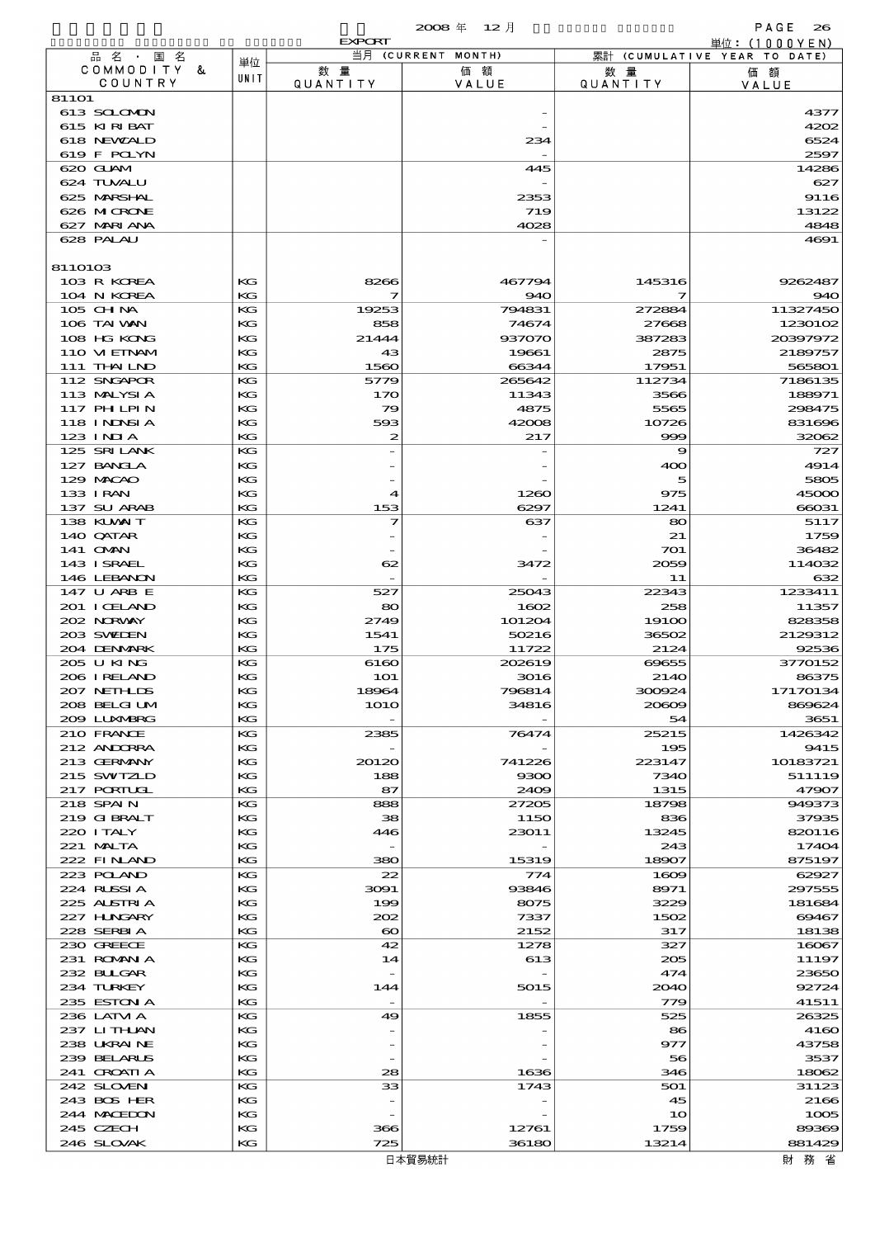|                             |          | <b>EXPORT</b>           |                    |                       | 単位: (1000YEN)                |
|-----------------------------|----------|-------------------------|--------------------|-----------------------|------------------------------|
| 品名・国名                       | 単位       |                         | 当月 (CURRENT MONTH) |                       | 累計 (CUMULATIVE YEAR TO DATE) |
| COMMODITY &<br>COUNTRY      | UNIT     | 数量<br>QUANTITY          | 価額<br>VALUE        | 数量<br><b>QUANTITY</b> | 価額<br>VALUE                  |
| 811O1                       |          |                         |                    |                       |                              |
| 613 SCLOMON                 |          |                         |                    |                       | 4377                         |
| 615 KIRIBAT                 |          |                         |                    |                       | 4202                         |
| 618 NEWALD                  |          |                         | 234                |                       | 6524                         |
| 619 F POLYN<br>620 GLAM     |          |                         | 445                |                       | 2597<br>14286                |
| 624 TUVALU                  |          |                         |                    |                       | 627                          |
| 625 MARSHAL                 |          |                         | 2353               |                       | 9116                         |
| 626 MICRONE                 |          |                         | 719                |                       | 13122                        |
| 627 MARIANA                 |          |                         | 4028               |                       | 4848                         |
| 628 PALAU                   |          |                         |                    |                       | 4691                         |
| 8110103                     |          |                         |                    |                       |                              |
| 103 R KOREA                 | KG       | 8266                    | 467794             | 145316                | 9262487                      |
| 104 N KOREA                 | KG       | 7                       | 940                | 7                     | 940                          |
| 105 CHNA                    | KG       | 19253                   | 794831             | 272884                | 11327450                     |
| 106 TAI WAN<br>108 HG KONG  | KG<br>KG | 858<br>21444            | 74674<br>937070    | 27668<br>387283       | 1230102<br>20397972          |
| 110 VIEINAM                 | KG       | 43                      | 19661              | 2875                  | 2189757                      |
| 111 THAILND                 | KG       | 1560                    | 66344              | 17951                 | 565801                       |
| 112 SNGAPOR                 | KG       | 5779                    | 265642             | 112734                | 7186135                      |
| 113 MALYSIA                 | KG       | 170                     | 11343              | 3566                  | 188971                       |
| 117 PH LPIN                 | KG       | 79                      | 4875               | 5565                  | 298475                       |
| 118 I NDNSI A<br>$123$ INJA | KG<br>KG | 593<br>$\boldsymbol{z}$ | 42008<br>217       | 10726<br>999          | 831696<br>32062              |
| 125 SRILANK                 | KG       |                         |                    | 9                     | 727                          |
| 127 BANCLA                  | KG       |                         |                    | 400                   | 4914                         |
| 129 MACAO                   | KG       |                         |                    | 5                     | 5805                         |
| 133 I RAN                   | KG       | $\blacktriangleleft$    | 1260               | 975                   | 45000                        |
| 137 SU ARAB                 | KG       | 153                     | 6297               | 1241                  | 66031                        |
| 138 KLVXIT                  | KG       | 7                       | 637                | 80                    | 5117                         |
| 140 QATAR<br>141 OMN        | KG<br>КG |                         |                    | 21<br>701             | 1759<br>36482                |
| 143 ISRAEL                  | KG       | 62                      | 3472               | 2059                  | 114032                       |
| 146 LEBANON                 | KG       |                         |                    | 11                    | 632                          |
| 147 U ARB E                 | KG       | 527                     | 25043              | 22343                 | 1233411                      |
| 201 I CELAND                | KG       | 80                      | 1602               | 258                   | 11357                        |
| 202 NORWAY<br>203 SWIDEN    | KG       | 2749                    | 101204             | 19100<br>36502        | 828358                       |
| 204 DENMARK                 | KG<br>KG | 1541<br>175             | 50216<br>11722     | 2124                  | 2129312<br>92536             |
| 205 U KING                  | KG       | 6160                    | 202619             | 69655                 | 3770152                      |
| 206 I RELAND                | KG       | <b>1O1</b>              | 3016               | 2140                  | 86375                        |
| 207 NETHLIS                 | KG       | 18964                   | 796814             | 300924                | 17170134                     |
| 208 BELGI UM                | KG       | 1O1O                    | 34816              | 20609                 | 869624                       |
| 2009 LUNABRG<br>210 FRANCE  | КG<br>KG | 2385                    | 76474              | 54<br>25215           | 3651<br>1426342              |
| 212 ANDORRA                 | KG       |                         |                    | 195                   | 9415                         |
| 213 GERMANY                 | КG       | 20120                   | 741226             | 223147                | 10183721                     |
| 215 SWIZLD                  | KG       | 188                     | 9300               | 7340                  | 511119                       |
| 217 PORTUGL                 | KG       | 87                      | 2409               | 1315                  | 47907                        |
| 218 SPAIN                   | KG       | 888                     | 27205              | 18798                 | 949373                       |
| 219 GIBRALT<br>220 I TALY   | KG<br>КG | 38<br>446               | 1150<br>23011      | 836<br>13245          | 37935<br>820116              |
| 221 MALTA                   | KG       |                         |                    | 243                   | 17404                        |
| 222 FINAND                  | KG       | 380                     | 15319              | 18907                 | 875197                       |
| 223 POLAND                  | KG       | 22                      | 774                | 1609                  | 62927                        |
| 224 RUSSIA                  | KG       | 3091                    | 93846              | 8971                  | 297555                       |
| 225 ALSTRIA<br>227 HUNGARY  | КG<br>KG | 199<br>202              | 8075<br>7337       | 3229<br>1502          | 181684<br>69467              |
| 228 SERBIA                  | KG       | $\boldsymbol{\infty}$   | 2152               | 317                   | 18138                        |
| 230 GREECE                  | KG       | 42                      | 1278               | 327                   | 16067                        |
| 231 ROMANIA                 | KG       | 14                      | 613                | 205                   | 11197                        |
| 232 BULGAR                  | КG       |                         |                    | 474                   | 23650                        |
| 234 TURKEY                  | KG       | 144                     | 5015               | 2040                  | 92724                        |
| 235 ESTON A<br>236 LATM A   | KG<br>KG | 49                      | 1855               | 779<br>525            | 41511<br>26325               |
| 237 LITHAN                  | KG       |                         |                    | 86                    | 4160                         |
| 238 UKRAINE                 | KG       |                         |                    | 977                   | 43758                        |
| 239 BELARUS                 | KG       |                         |                    | 56                    | 3537                         |
| 241 CROATIA                 | KG       | 28                      | 1636               | 346                   | 18062                        |
| 242 SLOVEN                  | KG       | 33                      | 1743               | 501                   | 31123                        |
| 243 BOS HER<br>244 MACEDON  | KG<br>KG |                         |                    | 45<br>10              | 2166<br>1005                 |
| 245 CZECH                   | KG       | 366                     | 12761              | 1759                  | 89369                        |
| 246 SLOVAK                  | KG       | 725                     | 36180              | 13214                 | 881429                       |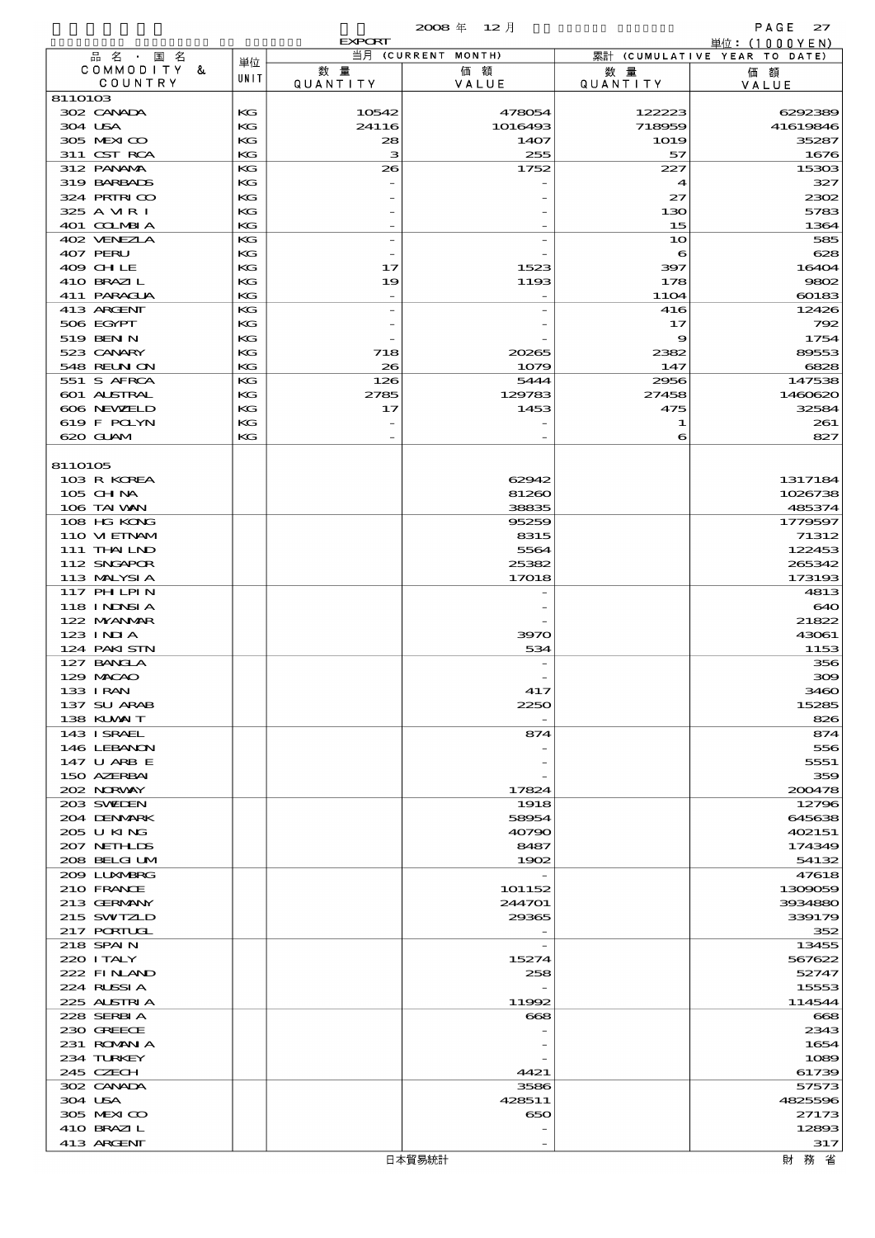$2008 \n& 12 \n& 12$ 

|                                 |          | <b>EXPORT</b>            |                    |                       | 単位: (1000YEN)                |
|---------------------------------|----------|--------------------------|--------------------|-----------------------|------------------------------|
| 品名・国名                           | 単位       |                          | 当月 (CURRENT MONTH) |                       | 累計 (CUMULATIVE YEAR TO DATE) |
| COMMODITY &<br>COUNTRY          | UNIT     | 数量<br>QUANTITY           | 価額<br>VALUE        | 数量<br><b>QUANTITY</b> | 価額<br>VALUE                  |
| 8110103                         |          |                          |                    |                       |                              |
| 302 CANADA                      | KG       | 10542                    | 478054             | 122223                | 6292389                      |
| 304 USA                         | KG       | 24116                    | 1016493            | 718959                | 41619846                     |
| 305 MEXICO<br>311 CST RCA       | KG<br>KG | 28<br>з                  | 1407<br>255        | 1019<br>57            | 35287<br>1676                |
| 312 PANAMA                      | KG       | 26                       | 1752               | 227                   | 15303                        |
| 319 BARBADS                     | KG       |                          |                    | 4                     | 327                          |
| 324 PRIRICO                     | KG       |                          |                    | 27                    | 2302                         |
| 325 A VIR I                     | KG       |                          |                    | 130                   | 5783                         |
| 401 COLMBIA                     | KG       | $\qquad \qquad -$        |                    | 15                    | 1364                         |
| 402 VENEZIA<br>407 PERU         | KG<br>KG | $\overline{a}$           |                    | 10                    | 585<br>628                   |
| 409 CHLE                        | KG       | 17                       | 1523               | 6<br>397              | 16404                        |
| 410 BRAZIL                      | KG       | 19                       | 1193               | 178                   | 9802                         |
| 411 PARAGUA                     | KG       |                          |                    | <b>11O4</b>           | 60183                        |
| 413 ARGENT                      | KG       | $\overline{a}$           |                    | 416                   | 12426                        |
| 506 EGYPT                       | KG       |                          |                    | 17                    | 792                          |
| 519 BEN N                       | KG       |                          |                    | 9                     | 1754                         |
| 523 CANARY<br><b>548 RELNON</b> | KG<br>KG | 718<br>26                | 20265<br>1079      | 2382<br>147           | 89553<br>6828                |
| 551 S AFRCA                     | KG       | 126                      | 5444               | 2956                  | 147538                       |
| 601 ALSTRAL                     | КG       | 2785                     | 129783             | 27458                 | 1460620                      |
| 606 NEWELD                      | KG       | 17                       | 1453               | 475                   | 32584                        |
| 619 F POLYN                     | KG       |                          |                    | 1                     | 261                          |
| 620 GLAM                        | KG       | $\overline{\phantom{a}}$ |                    | 6                     | 827                          |
|                                 |          |                          |                    |                       |                              |
| 8110105<br>103 R KOREA          |          |                          | 62942              |                       | 1317184                      |
| $105$ CHNA                      |          |                          | 81260              |                       | 1026738                      |
| 106 TAI VAN                     |          |                          | 38835              |                       | 485374                       |
| 108 HG KONG                     |          |                          | 95259              |                       | 1779597                      |
| 110 VIEINAM                     |          |                          | 8315               |                       | 71312                        |
| 111 THAILND                     |          |                          | 5564               |                       | 122453                       |
| 112 SNGAPOR                     |          |                          | 25382              |                       | 265342                       |
| 113 MALYSIA                     |          |                          | 17018              |                       | 173193                       |
| 117 PH LPIN<br>118 I NJNSI A    |          |                          |                    |                       | 4813<br>640                  |
| 122 NYANAR                      |          |                          |                    |                       | 21822                        |
| $123$ INIA                      |          |                          | 3970               |                       | 43061                        |
| 124 PAKISTN                     |          |                          | 534                |                       | 1153                         |
| 127 BANCLA                      |          |                          |                    |                       | 356                          |
| 129 MACAO                       |          |                          |                    |                       | 300                          |
| 133 I RAN                       |          |                          | 417                |                       | 3460                         |
| 137 SU ARAB<br>138 KUWAIT       |          |                          | 2250               |                       | 15285                        |
| 143 ISRAEL                      |          |                          | 874                |                       | 826<br>874                   |
| 146 LEBANON                     |          |                          |                    |                       | 556                          |
| 147 U ARB E                     |          |                          |                    |                       | 5551                         |
| 150 AZERBAI                     |          |                          |                    |                       | 359                          |
| 202 NORVAY                      |          |                          | 17824              |                       | 200478                       |
| 203 SWIDEN                      |          |                          | 1918               |                       | 12796                        |
| 204 DENMARK<br>205 U KING       |          |                          | 58954<br>40790     |                       | 645638<br>402151             |
| 207 NETH LIS                    |          |                          | 8487               |                       | 174349                       |
| 208 BELGI UM                    |          |                          | 1902               |                       | 54132                        |
| 2009 LUNABRG                    |          |                          |                    |                       | 47618                        |
| 210 FRANCE                      |          |                          | 101152             |                       | 1309059                      |
| 213 GERMANY                     |          |                          | 244701             |                       | 3934880                      |
| 215 SWIZLD                      |          |                          | 29365              |                       | 339179                       |
| 217 PORTUGL<br>218 SPAIN        |          |                          |                    |                       | 352<br>13455                 |
| 220 I TALY                      |          |                          | 15274              |                       | 567622                       |
| 222 FINAND                      |          |                          | 258                |                       | 52747                        |
| 224 RUSSIA                      |          |                          |                    |                       | 15553                        |
| 225 ALSTRIA                     |          |                          | 11992              |                       | 114544                       |
| 228 SERBIA                      |          |                          | 668                |                       | 668                          |
| 230 GREECE                      |          |                          |                    |                       | 2343                         |
| 231 ROMANIA                     |          |                          |                    |                       | 1654                         |
| 234 TURKEY<br>245 CZECH         |          |                          | 4421               |                       | 1089<br>61739                |
| 302 CANADA                      |          |                          | 3586               |                       | 57573                        |
| 304 USA                         |          |                          | 428511             |                       | 4825596                      |
| 305 MEXICO                      |          |                          | 650                |                       | 27173                        |
| 410 BRAZIL                      |          |                          |                    |                       | 12893                        |
| 413 ARCENT                      |          |                          |                    |                       | 317                          |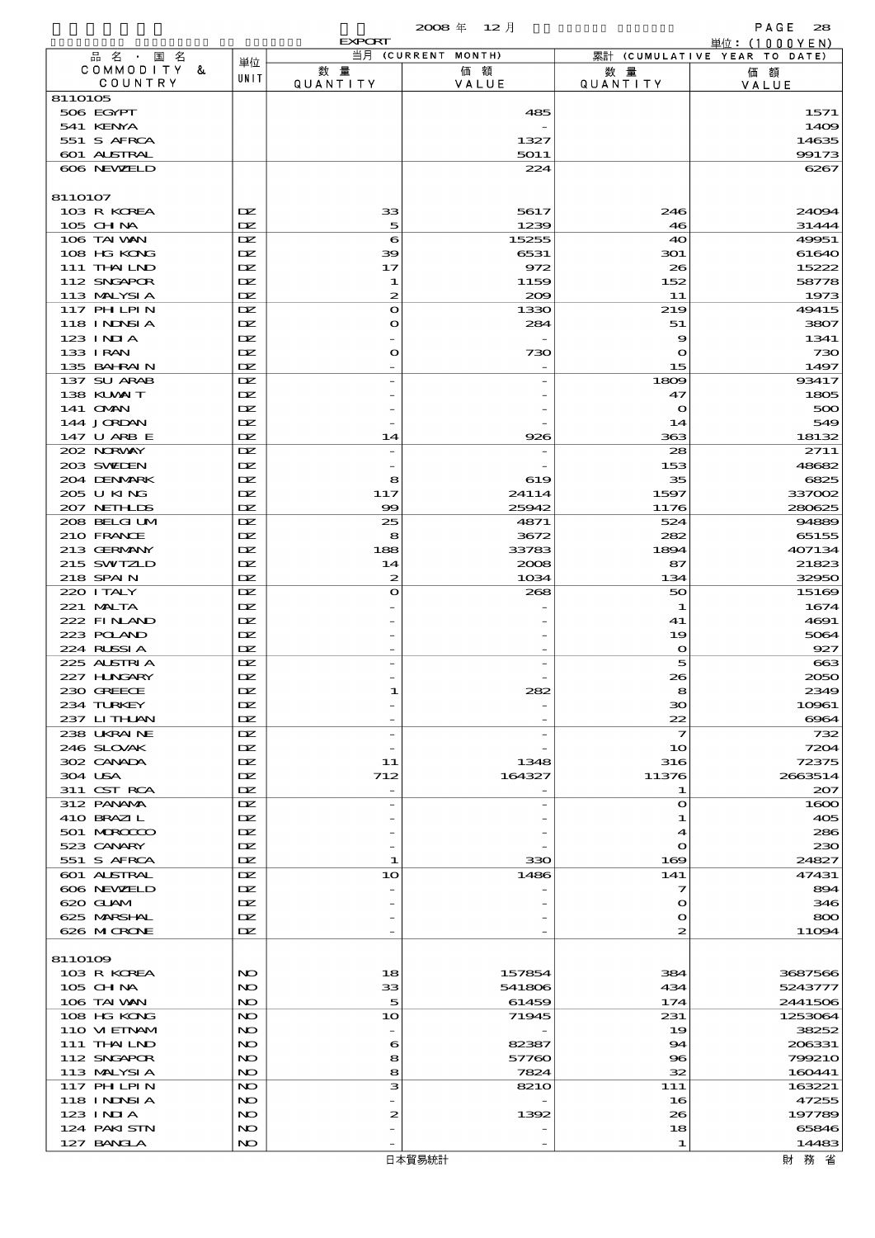$2008 \nleftrightarrow 12 \nparallel$  PAGE 28

|                            |                     | EXPORT           | $\sim$<br>$\sim$ 1.4 |                               | .<br>単位: (1000YEN)           |
|----------------------------|---------------------|------------------|----------------------|-------------------------------|------------------------------|
| 品名・国名                      | 単位                  |                  | 当月 (CURRENT MONTH)   |                               | 累計 (CUMULATIVE YEAR TO DATE) |
| COMMODITY &<br>COUNTRY     | UNIT                | 数量<br>QUANTITY   | 価額<br>VALUE          | 数量<br><b>QUANTITY</b>         | 価額<br>VALUE                  |
| 8110105                    |                     |                  |                      |                               |                              |
| 506 EGYPT                  |                     |                  | 485                  |                               | 1571                         |
| 541 KENYA                  |                     |                  |                      |                               | 1409                         |
| 551 S AFRCA                |                     |                  | 1327                 |                               | 14635                        |
| 601 ALSTRAL                |                     |                  | 5011                 |                               | 99173                        |
| 606 NEWELD                 |                     |                  | 224                  |                               | 6267                         |
| 8110107                    |                     |                  |                      |                               |                              |
| 103 R KOREA                | DZ.                 | 33               | 5617                 | 246                           | 24094                        |
| 105 CH NA                  | DZ.                 | 5                | 1239                 | 46                            | 31444                        |
| 106 TAI VAN                | DZ.                 | 6                | 15255                | 40                            | 49951                        |
| 108 HG KONG                | DZ.                 | 39               | 6531                 | 301                           | 61640                        |
| 111 THAILND<br>112 SNGAPOR | DZ.<br>DZ.          | 17<br>1          | 972<br>1159          | 26<br>152                     | 15222<br>58778               |
| 113 MALYSIA                | $\mathbf{Z}$        | $\boldsymbol{z}$ | 200                  | 11                            | 1973                         |
| 117 PH LPIN                | DZ.                 | $\bullet$        | 1330                 | 219                           | 49415                        |
| 118 I NJNSI A              | DZ.                 | $\bullet$        | 284                  | 51                            | 3807                         |
| 123 INIA                   | IX                  |                  |                      | 9                             | 1341                         |
| 133 I RAN                  | DZ.                 | $\mathbf o$      | 730                  | $\mathbf o$                   | 730                          |
| 135 BAHRAIN                | DZ.                 |                  |                      | 15                            | 1497                         |
| 137 SU ARAB<br>138 KUWAIT  | DZ.<br>DZ.          |                  |                      | 1809<br>47                    | 93417<br>1805                |
| 141 <b>OMN</b>             | DZ.                 |                  |                      | $\mathbf o$                   | 500                          |
| 144 JORDAN                 | DZ.                 |                  |                      | 14                            | 549                          |
| 147 U ARB E                | DZ.                 | 14               | 926                  | 363                           | 18132                        |
| 202 NORWAY                 | IX                  |                  |                      | 28                            | 2711                         |
| 203 SWIDEN                 | DZ.                 |                  |                      | 153                           | 48682                        |
| 204 DENMARK                | IX                  | 8                | 619                  | 35                            | 6825                         |
| 205 U KING<br>207 NETHLIDS | DZ.<br>$\mathbf{Z}$ | 117<br>$\infty$  | 24114<br>25942       | 1597<br>1176                  | 337002<br>280625             |
| 208 BELGI UM               | DZ.                 | 25               | 4871                 | 524                           | 94889                        |
| 210 FRANCE                 | DZ.                 | 8                | 3672                 | 282                           | 65155                        |
| 213 GERMANY                | DZ.                 | 188              | 33783                | 1894                          | 407134                       |
| 215 SWIZLD                 | DZ.                 | 14               | 2008                 | 87                            | 21823                        |
| 218 SPAIN                  | DZ.                 | $\boldsymbol{z}$ | 1034                 | 134                           | 32950                        |
| 220 I TALY                 | IX                  | $\bullet$        | 268                  | 50                            | 15169                        |
| 221 MALTA<br>222 FINAND    | DZ.<br>IX           |                  |                      | 1<br>41                       | 1674<br>4691                 |
| 223 POLAND                 | DZ.                 |                  |                      | 19                            | 5064                         |
| 224 RUSSIA                 | DZ.                 |                  |                      | $\mathbf{o}$                  | 927                          |
| 225 ALSTRIA                | DZ.                 |                  |                      | 5                             | 663                          |
| 227 HUNGARY                | DZ.                 |                  |                      | 26                            | 2050                         |
| 230 GREECE                 | DZ.                 |                  | 28                   |                               | 23491                        |
| 234 TURKEY                 | DZ.                 |                  |                      | ဆ                             | 10961                        |
| 237 LITHAN<br>238 UKRAINE  | DZ.<br>DZ.          |                  |                      | 22<br>$\overline{\mathbf{z}}$ | 6964<br>732                  |
| 246 SLOVAK                 | DZ.                 |                  |                      | 10                            | 7204                         |
| 302 CANADA                 | DZ.                 | 11               | 1348                 | 316                           | 72375                        |
| 304 USA                    | DZ.                 | 712              | 164327               | 11376                         | 2663514                      |
| 311 CST RCA                | DZ.                 |                  |                      | 1                             | 207                          |
| 312 PANAMA                 | DZ.                 |                  |                      | $\mathbf o$                   | 1600                         |
| 410 BRAZIL<br>501 MERCECO  | DZ.<br>DZ.          |                  |                      | 1                             | 405<br>286                   |
| 523 CANARY                 | DZ.                 |                  |                      | 4<br>$\mathbf o$              | 230                          |
| 551 S AFRCA                | DZ.                 | 1                | 330                  | 169                           | 24827                        |
| 601 ALSTRAL                | IX                  | 10               | 1486                 | 141                           | 47431                        |
| 606 NEWELD                 | DZ.                 |                  |                      | 7                             | 894                          |
| 620 GLAM                   | DZ.                 |                  |                      | o                             | 346                          |
| 625 MARSHAL                | DZ.                 |                  |                      | $\mathbf o$                   | 800                          |
| 626 MICRONE                | DZ.                 |                  |                      | 2                             | 11094                        |
| 8110109                    |                     |                  |                      |                               |                              |
| 103 R KOREA                | NO                  | 18               | 157854               | 384                           | 3687566                      |
| $105$ CHNA                 | NO                  | 33               | 541806               | 434                           | 5243777                      |
| 106 TAI VAN                | NO.                 | 5                | 61459                | 174                           | 2441506                      |
| 108 HG KONG                | NO.                 | 10               | 71945                | 231                           | 1253064                      |
| 110 VIEINAM<br>111 THAILND | NO<br>NO.           |                  | 82387                | 19<br>94                      | 38252<br>206331              |
| 112 SNGAPOR                | NO                  | 6<br>8           | 57760                | 96                            | 799210                       |
| 113 MALYSIA                | NO.                 | 8                | 7824                 | 32                            | 160441                       |
| 117 PH LPIN                | NO                  | з                | 821O                 | 111                           | 163221                       |
| 118 I NJNSI A              | NO                  |                  |                      | 16                            | 47255                        |
| $123$ INIA                 | NO                  | 2                | 1392                 | 26                            | 197789                       |
| 124 PAKISTN                | NO                  |                  |                      | 18                            | 65846                        |
| 127 BANCLA                 | NO                  |                  |                      | 1                             | 14483                        |

財務省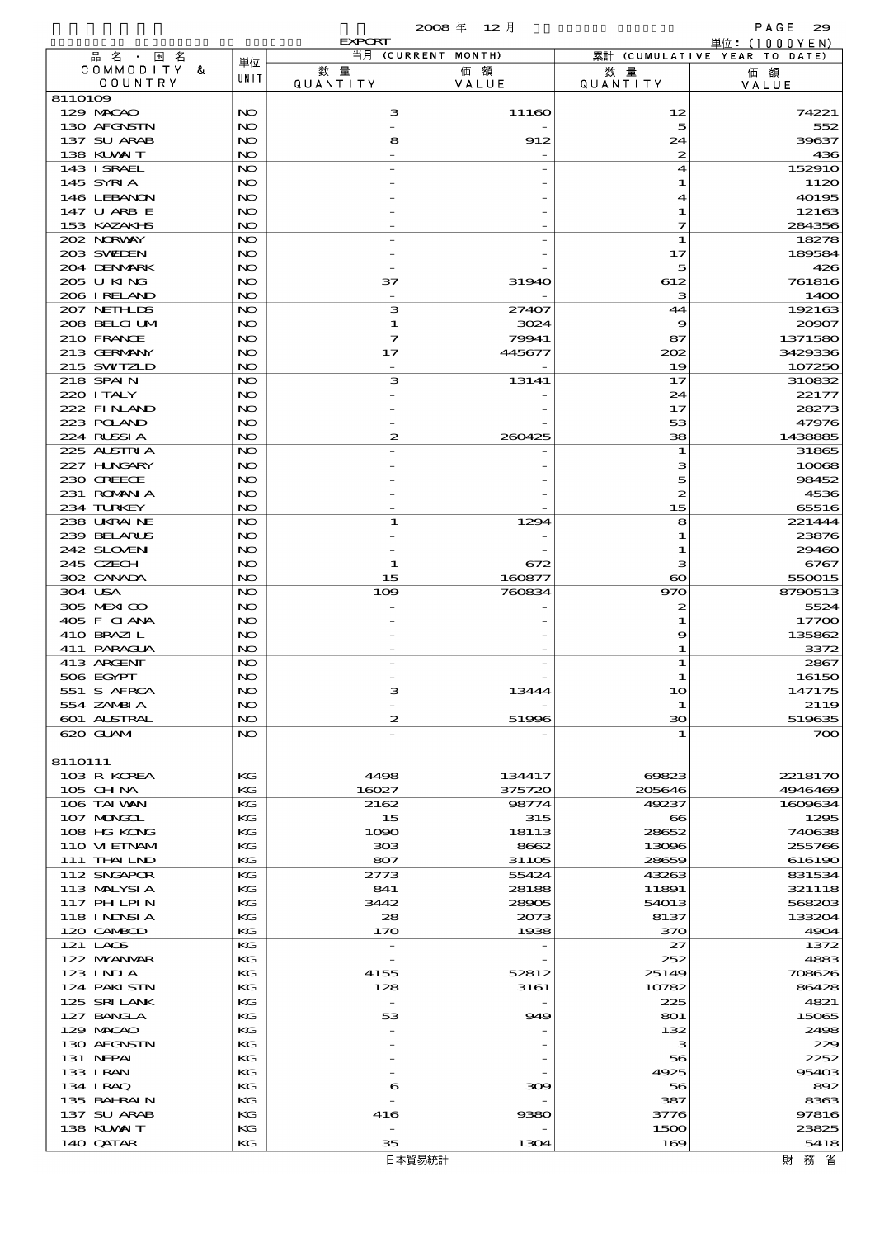|                             |            | <b>EXPORT</b>                   | 2008年 12月          |                        | PAGE<br>29                                    |
|-----------------------------|------------|---------------------------------|--------------------|------------------------|-----------------------------------------------|
| 品名・国名                       |            |                                 | 当月 (CURRENT MONTH) |                        | 単位: (1000YEN)<br>累計 (CUMULATIVE YEAR TO DATE) |
| COMMODITY &<br>COUNTRY      | 単位<br>UNIT | 数 量<br><b>QUANTITY</b>          | 価額<br>VALUE        | 数 量<br><b>QUANTITY</b> | 価額<br>VALUE                                   |
| 8110109                     |            |                                 |                    |                        |                                               |
| 129 MACAO                   | NO         | з                               | 11160              | 12                     | 74221                                         |
| 130 AFGNSTN                 | NO         |                                 |                    | 5                      | 552                                           |
| 137 SU ARAB<br>138 KUWAIT   | NO<br>NO   | 8                               | 912                | 24<br>$\boldsymbol{z}$ | 39637<br>436                                  |
| 143 I SRAEL                 | NO         |                                 |                    | 4                      | 152910                                        |
| 145 SYRIA                   | NO         |                                 |                    | 1                      | 1120                                          |
| 146 LEBANON                 | NO         |                                 |                    | 4                      | 40195                                         |
| 147 U ARB E                 | NO         |                                 |                    | 1                      | 12163                                         |
| 153 KAZAKI B<br>202 NORWAY  | NO<br>NO   |                                 |                    | 7<br>1                 | 284356<br>18278                               |
| 203 SWIDEN                  | NO         |                                 |                    | 17                     | 189584                                        |
| 204 DENMARK                 | NO         |                                 |                    | 5                      | 426                                           |
| 205 U KING                  | NO         | 37                              | 31940              | 612                    | 761816                                        |
| 206 IRELAND                 | NO         |                                 |                    | з                      | 1400                                          |
| 207 NETHLIS                 | NO         | з                               | 27407              | 44                     | 192163                                        |
| 208 BELGI UM<br>210 FRANCE  | NO<br>NO   | 1<br>7                          | 3024<br>79941      | 9<br>87                | 20907<br>1371580                              |
| 213 GERMANY                 | NO         | 17                              | 445677             | 202                    | 3429336                                       |
| 215 SWIZLD                  | NO         |                                 |                    | 19                     | 107250                                        |
| 218 SPAIN                   | NO         | з                               | 13141              | 17                     | 310832                                        |
| 220 I TALY                  | NO         |                                 |                    | 24                     | 22177                                         |
| 222 FINAND                  | NO         |                                 |                    | 17                     | 28273                                         |
| 223 POLAND                  | NO         |                                 |                    | 53                     | 47976                                         |
| 224 RUSSIA<br>225 ALSTRIA   | NO<br>NO   | 2                               | 260425             | 38<br>1                | 1438885<br>31865                              |
| 227 HNGARY                  | NO         |                                 |                    | з                      | 10068                                         |
| 230 GREECE                  | NO         |                                 |                    | 5                      | 98452                                         |
| 231 ROMANIA                 | NO         |                                 |                    | 2                      | 4536                                          |
| 234 TURKEY                  | NO         |                                 |                    | 15                     | 65516                                         |
| 238 UKRAINE                 | NO         | 1                               | 1294               | 8                      | 221444                                        |
| 239 BELARUS                 | NO         |                                 |                    | 1                      | 23876                                         |
| 242 SLOVEN<br>245 CZECH     | NO<br>NO   | 1                               | 672                | -1<br>з                | 29460<br>6767                                 |
| 302 CANADA                  | NO         | 15                              | 160877             | $\boldsymbol{\infty}$  | 550015                                        |
| 304 USA                     | NO         | 109                             | 760834             | 970                    | 8790513                                       |
| 305 MEXICO                  | NO         |                                 |                    | 2                      | 5524                                          |
| 405 F GIANA                 | NO         |                                 |                    | -1                     | 17700                                         |
| 410 BRAZIL                  | NO         |                                 |                    | 9                      | 135862                                        |
| 411 PARAGUA                 | NO         |                                 |                    | 1                      | 3372                                          |
| 413 ARGENT<br>506 EGYPT     | NO<br>NO   |                                 |                    | 1                      | 2867<br>16150                                 |
| 551 S AFRCA                 | NO         | з                               | 13444              | 10                     | 147175                                        |
| 554 ZAMBIA                  | NO         |                                 |                    | 1                      | 2119                                          |
| 601 ALSTRAL                 | NO.        | $\boldsymbol{z}$                | 51996              | 30                     | 519635                                        |
| 620 GLAM                    | NO.        |                                 |                    | 1                      | 700                                           |
|                             |            |                                 |                    |                        |                                               |
| 8110111                     |            |                                 |                    |                        |                                               |
| 103 R KOREA<br>105 CHNA     | KG<br>KG   | 4498<br>16027                   | 134417<br>375720   | 69823<br>205646        | 2218170<br>4946469                            |
| 106 TAI VAN                 | КG         | 2162                            | 98774              | 49237                  | 1609634                                       |
| 107 MONGOL                  | КG         | 15                              | 315                | $\bf{e}\bf{s}$         | 1295                                          |
| 108 HG KONG                 | KG         | 1090                            | 18113              | 28652                  | 740638                                        |
| 110 VIEINAM                 | KG         | 303                             | 8662               | 13096                  | 255766                                        |
| 111 THAILND                 | KG         | 807                             | 31105              | 28659                  | 616190                                        |
| 112 SNGAPOR<br>113 MALYSIA  | КG<br>KG   | 2773<br>841                     | 55424              | 43263                  | 831534                                        |
| 117 PH LPIN                 | KG         | 3442                            | 28188<br>28905     | 11891<br>54013         | 321118<br>568203                              |
| 118 I NJNSI A               | KG         | 28                              | 2073               | 8137                   | 133204                                        |
| 120 CAMBOD                  | KG         | 170                             | 1938               | 370                    | 4904                                          |
| 121 LACS                    | КG         | $\overline{\phantom{a}}$        |                    | 27                     | 1372                                          |
| 122 NYANAR                  | KG         |                                 |                    | 252                    | 4883                                          |
| 123 INIA                    | KG         | 4155                            | 52812              | 25149                  | 708626                                        |
| 124 PAKI STN<br>125 SRILANK | KG<br>KG   | 128<br>$\overline{\phantom{a}}$ | 3161               | 10782<br>225           | 86428<br>4821                                 |
| 127 BANCLA                  | КG         | 53                              | 949                | 801                    | 15065                                         |
| 129 MACAO                   | KG         |                                 |                    | 132                    | 2498                                          |
| 130 AFGNSTN                 | KG         |                                 |                    | з                      | 229                                           |
| 131 NEPAL                   | КG         |                                 |                    | 56                     | 2252                                          |
| 133 I RAN                   | KG         |                                 |                    | 4925                   | 95403                                         |
| 134 IRAQ                    | КG         | 6                               | 300                | 56                     | 892                                           |
| 135 BAHRAIN                 | KG         |                                 |                    | 387                    | 8363                                          |
| 137 SU ARAB<br>138 KUWAIT   | KG<br>KG   | 416                             | 9380               | 3776<br>1500           | 97816<br>23825                                |
| 140 QATAR                   | KG         | 35                              | 1304               | 169                    | 5418                                          |
|                             |            |                                 |                    |                        |                                               |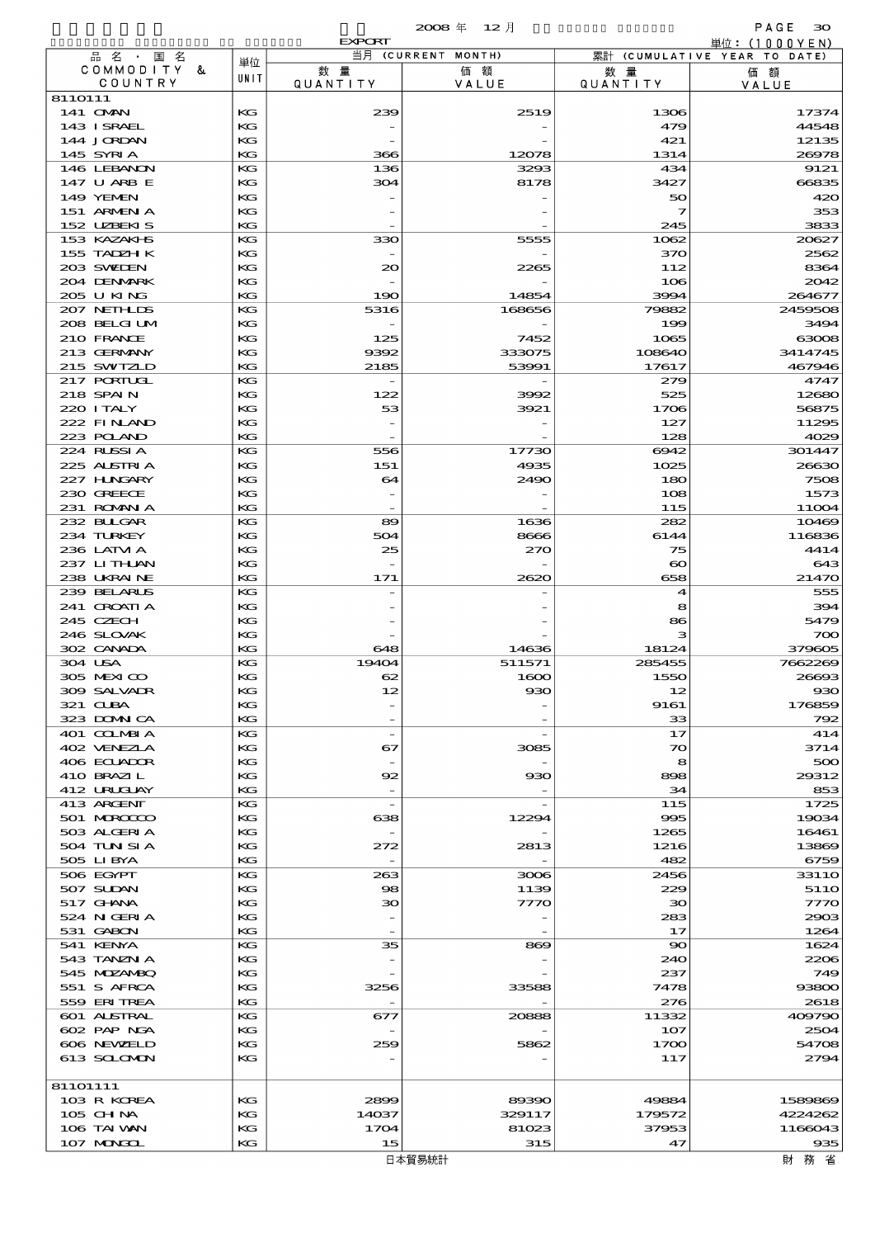|                            |          | <b>EXPORT</b>                   |                    |                             | 単位:(1000YEN)                 |
|----------------------------|----------|---------------------------------|--------------------|-----------------------------|------------------------------|
| 品名・国名                      | 単位       |                                 | 当月 (CURRENT MONTH) |                             | 累計 (CUMULATIVE YEAR TO DATE) |
| COMMODITY &<br>COUNTRY     | UNIT     | 数量<br>QUANTITY                  | 価額<br>VALUE        | 数 量<br><b>QUANTITY</b>      | 価額<br>VALUE                  |
| 8110111                    |          |                                 |                    |                             |                              |
| 141 <b>OMN</b>             | KG       | 239                             | 2519               | 1306                        | 17374                        |
| 143 ISRAEL<br>144 JORDAN   | KG<br>KG | $\overline{\phantom{a}}$        |                    | 479<br>421                  | 44548<br>12135               |
| 145 SYRIA                  | KG       | 366                             | 12078              | 1314                        | 26978                        |
| 146 LEBANON                | KG       | 136                             | 3293               | 434                         | 9121                         |
| 147 U ARB E                | КG       | 304                             | 8178               | 3427                        | 66835                        |
| <b>149 YEMEN</b>           | KG       |                                 |                    | 50                          | 420                          |
| 151 ARMEN A<br>152 UZBEKIS | KG<br>KG |                                 |                    | 7<br>245                    | 353<br>3833                  |
| 153 KAZAKI B               | KG       | 330                             | 5555               | 1062                        | 20627                        |
| 155 TADZH K                | КG       |                                 |                    | 370                         | 2562                         |
| 203 SWIEN                  | KG       | 20                              | 2265               | 112                         | 8364                         |
| 204 DENMARK<br>205 U KING  | КG<br>KG | $\overline{\phantom{a}}$<br>190 | 14854              | 106<br>3994                 | 2042<br>264677               |
| 207 NETHLIS                | KG       | 5316                            | 168656             | 79882                       | 2459508                      |
| 208 BELGI UM               | КG       |                                 |                    | 199                         | 3494                         |
| 210 FRANCE                 | KG       | 125                             | 7452               | 1065                        | 63008                        |
| 213 GERMANY<br>215 SWIZLD  | KG<br>KG | 9392<br>2185                    | 333075<br>53991    | 108640<br>17617             | 3414745<br>467946            |
| 217 PORTUGL                | KG       |                                 |                    | 279                         | 4747                         |
| 218 SPAIN                  | КG       | 122                             | 3992               | 525                         | 12680                        |
| 220 I TALY                 | KG       | 53                              | 3921               | 1706                        | 56875                        |
| 222 FINAND                 | KG       |                                 |                    | 127                         | 11295                        |
| 223 POLAND<br>224 RUSSIA   | KG<br>KG | 556                             | 17730              | 128<br>6942                 | 4029<br>301447               |
| 225 ALSTRIA                | KG       | 151                             | 4935               | 1025                        | 26630                        |
| 227 H.NGARY                | KG       | 64                              | 2490               | 180                         | 7508                         |
| 230 GREECE                 | КG       | $\overline{\phantom{a}}$        |                    | 108                         | 1573                         |
| 231 ROMANIA<br>232 BULGAR  | KG<br>KG | 89                              | 1636               | 115<br>282                  | 11004<br>10469               |
| 234 TURKEY                 | KG       | 504                             | 8666               | 6144                        | 116836                       |
| 236 LATM A                 | KG       | 25                              | 270                | 75                          | 4414                         |
| 237 LITHAN                 | KG       | $\overline{\phantom{a}}$        |                    | $\boldsymbol{\infty}$       | 643                          |
| 238 UKRAINE                | KG       | 171                             | 2620               | 658                         | 21470                        |
| 239 BELARUS<br>241 CROATIA | KG<br>KG |                                 |                    | 4<br>8                      | 555<br>394                   |
| 245 CZECH                  | KG       |                                 |                    | 86                          | 5479                         |
| 246 SLOVAK                 | КG       |                                 |                    | з                           | 700                          |
| 302 CANADA                 | KG       | 648                             | 14636              | 18124                       | 379605                       |
| 304 USA<br>305 MEXICO      | KG<br>KG | 19404<br>62                     | 511571<br>1600     | 285455<br>1550              | 7662269<br>26693             |
| 309 SALVADR                | KG       | 12                              | $_{\rm \bf 93C}$   | 12                          | 930                          |
| 321 CUBA                   | КG       | $\overline{\phantom{m}}$        |                    | 9161                        | 176859                       |
| 323 DOMNICA                | КG       | $\overline{\phantom{a}}$        |                    | 33                          | 792                          |
| 401 COLMBIA<br>402 VENEZIA | KG<br>KG | $\overline{\phantom{a}}$<br>67  | 3085               | 17<br>$\boldsymbol{\infty}$ | 414<br>3714                  |
| 406 ECUADOR                | KG       |                                 |                    | 8                           | 500                          |
| 410 BRAZIL                 | КG       | 92                              | 930                | 898                         | 29312                        |
| 412 URUJAY                 | KG       | $\overline{\phantom{a}}$        |                    | 34                          | 853                          |
| 413 ARGENT<br>501 MROCCO   | KG<br>КG | $\overline{\phantom{a}}$<br>638 | 12294              | 115<br>995                  | 1725<br>19034                |
| 503 ALGERIA                | KG       |                                 |                    | 1265                        | 16461                        |
| 504 TUN SI A               | КG       | 272                             | 2813               | 1216                        | 13869                        |
| 505 LIBYA                  | KG       | $\overline{\phantom{a}}$        |                    | 482                         | 6759                         |
| 506 EGYPT<br>507 SUDAN     | КG<br>КG | 263<br>98                       | 3006               | 2456<br>229                 | 3311O<br>5110                |
| 517 GHNA                   | KG       | 30                              | 1139<br>7770       | 30                          | 7770                         |
| 524 N GERIA                | КG       |                                 |                    | 283                         | 2903                         |
| 531 GABON                  | KG       |                                 |                    | 17                          | 1264                         |
| 541 KENYA<br>543 TANZN A   | KG<br>КG | 35                              | 869                | $\infty$<br>240             | 1624<br>2206                 |
| 545 MDZANBQ                | KG       |                                 |                    | 237                         | 749                          |
| 551 S AFRCA                | КG       | 3256                            | 33588              | 7478                        | 93800                        |
| 559 ERITREA                | KG       |                                 |                    | 276                         | 2618                         |
| <b>601 ALSTRAL</b>         | КG       | 677                             | 20888              | 11332                       | 409790                       |
| 602 PAP NGA<br>606 NEWELD  | KG<br>KG | 259                             | 5862               | 107<br>1700                 | 2504<br>54708                |
| 613 SCLOMON                | KG       |                                 |                    | 117                         | 2794                         |
|                            |          |                                 |                    |                             |                              |
| 81101111                   |          |                                 |                    |                             |                              |
| 103 R KOREA<br>$105$ CHNA  | KG<br>КG | 2899<br>14037                   | 89390<br>329117    | 49884<br>179572             | 1589869<br>4224262           |
| 106 TAI VAN                | KG       | 1704                            | 81023              | 37953                       | 1166043                      |
| 107 MONGOL                 | KG       | 15                              | 315                | 47                          | 935                          |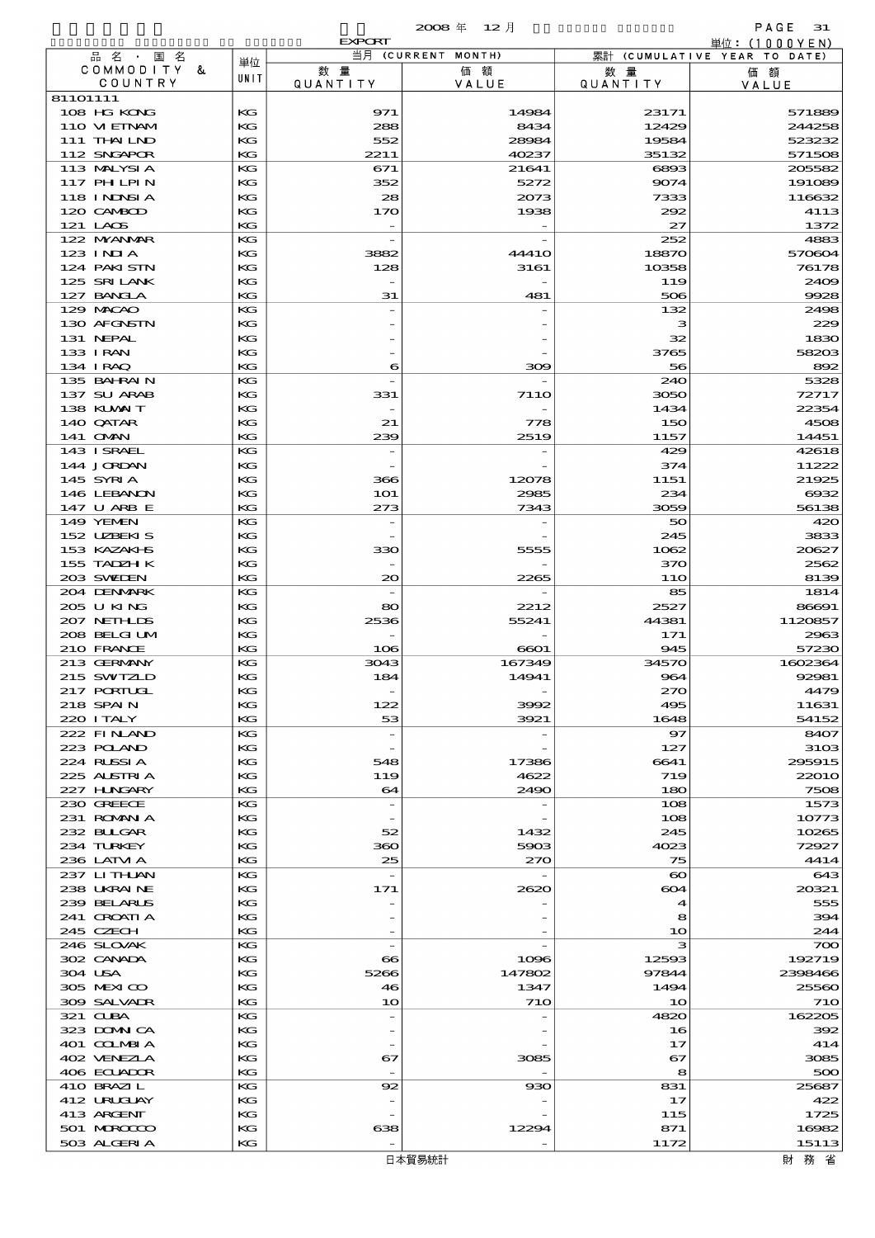|                             |          | <b>EXPORT</b>                   |                    |                        | 単位: (1000YEN)                |
|-----------------------------|----------|---------------------------------|--------------------|------------------------|------------------------------|
| 品名・国名                       | 単位       |                                 | 当月 (CURRENT MONTH) |                        | 累計 (CUMULATIVE YEAR TO DATE) |
| COMMODITY &<br>COUNTRY      | UNIT     | 数量<br>QUANTITY                  | 価額<br>VALUE        | 数 量<br><b>QUANTITY</b> | 価額<br>VALUE                  |
| 81101111                    |          |                                 |                    |                        |                              |
| 108 HG KONG                 | KG       | 971                             | 14984              | 23171                  | 571889                       |
| 110 VIEINAM                 | KG       | 288                             | 8434               | 12429                  | 244258                       |
| 111 THAILND                 | KG       | 552                             | 28984              | 19584                  | 523232                       |
| 112 SNGAPOR                 | KG       | 2211                            | 40237              | 35132                  | 571508                       |
| 113 MALYSIA                 | KG       | 671                             | 21641              | 6893                   | 205582                       |
| 117 PH LPIN                 | KG       | 352                             | 5272               | 9074                   | 191089                       |
| 118 INNSI A                 | KG       | 28                              | 2073               | 7333                   | 116632                       |
| 120 CAMBOD                  | KG       | 170                             | 1938               | 292                    | 4113                         |
| 121 LAOS<br>122 NYANAR      | KG<br>KG |                                 |                    | 27<br>252              | 1372<br>4883                 |
| $123$ INIA                  | KG       | 3882                            | 4441O              | 18870                  | 570604                       |
| 124 PAKISTN                 | KG       | 128                             | 3161               | 10358                  | 76178                        |
| 125 SRILANK                 | KG       |                                 |                    | 119                    | 2409                         |
| 127 BANCLA                  | KG       | 31                              | 481                | 506                    | 9928                         |
| 129 MACAO                   | KG       |                                 |                    | 132                    | 2498                         |
| 130 AFGNSTN                 | KG       |                                 |                    | з                      | 229                          |
| 131 NEPAL                   | KG       |                                 |                    | 32                     | 1830                         |
| 133 I RAN                   | KG       |                                 |                    | 3765                   | 58203                        |
| 134 IRAQ                    | KG       | 6                               | 300                | 56                     | 892                          |
| 135 BAHRAIN                 | KG<br>KG |                                 | <b>7110</b>        | 240                    | 5328                         |
| 137 SU ARAB<br>138 KUWAIT   | KG       | 331<br>$\overline{\phantom{a}}$ |                    | 3050<br>1434           | 72717<br>22354               |
| 140 QATAR                   | KG       | 21                              | 778                | 150                    | 4508                         |
| 141 OMN                     | KG       | 239                             | 2519               | 1157                   | 14451                        |
| 143 I SRAEL                 | KG       | $\overline{\phantom{a}}$        |                    | 429                    | 42618                        |
| 144 JORDAN                  | KG       |                                 |                    | 374                    | 11222                        |
| 145 SYRIA                   | KG       | 366                             | 12078              | 1151                   | 21925                        |
| 146 LEBANON                 | KG       | <b>1O1</b>                      | 2985               | 234                    | 6932                         |
| 147 U ARB E                 | KG       | 273                             | 7343               | 3059                   | 56138                        |
| 149 YEMEN                   | KG       |                                 |                    | 50                     | 420                          |
| 152 UZBEKIS<br>153 KAZAKI B | KG<br>KG | 330                             | 5555               | 245<br>1062            | 3833<br>20627                |
| 155 TADZH K                 | KG       |                                 |                    | 370                    | 2562                         |
| 203 SWIDEN                  | KG       | $\infty$                        | 2265               | <b>11O</b>             | 8139                         |
| 204 DENMARK                 | KG       |                                 |                    | 85                     | 1814                         |
| 205 U KING                  | KG       | 80                              | 2212               | 2527                   | 86691                        |
| 207 NETHLIS                 | KG       | 2536                            | 55241              | 44381                  | 1120857                      |
| 208 BELGI UM                | KG       |                                 |                    | 171                    | 2963                         |
| 210 FRANCE                  | KG       | 106                             | 6601               | 945                    | 57230                        |
| 213 GERMANY                 | KG       | 3043                            | 167349             | 34570                  | 1602364                      |
| 215 SWIZLD<br>217 PORTUGL   | KG<br>KG | 184                             | 14941              | 964<br>270             | 92981                        |
| 218 SPAIN                   | KG       | 122                             | 3992               | 495                    | 4479<br>11631                |
| 220 I TALY                  | KG       | 53                              | 3921               | 1648                   | 54152                        |
| 222 FINAND                  | КG       |                                 |                    | 97                     | 8407                         |
| 223 POLAND                  | KG       |                                 |                    | 127                    | 31 <sub>OS</sub>             |
| 224 RUSSIA                  | KG       | 548                             | 17386              | 6641                   | 295915                       |
| 225 ALSTRIA                 | KG       | 119                             | 4622               | 719                    | 22010                        |
| 227 HUNGARY                 | KG       | 64                              | 2490               | 180                    | 7508                         |
| 230 GREECE                  | КG       | $\overline{\phantom{a}}$        |                    | 108                    | 1573                         |
| 231 ROMANIA                 | КG       |                                 |                    | 108                    | 10773                        |
| 232 BULGAR<br>234 TURKEY    | KG<br>KG | 52<br>360                       | 1432<br>5903       | 245<br>4023            | 10265<br>72927               |
| 236 LATM A                  | KG       | 25                              | 270                | 75                     | 4414                         |
| 237 LITHAN                  | КG       |                                 |                    | $\boldsymbol{\infty}$  | 643                          |
| 238 UKRAINE                 | КG       | 171                             | 2620               | 604                    | 20321                        |
| 239 BELARUS                 | KG       |                                 |                    | 4                      | 555                          |
| 241 CROATIA                 | KG       |                                 |                    | 8                      | 394                          |
| 245 CZECH                   | KG       |                                 |                    | 10                     | 244                          |
| 246 SLOVAK                  | KG       | $\overline{\phantom{a}}$        |                    | з                      | 700                          |
| 302 CANADA                  | КG       | $\bf{8}$                        | 1096               | 12593                  | 192719                       |
| 304 USA                     | KG       | 5266                            | 147802             | 97844                  | 2398466                      |
| 305 MEXICO<br>309 SALVAIR   | KG<br>KG | 46<br>10                        | 1347<br><b>710</b> | 1494<br>10             | 25560<br><b>710</b>          |
| 321 CLBA                    | KG       |                                 |                    | 4820                   | 162205                       |
| 323 DOMNICA                 | КG       |                                 |                    | 16                     | 392                          |
| 401 COLMBIA                 | KG       |                                 |                    | 17                     | 414                          |
| 402 VENEZIA                 | KG       | 67                              | 3085               | 67                     | 3085                         |
| 406 ECUADOR                 | KG       |                                 |                    | 8                      | 500                          |
| 410 BRAZIL                  | KG       | 92                              | 930                | 831                    | 25687                        |
| 412 URUGUAY                 | KG       |                                 |                    | 17                     | 422                          |
| 413 ARGENT                  | KG       |                                 |                    | 115                    | 1725                         |
| 501 MROCCO                  | КG       | 638                             | 12294              | 871                    | 16982                        |
| 503 ALGERIA                 | KG       |                                 |                    | 1172                   | 15113                        |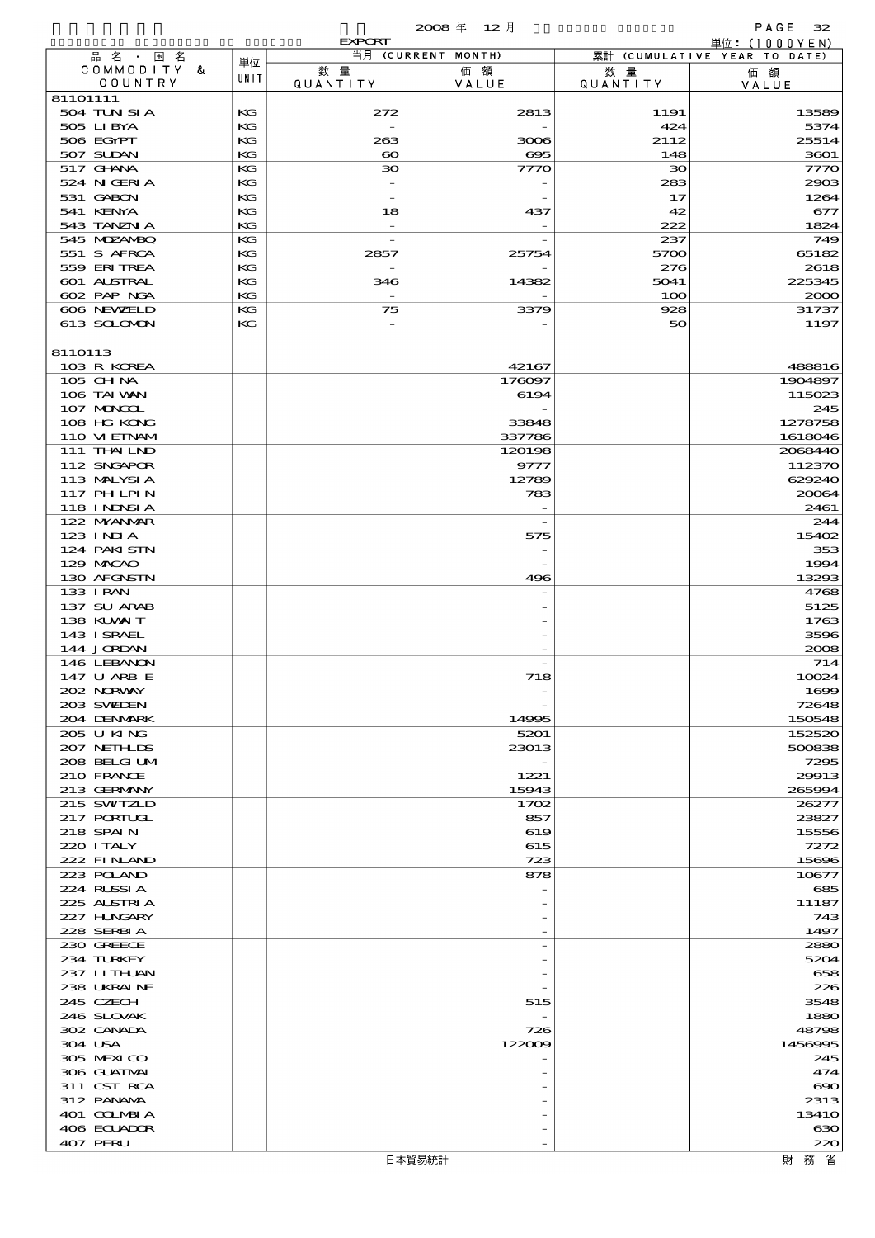|                            |          | <b>EXPORT</b>                |                    |                        | 単位: (1000YEN)                |
|----------------------------|----------|------------------------------|--------------------|------------------------|------------------------------|
| 品名·国名                      | 単位       |                              | 当月 (CURRENT MONTH) |                        | 累計 (CUMULATIVE YEAR TO DATE) |
| COMMODITY &<br>COUNTRY     | UNIT     | 数量<br><b>QUANTITY</b>        | 価額<br>VALUE        | 数 量<br><b>QUANTITY</b> | 価額<br>VALUE                  |
| 81101111                   |          |                              |                    |                        |                              |
| 504 TUN SI A               | KG       | 272                          | 2813               | 1191                   | 13589                        |
| 505 LIBYA                  | KG       |                              |                    | 424                    | 5374                         |
| 506 EGYPT<br>507 SUDAN     | KG<br>KG | 263<br>$\boldsymbol{\infty}$ | 3006<br>$\infty$   | 2112<br>148            | 25514<br>3601                |
| 517 GHNA                   | КG       | ЗО                           | 7770               | $\infty$               | 7770                         |
| 524 N GERIA                | KG       |                              |                    | 283                    | 2903                         |
| 531 GABON                  | KG       |                              |                    | 17                     | 1264                         |
| 541 KENYA                  | KG       | 18                           | 437                | 42                     | 677                          |
| 543 TANZN A                | КG       |                              |                    | 222                    | 1824                         |
| 545 MDZANBQ<br>551 S AFRCA | KG<br>KG | 2857                         | 25754              | 237<br>5700            | 749<br>65182                 |
| 559 ERITREA                | KG       |                              |                    | 276                    | 2618                         |
| 601 ALSTRAL                | KG       | 346                          | 14382              | 5041                   | 225345                       |
| 602 PAP NGA                | КG       |                              |                    | 100                    | 2000                         |
| 606 NEWELD                 | KG       | 75                           | 3379               | 928                    | 31737                        |
| 613 SCLOMON                | KG       |                              |                    | 50                     | 1197                         |
|                            |          |                              |                    |                        |                              |
| 8110113<br>103 R KOREA     |          |                              | 42167              |                        | 488816                       |
| 105 CH NA                  |          |                              | 176097             |                        | 1904897                      |
| 106 TAI VAN                |          |                              | 6194               |                        | 115023                       |
| 107 MAKKL                  |          |                              |                    |                        | 245                          |
| 108 HG KONG                |          |                              | 33848              |                        | 1278758                      |
| 110 VIEINAM                |          |                              | 337786             |                        | 1618046                      |
| 111 THAILND                |          |                              | 120198             |                        | 2068440                      |
| 112 SNGAPOR<br>113 MALYSIA |          |                              | 9777<br>12789      |                        | 112370<br>629240             |
| 117 PH LPIN                |          |                              | 783                |                        | 20064                        |
| 118 I NJNSI A              |          |                              |                    |                        | 2461                         |
| 122 NYANAR                 |          |                              |                    |                        | 244                          |
| 123 INIA                   |          |                              | 575                |                        | 15402                        |
| 124 PAKISTN                |          |                              |                    |                        | 353                          |
| 129 MACAO<br>130 AFGNSTN   |          |                              | 496                |                        | 1994<br>13293                |
| 133 I RAN                  |          |                              |                    |                        | 4768                         |
| 137 SU ARAB                |          |                              |                    |                        | 5125                         |
| 138 KUWAIT                 |          |                              |                    |                        | 1763                         |
| 143 ISRAEL                 |          |                              |                    |                        | 3596                         |
| 144 JORDAN                 |          |                              |                    |                        | 2008                         |
| 146 LEBANON                |          |                              |                    |                        | 714                          |
| 147 U ARB E<br>202 NORWAY  |          |                              | 718                |                        | 10024<br>1699                |
| 203 SWIDEN                 |          |                              |                    |                        | 72648                        |
| 204 DENMARK                |          |                              | 14995              |                        | 150548                       |
| 205 U KING                 |          |                              | 5201               |                        | 152520                       |
| 207 NETHLIS                |          |                              | 23013              |                        | 500838                       |
| 208 BELGI UM               |          |                              |                    |                        | 7295                         |
| 210 FRANCE<br>213 GERMANY  |          |                              | 1221<br>15943      |                        | 29913<br>265994              |
| 215 SWIZLD                 |          |                              | 1702               |                        | 26277                        |
| 217 PORTUGL                |          |                              | 857                |                        | 23827                        |
| 218 SPAIN                  |          |                              | 619                |                        | 15556                        |
| 220 I TALY                 |          |                              | 615                |                        | 7272                         |
| 222 FINAND                 |          |                              | 723                |                        | 15696                        |
| 223 POLAND<br>224 RUSSIA   |          |                              | 878                |                        | 10677<br>685                 |
| 225 ALSTRIA                |          |                              |                    |                        | 11187                        |
| 227 HUNGARY                |          |                              |                    |                        | 743                          |
| 228 SERBIA                 |          |                              |                    |                        | 1497                         |
| 230 GREECE                 |          |                              |                    |                        | 2880                         |
| 234 TURKEY                 |          |                              |                    |                        | 5204                         |
| 237 LITHAN<br>238 UKRAINE  |          |                              |                    |                        | 658<br>226                   |
| 245 CZECH                  |          |                              | 515                |                        | 3548                         |
| 246 SLOVAK                 |          |                              |                    |                        | 1880                         |
| 302 CANADA                 |          |                              | 726                |                        | 48798                        |
| 304 USA                    |          |                              | 122009             |                        | 1456995                      |
| 305 MEXICO                 |          |                              |                    |                        | 245                          |
| 306 GUATMAL                |          |                              |                    |                        | 474                          |
| 311 CST RCA<br>312 PANAMA  |          |                              |                    |                        | $\infty$<br>2313             |
| 401 COLMBIA                |          |                              |                    |                        | 1341O                        |
| 406 ECUADOR                |          |                              |                    |                        | ഓ                            |
| 407 PERU                   |          |                              |                    |                        | 220                          |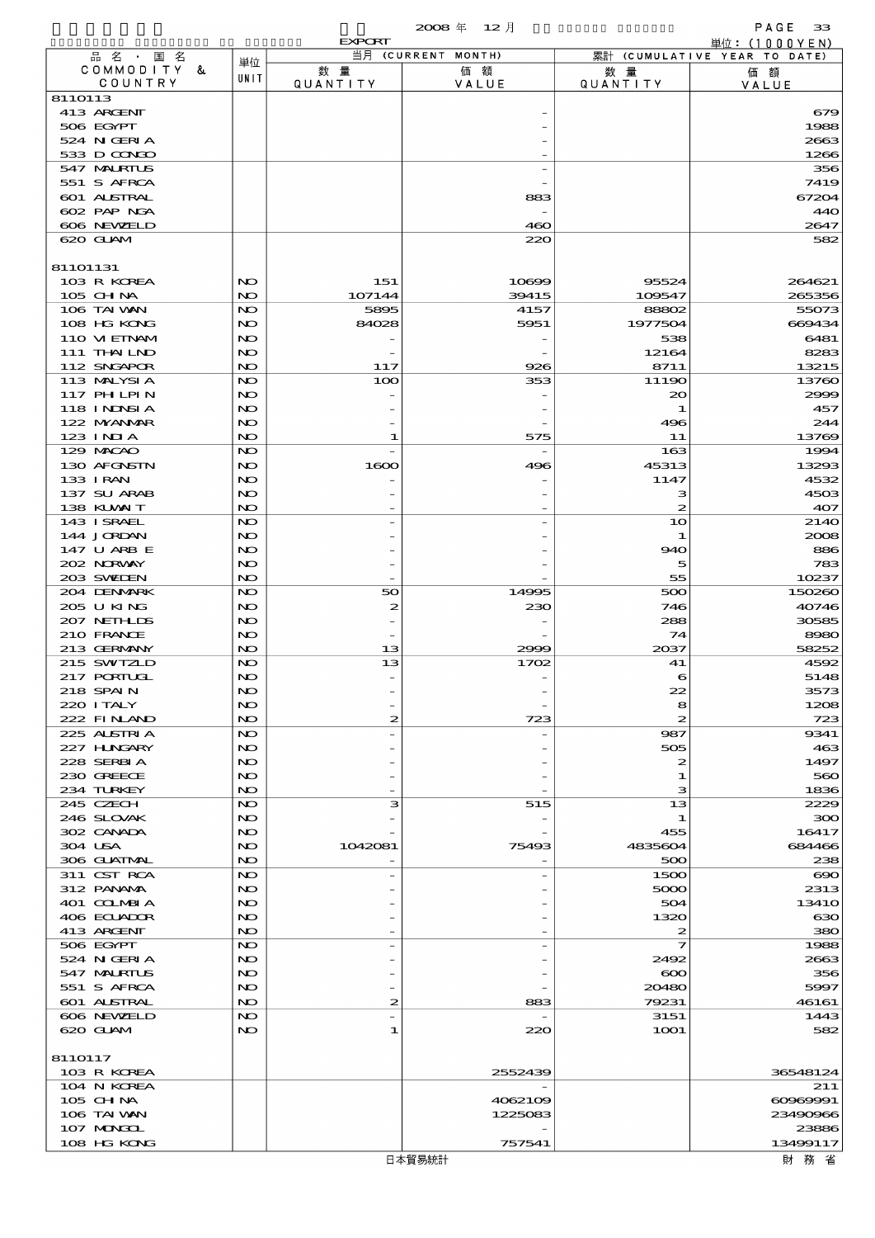|                            |          | <b>EXPORT</b>  |                    |                        | 単位: (1000YEN)                |
|----------------------------|----------|----------------|--------------------|------------------------|------------------------------|
| 品 名 ・ 国 名                  | 単位       |                | 当月 (CURRENT MONTH) |                        | 累計 (CUMULATIVE YEAR TO DATE) |
| COMMODITY &<br>COUNTRY     | UNIT     | 数量<br>QUANTITY | 価額<br>VALUE        | 数 量<br><b>QUANTITY</b> | 価額<br>VALUE                  |
| 8110113                    |          |                |                    |                        |                              |
| 413 ARGENT                 |          |                |                    |                        | 679                          |
| 506 EGYPT                  |          |                |                    |                        | 1988                         |
| 524 N GERIA                |          |                |                    |                        | 2663                         |
| 533 D CONDO                |          |                |                    |                        | 1266                         |
| 547 MALRIUS<br>551 S AFRCA |          |                |                    |                        | 356<br>7419                  |
| 601 ALSTRAL                |          |                | 883                |                        | 67204                        |
| 602 PAP NGA                |          |                |                    |                        | 440                          |
| 606 NEWELD                 |          |                | 460                |                        | 2647                         |
| 620 GUAM                   |          |                | 220                |                        | 582                          |
|                            |          |                |                    |                        |                              |
| 81101131                   |          |                |                    |                        |                              |
| 103 R KOREA                | NO       | 151            | 10699              | 95524                  | 264621                       |
| 105 CH NA<br>106 TAI VAN   | NO<br>NO | 107144<br>5895 | 39415<br>4157      | 109547<br>88802        | 265356<br>55073              |
| 108 HG KONG                | NO       | 84028          | 5951               | 1977504                | 669434                       |
| 110 VIEINAM                | NO       |                |                    | 538                    | 6481                         |
| 111 THAILND                | NO       |                |                    | 12164                  | 8283                         |
| 112 SNGAPOR                | NO       | 117            | 926                | 8711                   | 13215                        |
| 113 MALYSIA                | NO       | 100            | 353                | 11190                  | 13760                        |
| 117 PH LPIN                | NO       |                |                    | $_{\infty}$            | 2999                         |
| 118 I NJNSI A              | NO       |                |                    | 1                      | 457                          |
| 122 NYANAR                 | NO       |                |                    | 496                    | 244                          |
| $123$ INIA<br>129 MACAO    | NO<br>NO | 1              | 575                | 11<br>163              | 13769<br>1994                |
| 130 AFGNSTN                | NO       | 1600           | 496                | 45313                  | 13293                        |
| 133 I RAN                  | NO       |                |                    | 1147                   | 4532                         |
| 137 SU ARAB                | NO       |                |                    | з                      | 4503                         |
| 138 KUWAIT                 | NO       |                |                    | 2                      | 407                          |
| 143 ISRAEL                 | NO       |                |                    | 10                     | 2140                         |
| 144 JORDAN                 | NO       |                |                    | 1                      | 2008                         |
| 147 U ARB E                | NO       |                |                    | 940                    | 886                          |
| 202 N.R.WAY                | NO       |                |                    | 5                      | 783                          |
| 203 SWIDEN<br>204 DENMARK  | NO<br>NO | 50             | 14995              | 55<br>500              | 10237<br>150260              |
| 205 U KING                 | NO       | 2              | 230                | 746                    | 40746                        |
| 207 NETHLIS                | NO       |                |                    | 288                    | 30585                        |
| 210 FRANCE                 | NO       |                |                    | 74                     | 8980                         |
| 213 GERMANY                | NO       | 13             | 2999               | 2037                   | 58252                        |
| 215 SWIZLD                 | NO       | 13             | 1702               | 41                     | 4592                         |
| 217 PORTUGL                | NO       |                |                    | 6                      | 5148                         |
| 218 SPAIN                  | NO       |                |                    | 22                     | 3573                         |
| 220 I TALY                 | NO       |                |                    | 8                      | 1208                         |
| 222 FINAND<br>225 ALSTRIA  | NO<br>NO | 2              | 723                | 2<br>987               | 723<br>9341                  |
| 227 H.NGARY                | NO       |                |                    | 505                    | 463                          |
| 228 SERBIA                 | NO       |                |                    | 2                      | 1497                         |
| 230 GREECE                 | NO       |                |                    | 1                      | 560                          |
| 234 TURKEY                 | NO.      |                |                    | з                      | 1836                         |
| 245 CZECH                  | NO       | з              | 515                | 13                     | 2229                         |
| 246 SLOVAK                 | NO       |                |                    | 1                      | 300                          |
| 302 CANADA                 | NO       |                |                    | 455                    | 16417                        |
| 304 USA<br>306 GLATMAL     | NO<br>NO | 1042081        | 75493              | 4835604<br>500         | 684466<br>238                |
| 311 CST RCA                | NO       |                |                    | 1500                   | $\infty$                     |
| 312 PANAMA                 | NO       |                |                    | 5000                   | 2313                         |
| 401 COLMBIA                | NO       |                |                    | 504                    | 1341O                        |
| 406 ECUADOR                | NO       |                |                    | 1320                   | 630                          |
| 413 ARGENT                 | NO       |                |                    | 2                      | 380                          |
| 506 EGYPT                  | NO       |                |                    | 7                      | 1988                         |
| 524 N GERIA                | NO       |                |                    | 2492                   | 2663                         |
| 547 MALRIUS                | NO       |                |                    | $\infty$               | 356                          |
| 551 S AFRCA<br>601 ALSTRAL | NO<br>NO | 2              | 883                | 20480<br>79231         | 5997<br>46161                |
| 606 NEWELD                 | NO       |                |                    | 3151                   | 1443                         |
| 620 GLAM                   | NO.      | 1              | 220                | 1 <b>001</b>           | 582                          |
|                            |          |                |                    |                        |                              |
| 8110117                    |          |                |                    |                        |                              |
| 103 R KOREA                |          |                | 2552439            |                        | 36548124                     |
| 104 N KOREA                |          |                |                    |                        | 211                          |
| 105 CH NA                  |          |                | 4062109            |                        | 60969991                     |
| 106 TAI WAN                |          |                | 1225083            |                        | 23490966                     |
| 107 MONGOL<br>108 HG KONG  |          |                | 757541             |                        | 23886<br>13499117            |
|                            |          |                |                    |                        |                              |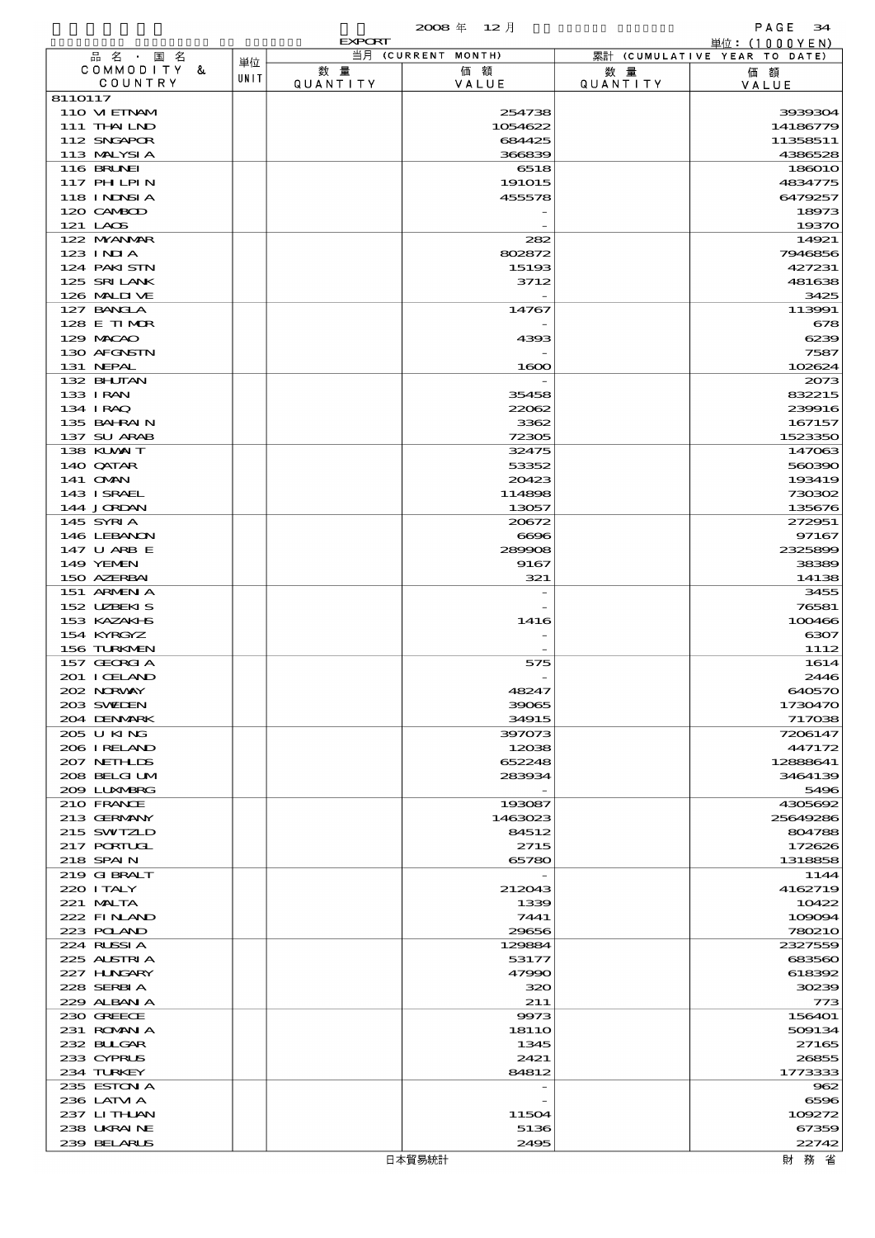|                             |      | <b>EXPORT</b>         |                    |                 | 単位:(1000YEN)                 |
|-----------------------------|------|-----------------------|--------------------|-----------------|------------------------------|
| 品名·国名                       | 単位   |                       | 当月 (CURRENT MONTH) |                 | 累計 (CUMULATIVE YEAR TO DATE) |
| COMMODITY &<br>COUNTRY      | UNIT | 数量<br><b>QUANTITY</b> | 価額                 | 数 暈             | 価額                           |
| 8110117                     |      |                       | VALUE              | <b>QUANTITY</b> | VALUE                        |
| 110 VIEINAM                 |      |                       | 254738             |                 | 3939304                      |
| 111 THAILND                 |      |                       | 1054622            |                 | 14186779                     |
| 112 SNGAPOR                 |      |                       | 684425             |                 | 11358511                     |
| 113 MALYSIA                 |      |                       | 366839             |                 | 4386528                      |
| 116 BRUNEI                  |      |                       | 6518               |                 | 186010                       |
| 117 PH LPIN                 |      |                       | 191015             |                 | 4834775                      |
| 118 I NJNSI A<br>120 CAMBOD |      |                       | 455578             |                 | 6479257<br>18973             |
| 121 LAOS                    |      |                       |                    |                 | 19370                        |
| 122 NYANAR                  |      |                       | 282                |                 | 14921                        |
| $123$ INJA                  |      |                       | 802872             |                 | 7946856                      |
| 124 PAKISTN                 |      |                       | 15193              |                 | 427231                       |
| 125 SRILANK                 |      |                       | 3712               |                 | 481638                       |
| 126 MALII VE                |      |                       |                    |                 | 3425                         |
| 127 BANCLA                  |      |                       | 14767              |                 | 113991                       |
| 128 E TIMOR<br>129 MACAO    |      |                       | 4393               |                 | 678<br>6239                  |
| 130 AFGNSTN                 |      |                       |                    |                 | 7587                         |
| 131 NEPAL                   |      |                       | 1600               |                 | 102624                       |
| 132 BHUTAN                  |      |                       |                    |                 | 2073                         |
| 133 I RAN                   |      |                       | 35458              |                 | 832215                       |
| 134 I RAQ                   |      |                       | 22062              |                 | 239916                       |
| 135 BAHRAIN                 |      |                       | 3362               |                 | 167157                       |
| 137 SU ARAB                 |      |                       | 72305              |                 | 1523350<br>147063            |
| 138 KUWAIT<br>140 QATAR     |      |                       | 32475<br>53352     |                 | 560390                       |
| 141 <b>OMN</b>              |      |                       | 20423              |                 | 193419                       |
| 143 ISRAEL                  |      |                       | 114898             |                 | 730302                       |
| 144 JORDAN                  |      |                       | 13057              |                 | 135676                       |
| 145 SYRIA                   |      |                       | 20672              |                 | 272951                       |
| 146 LEBANON                 |      |                       | 6696               |                 | 97167                        |
| 147 U ARB E                 |      |                       | 289908             |                 | 2325899                      |
| 149 YEMEN                   |      |                       | 9167               |                 | 38389                        |
| 150 AZERBAI<br>151 ARMENIA  |      |                       | 321                |                 | 14138<br>3455                |
| 152 UZBEKIS                 |      |                       |                    |                 | 76581                        |
| 153 KAZAKI S                |      |                       | 1416               |                 | 100466                       |
| 154 KYRGYZ                  |      |                       |                    |                 | 6307                         |
| 156 TURKMEN                 |      |                       |                    |                 | 1112                         |
| 157 GEORGIA                 |      |                       | 575                |                 | 1614                         |
| 201 I CELAND                |      |                       |                    |                 | 2446                         |
| 202 NORWAY<br>203 SWELEN    |      |                       | 48247<br>39065     |                 | 640570<br>1730470            |
| 204 DENMARK                 |      |                       | 34915              |                 | 717038                       |
| 205 U KING                  |      |                       | 397073             |                 | 7206147                      |
| 206 IRELAND                 |      |                       | 12038              |                 | 447172                       |
| 207 NETHLIS                 |      |                       | 652248             |                 | 12888641                     |
| 208 BELGI UM                |      |                       | 283934             |                 | 3464139                      |
| 209 LUNABRG                 |      |                       |                    |                 | 5496                         |
| 210 FRANCE<br>213 GERMANY   |      |                       | 193087<br>1463023  |                 | 4305692<br>25649286          |
| 215 SWIZLD                  |      |                       | 84512              |                 | 804788                       |
| 217 PORTUGL                 |      |                       | 2715               |                 | 172626                       |
| 218 SPAIN                   |      |                       | 65780              |                 | 1318858                      |
| 219 G BRALT                 |      |                       |                    |                 | 1144                         |
| 220 I TALY                  |      |                       | 212043             |                 | 4162719                      |
| 221 MALTA                   |      |                       | 1339               |                 | 10422                        |
| 222 FINAND                  |      |                       | 7441               |                 | 109094                       |
| 223 POLAND<br>224 RUSSIA    |      |                       | 29656<br>129884    |                 | 780210<br>2327559            |
| 225 ALSTRIA                 |      |                       | 53177              |                 | 683560                       |
| 227 HUNGARY                 |      |                       | 47990              |                 | 618392                       |
| 228 SERBIA                  |      |                       | 320                |                 | 30239                        |
| 229 ALBAN A                 |      |                       | 211                |                 | 773                          |
| 230 GREECE                  |      |                       | 9973               |                 | 156401                       |
| 231 ROMAN A                 |      |                       | 1811O              |                 | 509134                       |
| 232 BULGAR                  |      |                       | 1345               |                 | 27165                        |
| 233 CYPRUS<br>234 TURKEY    |      |                       | 2421<br>84812      |                 | 26855<br>1773333             |
| 235 ESTON A                 |      |                       |                    |                 | 962                          |
| 236 LATM A                  |      |                       |                    |                 | 6596                         |
| 237 LITHAN                  |      |                       | 11504              |                 | 109272                       |
| 238 UKRAINE                 |      |                       | 5136               |                 | 67359                        |
| 239 BELARUS                 |      |                       | 2495               |                 | 22742                        |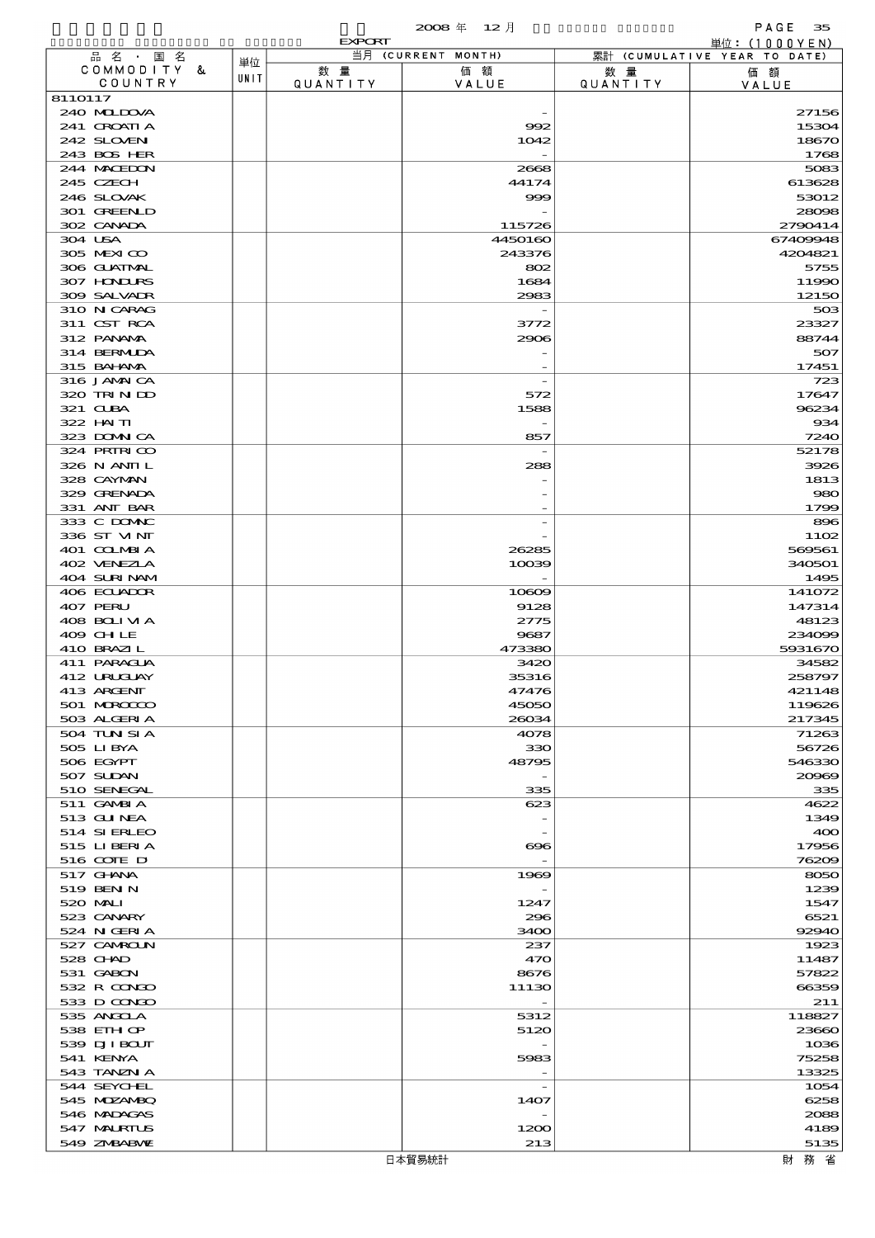|                            |      |                 | 2008年 12月          |                 | PAGE<br>35                                      |
|----------------------------|------|-----------------|--------------------|-----------------|-------------------------------------------------|
| 品名 · 国名                    |      | <b>EXPORT</b>   | 当月 (CURRENT MONTH) |                 | 単位: $(1000YEN)$<br>累計 (CUMULATIVE YEAR TO DATE) |
| COMMODITY &                | 単位   | 数量              | 価額                 | 数 量             | 価額                                              |
| COUNTRY                    | UNIT | <b>QUANTITY</b> | VALUE              | <b>QUANTITY</b> | VALUE                                           |
| 8110117                    |      |                 |                    |                 |                                                 |
| 240 MIDJA                  |      |                 |                    |                 | 27156                                           |
| 241 CROATIA<br>242 SLOVEN  |      |                 | 992<br>1042        |                 | 15304<br>18670                                  |
| 243 BOS HER                |      |                 |                    |                 | 1768                                            |
| 244 MACEDON                |      |                 | 2668               |                 | 5083                                            |
| 245 CZECH                  |      |                 | 44174              |                 | 613628                                          |
| 246 SLOVAK                 |      |                 | 999                |                 | 53012                                           |
| 301 GREENLD<br>302 CANADA  |      |                 |                    |                 | 28098                                           |
| 304 USA                    |      |                 | 115726<br>4450160  |                 | 2790414<br>67409948                             |
| 305 MEXICO                 |      |                 | 243376             |                 | 4204821                                         |
| 306 GLATMAL                |      |                 | 802                |                 | 5755                                            |
| 307 HONDURS                |      |                 | 1684               |                 | 11990                                           |
| 309 SALVAIR                |      |                 | 2983               |                 | 12150                                           |
| 310 N CARAG                |      |                 |                    |                 | 503                                             |
| 311 CST RCA<br>312 PANAMA  |      |                 | 3772<br>2906       |                 | 23327<br>88744                                  |
| 314 BERMIDA                |      |                 |                    |                 | 507                                             |
| 315 BAI AMA                |      |                 |                    |                 | 17451                                           |
| 316 JAMAICA                |      |                 |                    |                 | 723                                             |
| 320 TRINDO                 |      |                 | 572                |                 | 17647                                           |
| 321 CLBA                   |      |                 | 1588               |                 | 96234                                           |
| 322 HAITI                  |      |                 |                    |                 | 934                                             |
| 323 DOMNICA<br>324 PRIRICO |      |                 | 857                |                 | 7240<br>52178                                   |
| 326 N ANII L               |      |                 | 288                |                 | 3926                                            |
| 328 CAYMAN                 |      |                 |                    |                 | 1813                                            |
| 329 GRENADA                |      |                 |                    |                 | 980                                             |
| 331 ANT BAR                |      |                 |                    |                 | 1799                                            |
| 333 C DOMAC                |      |                 |                    |                 | 896                                             |
| 336 ST MNT                 |      |                 |                    |                 | 1102                                            |
| 401 COLMBIA<br>402 VENEZIA |      |                 | 26285              |                 | 569561                                          |
| 404 SURINAM                |      |                 | 10039              |                 | 340501<br>1495                                  |
| 406 ECUADOR                |      |                 | 10609              |                 | 141072                                          |
| 407 PERU                   |      |                 | 9128               |                 | 147314                                          |
| 408 BOLIVIA                |      |                 | 2775               |                 | 48123                                           |
| 409 CHLE                   |      |                 | 9687               |                 | 234099                                          |
| 410 BRAZIL                 |      |                 | 473380             |                 | 5931670                                         |
| 411 PARAGUA<br>412 URUGUAY |      |                 | 3420<br>35316      |                 | 34582<br>258797                                 |
| 413 ARGENT                 |      |                 | 47476              |                 | 421148                                          |
| 501 MROCCO                 |      |                 | 45050              |                 | 119626                                          |
| 503 ALGERIA                |      |                 | 26034              |                 | 217345                                          |
| 504 TUN SI A               |      |                 | 4078               |                 | 71263                                           |
| 505 LIBYA                  |      |                 | 330                |                 | 56726                                           |
| 506 EGYPT<br>507 SUDAN     |      |                 | 48795              |                 | 546330<br>20969                                 |
| 510 SENEGAL                |      |                 | 335                |                 | 335                                             |
| 511 GAMBIA                 |      |                 | 623                |                 | 4622                                            |
| 513 GUNEA                  |      |                 |                    |                 | 1349                                            |
| 514 SIERLEO                |      |                 |                    |                 | 400                                             |
| 515 LIBERIA                |      |                 | ങ്ങ                |                 | 17956                                           |
| 516 COTE D<br>517 GHANA    |      |                 | 1969               |                 | 76209<br>8050                                   |
| 519 BEN N                  |      |                 |                    |                 | 1239                                            |
| 520 MAI I                  |      |                 | 1247               |                 | 1547                                            |
| 523 CANARY                 |      |                 | 296                |                 | 6521                                            |
| 524 N GERIA                |      |                 | 3400               |                 | 92940                                           |
| 527 CAMROLN                |      |                 | 237                |                 | 1923                                            |
| 528 CHAD                   |      |                 | 470                |                 | 11487                                           |
| 531 GABON<br>532 R CONDO   |      |                 | 8676<br>11130      |                 | 57822<br>66359                                  |
| 533 D CONDO                |      |                 |                    |                 | 211                                             |
| 535 ANGOLA                 |      |                 | 5312               |                 | 118827                                          |
| 538 EIH OP                 |      |                 | 5120               |                 | 23660                                           |
| 539 DJI BOUT               |      |                 |                    |                 | 1036                                            |
| 541 KENYA                  |      |                 | 5983               |                 | 75258                                           |
| 543 TANZN A<br>544 SEYCHEL |      |                 |                    |                 | 13325                                           |
| 545 MOZANBQ                |      |                 | 1407               |                 | 1054<br>6258                                    |
| 546 MADAGAS                |      |                 |                    |                 | 2088                                            |
| 547 MALRIUS                |      |                 | 1200               |                 | 4189                                            |
| 549 ZNBABVE                |      |                 | 213                |                 | 5135                                            |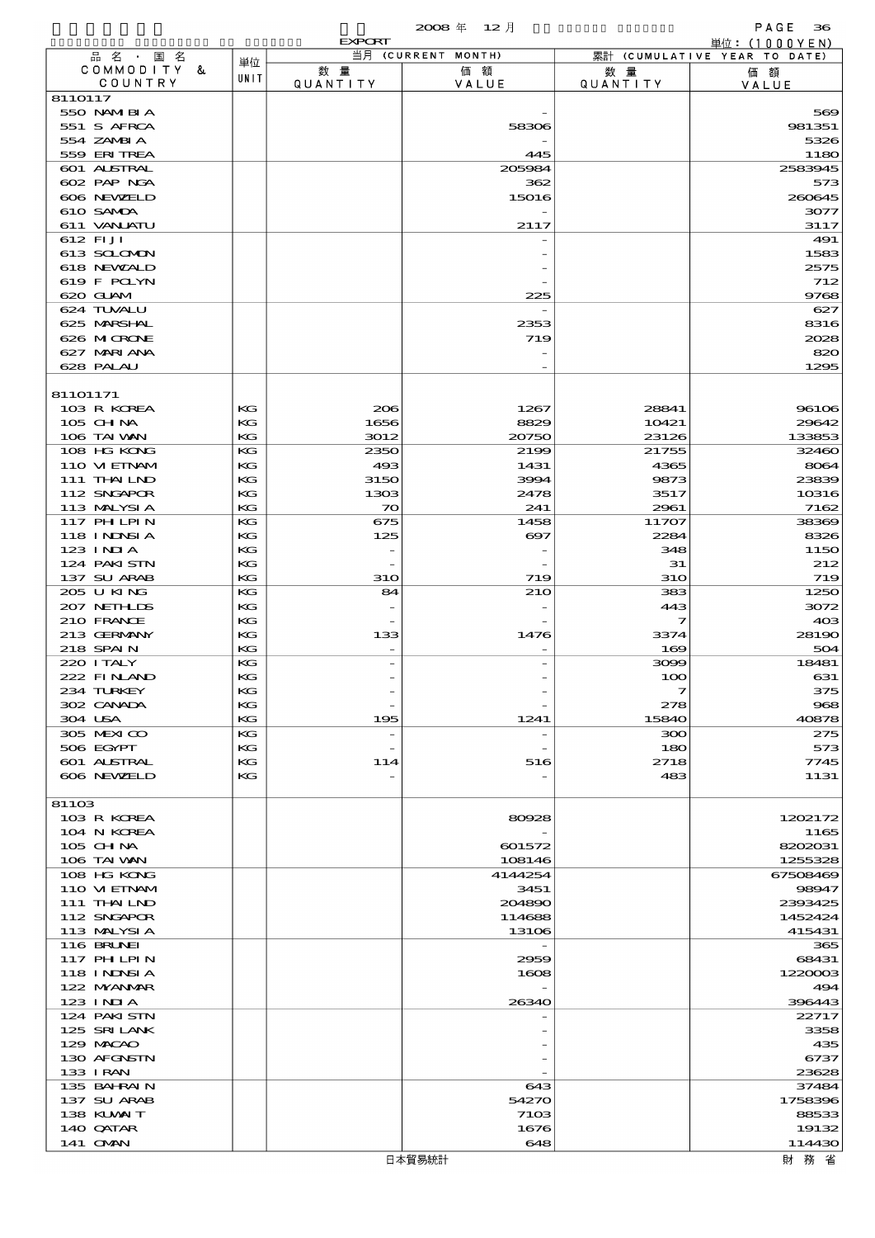$2008 \nleftrightarrow 12 \nparallel$  PAGE 36

|                                  |          | <b>EXPORT</b>            | $\sim$<br>$\sim$   |                       | 単位: $(1000YEN)$              |
|----------------------------------|----------|--------------------------|--------------------|-----------------------|------------------------------|
| 品名・国名                            | 単位       |                          | 当月 (CURRENT MONTH) |                       | 累計 (CUMULATIVE YEAR TO DATE) |
| COMMODITY &<br>COUNTRY           | UNIT     | 数量<br>QUANTITY           | 価額<br>VALUE        | 数量<br><b>QUANTITY</b> | 価額<br>VALUE                  |
| 8110117                          |          |                          |                    |                       |                              |
| 550 NAMERIA                      |          |                          |                    |                       | 569                          |
| 551 S AFRCA                      |          |                          | 58306              |                       | 981351                       |
| 554 ZAMBIA<br>559 ERITREA        |          |                          | 445                |                       | 5326<br>1180                 |
| <b>601 ALSTRAL</b>               |          |                          | 205984             |                       | 2583945                      |
| 602 PAP NGA                      |          |                          | 362                |                       | 573                          |
| 606 NEWELD                       |          |                          | 15016              |                       | 260645                       |
| 610 SAMDA                        |          |                          |                    |                       | 3077                         |
| 611 VANLATU                      |          |                          | 2117               |                       | 3117                         |
| 612 FIJI<br>613 SCLOMON          |          |                          |                    |                       | 491<br>1583                  |
| 618 NEWALD                       |          |                          |                    |                       | 2575                         |
| 619 F POLYN                      |          |                          |                    |                       | 712                          |
| 620 GLAM                         |          |                          | 225                |                       | 9768                         |
| 624 TUVALU                       |          |                          |                    |                       | 627                          |
| 625 MARSHAL                      |          |                          | 2353               |                       | 8316                         |
| 626 MICRONE<br>627 MARI ANA      |          |                          | 719                |                       | 2028<br>820                  |
| 628 PALAU                        |          |                          |                    |                       | 1295                         |
|                                  |          |                          |                    |                       |                              |
| 81101171                         |          |                          |                    |                       |                              |
| 103 R KOREA                      | KG       | 206                      | 1267               | 28841                 | 96106                        |
| 105 CHNA                         | КG       | 1656                     | 8829               | 10421                 | 29642                        |
| 106 TAI VAN<br>108 HG KONG       | KG<br>KG | 3012<br>2350             | 20750<br>2199      | 23126<br>21755        | 133853<br>32460              |
| 110 VIEINAM                      | KG       | 493                      | 1431               | 4365                  | 8064                         |
| 111 THAILND                      | KG       | 3150                     | 3994               | 9873                  | 23839                        |
| 112 SNGAPOR                      | KG       | 1303                     | 2478               | 3517                  | 10316                        |
| 113 MALYSIA                      | KG       | 70                       | 241                | 2961                  | 7162                         |
| 117 PH LPIN                      | KG       | 675                      | 1458               | 11707                 | 38369                        |
| 118 INNSI A                      | KG       | 125                      | 697                | 2284                  | 8326                         |
| $123$ INJA<br>124 PAKISTN        | KG<br>KG |                          |                    | 348<br>31             | 1150<br>212                  |
| 137 SU ARAB                      | KG       | <b>31O</b>               | 719                | <b>310</b>            | 719                          |
| 205 U KING                       | KG       | 84                       | <b>210</b>         | 383                   | 1250                         |
| 207 NETHLIDS                     | КG       |                          |                    | 443                   | 3072                         |
| 210 FRANCE                       | KG       |                          |                    | 7                     | 403                          |
| 213 GERMANY                      | КG       | 133                      | 1476               | 3374                  | 28190                        |
| 218 SPAIN<br>220 I TALY          | KG       |                          |                    | 169                   | 504                          |
| 222 FINAND                       | KG<br>KG |                          |                    | 3099<br>100           | 18481<br>631                 |
| 234 TURKEY                       | KG       |                          |                    | $\overline{ }$        | 375                          |
| 302 CANADA                       | КG       |                          |                    | 278                   | 968                          |
| 304 USA                          | KG       | 195                      | 1241               | 15840                 | 40878                        |
| 305 MEXICO                       | KG       | $\overline{\phantom{a}}$ |                    | 300                   | 275                          |
| 506 EGYPT                        | KG       |                          |                    | 180                   | 573                          |
| <b>601 ALSTRAL</b><br>606 NEWELD | KG<br>КG | 114                      | 516                | 2718<br>483           | 7745<br>1131                 |
|                                  |          |                          |                    |                       |                              |
| 81103                            |          |                          |                    |                       |                              |
| 103 R KOREA                      |          |                          | 80928              |                       | 1202172                      |
| 104 N KOREA                      |          |                          |                    |                       | 1165                         |
| 105 CH NA                        |          |                          | 601572             |                       | 8202031                      |
| 106 TAI VAN<br>108 HG KONG       |          |                          | 108146<br>4144254  |                       | 1255328<br>67508469          |
| 110 VIEINAM                      |          |                          | 3451               |                       | 98947                        |
| 111 THAILND                      |          |                          | 204890             |                       | 2393425                      |
| 112 SNGAPOR                      |          |                          | 114688             |                       | 1452424                      |
| 113 MALYSIA                      |          |                          | 13106              |                       | 415431                       |
| 116 BRUNEI                       |          |                          |                    |                       | 365                          |
| 117 PH LPIN                      |          |                          | 2959               |                       | 68431                        |
| 118 I NDSI A<br>122 NYANAR       |          |                          | 1608               |                       | 1220003<br>494               |
| 123 INIA                         |          |                          | 26340              |                       | 396443                       |
| 124 PAKISTN                      |          |                          |                    |                       | 22717                        |
| 125 SRILANK                      |          |                          |                    |                       | 3358                         |
| 129 MACAO                        |          |                          |                    |                       | 435                          |
| 130 AFGNSTN                      |          |                          |                    |                       | 6737                         |
| 133 I RAN<br>135 BAHRAIN         |          |                          | 643                |                       | 23628<br>37484               |
| 137 SU ARAB                      |          |                          | 54270              |                       | 1758396                      |
| 138 KUWAIT                       |          |                          | 71 <sub>OS</sub>   |                       | 88533                        |
| 140 QATAR                        |          |                          | 1676               |                       | 19132                        |
| 141 OMN                          |          |                          | 648                |                       | 114430                       |
|                                  |          |                          | 日本貿易統計             |                       | 財 務 省                        |

財務省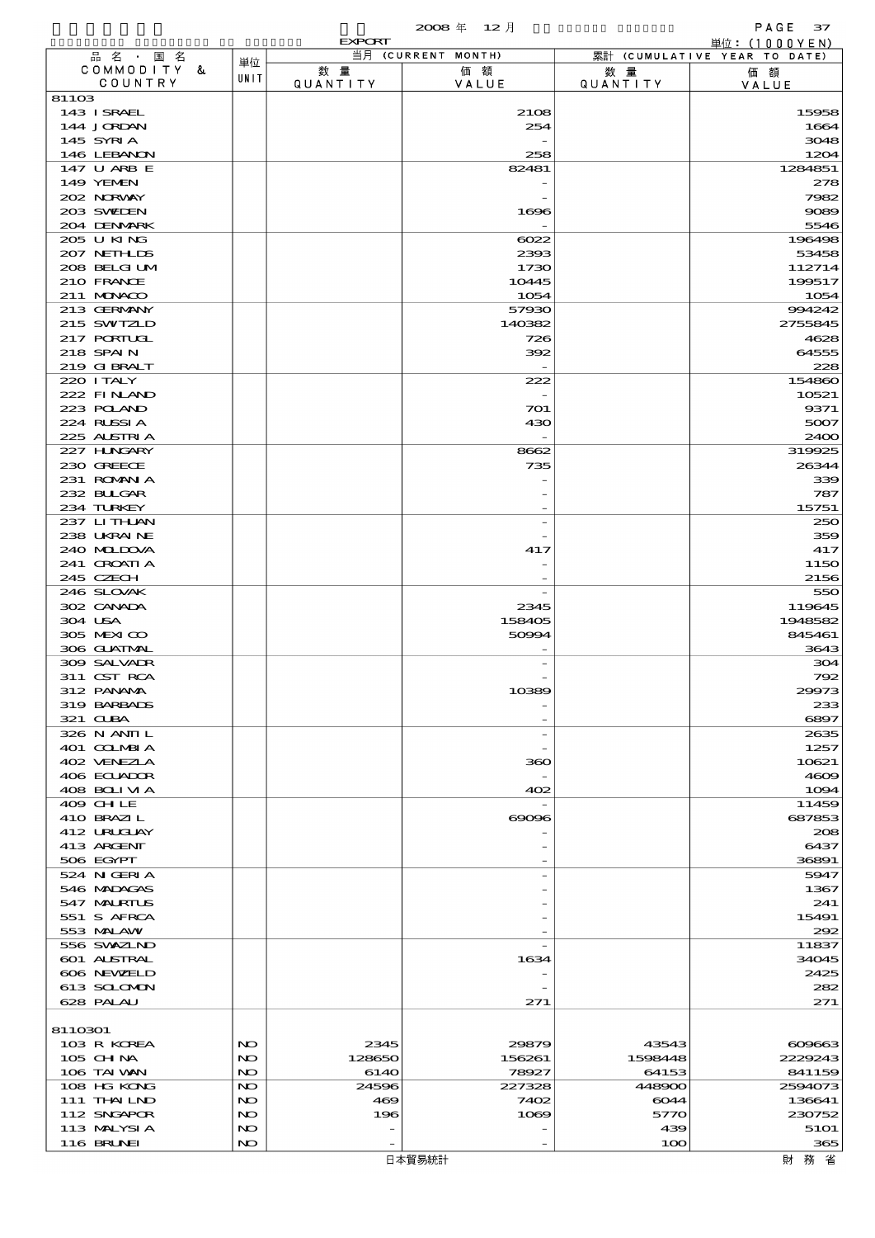|                            |            |                | 2008年 12月          |                  | PAGE $37$                                       |
|----------------------------|------------|----------------|--------------------|------------------|-------------------------------------------------|
| 品 名 · 国 名                  |            | <b>EXPORT</b>  | 当月 (CURRENT MONTH) |                  | 単位: $(1000YEN)$<br>累計 (CUMULATIVE YEAR TO DATE) |
| COMMODITY &                | 単位         | 数量             | 価額                 | 数 量              | 価額                                              |
| COUNTRY                    | UNIT       | QUANTITY       | VALUE              | <b>QUANTITY</b>  | VALUE                                           |
| 81103<br>143 ISRAEL        |            |                | 2108               |                  | 15958                                           |
| 144 JORDAN                 |            |                | 254                |                  | 1664                                            |
| 145 SYRIA                  |            |                |                    |                  | 3048                                            |
| 146 LEBANON                |            |                | 258                |                  | 1204                                            |
| 147 U ARB E<br>149 YEMEN   |            |                | 82481              |                  | 1284851                                         |
| 202 NORWAY                 |            |                |                    |                  | 278<br>7982                                     |
| 203 SWIDEN                 |            |                | 1696               |                  | 9089                                            |
| 204 DENMARK                |            |                |                    |                  | 5546                                            |
| 205 U KING                 |            |                | 6022               |                  | 196498                                          |
| 207 NETHLIS<br>208 BELGIUM |            |                | 2393<br>1730       |                  | 53458<br>112714                                 |
| 210 FRANCE                 |            |                | 10445              |                  | 199517                                          |
| 211 MUNKOO                 |            |                | 1054               |                  | 1054                                            |
| 213 GERMANY                |            |                | 57930              |                  | 994242                                          |
| 215 SWIZLD                 |            |                | 140382             |                  | 2755845                                         |
| 217 PORTUGL<br>218 SPAIN   |            |                | 726<br>392         |                  | 4628<br>64555                                   |
| 219 G BRALT                |            |                |                    |                  | 228                                             |
| 220 I TALY                 |            |                | 222                |                  | 154860                                          |
| 222 FINAND                 |            |                |                    |                  | 10521                                           |
| 223 POLAND                 |            |                | 701                |                  | 9371                                            |
| 224 RUSSIA<br>225 ALSTRIA  |            |                | 430                |                  | 5007<br>2400                                    |
| 227 HNGARY                 |            |                | 8662               |                  | 319925                                          |
| 230 GREECE                 |            |                | 735                |                  | 26344                                           |
| 231 ROMANIA                |            |                |                    |                  | 339                                             |
| 232 BULGAR                 |            |                |                    |                  | 787                                             |
| 234 TURKEY<br>237 LITHAN   |            |                |                    |                  | 15751<br>250                                    |
| 238 UKRAINE                |            |                |                    |                  | 359                                             |
| 240 MIDOVA                 |            |                | 417                |                  | 417                                             |
| 241 GROATIA                |            |                |                    |                  | 1150                                            |
| 245 CZECH<br>246 SLOVAK    |            |                |                    |                  | 2156                                            |
| 302 CANADA                 |            |                | 2345               |                  | 550<br>119645                                   |
| 304 USA                    |            |                | 158405             |                  | 1948582                                         |
| 305 MEXICO                 |            |                | 50991              |                  | 845461                                          |
| 306 GUATMAL                |            |                |                    |                  | 3643                                            |
| 309 SALVADR<br>311 CST RCA |            |                |                    |                  | 304<br>792                                      |
| 312 PANAMA                 |            |                | 10389              |                  | 29973                                           |
| 319 BARBADS                |            |                |                    |                  | 233                                             |
| 321 CLBA                   |            |                |                    |                  | 6897                                            |
| 326 N ANII L               |            |                |                    |                  | 2635                                            |
| 401 COLMBIA<br>402 VENEZIA |            |                | 360                |                  | 1257<br>10621                                   |
| 406 ECUADOR                |            |                |                    |                  | 4609                                            |
| 408 BOLIVIA                |            |                | 402                |                  | 1094                                            |
| 409 CHLE                   |            |                |                    |                  | 11459                                           |
| 410 BRAZIL<br>412 URUGUAY  |            |                | $\infty$           |                  | 687853<br>208                                   |
| 413 ARCENT                 |            |                |                    |                  | 6437                                            |
| 506 EGYPT                  |            |                |                    |                  | 36891                                           |
| 524 N GERIA                |            |                |                    |                  | 5947                                            |
| 546 MADAGAS                |            |                |                    |                  | 1367                                            |
| 547 MALRIUS<br>551 S AFRCA |            |                |                    |                  | 241<br>15491                                    |
| 553 MALAW                  |            |                |                    |                  | 292                                             |
| 556 SVXZIND                |            |                |                    |                  | 11837                                           |
| 601 ALSTRAL                |            |                | 1634               |                  | 34045                                           |
| 606 NEWELD                 |            |                |                    |                  | 2425<br>282                                     |
| 613 SCLOMON<br>628 PALAU   |            |                | 271                |                  | 271                                             |
|                            |            |                |                    |                  |                                                 |
| 8110301                    |            |                |                    |                  |                                                 |
| 103 R KOREA                | NO         | 2345           | 29879              | 43543            | 609663                                          |
| $105$ CHNA<br>106 TAI VAN  | NO.<br>NO. | 128650<br>6140 | 156261<br>78927    | 1598448<br>64153 | 2229243<br>841159                               |
| 108 HG KONG                | NO         | 24596          | 227328             | 448900           | 2594073                                         |
| 111 THAILND                | NO         | 469            | 7402               | 6044             | 136641                                          |
| 112 SNGAPOR                | NO         | 196            | 1069               | 5770             | 230752                                          |
| 113 MALYSIA                | NO         |                |                    | 439              | 5101                                            |
| <b>116 BRUNEI</b>          | NO         |                |                    | 100              | 365                                             |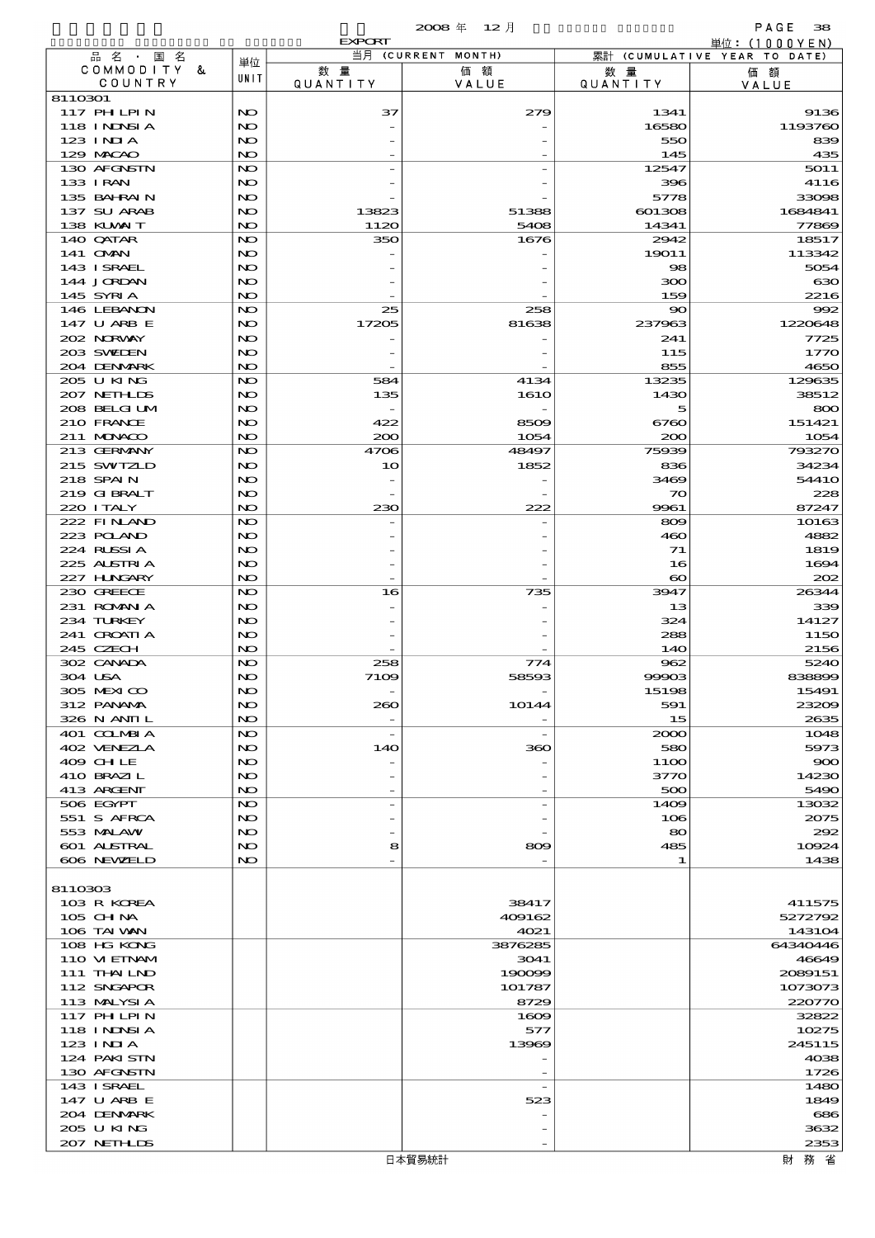|                            |           | <b>EXPORT</b>            |                    |                             | 単位: (1000YEN)                |
|----------------------------|-----------|--------------------------|--------------------|-----------------------------|------------------------------|
| 品名·国名                      | 単位        |                          | 当月 (CURRENT MONTH) |                             | 累計 (CUMULATIVE YEAR TO DATE) |
| COMMODITY &<br>COUNTRY     | UNIT      | 数量<br>QUANTITY           | 価額<br>VALUE        | 数 量<br><b>QUANTITY</b>      | 価額                           |
| 8110301                    |           |                          |                    |                             | VALUE                        |
| 117 PHLPIN                 | NO        | 37                       | 279                | 1341                        | 9136                         |
| 118 I NJNSI A              | NO        |                          |                    | 16580                       | 1193760                      |
| $123$ INIA                 | NO        |                          |                    | 550                         | 839                          |
| 129 MACAO<br>130 AFGNSTN   | NO<br>NO. |                          |                    | 145<br>12547                | 435<br>5011                  |
| 133 I RAN                  | NO        |                          |                    | 396                         | 4116                         |
| 135 BAHRAIN                | NO.       |                          |                    | 5778                        | 33098                        |
| 137 SU ARAB                | NO        | 13823                    | 51388              | 601308                      | 1684841                      |
| 138 KUWAIT                 | NO        | 1120                     | 5408               | 14341                       | 77869                        |
| 140 QATAR                  | NO.       | 350                      | 1676               | 2942                        | 18517                        |
| 141 <b>OMN</b>             | NO        |                          |                    | 19011                       | 113342                       |
| 143 I SRAEL<br>144 JORDAN  | NO.<br>NO |                          |                    | $\infty$<br>300             | 5054<br>630                  |
| 145 SYRIA                  | NO.       |                          |                    | 159                         | 2216                         |
| 146 LEBANON                | NO.       | 25                       | 258                | $\infty$                    | 992                          |
| 147 U ARB E                | NO        | 17205                    | 81638              | 237963                      | 1220648                      |
| 202 NORWAY                 | NO.       |                          |                    | 241                         | 7725                         |
| 203 SWIDEN<br>204 DENMARK  | NO<br>NO  |                          |                    | 115<br>855                  | 1770<br>4650                 |
| 205 U KING                 | NO.       | 584                      | 4134               | 13235                       | 129635                       |
| 207 NETH LIS               | NO        | 135                      | 1610               | 1430                        | 38512                        |
| 208 BELGI UM               | NO.       |                          |                    | 5                           | 800                          |
| 210 FRANCE                 | NO        | 422                      | 8509               | 6760                        | 151421                       |
| 211 MUNACO                 | NO        | 200                      | 1054               | 200                         | 1054                         |
| 213 GERMANY                | NO.       | 4706                     | 48497              | 75939                       | 793270                       |
| 215 SWIZLD<br>218 SPAIN    | NO<br>NO. | 10                       | 1852               | 836<br>3469                 | 34234<br>5441O               |
| 219 GIBRALT                | NO        |                          |                    | $\infty$                    | 228                          |
| 220 I TALY                 | NO.       | 230                      | 222                | 9961                        | 87247                        |
| 222 FINAND                 | NO.       |                          |                    | 809                         | 10163                        |
| 223 POLAND                 | NO        |                          |                    | 460                         | 4882                         |
| 224 RUSSIA                 | NO.       |                          |                    | 71                          | 1819                         |
| 225 ALSTRIA<br>227 HUNGARY | NO<br>NO  |                          |                    | 16<br>$\boldsymbol{\infty}$ | 1694<br>202                  |
| 230 GREECE                 | NO.       | 16                       | 735                | 3947                        | 26344                        |
| 231 ROMAN A                | NO        |                          |                    | 13                          | 339                          |
| 234 TURKEY                 | NO        |                          |                    | 324                         | 14127                        |
| 241 CROATIA                | NO        |                          |                    | 288                         | <b>1150</b>                  |
| 245 CZECH                  | NO        |                          |                    | <b>14O</b>                  | 2156                         |
| 302 CANADA<br>304 USA      | NO.<br>NO | 258<br>7109              | 774<br>58593       | 962<br>99903                | 5240<br>838899               |
| 305 MEXICO                 | NO        |                          |                    | 15198                       | 15491                        |
| 312 PANAMA                 | NO        | 260                      | 10144              | 591                         | 23209                        |
| 326 N ANII L               | NO.       | $\overline{\phantom{a}}$ |                    | 15                          | 2635                         |
| 401 COLMBIA                | NO.       | $\overline{\phantom{a}}$ |                    | 2000                        | 1048                         |
| 402 VENEZIA                | NO        | 140                      | 360                | 580                         | 5973                         |
| 409 CHLE<br>410 BRAZIL     | NO.<br>NO |                          |                    | 11OO                        | 900<br>14230                 |
| 413 ARCENT                 | NO.       | $\overline{a}$           |                    | 3770<br>500                 | 5490                         |
| 506 EGYPT                  | NO        | $\overline{a}$           |                    | 1409                        | 13032                        |
| 551 S AFRCA                | NO        |                          |                    | 106                         | 2075                         |
| 553 MALAW                  | NO.       |                          |                    | 80                          | 292                          |
| <b>601 ALSTRAL</b>         | NO        | 8                        | ဆဓ                 | 485                         | 10924                        |
| 606 NEWELD                 | NO.       |                          |                    | 1                           | 1438                         |
| 8110303                    |           |                          |                    |                             |                              |
| 103 R KOREA                |           |                          | 38417              |                             | 411575                       |
| 105 CH NA                  |           |                          | 409162             |                             | 5272792                      |
| 106 TAI VAN                |           |                          | 4021               |                             | 143104                       |
| 108 HG KONG                |           |                          | 3876285            |                             | 64340446                     |
| 110 VIEINAM<br>111 THAILND |           |                          | 3041<br>190099     |                             | 46649<br>2089151             |
| 112 SNGAPOR                |           |                          | 101787             |                             | 1073073                      |
| 113 MALYSIA                |           |                          | 8729               |                             | 220770                       |
| 117 PH LPIN                |           |                          | 1609               |                             | 32822                        |
| 118 I NJNSI A              |           |                          | 577                |                             | 10275                        |
| 123 INIA                   |           |                          | 13969              |                             | 245115                       |
| 124 PAKISTN                |           |                          |                    |                             | 4038                         |
| 130 AFGNSTN<br>143 ISRAEL  |           |                          |                    |                             | 1726<br>1480                 |
| 147 U ARB E                |           |                          | 523                |                             | 1849                         |
| 204 DENMARK                |           |                          |                    |                             | 686                          |
| 205 U KING                 |           |                          |                    |                             | 3632                         |
| 207 NETHLIS                |           |                          |                    |                             | 2353                         |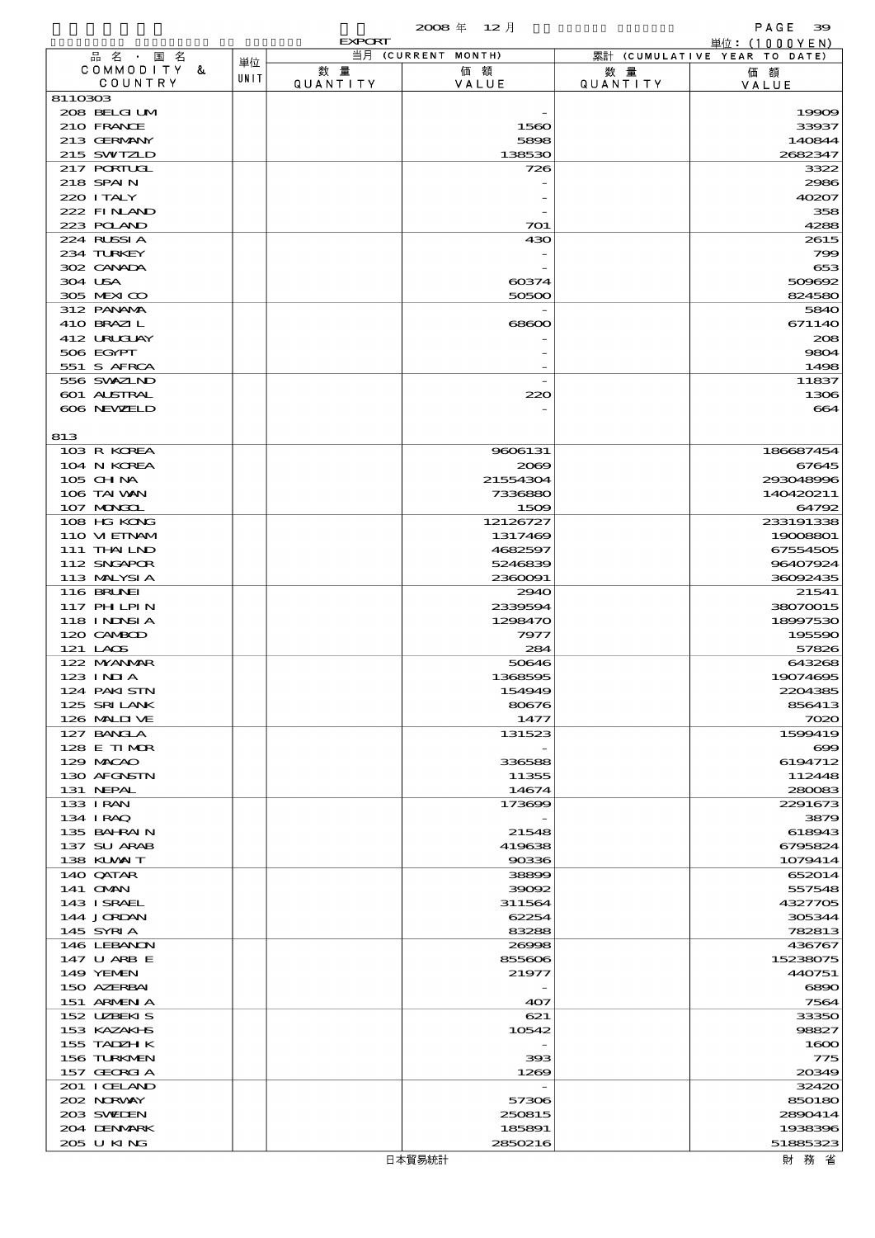|                                  |      | <b>EXPORT</b>   |                    |                 | 単位: (1000YEN)                |
|----------------------------------|------|-----------------|--------------------|-----------------|------------------------------|
| 品名・国名                            | 単位   |                 | 当月 (CURRENT MONTH) |                 | 累計 (CUMULATIVE YEAR TO DATE) |
| COMMODITY &                      | UNIT | 数量              | 価額                 | 数 量             | 価額                           |
| COUNTRY<br>8110303               |      | <b>QUANTITY</b> | VALUE              | <b>QUANTITY</b> | VALUE                        |
| 208 BELGI UM                     |      |                 |                    |                 | 19909                        |
| 210 FRANCE                       |      |                 | 1560               |                 | 33937                        |
| 213 GERMANY                      |      |                 | 5898               |                 | 140844                       |
| 215 SWIZLD                       |      |                 | 138530             |                 | 2682347                      |
| 217 PORTUGL                      |      |                 | 726                |                 | 3322                         |
| 218 SPAIN                        |      |                 |                    |                 | 2986                         |
| 220 I TALY                       |      |                 |                    |                 | 40207                        |
| 222 FINLAND                      |      |                 |                    |                 | 358                          |
| 223 POLAND                       |      |                 | 701                |                 | 4288                         |
| 224 RUSSIA<br>234 TURKEY         |      |                 | 430                |                 | 2615<br>799                  |
| 302 CANADA                       |      |                 |                    |                 | 653                          |
| 304 USA                          |      |                 | 60374              |                 | 509692                       |
| 305 MEXICO                       |      |                 | 50500              |                 | 824580                       |
| 312 PANAMA                       |      |                 |                    |                 | 5840                         |
| 410 BRAZIL                       |      |                 | 68600              |                 | 671140                       |
| 412 URUAY                        |      |                 |                    |                 | 208                          |
| 506 EGYPT                        |      |                 |                    |                 | 9804                         |
| 551 S AFRCA                      |      |                 |                    |                 | 1498                         |
| 556 SWXZIND                      |      |                 |                    |                 | 11837<br>1306                |
| <b>601 ALSTRAL</b><br>606 NEWELD |      |                 | 220                |                 | 664                          |
|                                  |      |                 |                    |                 |                              |
| 813                              |      |                 |                    |                 |                              |
| 103 R KOREA                      |      |                 | 9606131            |                 | 186687454                    |
| 104 N KOREA                      |      |                 | 2069               |                 | 67645                        |
| 105 CH NA                        |      |                 | 21554304           |                 | 293048996                    |
| 106 TAI WAN                      |      |                 | 7336880            |                 | 140420211                    |
| 107 MONGOL                       |      |                 | 1509               |                 | 64792                        |
| 108 HG KONG                      |      |                 | 12126727           |                 | 233191338                    |
| 110 VIEINAM                      |      |                 | 1317469            |                 | 19008801                     |
| 111 THAILND                      |      |                 | 4682597            |                 | 67554505                     |
| 112 SNGAPOR<br>113 MALYSIA       |      |                 | 5246839<br>2360091 |                 | 96407924<br>36092435         |
| 116 BRUNEI                       |      |                 | 2940               |                 | 21541                        |
| 117 PH LPIN                      |      |                 | 2339594            |                 | 38070015                     |
| 118 I NJNSI A                    |      |                 | 1298470            |                 | 18997530                     |
| 120 CAMBOD                       |      |                 | 7977               |                 | 195590                       |
| 121 LAOS                         |      |                 | 284                |                 | 57826                        |
| 122 NYANAR                       |      |                 | 50646              |                 | 643268                       |
| $123$ INIA                       |      |                 | 1368595            |                 | 19074695                     |
| 124 PAKI STN                     |      |                 | 154949             |                 | 2204385                      |
| 125 SRILANK                      |      |                 | 80676              |                 | 856413                       |
| 126 MALII VE                     |      |                 | 1477               |                 | 7020<br>1599419              |
| 127 BANCLA<br>128 E TIMOR        |      |                 | 131523             |                 | $\infty$                     |
| 129 MACAO                        |      |                 | 336588             |                 | 6194712                      |
| 130 AFGNSTN                      |      |                 | 11355              |                 | 112448                       |
| 131 NEPAL                        |      |                 | 14674              |                 | 280083                       |
| 133 I RAN                        |      |                 | 173699             |                 | 2291673                      |
| 134 IRAQ                         |      |                 |                    |                 | 3879                         |
| 135 BAHRAIN                      |      |                 | 21548              |                 | 618943                       |
| 137 SU ARAB                      |      |                 | 419638             |                 | 6795824                      |
| 138 KUWAIT                       |      |                 | 90336              |                 | 1079414                      |
| 140 QATAR                        |      |                 | 38899              |                 | 652014                       |
| 141 <b>OMN</b><br>143 ISRAEL     |      |                 | 39092<br>311564    |                 | 557548<br>4327705            |
| 144 JORDAN                       |      |                 | 62254              |                 | 305344                       |
| 145 SYRIA                        |      |                 | 83288              |                 | 782813                       |
| 146 LEBANON                      |      |                 | 26998              |                 | 436767                       |
| 147 U ARB E                      |      |                 | 855606             |                 | 15238075                     |
| 149 YEMEN                        |      |                 | 21977              |                 | 440751                       |
| 150 AZERBAI                      |      |                 |                    |                 | 6890                         |
| 151 ARMEN A                      |      |                 | 407                |                 | 7564                         |
| 152 UZBEKIS                      |      |                 | 621                |                 | 33350                        |
| 153 KAZAKHS                      |      |                 | 10542              |                 | 98827                        |
| 155 TADZH K                      |      |                 |                    |                 | 1600                         |
| 156 TURKMEN                      |      |                 | 393                |                 | 775                          |
| 157 GEORGIA                      |      |                 | 1269               |                 | 20349                        |
| 201 I CELAND<br>202 NORWAY       |      |                 | 57306              |                 | 32420<br>850180              |
| 203 SWIDEN                       |      |                 | 250815             |                 | 2890414                      |
| 204 DENMARK                      |      |                 | 185891             |                 | 1938396                      |
| 205 U KING                       |      |                 | 2850216            |                 | 51885323                     |
|                                  |      |                 |                    |                 |                              |

 $\overline{\phantom{a}}$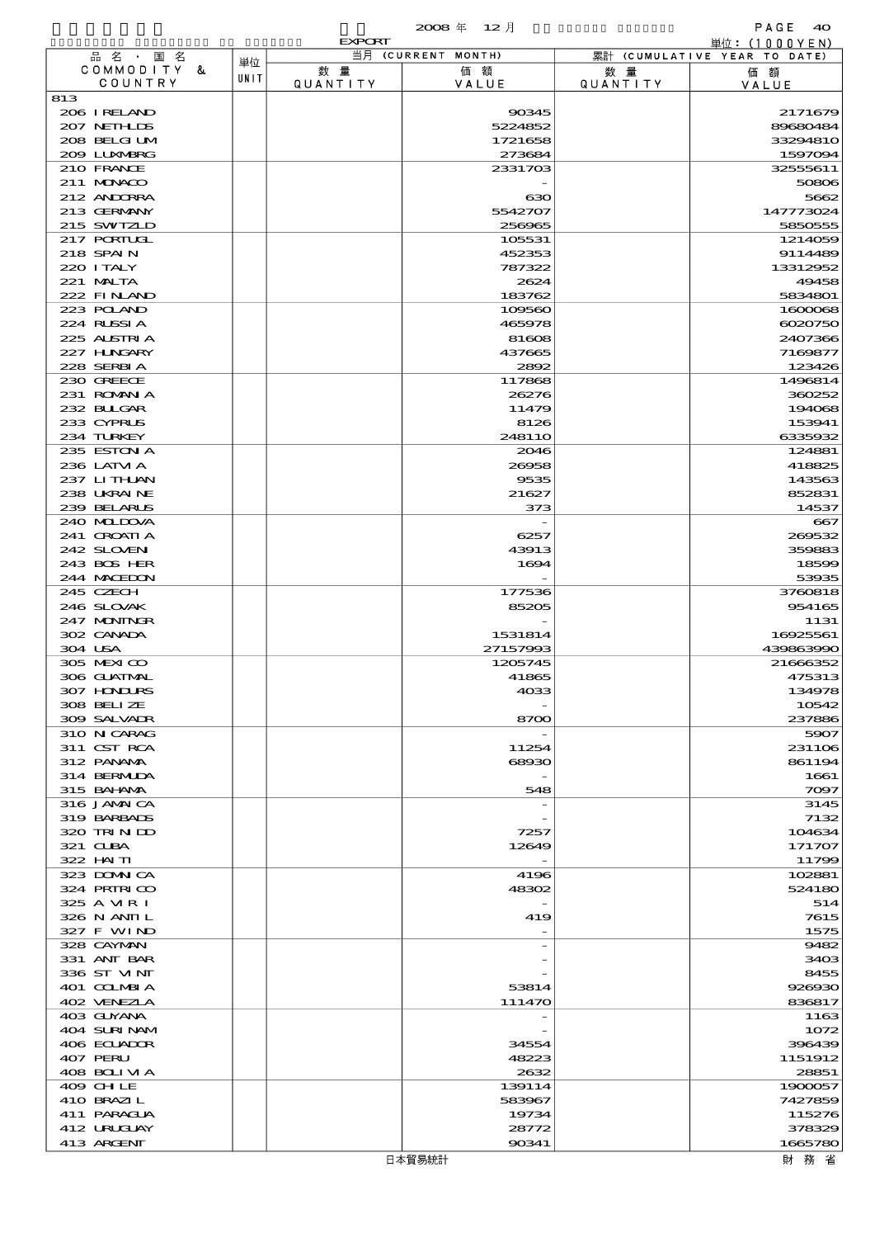|                             |      | <b>EXPORT</b>   |                     |                | 単位:(1000YEN)                 |
|-----------------------------|------|-----------------|---------------------|----------------|------------------------------|
| 品名・国名                       | 単位   |                 | 当月 (CURRENT MONTH)  |                | 累計 (CUMULATIVE YEAR TO DATE) |
| COMMODITY &<br>COUNTRY      | UNIT | 数 量<br>QUANTITY | 価額<br>VALUE         | 数量<br>QUANTITY | 価額<br>VALUE                  |
| 813                         |      |                 |                     |                |                              |
| 206 I RELAND                |      |                 | 90345               |                | 2171679                      |
| 207 NETHLIS                 |      |                 | 5224852             |                | 89680484                     |
| 208 BELGI UM<br>209 LUNABRG |      |                 | 1721658<br>273684   |                | 33294810<br>1597094          |
| 210 FRANCE                  |      |                 | 2331703             |                | 32555611                     |
| 211 MUNACO                  |      |                 |                     |                | 50806                        |
| 212 ANDORRA                 |      |                 | ഓ                   |                | 5662                         |
| 213 GERMANY                 |      |                 | 5542707             |                | 147773024                    |
| 215 SWIZLD<br>217 PORTUGL   |      |                 | 256965<br>105531    |                | 5850555<br>1214059           |
| 218 SPAIN                   |      |                 | 452353              |                | 9114489                      |
| 220 I TALY                  |      |                 | 787322              |                | 13312952                     |
| 221 MALTA                   |      |                 | 2624                |                | 49458                        |
| 222 FINAND                  |      |                 | 183762              |                | 5834801                      |
| 223 POLAND<br>224 RUSSIA    |      |                 | 109560<br>465978    |                | 1600068<br>6020750           |
| 225 ALSTRIA                 |      |                 | 81608               |                | 2407366                      |
| 227 HNGARY                  |      |                 | 437665              |                | 7169877                      |
| 228 SERBIA                  |      |                 | 2892                |                | 123426                       |
| 230 GREECE                  |      |                 | 117868              |                | 1496814                      |
| 231 ROMANIA<br>232 BLIGAR   |      |                 | 26276<br>11479      |                | 360252<br>194068             |
| 233 CYPRUS                  |      |                 | 8126                |                | 153941                       |
| 234 TURKEY                  |      |                 | 248110              |                | 6335932                      |
| 235 ESTON A                 |      |                 | 2046                |                | 124881                       |
| 236 LATM A<br>237 LITHLAN   |      |                 | 26958<br>9535       |                | 418825<br>143563             |
| 238 UKRAINE                 |      |                 | 21627               |                | 852831                       |
| 239 BELARUS                 |      |                 | 373                 |                | 14537                        |
| 240 MIDOVA                  |      |                 |                     |                | $-667$                       |
| 241 CROATIA                 |      |                 | 6257                |                | 269532                       |
| 242 SLOVEN<br>243 BOS HER   |      |                 | 43913<br>1694       |                | 359883<br>18599              |
| 244 MACEDON                 |      |                 |                     |                | 53935                        |
| 245 CZECH                   |      |                 | 177536              |                | 3760818                      |
| 246 SLOVAK                  |      |                 | 85205               |                | 954165                       |
| 247 MONINGR                 |      |                 |                     |                | 1131                         |
| 302 CANADA<br>304 USA       |      |                 | 1531814<br>27157993 |                | 16925561<br>439863990        |
| 305 MEXICO                  |      |                 | 1205745             |                | 21666352                     |
| 306 GUATMAL                 |      |                 | 41865               |                | 475313                       |
| <b>307 HINIURS</b>          |      |                 | 4033                |                | 134978                       |
| 308 BELLZE<br>309 SALVAIR   |      |                 | 8700                |                | 10542<br>237886              |
| 310 N CARAG                 |      |                 |                     |                | 5907                         |
| 311 CST RCA                 |      |                 | 11254               |                | 231106                       |
| 312 PANAMA                  |      |                 | 68930               |                | 861194                       |
| 314 BERMIDA                 |      |                 |                     |                | 1661                         |
| 315 BAHAMA<br>316 JAMAICA   |      |                 | 548                 |                | 7097<br>3145                 |
| 319 BARBADS                 |      |                 |                     |                | 7132                         |
| 320 TRINID                  |      |                 | 7257                |                | 104634                       |
| $321$ CLBA                  |      |                 | 12649               |                | 171707                       |
| 322 HAITI<br>323 DOMNICA    |      |                 | 4196                |                | 11799<br>102881              |
| 324 PRIRICO                 |      |                 | 48302               |                | 524180                       |
| 325 A MR I                  |      |                 |                     |                | 514                          |
| 326 N ANII L                |      |                 | 419                 |                | 7615                         |
| 327 F WIND<br>328 CAYMAN    |      |                 |                     |                | 1575<br>9482                 |
| 331 ANT BAR                 |      |                 |                     |                | 3403                         |
| 336 ST MNT                  |      |                 |                     |                | 8455                         |
| 401 COLMBIA                 |      |                 | 53814               |                | 926930                       |
| 402 VENEZIA                 |      |                 | 111470              |                | 836817                       |
| 403 GUYANA<br>404 SURINAM   |      |                 |                     |                | 1163<br>1072                 |
| 406 ECUADOR                 |      |                 | 34554               |                | 396439                       |
| 407 PERU                    |      |                 | 48223               |                | 1151912                      |
| 408 BOLIVIA                 |      |                 | 2632                |                | 28851                        |
| 409 CHLE                    |      |                 | 139114              |                | 1900057                      |
| 410 BRAZIL<br>411 PARAGUA   |      |                 | 583967<br>19734     |                | 7427859<br>115276            |
| 412 URUCLAY                 |      |                 | 28772               |                | 378329                       |
| 413 ARCENT                  |      |                 | 90341               |                | 1665780                      |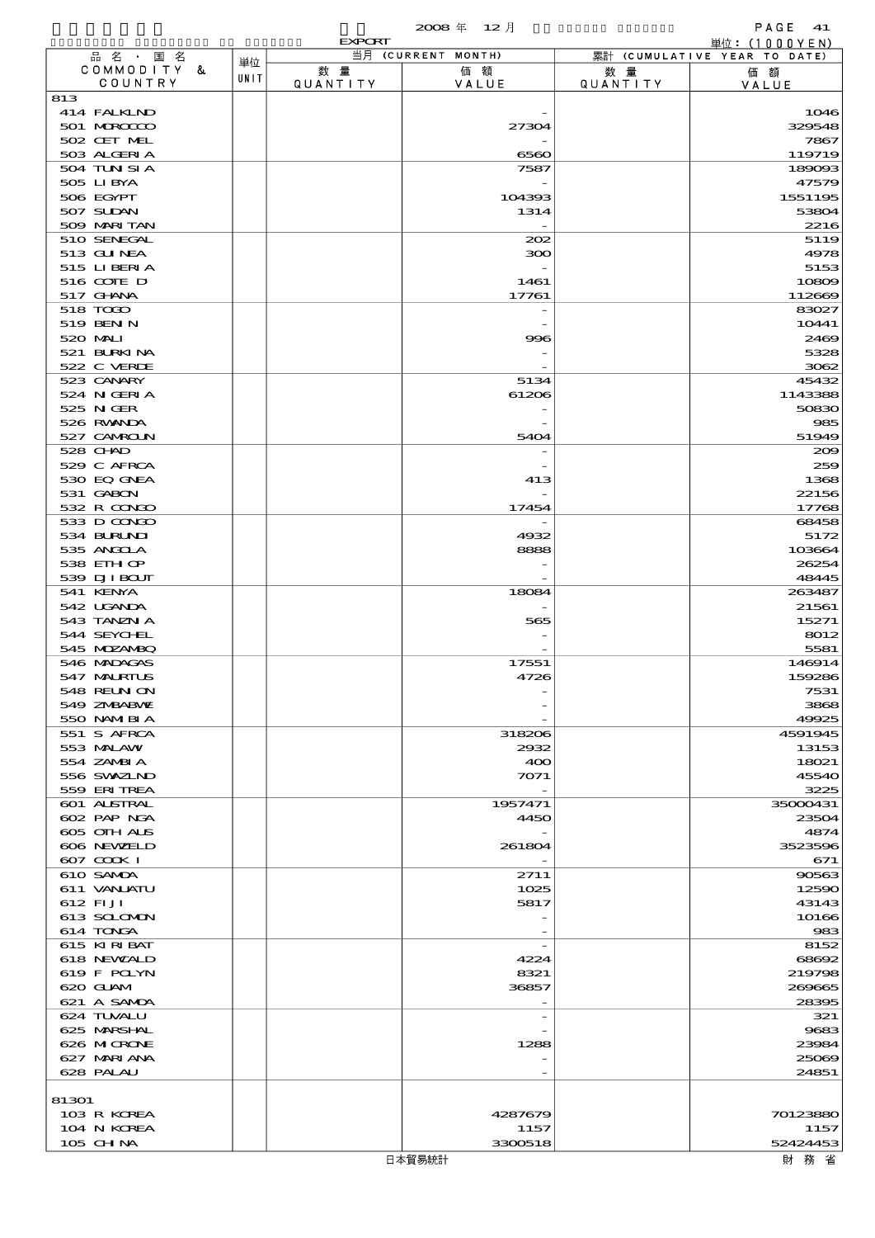|                           |      |                 | 2008年 12月          |                 | PAGE<br>41                                      |
|---------------------------|------|-----------------|--------------------|-----------------|-------------------------------------------------|
| 品名 · 国名                   |      | <b>EXPORT</b>   | 当月 (CURRENT MONTH) |                 | 単位: $(1000YEN)$<br>累計 (CUMULATIVE YEAR TO DATE) |
| COMMODITY &               | 単位   | 数量              | 価額                 |                 |                                                 |
| COUNTRY                   | UNIT | <b>QUANTITY</b> | VALUE              | 数 量<br>QUANTITY | 価額<br>VALUE                                     |
| 813                       |      |                 |                    |                 |                                                 |
| 414 FALKIND               |      |                 |                    |                 | 1046                                            |
| 501 MROCCO                |      |                 | 27304              |                 | 329548                                          |
| 502 CET MEL               |      |                 |                    |                 | 7867                                            |
| 503 ALGERIA               |      |                 | 6560               |                 | 119719                                          |
| 504 TUN SI A              |      |                 | 7587               |                 | 189093                                          |
| 505 LIBYA                 |      |                 |                    |                 | 47579                                           |
| 506 EGYPT                 |      |                 | 104393             |                 | 1551195                                         |
| 507 SUDAN                 |      |                 | 1314               |                 | 53804                                           |
| 509 MARI TAN              |      |                 |                    |                 | 2216                                            |
| 510 SENEGAL               |      |                 | 202                |                 | 5119                                            |
| 513 GU NEA<br>515 LIBERTA |      |                 | 300                |                 | 4978<br>5153                                    |
| 516 COIE D                |      |                 | 1461               |                 | 10809                                           |
| 517 GHNA                  |      |                 | 17761              |                 | 112669                                          |
| 518 TODO                  |      |                 |                    |                 | 83027                                           |
| 519 BENN                  |      |                 |                    |                 | 10441                                           |
| 520 MAI                   |      |                 | 996                |                 | 2469                                            |
| 521 BURKINA               |      |                 |                    |                 | 5328                                            |
| 522 C VERDE               |      |                 |                    |                 | 3062                                            |
| 523 CANARY                |      |                 | 5134               |                 | 45432                                           |
| 524 N GERIA               |      |                 | 61206              |                 | 1143388                                         |
| 525 NGER                  |      |                 |                    |                 | 50830                                           |
| 526 RWANDA                |      |                 |                    |                 | 985                                             |
| 527 CAMROLN               |      |                 | 5404               |                 | 51949                                           |
| 528 CHND                  |      |                 |                    |                 | 200                                             |
| 529 C AFRCA               |      |                 |                    |                 | 259                                             |
| 530 EQ GNEA               |      |                 | 413                |                 | 1368                                            |
| 531 GABON<br>532 R CONDO  |      |                 | 17454              |                 | 22156                                           |
| 533 D CONDO               |      |                 |                    |                 | 17768<br>68458                                  |
| 534 BURUNI                |      |                 | 4932               |                 | 5172                                            |
| 535 ANGCLA                |      |                 | 8888               |                 | 103664                                          |
| 538 EIHOP                 |      |                 |                    |                 | 26254                                           |
| 539 DJI BOUT              |      |                 |                    |                 | 48445                                           |
| 541 KENYA                 |      |                 | 18084              |                 | 263487                                          |
| 542 UGANDA                |      |                 |                    |                 | 21561                                           |
| 543 TANZN A               |      |                 | 565                |                 | 15271                                           |
| 544 SEYCHEL               |      |                 |                    |                 | 8012                                            |
| 545 MDZANBQ               |      |                 |                    |                 | 5581                                            |
| 546 MADAGAS               |      |                 | 17551              |                 | 146914                                          |
| 547 MALRIUS               |      |                 | 4726               |                 | 159286                                          |
| 548 REUN ON               |      |                 |                    |                 | 7531                                            |
| 549 ZNBABNE               |      |                 |                    |                 | 3868                                            |
| 550 NAMERIA               |      |                 |                    |                 | 49925                                           |
| 551 S AFRCA<br>553 MALAW  |      |                 | 318206<br>2932     |                 | 4591945                                         |
| 554 ZAMBIA                |      |                 | 400                |                 | 13153<br>18021                                  |
| 556 SVXZIND               |      |                 | 7071               |                 | 45540                                           |
| 559 ERITREA               |      |                 |                    |                 | 3225                                            |
| 601 ALSTRAL               |      |                 | 1957471            |                 | 35000431                                        |
| 602 PAP NGA               |      |                 | 4450               |                 | 23504                                           |
| 605 OIH ALS               |      |                 |                    |                 | 4874                                            |
| 606 NEWELD                |      |                 | 261804             |                 | 3523596                                         |
| 607 COOK I                |      |                 |                    |                 | 671                                             |
| 610 SAMDA                 |      |                 | 2711               |                 | 90563                                           |
| 611 VANJATU               |      |                 | 1025               |                 | 12590                                           |
| 612 FIJI                  |      |                 | 5817               |                 | 43143                                           |
| 613 SCLOMON               |      |                 |                    |                 | 10166                                           |
| 614 TONGA                 |      |                 |                    |                 | 983                                             |
| 615 KIRIBAT               |      |                 | 4224               |                 | 8152                                            |
| 618 NEWALD<br>619 F POLYN |      |                 | 8321               |                 | 68692<br>219798                                 |
| 620 GLAM                  |      |                 | 36857              |                 | 269665                                          |
| 621 A SAMDA               |      |                 |                    |                 | 28395                                           |
| 624 TUVALU                |      |                 |                    |                 | 321                                             |
| 625 MARSHAL               |      |                 |                    |                 | 9683                                            |
| 626 MICRONE               |      |                 | 1288               |                 | 23984                                           |
| 627 MARI ANA              |      |                 |                    |                 | 25069                                           |
| 628 PALAU                 |      |                 |                    |                 | 24851                                           |
|                           |      |                 |                    |                 |                                                 |
| 81301                     |      |                 |                    |                 |                                                 |
| 103 R KOREA               |      |                 | 4287679            |                 | 70123880                                        |
| 104 N KOREA               |      |                 | 1157               |                 | 1157                                            |
| 105 CH NA                 |      |                 | 3300518            |                 | 52424453                                        |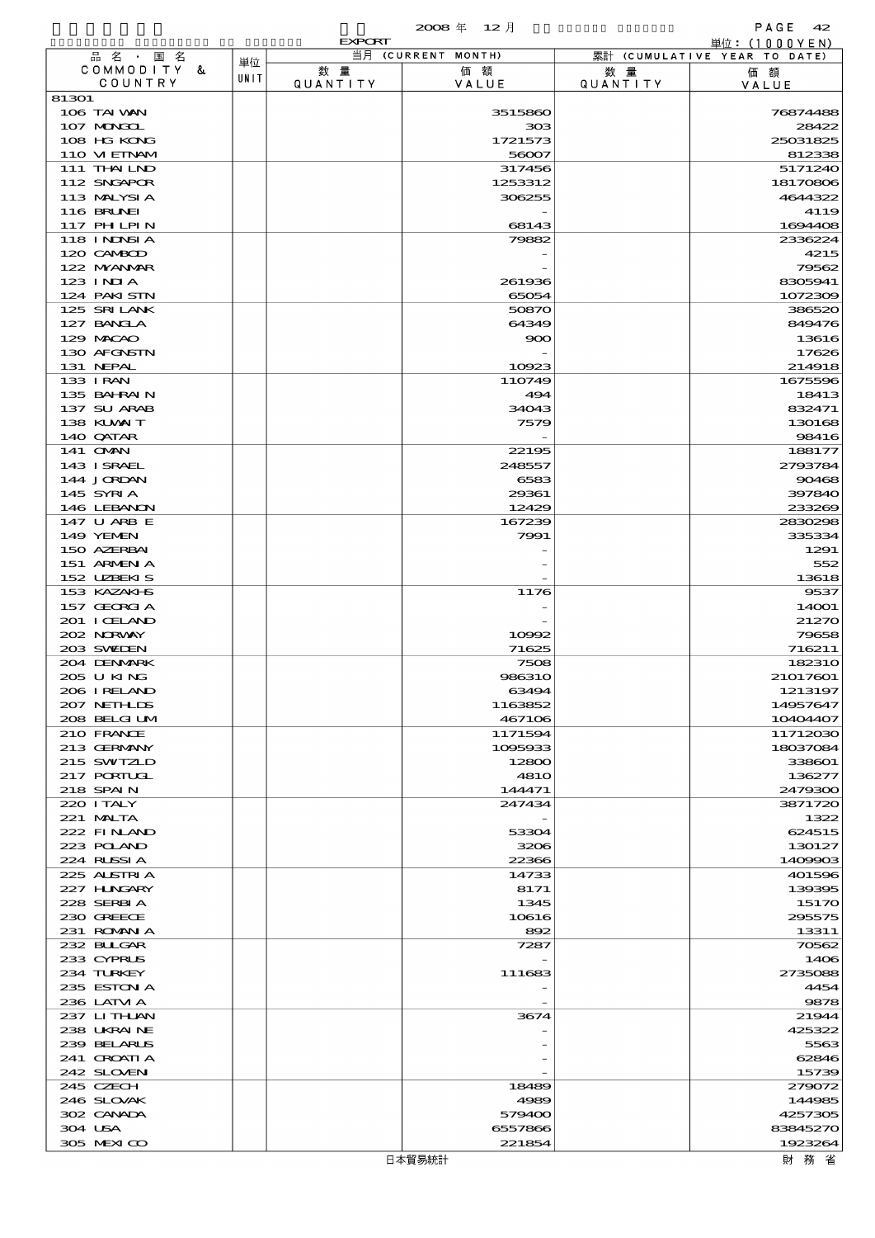|                            |      | <b>EXPORT</b>  |                      |                 | 単位: (1000 Y E N)             |
|----------------------------|------|----------------|----------------------|-----------------|------------------------------|
| 品名・国名                      | 単位   |                | 当月 (CURRENT MONTH)   |                 | 累計 (CUMULATIVE YEAR TO DATE) |
| COMMODITY &<br>COUNTRY     | UNIT | 数量<br>QUANTITY | 価額<br>VALUE          | 数 暈<br>QUANTITY | 価額<br>VALUE                  |
| 81301                      |      |                |                      |                 |                              |
| 106 TAI VAN                |      |                | 3515860              |                 | 76874488                     |
| 107 MINGOL                 |      |                | 308                  |                 | 28422                        |
| 108 HG KONG                |      |                | 1721573              |                 | 25031825                     |
| 110 VIEINAM<br>111 THAILND |      |                | 56007<br>317456      |                 | 812338<br>5171240            |
| 112 SNGAPOR                |      |                | 1253312              |                 | 18170806                     |
| 113 MALYSIA                |      |                | 306255               |                 | 4644322                      |
| <b>116 BRUNEI</b>          |      |                |                      |                 | 4119                         |
| 117 PH LPIN                |      |                | 68143                |                 | 1694408                      |
| 118 I NJNSI A              |      |                | 79882                |                 | 2336224                      |
| 120 CAMBOD<br>122 NYANAR   |      |                |                      |                 | 4215<br>79562                |
| $123$ INIA                 |      |                | 261936               |                 | 8305941                      |
| 124 PAKISTN                |      |                | 65054                |                 | 1072309                      |
| 125 SRILANK                |      |                | 50870                |                 | 386520                       |
| 127 BANCLA                 |      |                | 64349                |                 | 849476                       |
| 129 MACAO                  |      |                | 900                  |                 | 13616                        |
| 130 AFGNSTN<br>131 NEPAL   |      |                | 10923                |                 | 17626<br>214918              |
| 133 I RAN                  |      |                | 110749               |                 | 1675596                      |
| 135 BAHRAIN                |      |                | 494                  |                 | 18413                        |
| 137 SU ARAB                |      |                | 34043                |                 | 832471                       |
| 138 KUWAIT                 |      |                | 7579                 |                 | 130168                       |
| 140 QATAR                  |      |                |                      |                 | 98416                        |
| 141 OMN                    |      |                | 22195                |                 | 188177                       |
| 143 ISRAEL<br>144 JORDAN   |      |                | 248557<br>6583       |                 | 2793784<br>90468             |
| 145 SYRIA                  |      |                | 29361                |                 | 397840                       |
| 146 LEBANON                |      |                | 12429                |                 | 233269                       |
| 147 U ARB E                |      |                | 167239               |                 | 2830298                      |
| 149 YEMEN                  |      |                | 7991                 |                 | 335334                       |
| 150 AZERBAI                |      |                |                      |                 | 1291                         |
| 151 ARMENIA<br>152 UZBEKIS |      |                |                      |                 | 552<br>13618                 |
| 153 KAZAKI B               |      |                | 1176                 |                 | 9537                         |
| 157 GEORGIA                |      |                |                      |                 | 14001                        |
| 201 I CELAND               |      |                |                      |                 | 21270                        |
| 202 NORWAY                 |      |                | 10992                |                 | 79658                        |
| 203 SWIDEN                 |      |                | 71625                |                 | 716211                       |
| 204 DENMARK<br>205 U KING  |      |                | 7508<br>986310       |                 | 182310<br>21017601           |
| 206 I RELAND               |      |                | 63494                |                 | 1213197                      |
| 207 NETHLIS                |      |                | 1163852              |                 | 14957647                     |
| 208 BELGI UM               |      |                | 467106               |                 | 10404407                     |
| 210 FRANCE                 |      |                | 1171594              |                 | 11712030                     |
| 213 GERMANY                |      |                | 1095933              |                 | 18037084                     |
| 215 SWIZLD<br>217 PORTUGL  |      |                | 12800<br><b>4810</b> |                 | 338601<br>136277             |
| 218 SPAIN                  |      |                | 144471               |                 | 2479300                      |
| 220 I TALY                 |      |                | 247434               |                 | 3871720                      |
| 221 MALTA                  |      |                |                      |                 | 1322                         |
| 222 FINAND                 |      |                | 53304                |                 | 624515                       |
| 223 POLAND                 |      |                | 3206                 |                 | 130127                       |
| 224 RUSSIA<br>225 ALSTRIA  |      |                | 22366<br>14733       |                 | 1409903<br>401596            |
| 227 H.NGARY                |      |                | 8171                 |                 | 139395                       |
| 228 SERBIA                 |      |                | 1345                 |                 | 15170                        |
| 230 GREECE                 |      |                | 10616                |                 | 295575                       |
| 231 ROMAN A                |      |                | 892                  |                 | 13311                        |
| 232 BULGAR                 |      |                | 7287                 |                 | 70562                        |
| 233 CYPRUS<br>234 TURKEY   |      |                | 111683               |                 | 1406<br>2735088              |
| 235 ESTON A                |      |                |                      |                 | 4454                         |
| 236 LATM A                 |      |                |                      |                 | 9878                         |
| 237 LITHAN                 |      |                | 3674                 |                 | 21944                        |
| 238 UKRAINE                |      |                |                      |                 | 425322                       |
| 239 BELARUS                |      |                |                      |                 | 5563                         |
| 241 CROATIA<br>242 SLOVEN  |      |                |                      |                 | 62846<br>15739               |
| 245 CZECH                  |      |                | 18489                |                 | 279072                       |
| 246 SLOVAK                 |      |                | 4989                 |                 | 144985                       |
| 302 CANADA                 |      |                | 579400               |                 | 4257305                      |
| 304 USA                    |      |                | 6557866              |                 | 83845270                     |
| 305 MEXICO                 |      |                | 221854               |                 | 1923264                      |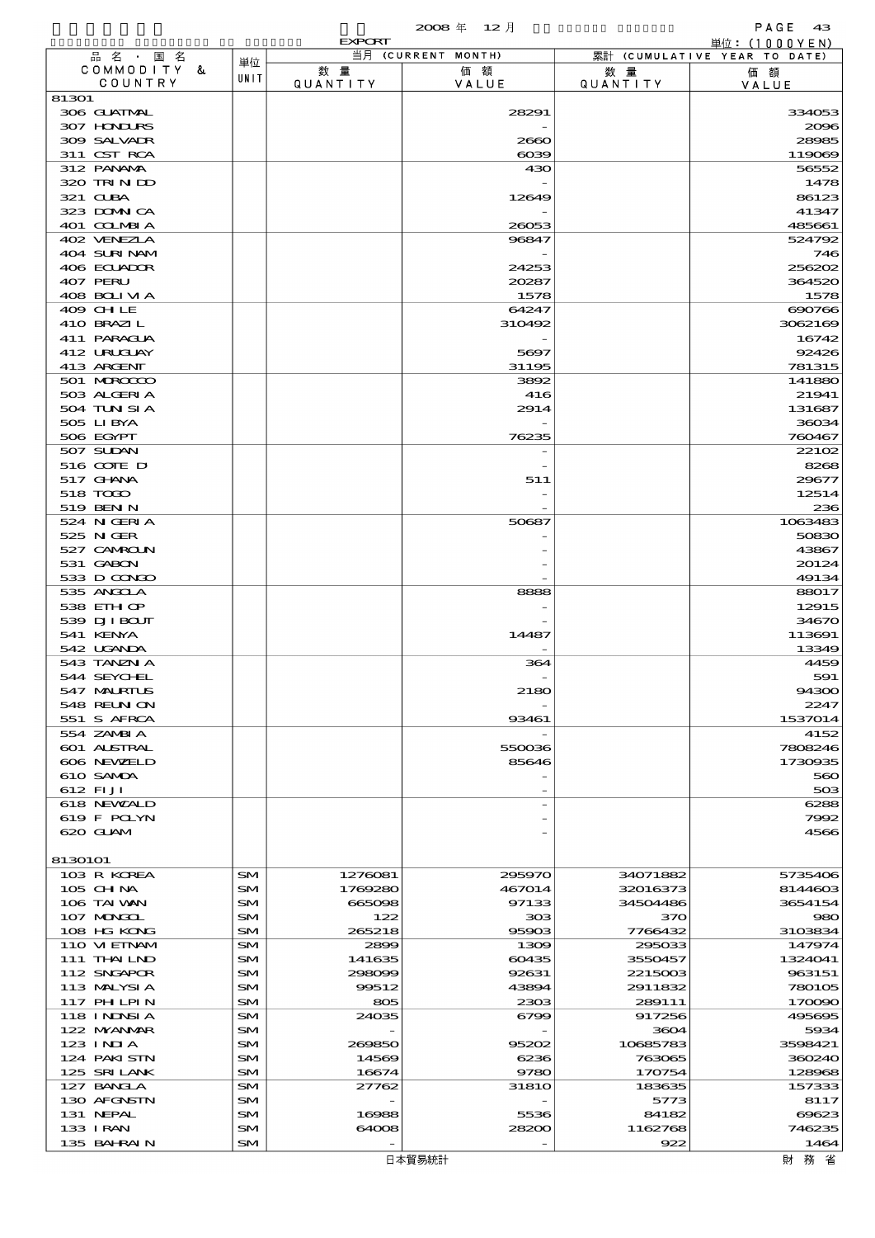|                                   |          |                    | 2008年 12月            |                      | PAGE<br>- 43                                    |
|-----------------------------------|----------|--------------------|----------------------|----------------------|-------------------------------------------------|
| 品名·国名                             |          | <b>EXPORT</b>      | 当月 (CURRENT MONTH)   |                      | 単位: $(1000YEN)$<br>累計 (CUMULATIVE YEAR TO DATE) |
| COMMODITY &                       | 単位       | 数量                 | 価額                   | 数 量                  | 価額                                              |
| COUNTRY                           | UNIT     | QUANTITY           | VALUE                | QUANTITY             | VALUE                                           |
| 81301<br>306 GUATMAL              |          |                    | 28291                |                      | 334053                                          |
| 307 HONDURS                       |          |                    |                      |                      | 2096                                            |
| 309 SALVADR                       |          |                    | 2660                 |                      | 28985                                           |
| 311 CST RCA                       |          |                    | $\cos$               |                      | 119089                                          |
| 312 PANAMA                        |          |                    | 430                  |                      | 56552                                           |
| 320 TRIND                         |          |                    |                      |                      | 1478                                            |
| 321 CLBA<br>323 DOMNICA           |          |                    | 12649                |                      | 86123<br>41347                                  |
| 401 COLMBI A                      |          |                    | 26053                |                      | 485661                                          |
| 402 VENEZIA                       |          |                    | 96847                |                      | 524792                                          |
| 404 SURINAM                       |          |                    |                      |                      | 746                                             |
| 406 ECUADOR                       |          |                    | 24253                |                      | 256202                                          |
| 407 PERU                          |          |                    | 20287                |                      | 364520                                          |
| 408 BOLIVIA<br>409 CHLE           |          |                    | 1578<br>64247        |                      | 1578<br>690766                                  |
| 410 BRAZIL                        |          |                    | 310492               |                      | 3062169                                         |
| 411 PARAGUA                       |          |                    |                      |                      | 16742                                           |
| 412 URUJAY                        |          |                    | 5697                 |                      | 92426                                           |
| 413 ARGENT                        |          |                    | 31195                |                      | 781315                                          |
| 501 MROCCO                        |          |                    | 3892                 |                      | 141880                                          |
| 503 ALGERIA<br>504 TUN SI A       |          |                    | 416<br>2914          |                      | 21941<br>131687                                 |
| 505 LIBYA                         |          |                    |                      |                      | 36034                                           |
| 506 EGYPT                         |          |                    | 76235                |                      | 760467                                          |
| 507 SUDAN                         |          |                    |                      |                      | 2210 <sub>2</sub>                               |
| 516 COIE D                        |          |                    |                      |                      | 8268                                            |
| 517 GHNA                          |          |                    | 511                  |                      | 29677                                           |
| 518 TODO<br>519 BENN              |          |                    |                      |                      | 12514<br>236                                    |
| 524 N GERIA                       |          |                    | 50687                |                      | 1063483                                         |
| 525 N GER                         |          |                    |                      |                      | 50830                                           |
| 527 CAMROLN                       |          |                    |                      |                      | 43867                                           |
| 531 GABON                         |          |                    |                      |                      | 20124                                           |
| 533 D CONDO                       |          |                    |                      |                      | 49134                                           |
| 535 ANGOLA                        |          |                    | 8888                 |                      | 88017                                           |
| 538 EIHOP<br>539 DJI BOUT         |          |                    |                      |                      | 12915<br>34670                                  |
| 541 KENYA                         |          |                    | 14487                |                      | 113691                                          |
| 542 UGANDA                        |          |                    |                      |                      | 13349                                           |
| 543 TANZN A                       |          |                    | 364                  |                      | 4459                                            |
| 544 SEYCHEL                       |          |                    |                      |                      | 591                                             |
| 547 MALRIUS<br><b>548 REUN ON</b> |          |                    | 2180                 |                      | 94300<br>2247                                   |
| 551 S AFRCA                       |          |                    | 93461                |                      | 1537014                                         |
| 554 ZAMBI A                       |          |                    |                      |                      | 4152                                            |
| <b>601 ALSTRAL</b>                |          |                    | 550036               |                      | 7808246                                         |
| 606 NEWELD                        |          |                    | 85646                |                      | 1730935                                         |
| 610 SAMDA                         |          |                    |                      |                      | 560                                             |
| 612 FIJI<br>618 NEWALD            |          |                    |                      |                      | 50 <sub>3</sub><br>6288                         |
| 619 F POLYN                       |          |                    |                      |                      | 7992                                            |
| 620 GLAM                          |          |                    |                      |                      | 4566                                            |
|                                   |          |                    |                      |                      |                                                 |
| 8130101                           |          |                    |                      |                      |                                                 |
| 103 R KOREA<br>$105$ CHNA         | SM<br>SM | 1276081<br>1769280 | 295970<br>467014     | 34071882<br>32016373 | 5735406<br>8144603                              |
| 106 TAI WAN                       | SM       | 665098             | 97133                | 34504486             | 3654154                                         |
| 107 MAGAL                         | SM       | 122                | 308                  | 370                  | 980                                             |
| 108 HG KONG                       | SM       | 265218             | 95903                | 7766432              | 3103834                                         |
| 110 VIEINAM                       | SM       | 2899               | 1309                 | 295033               | 147974                                          |
| 111 THAILND                       | SM       | 141635             | 60435                | 3550457              | 1324041                                         |
| 112 SNGAPOR<br>113 MALYSIA        | SM<br>SM | 298099<br>99512    | 92631<br>43894       | 2215003<br>2911832   | 963151<br>780105                                |
| 117 PH LPIN                       | SM       | 805                | 2303                 | 289111               | 170090                                          |
| 118 I NDNSI A                     | SM       | 24035              | 6799                 | 917256               | 495695                                          |
| 122 NYANAR                        | SM       |                    |                      | 3604                 | 5934                                            |
| $123$ INJA                        | SM       | 269850             | 95202                | 10685783             | 3598421                                         |
| 124 PAKISTN                       | SM       | 14569              | 6236                 | 763065               | 360240                                          |
| 125 SRILANK<br>127 BANCLA         | SM<br>SM | 16674<br>27762     | 9780<br><b>31810</b> | 170754<br>183635     | 128968<br>157333                                |
| 130 AFGNSTN                       | SM       |                    |                      | 5773                 | 8117                                            |
| 131 NEPAL                         | SM       | 16988              | 5536                 | 84182                | 69623                                           |
| 133 IRAN                          | SM       | 64008              | 28200                | 1162768              | 746235                                          |
| 135 BAHRAIN                       | $SM$     |                    |                      | 922                  | 1464                                            |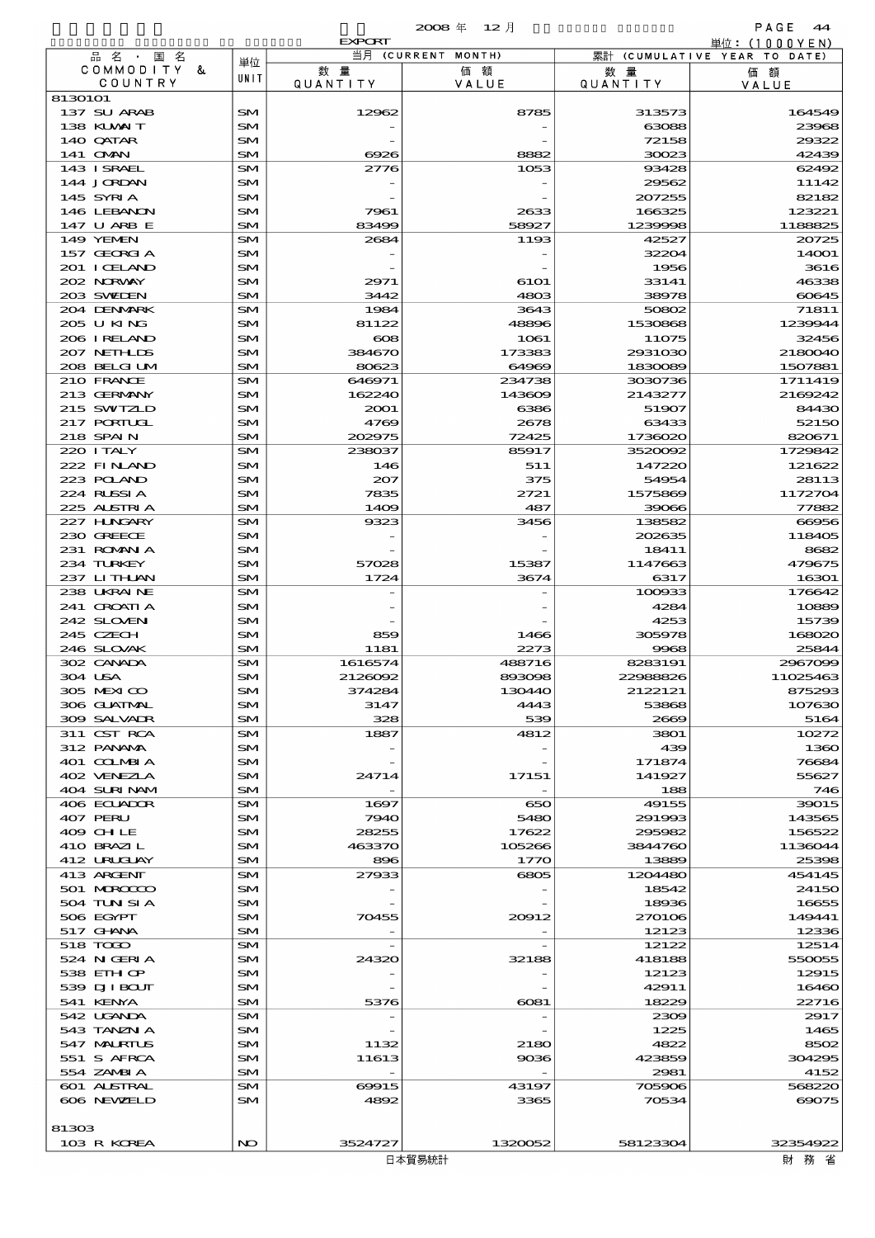|                             |                        |                                   | $2008 \text{ } \#$<br>- 12 月 |                  | PAGE<br>44                                       |
|-----------------------------|------------------------|-----------------------------------|------------------------------|------------------|--------------------------------------------------|
| 品名・国名                       |                        | <b>EXPORT</b>                     | 当月 (CURRENT MONTH)           |                  | 単位: (1000 Y E N)<br>累計 (CUMULATIVE YEAR TO DATE) |
| COMMODITY<br>&              | 単位                     | 数量                                | 価額                           | 数 量              | 価額                                               |
| COUNTRY                     | UNIT                   | QUANTITY                          | VALUE                        | QUANTITY         | VALUE                                            |
| 8130101                     |                        |                                   |                              |                  |                                                  |
| 137 SU ARAB                 | <b>SM</b>              | 12962                             | 8785                         | 313573           | 164549                                           |
| 138 KUWAIT                  | SM                     |                                   |                              | 63088            | 23968                                            |
| 140 QATAR                   | SM                     |                                   |                              | 72158            | 29322                                            |
| 141 OMN                     | <b>SM</b>              | 6926                              | 8882                         | 30023            | 42439                                            |
| 143 ISRAEL<br>144 JORDAN    | <b>SM</b><br><b>SM</b> | 2776                              | 1053                         | 93428<br>29562   | 62492<br>11142                                   |
| 145 SYRIA                   | SM                     |                                   |                              | 207255           | 82182                                            |
| 146 LEBANN                  | SM                     | 7961                              | 2633                         | 166325           | 123221                                           |
| 147 U ARB E                 | <b>SM</b>              | 83499                             | 58927                        | 1239998          | 1188825                                          |
| 149 YEMEN                   | SM                     | 2684                              | 1193                         | 42527            | 20725                                            |
| 157 GEORGIA                 | SM                     |                                   |                              | 32204            | 14001                                            |
| 201 I CELAND                | SM                     |                                   |                              | 1956             | 3616                                             |
| 202 NRWAY                   | SM                     | 2971                              | 6101                         | 33141            | 46338                                            |
| 203 SWEDEN                  | <b>SM</b>              | 3442                              | 4803                         | 38978            | 60645                                            |
| 204 DENMARK                 | SM                     | 1984                              | 3643                         | 50802            | 71811                                            |
| 205 U KING                  | SM                     | 81122                             | 48896                        | 1530868          | 1239944                                          |
| 206 I RELAND<br>207 NETHLIS | SM<br>SM               | $_{\rm 608}$<br>384670            | 1061<br>173383               | 11075<br>2931030 | 32456<br>2180040                                 |
| 208 BELGI UM                | <b>SM</b>              | 80623                             | 64969                        | 1830089          | 1507881                                          |
| 210 FRANCE                  | SM                     | 646971                            | 234738                       | 3030736          | 1711419                                          |
| 213 GERMANY                 | SM                     | 162240                            | 143609                       | 2143277          | 2169242                                          |
| 215 SWIZLD                  | SM                     | 2001                              | 6386                         | 51907            | 84430                                            |
| 217 PORTUGL                 | SM                     | 4769                              | 2678                         | 63433            | 52150                                            |
| 218 SPAIN                   | <b>SM</b>              | 202975                            | 72425                        | 1736020          | 820671                                           |
| 220 I TALY                  | SM                     | 238037                            | 85917                        | 3520092          | 1729842                                          |
| 222 FINAND                  | SM                     | 146                               | 511                          | 147220           | 121622                                           |
| 223 POLAND                  | SM                     | 207                               | 375                          | 54954            | 28113                                            |
| 224 RUSSIA                  | SM                     | 7835                              | 2721                         | 1575869          | 1172704                                          |
| 225 ALSTRIA                 | <b>SM</b>              | 1409                              | 487                          | 39066            | 77882                                            |
| 227 H.NGARY                 | SM                     | 9323                              | 3456                         | 138582           | 66956                                            |
| 230 GREECE<br>231 ROMANIA   | SM<br>SM               |                                   |                              | 202635<br>18411  | 118405<br>8682                                   |
| 234 TURKEY                  | SM                     | 57028                             | 15387                        | 1147663          | 479675                                           |
| 237 LITHAN                  | <b>SM</b>              | 1724                              | 3674                         | 6317             | 16301                                            |
| 238 UKRAINE                 | SM                     |                                   |                              | 100933           | 176642                                           |
| 241 CROATI A                | SM                     |                                   |                              | 4284             | 10889                                            |
| 242 SLOVEN                  | SM                     |                                   |                              | 4253             | 15739                                            |
| 245 CZECH                   | SM                     | 859                               | 1466                         | 305978           | 168020                                           |
| 246 SLOVAK                  | <b>SM</b>              | 1181                              | 2273                         | 9968             | 25844                                            |
| 302 CANADA                  | SM                     | 1616574                           | 488716                       | 8283191          | 2967099                                          |
| 304 USA                     | SM                     | 2126092                           | 893098                       | 22988826         | 11025463                                         |
| 305 MEXICO                  | SM                     | 374284                            | 130440                       | 2122121          | 875293                                           |
| 306 GUATMAL<br>309 SALVADR  | SM                     | 3147                              | 4443                         | 53868            | 107630<br>5164                                   |
| 311 CST RCA                 | SM<br>SM               | 328<br>1887                       | 539<br>4812                  | 2669<br>3801     | 10272                                            |
| 312 PANAMA                  | SM                     |                                   |                              | 439              | 1360                                             |
| 401 COLMBIA                 | SM                     |                                   |                              | 171874           | 76684                                            |
| 402 VENEZIA                 | SM                     | 24714                             | 17151                        | 141927           | 55627                                            |
| 404 SURINAM                 | SM                     |                                   |                              | 188              | 746                                              |
| 406 ECUADOR                 | SM                     | 1697                              | 650                          | 49155            | 39015                                            |
| 407 PERU                    | SM                     | 7940                              | 5480                         | 291993           | 143565                                           |
| 409 CHLE                    | SM                     | 28255                             | 17622                        | 295982           | 156522                                           |
| 410 BRAZIL                  | SM                     | 463370                            | 105266                       | 3844760          | 1136044                                          |
| 412 URUCUAY                 | SM                     | 896                               | 1770                         | 13889            | 25398                                            |
| 413 ARGENT<br>501 MROCCO    | SM<br>SM               | 27933<br>$\overline{\phantom{a}}$ | 6805                         | 1204480<br>18542 | 454145<br>24150                                  |
| 504 TUN SI A                | SM                     |                                   |                              | 18936            | 16655                                            |
| 506 EGYPT                   | SM                     | 70455                             | 20012                        | 270106           | 149441                                           |
| 517 GHANA                   | SM                     |                                   |                              | 12123            | 12336                                            |
| 518 TOOO                    | SM                     |                                   |                              | 12122            | 12514                                            |
| 524 N GERIA                 | SM                     | 24320                             | 32188                        | 418188           | 550055                                           |
| 538 EIH OP                  | SM                     |                                   |                              | 12123            | 12915                                            |
| 539 DJI BOUT                | SM                     |                                   |                              | 42911            | 16460                                            |
| 541 KENYA                   | SM                     | 5376                              | $\cos\!1$                    | 18229            | 22716                                            |
| 542 UGANDA                  | SM                     |                                   |                              | 2309             | 2917                                             |
| 543 TANZN A                 | SM                     |                                   |                              | 1225             | 1465                                             |
| 547 MALRIUS                 | SM                     | 1132                              | 2180                         | 4822<br>423859   | 8502                                             |
| 551 S AFRCA<br>554 ZAMBIA   | SM<br>SM               | 11613                             | 9036                         | 2981             | 304295                                           |
| <b>601 ALSTRAL</b>          | SM                     | 69915                             | 43197                        | 705906           | 4152<br>568220                                   |
| 606 NEWELD                  | SM                     | 4892                              | 3365                         | 70534            | 69075                                            |
|                             |                        |                                   |                              |                  |                                                  |
| 81303                       |                        |                                   |                              |                  |                                                  |
| 103 R KOREA                 | NO                     | 3524727                           | 1320052                      | 58123304         | 32354922                                         |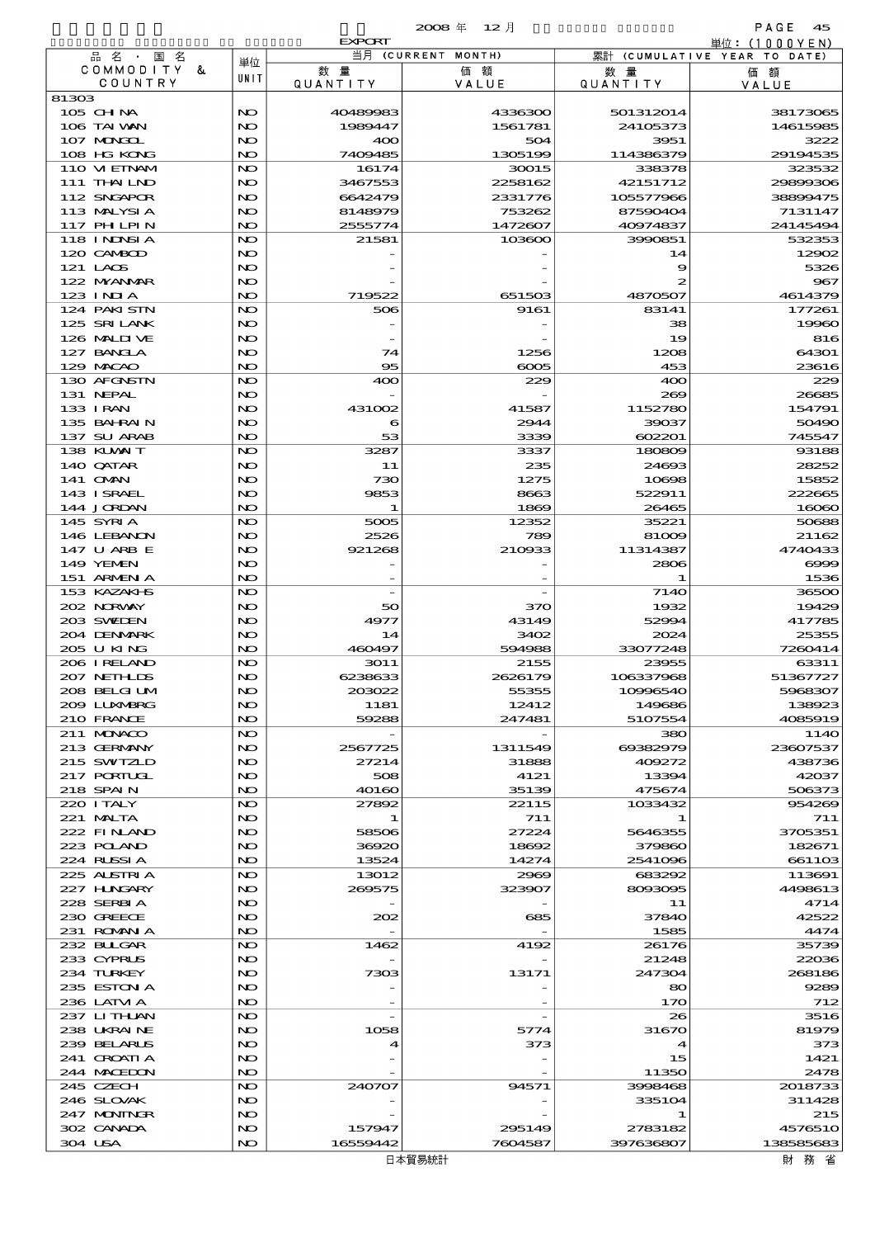|                                 |           | <b>EXPORT</b>      |                    |                       | 単位:(1000YEN)                 |
|---------------------------------|-----------|--------------------|--------------------|-----------------------|------------------------------|
| 品名・<br>国名<br>COMMODITY &        | 単位        | 数量                 | 当月 (CURRENT MONTH) |                       | 累計 (CUMULATIVE YEAR TO DATE) |
| COUNTRY                         | UNIT      | QUANTITY           | 価額<br>VALUE        | 数量<br><b>QUANTITY</b> | 価額<br>VALUE                  |
| 81303                           |           |                    |                    |                       |                              |
| $105$ CHNA                      | NO        | 40489983           | 4336300            | 501312014             | 38173065                     |
| 106 TAI WAN                     | NO        | 1989447            | 1561781            | 24105373              | 14615985                     |
| 107 MAKAL<br>108 HG KONG        | NO<br>NO. | 400<br>7409485     | 504<br>1305199     | 3951<br>114386379     | 3222<br>29194535             |
| 110 VI EINAM                    | NO.       | 16174              | 30015              | 338378                | 323532                       |
| 111 THAILND                     | NO        | 3467553            | 2258162            | 42151712              | 29899306                     |
| 112 SNGAPOR                     | NO.       | 6642479            | 2331776            | 105577966             | 38899475                     |
| 113 MALYSIA                     | NO        | 8148979            | 753262             | 87590404              | 7131147                      |
| 117 PH LPIN                     | NO        | 2555774            | 1472607            | 40974837              | 24145494                     |
| <b>118 INDSIA</b><br>120 CAMBOD | NO.<br>NO | 21581              | 103600             | 3990851<br>14         | 532353<br>12902              |
| 121 LAOS                        | NO        |                    |                    | 9                     | 5326                         |
| 122 NYANAR                      | NO        |                    |                    | 2                     | 967                          |
| $123$ INIA                      | NO        | 719522             | 651503             | 4870507               | 4614379                      |
| 124 PAKI STN                    | NO.       | 506                | 9161               | 83141                 | 177261                       |
| 125 SRILANK                     | NO        |                    |                    | 38                    | 19960                        |
| 126 MALII VE                    | NO        |                    |                    | 19                    | 816                          |
| 127 BANCLA<br>129 MACAO         | NO<br>NO. | 74<br>95           | 1256<br>6005       | 1208<br>453           | 64301<br>23616               |
| 130 AFGNSTN                     | NO.       | 400                | 229                | 400                   | 229                          |
| 131 NEPAL                       | NO        |                    |                    | 269                   | 26685                        |
| 133 I RAN                       | NO        | 431002             | 41587              | 1152780               | 154791                       |
| 135 BAHRAIN                     | NO        | 6                  | 2944               | 39037                 | 50490                        |
| 137 SU ARAB                     | NO        | 53                 | 3339               | 602201                | 745547                       |
| 138 KUWAIT                      | NO.       | 3287               | 3337               | 180809                | 93188                        |
| 140 QATAR<br>141 OMN            | NO<br>NO  | 11<br>730          | 235<br>1275        | 24693<br>10698        | 28252<br>15852               |
| 143 ISRAEL                      | NO        | 9853               | 8663               | 522911                | 222665                       |
| 144 JORDAN                      | NO        | -1                 | 1869               | 26465                 | 16060                        |
| 145 SYRIA                       | NO.       | 5005               | 12352              | 35221                 | 50688                        |
| 146 LEBANON                     | NO        | 2526               | 789                | 81009                 | 21162                        |
| 147 U ARB E                     | NO        | 921268             | 210933             | 11314387              | 4740433                      |
| 149 YEMEN                       | NO        |                    |                    | 2806                  | $\infty$                     |
| 151 ARMENIA<br>153 KAZAKI S     | NO<br>NO. |                    |                    | -1<br><b>7140</b>     | 1536<br>36500                |
| 202 NORWAY                      | NO        | 50                 | 370                | 1932                  | 19429                        |
| 203 SWIDEN                      | NO        | 4977               | 43149              | 52994                 | 417785                       |
| 204 DENMARK                     | NO        | 14                 | 3402               | 2024                  | 25355                        |
| 205 U KING                      | NO        | 460497             | 594988             | 33077248              | 7260414                      |
| 206 I RELAND                    | NO.       | 3011               | 2155               | 23955                 | 63311                        |
| 207 NETHLIS<br>208 BELGI UM     | NO<br>NO  | 6238633<br>203022  | 2626179<br>55355   | 106337968<br>10996540 | 51367727<br>5968307          |
| 2009 LUNNARRG                   | NO        | 1181               | 12412              | 149686                | 138923                       |
| 210 FRANCE                      | NO        | 59288              | 247481             | 5107554               | 4085919                      |
| 211 MUNACO                      | NO        |                    |                    | 380                   | 114O                         |
| 213 GERMANY                     | NO        | 2567725            | 1311549            | 69382979              | 23607537                     |
| 215 SWIZLD                      | NO        | 27214              | 31888              | 409272                | 438736                       |
| 217 PORTUGL                     | NO<br>NO. | 508                | 4121               | 13394                 | 42037<br>506373              |
| 218 SPAIN<br>220 I TALY         | NO        | 40160<br>27892     | 35139<br>22115     | 475674<br>1033432     | 954269                       |
| $221$ MUTA                      | NO        | -1                 | 711                |                       | 711                          |
| 222 FINAND                      | NO        | 58506              | 27224              | 5646355               | 3705351                      |
| 223 POLAND                      | NO        | 36920              | 18692              | 379860                | 182671                       |
| 224 RUSSIA                      | NO.       | 13524              | 14274              | 2541096               | 661103                       |
| 225 ALSTRIA                     | NO        | 13012              | 2969               | 683292                | 113691                       |
| 227 HUNGARY<br>228 SERBIA       | NO<br>NO  | 269575             | 323907             | 8093095<br>11         | 4498613<br>4714              |
| 230 GREECE                      | NO        | 202                | 685                | 37840                 | 42522                        |
| 231 ROMANIA                     | NO.       |                    |                    | 1585                  | 4474                         |
| 232 BULGAR                      | NO        | 1462               | 4192               | 26176                 | 35739                        |
| 233 CYPRUS                      | NO        |                    |                    | 21248                 | 22036                        |
| 234 TURKEY                      | NO        | 7303               | 13171              | 247304                | 268186                       |
| 235 ESTON A                     | NO        |                    |                    | 80                    | 9289                         |
| 236 LATM A<br>237 LITHAN        | NO.<br>NO |                    |                    | 170<br>26             | 712<br>3516                  |
| 238 UKRAINE                     | NO        | 1058               | 5774               | 31670                 | 81979                        |
| 239 BELARUS                     | NO        |                    | 373                | 4                     | 373                          |
| 241 GROATIA                     | NO        |                    |                    | 15                    | 1421                         |
| 244 MACEDON                     | NO        |                    |                    | 11350                 | 2478                         |
| 245 CZECH                       | NO        | 240707             | 94571              | 3998468               | 2018733                      |
| 246 SLOVAK                      | NO        |                    |                    | 335104                | 311428                       |
| 247 MONINGR<br>302 CANADA       | NO<br>NO  |                    | 295149             | 1                     | 215<br>4576510               |
| 304 USA                         | NO        | 157947<br>16559442 | 7604587            | 2783182<br>397636807  | 138585683                    |
|                                 |           |                    |                    |                       |                              |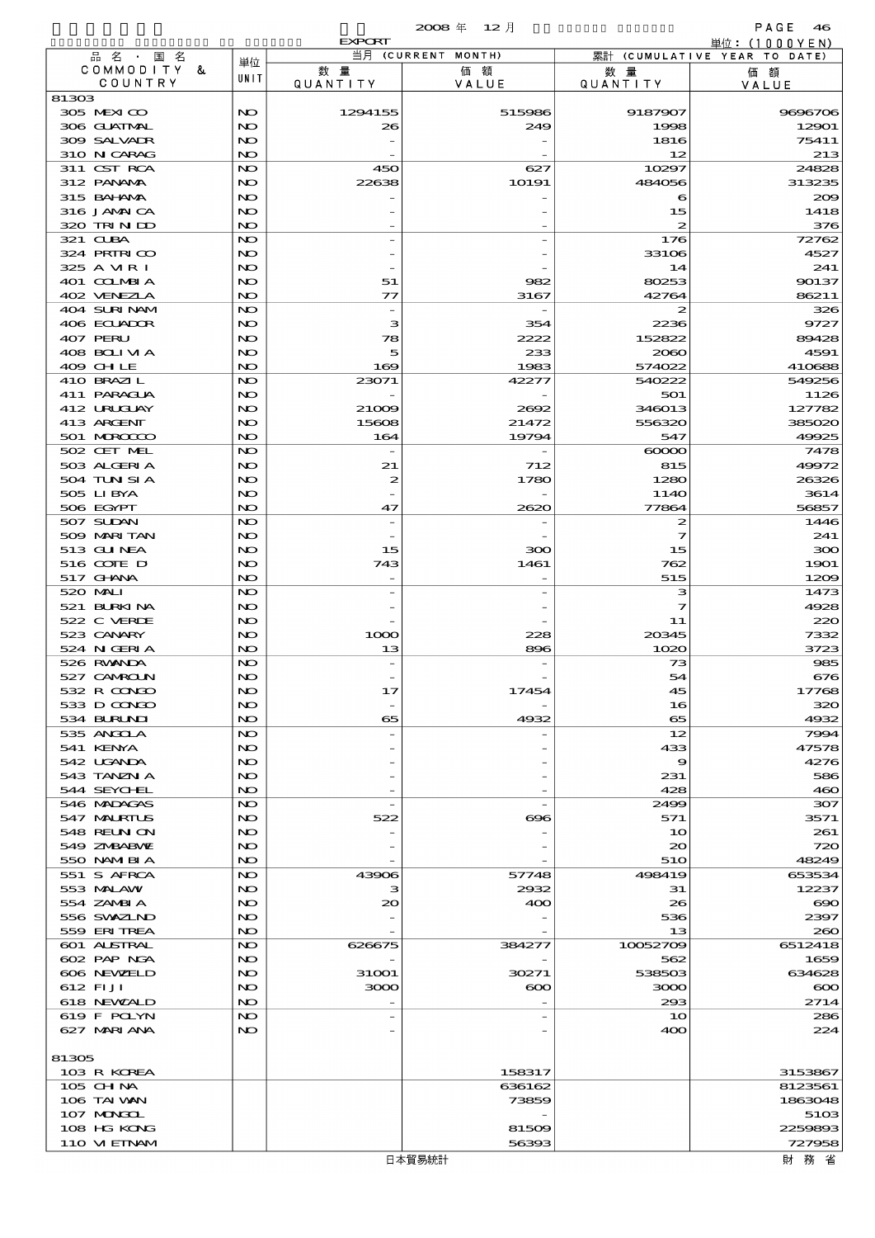|                            |           |                          | $2008 \text{ }^{\text{#}}$<br>- 12月 |                 | PAGE<br>46                                      |
|----------------------------|-----------|--------------------------|-------------------------------------|-----------------|-------------------------------------------------|
| 品名·国名                      |           | <b>EXPORT</b>            | 当月 (CURRENT MONTH)                  |                 | 単位: $(1000YEN)$<br>累計 (CUMULATIVE YEAR TO DATE) |
| COMMODITY &                | 単位        | 数量                       | 価額                                  | 数 量             | 価額                                              |
| COUNTRY                    | UNIT      | QUANTITY                 | VALUE                               | <b>QUANTITY</b> | VALUE                                           |
| 81303<br>305 MEXICO        | NO        | 1294155                  | 515986                              | 9187907         | 9696706                                         |
| 306 GUATMAL                | NO.       | 26                       | 249                                 | 1998            | 12901                                           |
| 309 SALVAIR                | NO        |                          |                                     | 1816            | 75411                                           |
| 310 N CARAG                | NO.       |                          |                                     | 12              | 213                                             |
| 311 CST RCA                | NO        | 450                      | 627                                 | 10297           | 24828                                           |
| 312 PANAMA<br>315 BAI ANA  | NO<br>NO. | 22638                    | 10191                               | 484056<br>6     | 313235<br>200                                   |
| 316 JAMAICA                | NO        |                          |                                     | 15              | 1418                                            |
| 320 TRINDO                 | NO        |                          |                                     | 2               | 376                                             |
| 321 CUBA                   | NO        |                          |                                     | 176             | 72762                                           |
| 324 PRIRICO                | NO        |                          |                                     | 33106           | 4527                                            |
| 325 A MR I<br>401 COLMBIA  | NO.<br>NO | 51                       | 982                                 | 14<br>80253     | 241<br>90137                                    |
| 402 VENEZLA                | NO.       | $\tau\tau$               | 3167                                | 42764           | 86211                                           |
| 404 SURINAM                | NO        |                          |                                     | 2               | 326                                             |
| 406 ECUADOR                | NO        | з                        | 354                                 | 2236            | 9727                                            |
| 407 PERU                   | NO.       | 78                       | 2222                                | 152822          | 89428                                           |
| 408 BOLIVIA<br>409 CHLE    | NO<br>NO. | 5<br>169                 | 233<br>1983                         | 2060<br>574022  | 4591<br>410688                                  |
| 410 BRAZIL                 | NO        | 23071                    | 42277                               | 540222          | 549256                                          |
| 411 PARAGUA                | NO        |                          |                                     | 501             | 1126                                            |
| 412 URUJAY                 | NO.       | 21009                    | 2692                                | 346013          | 127782                                          |
| 413 ARCENT                 | NO        | 15608                    | 21472                               | 556320          | 385020                                          |
| 501 MROCCO<br>502 CET MEL  | NO<br>NO  | 164                      | 19794                               | 547<br>$\infty$ | 49925<br>7478                                   |
| 503 ALGERIA                | NO.       | 21                       | 712                                 | 815             | 49972                                           |
| 504 TUN SI A               | NO        | 2                        | 1780                                | 1280            | 26326                                           |
| 505 LIBYA                  | NO        |                          |                                     | 114O            | 3614                                            |
| 506 EGYPT                  | NO.       | 47                       | 2620                                | 77864           | 56857                                           |
| 507 SUDAN<br>509 MARI TAN  | NO<br>NO. | $\overline{\phantom{a}}$ |                                     | 2<br>7          | 1446<br>241                                     |
| 513 GUNEA                  | NO.       | 15                       | 300                                 | 15              | 300                                             |
| 516 COTE D                 | NO        | 743                      | 1461                                | 762             | 1901                                            |
| 517 GHNA                   | NO.       | $\overline{\phantom{a}}$ |                                     | 515             | 1209                                            |
| 520 MALI                   | NO        |                          |                                     | з               | 1473                                            |
| 521 BURKINA<br>522 C VERDE | NO<br>NO  |                          |                                     | 7<br>11         | 4928<br>220                                     |
| 523 CANARY                 | NO        | 1000                     | 228                                 | 20345           | 7332                                            |
| 524 N GERIA                | NO        | 13                       | 896                                 | 1020            | 3723                                            |
| 526 RWANDA                 | NO        |                          |                                     | 73              | 985                                             |
| 527 CAMROLN                | NO        |                          |                                     | 54              | 676                                             |
| 532 R CONDO<br>533 D CONGO | NO<br>NO  | 17                       | 17454                               | 45<br>16        | 17768<br>320                                    |
| 534 BURLNI                 | NO.       | 65                       | 4932                                | 65              | 4932                                            |
| 535 ANGOLA                 | NO        |                          |                                     | 12              | 7994                                            |
| 541 KENYA                  | NO        |                          |                                     | 433             | 47578                                           |
| 542 UGANDA                 | NO        |                          |                                     | 9               | 4276                                            |
| 543 TANZN A<br>544 SEYCHEL | NO<br>NO  |                          |                                     | 231<br>428      | 586<br>460                                      |
| 546 MADAGAS                | NO        |                          |                                     | 2499            | 307                                             |
| 547 MALRIUS                | NO.       | 522                      | ങ്ങ                                 | 571             | 3571                                            |
| 548 REUN ON                | NO        |                          |                                     | 10              | 261                                             |
| 549 ZNBABNE                | NO        |                          |                                     | $\infty$        | 720                                             |
| 550 NAMERIA<br>551 S AFRCA | NO<br>NO  | 43906                    | 57748                               | 510<br>498419   | 48249<br>653534                                 |
| 553 MALAW                  | NO.       | з                        | 2932                                | 31              | 12237                                           |
| 554 ZAMBI A                | NO        | 20                       | 400                                 | 26              | $\infty$                                        |
| 556 SWAZIND                | NO        |                          |                                     | 536             | 2397                                            |
| 559 ERITREA<br>601 ALSTRAL | NO<br>NO  | 626675                   | 384277                              | 13<br>10052709  | 260                                             |
| 602 PAP NGA                | NO.       |                          |                                     | 562             | 6512418<br>1659                                 |
| 606 NEWELD                 | NO        | 31001                    | 30271                               | 538503          | 634628                                          |
| 612 FI JI                  | NO        | 3000                     | $\boldsymbol{\infty}$               | 3000            | $\infty$                                        |
| 618 NEWZALD                | NO        |                          |                                     | 293             | 2714                                            |
| 619 F POLYN                | NO        |                          |                                     | 10              | 286                                             |
| 627 MARIANA                | NO.       |                          |                                     | 400             | 224                                             |
| 81305                      |           |                          |                                     |                 |                                                 |
| 103 R KOREA                |           |                          | 158317                              |                 | 3153867                                         |
| $105$ CHNA                 |           |                          | 636162                              |                 | 8123561                                         |
| 106 TAI VAN                |           |                          | 73859                               |                 | 1863048                                         |
| 107 MARGL<br>108 HG KONG   |           |                          | 81509                               |                 | 5103<br>2259893                                 |
| 110 VIEINAM                |           |                          | 56393                               |                 | 727958                                          |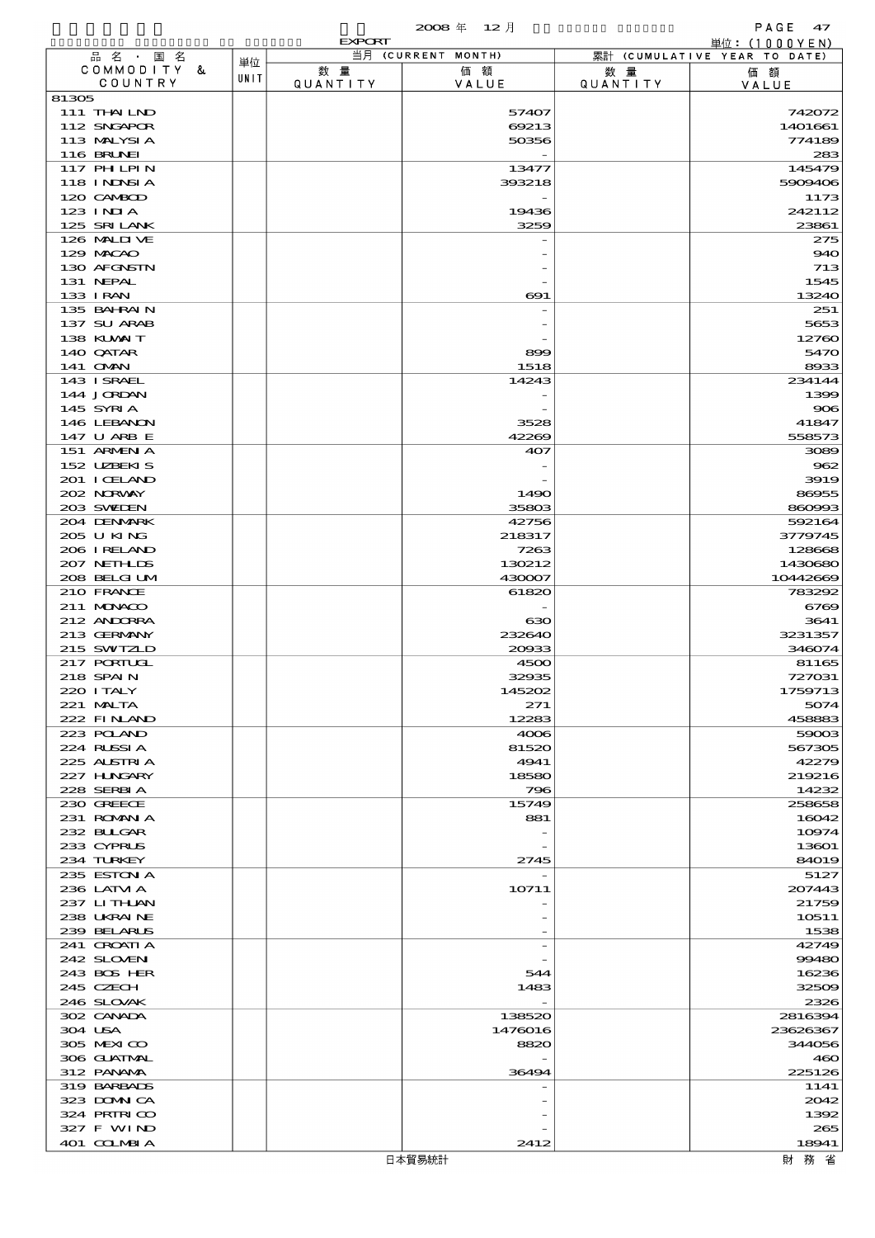|                            |      | <b>EXPORT</b>  |                    |                        | 単位: $(1000YEN)$              |
|----------------------------|------|----------------|--------------------|------------------------|------------------------------|
| 品名・国名                      | 単位   |                | 当月 (CURRENT MONTH) |                        | 累計 (CUMULATIVE YEAR TO DATE) |
| COMMODITY &<br>COUNTRY     | UNIT | 数量<br>QUANTITY | 価額<br>VALUE        | 数 量<br><b>QUANTITY</b> | 価額<br>VALUE                  |
| 81305                      |      |                |                    |                        |                              |
| 111 THAILND                |      |                | 57407              |                        | 742072                       |
| 112 SNGAPOR                |      |                | 69213              |                        | 1401661                      |
| 113 MALYSIA<br>116 BRUNEI  |      |                | 50356              |                        | 774189<br>283                |
| <b>117 PHLPIN</b>          |      |                | 13477              |                        | 145479                       |
| 118 I NJNSI A              |      |                | 393218             |                        | 5909406                      |
| 120 CAMBOD                 |      |                |                    |                        | 1173                         |
| $123$ INJA                 |      |                | 19436              |                        | 242112                       |
| 125 SRILANK                |      |                | 3259               |                        | 23861                        |
| 126 MALIVE<br>129 MACAO    |      |                |                    |                        | 275                          |
| 130 AFGNSTN                |      |                |                    |                        | 940<br>713                   |
| 131 NEPAL                  |      |                |                    |                        | 1545                         |
| 133 I RAN                  |      |                | $\bf{691}$         |                        | 13240                        |
| 135 BAHRAIN                |      |                |                    |                        | 251                          |
| 137 SU ARAB                |      |                |                    |                        | 5653                         |
| 138 KLVXIT                 |      |                |                    |                        | 12760                        |
| 140 QATAR<br>141 OMN       |      |                | 899<br>1518        |                        | 5470<br>8933                 |
| 143 ISRAEL                 |      |                | 14243              |                        | 234144                       |
| 144 JORDAN                 |      |                |                    |                        | 1399                         |
| 145 SYRIA                  |      |                |                    |                        | 906                          |
| 146 LEBANON                |      |                | 3528               |                        | 41847                        |
| 147 U ARB E                |      |                | 42269              |                        | 558573                       |
| 151 ARMENIA<br>152 UZBEKIS |      |                | 407                |                        | 3089<br>962                  |
| 201 I CELAND               |      |                |                    |                        | 3919                         |
| 202 NORWAY                 |      |                | 1490               |                        | 86955                        |
| 203 SWIDEN                 |      |                | 35803              |                        | 860993                       |
| 204 DENMARK                |      |                | 42756              |                        | 592164                       |
| 205 U KING<br>206 IRELAND  |      |                | 218317<br>7263     |                        | 3779745<br>128668            |
| 207 NETHLIS                |      |                | 130212             |                        | 1430680                      |
| 208 BELGI UM               |      |                | 430007             |                        | 10442669                     |
| 210 FRANCE                 |      |                | 61820              |                        | 783292                       |
| 211 MUNACO                 |      |                |                    |                        | 6769                         |
| 212 ANDORRA                |      |                | ഓ                  |                        | 3641                         |
| 213 GERMANY<br>215 SWIZLD  |      |                | 232640<br>20033    |                        | 3231357<br>346074            |
| 217 PORTUGL                |      |                | 4500               |                        | 81165                        |
| 218 SPAIN                  |      |                | 32935              |                        | 727031                       |
| 220 I TALY                 |      |                | 145202             |                        | 1759713                      |
| $221$ MALTA                |      |                | 271                |                        | 5074                         |
| 222 FINAND<br>223 POLAND   |      |                | 12283<br>4006      |                        | 458883<br>59003              |
| 224 RUSSIA                 |      |                | 81520              |                        | 567305                       |
| 225 ALSTRIA                |      |                | 4941               |                        | 42279                        |
| 227 HNGARY                 |      |                | 18580              |                        | 219216                       |
| 228 SERBIA                 |      |                | 796                |                        | 14232                        |
| 230 GREECE<br>231 ROMAN A  |      |                | 15749<br>881       |                        | 258658<br>16042              |
| 232 BLLGAR                 |      |                |                    |                        | 10974                        |
| 233 CYPRUS                 |      |                |                    |                        | 13601                        |
| 234 TURKEY                 |      |                | 2745               |                        | <b>84019</b>                 |
| 235 ESTON A                |      |                |                    |                        | 5127                         |
| 236 LATM A<br>237 LITHAN   |      |                | 10711              |                        | 207443<br>21759              |
| 238 UKRAINE                |      |                |                    |                        | 10511                        |
| 239 BELARUS                |      |                |                    |                        | 1538                         |
| 241 CROATIA                |      |                |                    |                        | 42749                        |
| 242 SLOVEN                 |      |                |                    |                        | 99480                        |
| 243 BOS HER<br>245 CZECH   |      |                | 544<br>1483        |                        | 16236<br>32509               |
| 246 SLOVAK                 |      |                |                    |                        | 2326                         |
| 302 CANADA                 |      |                | 138520             |                        | 2816394                      |
| 304 USA                    |      |                | 1476016            |                        | 23626367                     |
| 305 MEXICO                 |      |                | 8820               |                        | 344056                       |
| 306 GUATMAL<br>312 PANAMA  |      |                |                    |                        | 460<br>225126                |
| 319 BARBADS                |      |                | 36494              |                        | 1141                         |
| 323 DOMN CA                |      |                |                    |                        | 2042                         |
| 324 PRIRICO                |      |                |                    |                        | 1392                         |
| 327 F WIND                 |      |                |                    |                        | 265                          |
| 401 CCLMBIA                |      |                | 2412               |                        | 18941                        |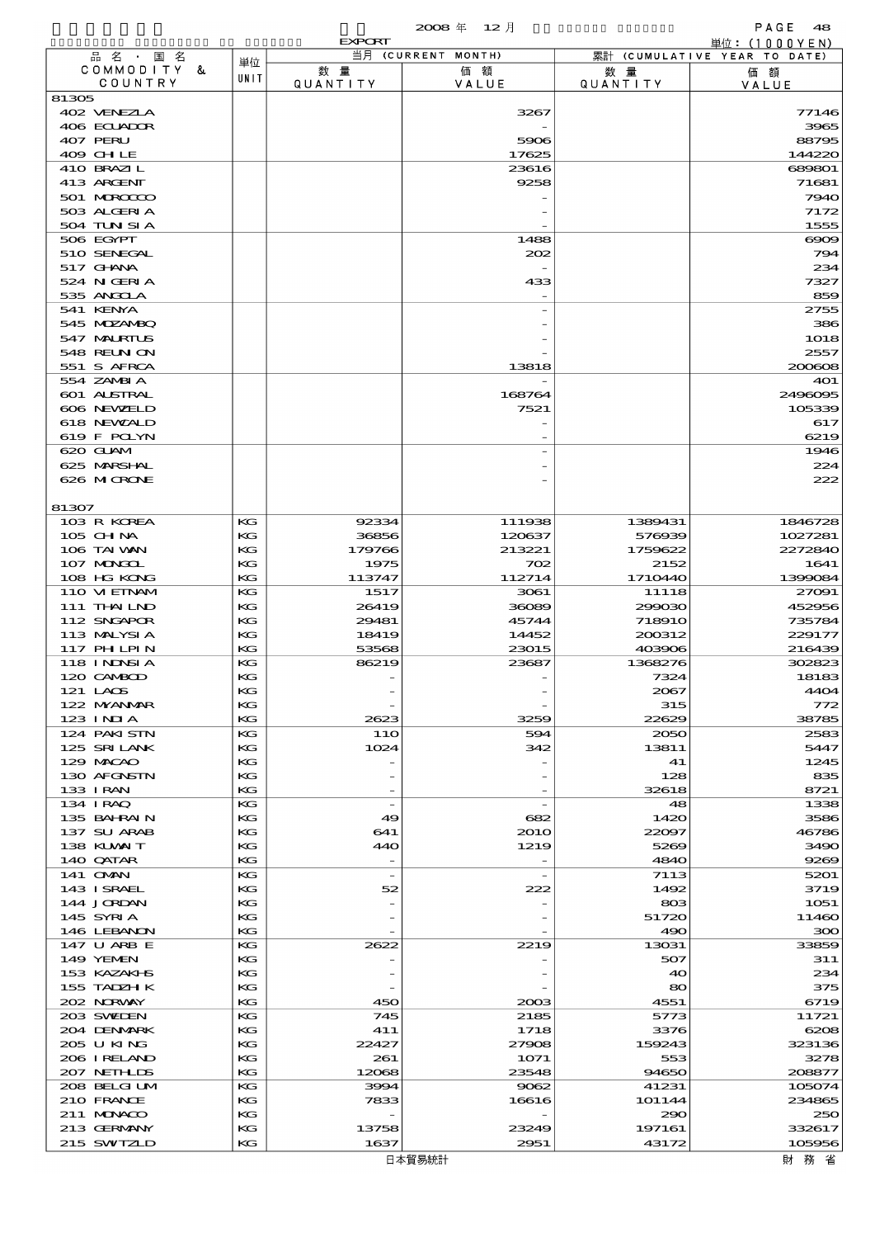|                             |          | <b>EXPORT</b>                  |                    |                        | 単位: (1000 Y E N)             |
|-----------------------------|----------|--------------------------------|--------------------|------------------------|------------------------------|
| 品名・国名                       | 単位       |                                | 当月 (CURRENT MONTH) |                        | 累計 (CUMULATIVE YEAR TO DATE) |
| COMMODITY &<br>COUNTRY      | UNIT     | 数 量<br>QUANTITY                | 価額<br>VALUE        | 数 量<br><b>QUANTITY</b> | 価額<br>VALUE                  |
| 81305                       |          |                                |                    |                        |                              |
| 402 VENEZIA                 |          |                                | 3267               |                        | 77146                        |
| 406 ECUADOR                 |          |                                |                    |                        | 3965                         |
| 407 PERU                    |          |                                | 5906               |                        | 88795                        |
| 409 CHLE<br>410 BRAZIL      |          |                                | 17625<br>23616     |                        | 144220<br>689801             |
| 413 ARCENT                  |          |                                | 9258               |                        | 71681                        |
| 501 MROCCO                  |          |                                |                    |                        | 7940                         |
| 503 ALGERIA                 |          |                                |                    |                        | 7172                         |
| 504 TUN SI A                |          |                                |                    |                        | 1555                         |
| 506 EGYPT                   |          |                                | 1488               |                        | $\infty$                     |
| 510 SENEGAL<br>517 GHNA     |          |                                | 202                |                        | 794<br>234                   |
| 524 N GERI A                |          |                                | 433                |                        | 7327                         |
| 535 ANGCLA                  |          |                                |                    |                        | 859                          |
| 541 KENYA                   |          |                                |                    |                        | 2755                         |
| 545 MDZANBQ                 |          |                                |                    |                        | 386                          |
| 547 MALRIUS                 |          |                                |                    |                        | 1018                         |
| 548 REUN ON<br>551 S AFRCA  |          |                                |                    |                        | 2557<br>200608               |
| 554 ZAMBI A                 |          |                                | 13818              |                        | 401                          |
| <b>601 ALSTRAL</b>          |          |                                | 168764             |                        | 2496095                      |
| 606 NEWELD                  |          |                                | 7521               |                        | 105339                       |
| 618 NEWALD                  |          |                                |                    |                        | 617                          |
| 619 F POLYN                 |          |                                |                    |                        | 6219                         |
| 620 GLAM                    |          |                                |                    |                        | 1946                         |
| 625 MARSHAL                 |          |                                |                    |                        | 224                          |
| 626 MICRONE                 |          |                                |                    |                        | 222                          |
| 81307                       |          |                                |                    |                        |                              |
| 103 R KOREA                 | KG       | 92334                          | 111938             | 1389431                | 1846728                      |
| 105 CHNA                    | КG       | 36856                          | 120637             | 576939                 | 1027281                      |
| 106 TAI VAN                 | KG       | 179766                         | 213221             | 1759622                | 2272840                      |
| 107 MAGAL<br>108 HG KONG    | КG<br>KG | 1975<br>113747                 | 702<br>112714      | 2152<br>1710440        | 1641<br>1399084              |
| 110 VIEINAM                 | KG       | 1517                           | 3061               | 11118                  | 27091                        |
| 111 THAILND                 | KG       | 26419                          | 36089              | 299030                 | 452956                       |
| 112 SNGAPOR                 | KG       | 29481                          | 45744              | <b>718910</b>          | 735784                       |
| 113 MALYSIA                 | КG       | 18419                          | 14452              | 200312                 | 229177                       |
| 117 PH LPIN                 | KG       | 53568                          | 23015              | 403906                 | 216439                       |
| 118 I NJNSI A               | КG       | 86219                          | 23687              | 1368276                | 302823                       |
| 120 CAMBOD<br>121 LAOS      | KG<br>KG |                                |                    | 7324<br>2067           | 18183<br>4404                |
| 122 NYANAR                  | КG       |                                |                    | 315                    | 772                          |
| $123$ INIA                  | KG       | 2623                           | 3259               | 22629                  | 38785                        |
| 124 PAKISTN                 | KG       | 1 1 O                          | 594                | 2050                   | 2583                         |
| 125 SRILANK                 | КG       | 1024                           | 342                | 13811                  | 5447                         |
| 129 MACAO                   | KG       |                                |                    | 41                     | 1245                         |
| 130 AFGNSTN<br>133 I RAN    | КG<br>KG |                                |                    | 128<br>32618           | 835<br>8721                  |
| 134 IRAQ                    | KG       | $\overline{\phantom{a}}$       |                    | 48                     | 1338                         |
| 135 BAHRAIN                 | KG       | 49                             | 682                | 1420                   | 3586                         |
| 137 SU ARAB                 | КG       | 641                            | <b>2010</b>        | 22097                  | 46786                        |
| 138 KUWAIT                  | КG       | 440                            | 1219               | 5269                   | 3490                         |
| 140 QATAR                   | KG       | $\overline{\phantom{0}}$       |                    | <b>4840</b>            | 9269                         |
| 141 OMN<br>143 ISRAEL       | KG<br>KG | $\overline{\phantom{a}}$<br>52 | 222                | 7113<br>1492           | 5201<br>3719                 |
| 144 JORDAN                  | KG       |                                |                    | 803                    | 1051                         |
| 145 SYRIA                   | КG       |                                |                    | 51720                  | 11460                        |
| 146 LEBANON                 | KG       |                                |                    | 490                    | 300                          |
| 147 U ARB E                 | KG       | 2622                           | 2219               | 13031                  | 33859                        |
| 149 YEMEN                   | KG       |                                |                    | 507                    | 311                          |
| 153 KAZAKI S<br>155 TADZH K | KG<br>КG |                                |                    | 40<br>80               | 234<br>375                   |
| 202 NORWAY                  | KG       | 450                            | 2003               | 4551                   | 6719                         |
| 203 SWIDEN                  | KG       | 745                            | 2185               | 5773                   | 11721                        |
| 204 DENMARK                 | KG       | 411                            | 1718               | 3376                   | 6208                         |
| 205 U KING                  | КG       | 22427                          | 27908              | 159243                 | 323136                       |
| 206 I RELAND                | КG       | 261                            | 1071               | 553                    | 3278                         |
| 207 NETH LIS                | KG       | 12068                          | 23548              | 94650                  | 208877                       |
| 208 BELGI UM<br>210 FRANCE  | KG<br>KG | 3994<br>7833                   | 9062<br>16616      | 41231<br>101144        | 105074<br>234865             |
| 211 MUNACO                  | KG       |                                |                    | 290                    | 250                          |
| 213 GERMANY                 | КG       | 13758                          | 23249              | 197161                 | 332617                       |
| 215 SWIZLD                  | KG       | 1637                           | 2951               | 43172                  | 105956                       |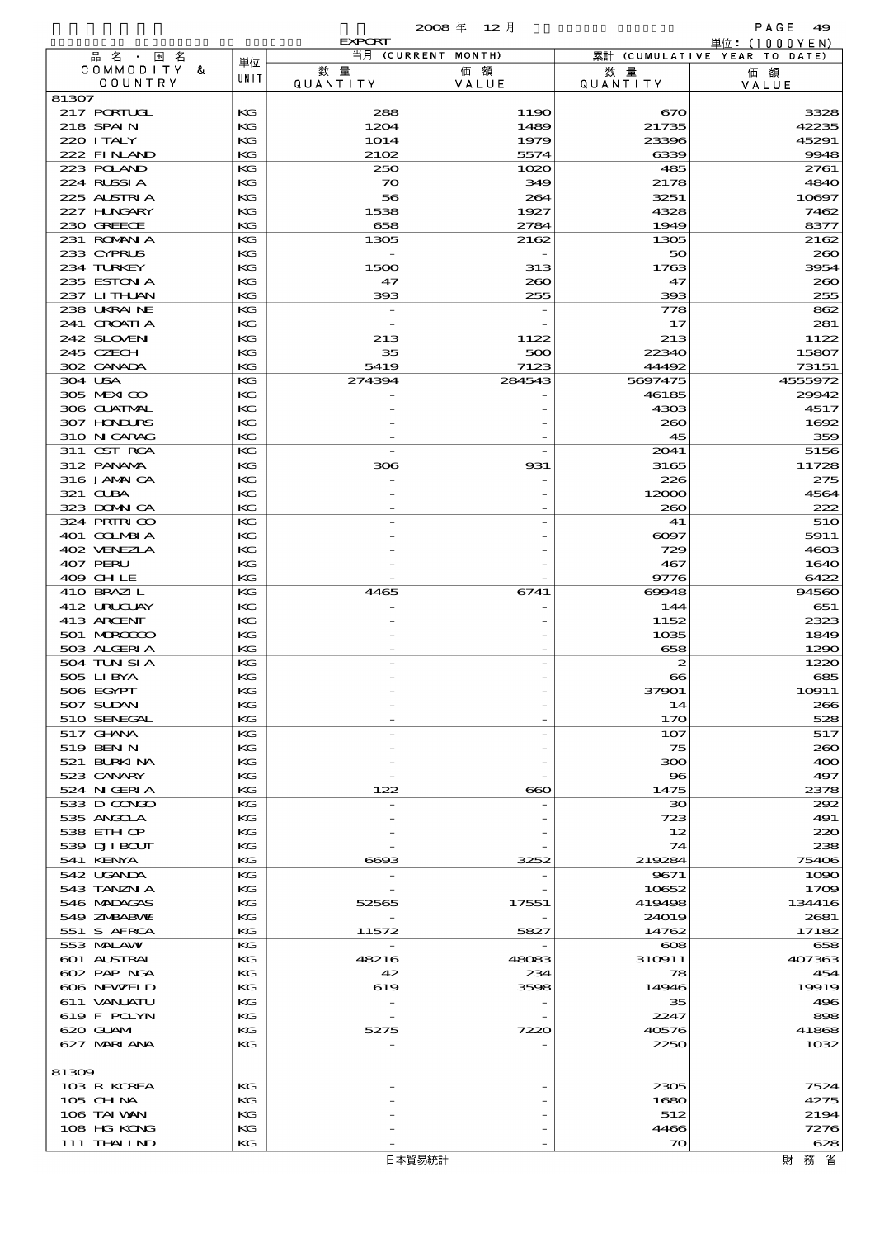$2008 \nleftrightarrow 12 \nparallel$  PAGE 49

|                            |                   | <b>EXPORT</b>             | $\sim$             |                       | 単位: (1000 Y E N )            |
|----------------------------|-------------------|---------------------------|--------------------|-----------------------|------------------------------|
| 品名・国名                      | 単位                |                           | 当月 (CURRENT MONTH) |                       | 累計 (CUMULATIVE YEAR TO DATE) |
| COMMODITY &<br>COUNTRY     | UNIT              | 数量<br><b>QUANTITY</b>     | 価額<br>VALUE        | 数量<br><b>QUANTITY</b> | 価額                           |
| 81307                      |                   |                           |                    |                       | VALUE                        |
| 217 PORTUGL                | KG                | 288                       | 1190               | 670                   | 3328                         |
| 218 SPAIN                  | KG                | 1204                      | 1489               | 21735                 | 42235                        |
| 220 I TALY                 | KG                | 1014                      | 1979               | 23396                 | 45291                        |
| 222 FINAND                 | KG                | 2102                      | 5574               | 6339                  | 9948                         |
| 223 POLAND<br>224 RUSSIA   | KG<br>KG          | 250<br>$\boldsymbol{\pi}$ | 1020               | 485<br>2178           | 2761<br>4840                 |
| 225 ALSTRIA                | KG                | 56                        | 349<br>264         | 3251                  | 10897                        |
| 227 H.NGARY                | KG                | 1538                      | 1927               | 4328                  | 7462                         |
| 230 GREECE                 | KG                | 658                       | 2784               | 1949                  | 8377                         |
| 231 ROMANIA                | KG                | 1305                      | 2162               | 1305                  | 2162                         |
| 233 CYPRUS                 | KG                |                           |                    | 50                    | 260                          |
| 234 TURKEY                 | KG                | 1500                      | 313                | 1763                  | 3954                         |
| 235 ESTON A                | KG<br>KG          | 47<br>393                 | 260<br>255         | 47<br>393             | 260<br>255                   |
| 237 LITHAN<br>238 UKRAINE  | KG                |                           |                    | 778                   | 862                          |
| 241 CROATIA                | KG                |                           |                    | 17                    | 281                          |
| 242 SLOVEN                 | KG                | 213                       | 1122               | 213                   | 1122                         |
| 245 CZECH                  | KG                | 35                        | 500                | 22340                 | 15807                        |
| 302 CANADA                 | KG                | 5419                      | 7123               | 44492                 | 73151                        |
| 304 USA                    | KG                | 274394                    | 284543             | 5697475               | 4555972                      |
| 305 MEXICO                 | KG                |                           |                    | 46185                 | 29942                        |
| 306 GUATMAL<br>307 HONDURS | KG<br>KG          |                           |                    | 4303<br>200           | 4517<br>1692                 |
| 310 N CARAG                | KG                |                           |                    | 45                    | 359                          |
| 311 CST RCA                | KG                |                           |                    | 2041                  | 5156                         |
| 312 PANAMA                 | КG                | 306                       | 931                | 3165                  | 11728                        |
| 316 JAMAICA                | KG                |                           |                    | 226                   | 275                          |
| 321 CLBA                   | KG                |                           |                    | 12000                 | 4564                         |
| 323 DOMNICA                | KG                |                           |                    | 260                   | 222                          |
| 324 PRIRICO<br>401 COLMBIA | KG<br>KG          |                           |                    | 41<br>6097            | 51O<br>5911                  |
| 402 VENEZIA                | KG                |                           |                    | 729                   | 4603                         |
| 407 PERU                   | KG                |                           |                    | 467                   | 1640                         |
| 409 CHLE                   | KG                |                           |                    | 9776                  | 6422                         |
| 410 BRAZIL                 | KG                | 4465                      | 6741               | 60048                 | 94560                        |
| 412 URUCUAY                | KG                |                           |                    | 144                   | 651                          |
| 413 ARCENT                 | KG                |                           |                    | 1152                  | 2323                         |
| 501 MROCCO<br>503 ALGERIA  | KG<br>KG          |                           |                    | 1035<br>658           | 1849<br>1290                 |
| 504 TUN SI A               | KG                |                           |                    | 2                     | 1220                         |
| 505 LIBYA                  | KG                |                           |                    | $\bullet$             | 685                          |
| 506 EGYPT                  | KG                |                           |                    | 37901                 | 10911                        |
| 507 SUDAN                  | КG                |                           |                    | 14                    | 266                          |
| 510 SENEGAL                | KG                |                           |                    | 170                   | 528                          |
| 517 GHNA<br>519 BEN N      | KG<br>KG          |                           |                    | 107<br>75             | 517<br>260                   |
| 521 BURKINA                | КG                |                           |                    | 300                   | 400                          |
| 523 CANARY                 | КG                |                           |                    | 96                    | 497                          |
| 524 N GERIA                | KG                | 122                       | $\infty$           | 1475                  | 2378                         |
| 533 D CONDO                | KG                |                           |                    | $30^{\circ}$          | 292                          |
| 535 ANGCLA                 | KG                |                           |                    | 723                   | 491                          |
| 538 EIH OP                 | KG                |                           |                    | 12                    | 220                          |
| 539 DJI BOUT<br>541 KENYA  | KG<br>$_{\rm KG}$ | 6693                      | 3252               | 74<br>219284          | 238<br>75406                 |
| 542 UGANDA                 | KG                |                           |                    | 9671                  | 1090                         |
| 543 TANZN A                | KG                |                           |                    | 10652                 | 1709                         |
| 546 MADAGAS                | КG                | 52565                     | 17551              | 419498                | 134416                       |
| 549 ZNBABNE                | KG                |                           |                    | 24019                 | 2681                         |
| 551 S AFRCA                | KG                | 11572                     | 5827               | 14762                 | 17182                        |
| 553 MALAW<br>601 ALSTRAL   | КG<br>KG          | 48216                     | 48083              | $\infty$<br>310911    | 658<br>407363                |
| 602 PAP NGA                | KG                | 42                        | 234                | 78                    | 454                          |
| 606 NEWELD                 | КG                | 619                       | 3598               | 14946                 | 19919                        |
| 611 VANJATU                | KG                |                           |                    | 35                    | 496                          |
| 619 F POLYN                | КG                |                           |                    | 2247                  | 898                          |
| 620 GLAM                   | KG                | 5275                      | 7220               | 40576                 | 41868                        |
| 627 MARIANA                | KG                |                           |                    | 2250                  | 1032                         |
| 81309                      |                   |                           |                    |                       |                              |
| 103 R KOREA                | КG                |                           |                    | 2305                  | 7524                         |
| 105 CH NA                  | KG                |                           |                    | 1680                  | 4275                         |
| 106 TAI VAN                | KG                |                           |                    | 512                   | 2194                         |
| 108 HG KONG                | KG                |                           |                    | 4466                  | 7276                         |
| 111 THAILND                | KG                |                           |                    | $\infty$              | 628                          |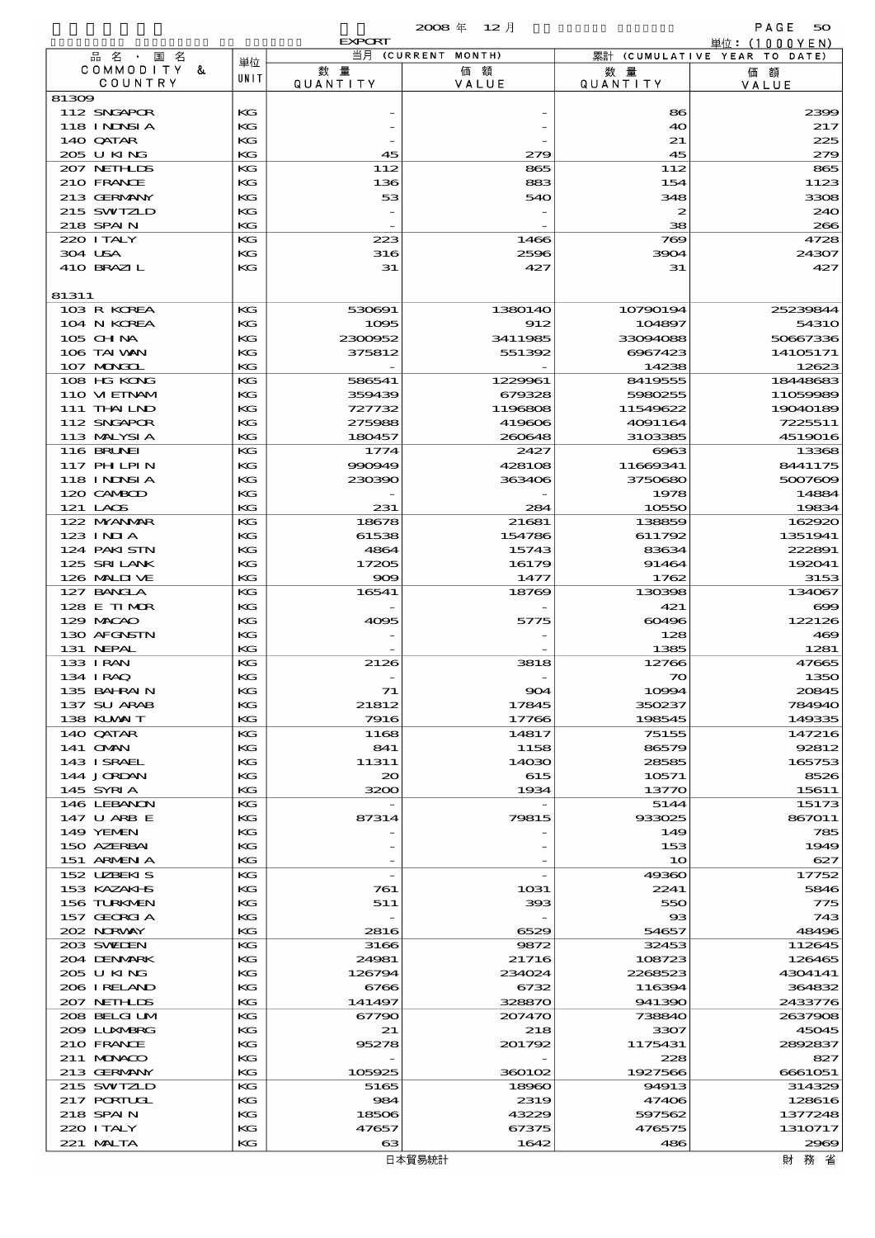$\boldsymbol{\alpha}$  and  $\boldsymbol{\beta}$  and  $\boldsymbol{\beta}$  and  $\boldsymbol{\beta}$  and  $\boldsymbol{\beta}$  and  $\boldsymbol{\beta}$  and  $\boldsymbol{\beta}$  and  $\boldsymbol{\beta}$  and  $\boldsymbol{\beta}$  and  $\boldsymbol{\beta}$  and  $\boldsymbol{\beta}$  and  $\boldsymbol{\beta}$  and  $\boldsymbol{\beta}$  and  $\boldsymbol{\beta}$  and  $\boldsymbol{\beta}$  and  $\boldsymbol{\beta}$  and  $\boldsymbol{\beta}$  and

|                             |               | <b>EXPORT</b>            |                    |                        | 単位:(1000YEN)                 |
|-----------------------------|---------------|--------------------------|--------------------|------------------------|------------------------------|
| 品名・<br>国名<br>COMMODITY &    | 単位            | 数量                       | 当月 (CURRENT MONTH) |                        | 累計 (CUMULATIVE YEAR TO DATE) |
| COUNTRY                     | UNIT          | QUANTITY                 | 価額<br>VALUE        | 数 量<br><b>QUANTITY</b> | 価額<br>VALUE                  |
| 81309                       |               |                          |                    |                        |                              |
| 112 SNGAPOR                 | $_{\rm KG}$   |                          |                    | 86                     | 2399                         |
| 118 I NJNSI A               | KG            |                          |                    | 40                     | 217                          |
| 140 QATAR<br>205 U KING     | KG<br>KG      | 45                       | 279                | 21<br>45               | 225<br>279                   |
| 207 NETHLIS                 | KG            | 112                      | 865                | 112                    | 865                          |
| 210 FRANCE                  | KG            | 136                      | 883                | 154                    | 1123                         |
| 213 GERMANY                 | KG            | 53                       | 540                | 348                    | 3308                         |
| 215 SWIZLD                  | KG            | $\overline{\phantom{m}}$ |                    | $\boldsymbol{z}$       | 240                          |
| 218 SPAIN                   | KG            |                          |                    | 38                     | 266                          |
| 220 I TALY<br>304 USA       | KG<br>$K$ $G$ | 223                      | 1466<br>2596       | 769<br>3904            | 4728<br>24307                |
| 410 BRAZIL                  | KG            | 316<br>31                | 427                | 31                     | 427                          |
|                             |               |                          |                    |                        |                              |
| 81311                       |               |                          |                    |                        |                              |
| 103 R KOREA                 | KG            | 530691                   | 1380140            | 10790194               | 25239844                     |
| 104 N KOREA                 | KG            | 1095                     | 912                | 104897                 | 5431O                        |
| $105$ CHNA<br>106 TAI WAN   | KG<br>KG      | 2300952<br>375812        | 3411985            | 33094088<br>6967423    | 50667336<br>14105171         |
| 107 MONGOL                  | KG            |                          | 551392             | 14238                  | 12623                        |
| 108 HG KONG                 | KG            | 586541                   | 1229961            | 8419555                | 18448683                     |
| 110 VIEINAM                 | KG            | 359439                   | 679328             | 5980255                | 11059989                     |
| 111 THAILND                 | KG            | 727732                   | 1196808            | 11549622               | 19040189                     |
| 112 SNGAPOR                 | KG            | 275988                   | 419606             | 4091164                | 7225511                      |
| 113 MALYSIA                 | KG            | 180457                   | 260648             | 3103385                | 4519016                      |
| 116 BRUNEI<br>117 PH LPIN   | KG<br>KG      | 1774<br>990949           | 2427<br>428108     | 6963<br>11669341       | 13368<br>8441175             |
| 118 I NJNSI A               | KG            | 230390                   | 363406             | 3750680                | 5007609                      |
| 120 CAMBOD                  | KG            |                          |                    | 1978                   | 14884                        |
| 121 LAOS                    | KG            | 231                      | 284                | 10550                  | 19834                        |
| 122 MYANMAR                 | KG            | 18678                    | 21681              | 138859                 | 162920                       |
| $123$ INIA                  | KG            | 61538                    | 154786             | 611792                 | 1351941                      |
| 124 PAKI STN                | KG            | 4864                     | 15743              | 83634                  | 222891                       |
| 125 SRILANK<br>126 MALII VE | KG<br>KG      | 17205<br>909             | 16179<br>1477      | 91464<br>1762          | 192041<br>3153               |
| 127 BANCLA                  | KG            | 16541                    | 18769              | 130398                 | 134067                       |
| 128 E TIMOR                 | KG            |                          |                    | 421                    | $\bf{699}$                   |
| 129 MACAO                   | KG            | 4095                     | 5775               | 60496                  | 122126                       |
| 130 AFGNSTN                 | KG            |                          |                    | 128                    | 469                          |
| 131 NEPAL                   | KG            |                          |                    | 1385                   | 1281                         |
| 133 I RAN                   | KG            | 2126                     | 3818               | 12766                  | 47665                        |
| 134 I RAQ<br>135 BAHRAIN    | KG<br>KG      | 71                       | 904                | 70<br>10994            | 1350<br>20845                |
| 137 SU ARAB                 | КG            | 21812                    | 17845              | 350237                 | 784940                       |
| 138 KUWAIT                  | КG            | 7916                     | 17766              | 198545                 | 149335                       |
| 140 QATAR                   | KG            | 1168                     | 14817              | 75155                  | 147216                       |
| 141 <b>OMN</b>              | KG            | 841                      | 1158               | 86579                  | 92812                        |
| 143 ISRAEL<br>144 JORDAN    | KG            | 11311                    | 14030              | 28585                  | 165753                       |
| 145 SYRIA                   | КG<br>КG      | 20<br>3200               | 615<br>1934        | 10571<br>13770         | 8526<br>15611                |
| 146 LEBANON                 | KG            |                          |                    | 5144                   | 15173                        |
| 147 U ARB E                 | KG            | 87314                    | 79815              | 933025                 | 867011                       |
| 149 YEMEN                   | KG            |                          |                    | 149                    | 785                          |
| 150 AZERBAI                 | КG            |                          |                    | 153                    | 1949                         |
| 151 ARMEN A                 | KG<br>КG      |                          |                    | 10                     | 627<br>17752                 |
| 152 UZBEKIS<br>153 KAZAKI S | КG            | 761                      | 1031               | 49360<br>2241          | 5846                         |
| 156 TURKMEN                 | KG            | 511                      | 393                | 550                    | 775                          |
| 157 GEORGIA                 | КG            |                          |                    | $_{\rm \bf 33}$        | 743                          |
| 202 NORVAY                  | KG            | 2816                     | 6529               | 54657                  | 48496                        |
| 203 SWIDEN                  | КG            | 3166                     | 9872               | 32453                  | 112645                       |
| 204 DENMARK                 | КG            | 24981                    | 21716              | 108723                 | 126465                       |
| 205 U KING<br>206 I RELAND  | KG<br>КG      | 126794<br>6766           | 234024<br>6732     | 2268523<br>116394      | 4304141<br>364832            |
| 207 NETH LIS                | КG            | 141497                   | 328870             | 941390                 | 2433776                      |
| 208 BELGI UM                | КG            | 67790                    | 207470             | 738840                 | 2637908                      |
| 2009 LUNABRG                | КG            | 21                       | 218                | 3307                   | 45045                        |
| 210 FRANCE                  | KG            | 95278                    | 201792             | 1175431                | 2892837                      |
| 211 MUNACO                  | КG            |                          |                    | 228                    | 827                          |
| 213 GERMANY<br>215 SWIZLD   | КG<br>KG      | 105925<br>5165           | 360102<br>18960    | 1927566<br>94913       | 6661051<br>314329            |
| 217 PORTUGL                 | КG            | 984                      | 2319               | 47406                  | 128616                       |
| 218 SPAIN                   | KG            | 18506                    | 43229              | 597562                 | 1377248                      |
| 220 I TALY                  | КG            | 47657                    | 67375              | 476575                 | 1310717                      |
| 221 MALTA                   | КG            | ങ                        | 1642               | 486                    | 2969                         |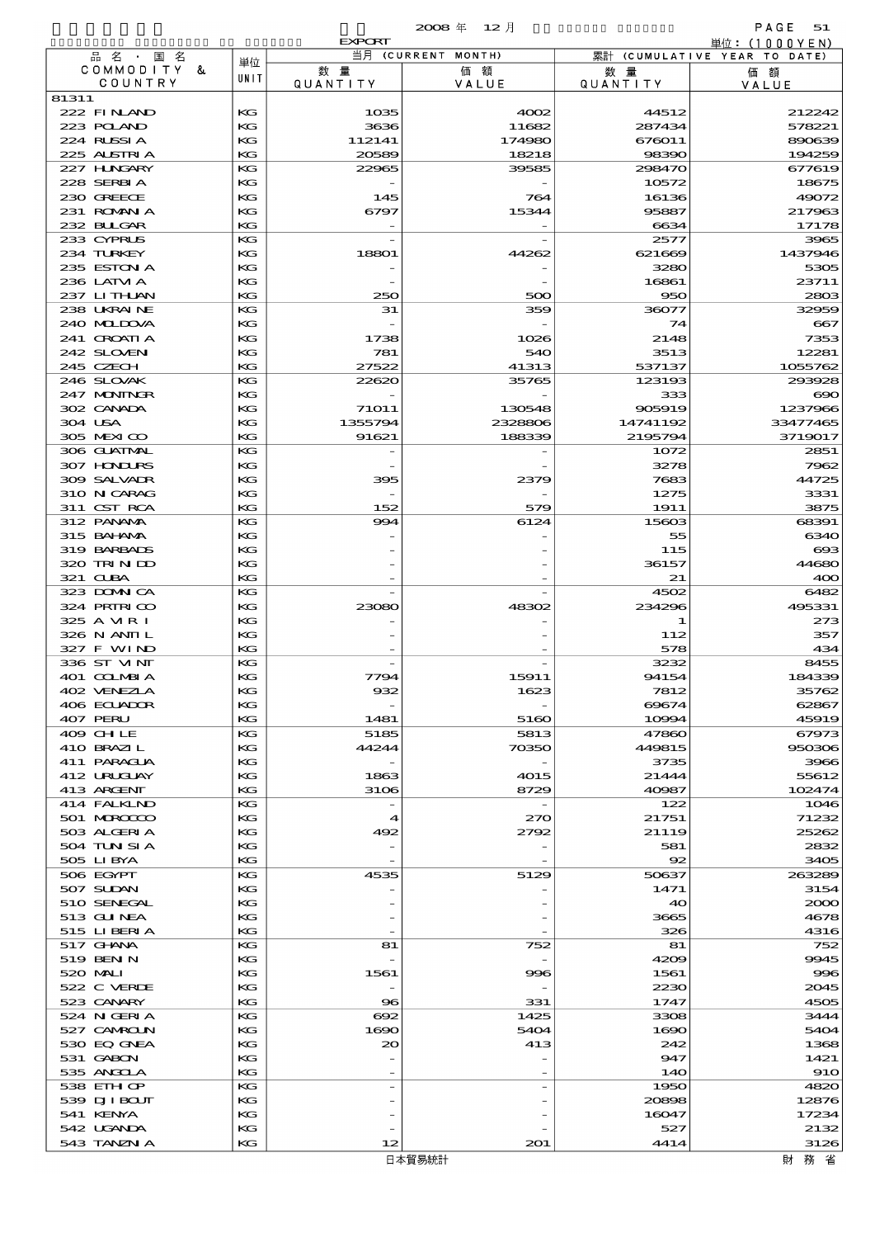|                            |          | <b>EXPORT</b>   |                          |                       | 単位: (1000 Y E N)             |
|----------------------------|----------|-----------------|--------------------------|-----------------------|------------------------------|
| 品名・国名<br>COMMODITY &       | 単位       | 数量              | 当月 (CURRENT MONTH)<br>価額 |                       | 累計 (CUMULATIVE YEAR TO DATE) |
| COUNTRY                    | UNIT     | <b>QUANTITY</b> | VALUE                    | 数量<br><b>QUANTITY</b> | 価額<br>VALUE                  |
| 81311                      |          |                 |                          |                       |                              |
| 222 FINAND                 | КG       | 1035            | 4002                     | 44512                 | 212242                       |
| 223 POLAND<br>224 RUSSIA   | KG<br>KG | 3636<br>112141  | 11682<br>174980          | 287434<br>676011      | 578221<br>890639             |
| 225 ALSTRIA                | KG       | 20589           | 18218                    | 98390                 | 194259                       |
| 227 H.NGARY                | KG       | 22965           | 39585                    | 298470                | 677619                       |
| 228 SERBIA                 | KG       |                 |                          | 10572                 | 18675                        |
| 230 GREECE                 | KG       | 145             | 764                      | 16136                 | 49072                        |
| 231 ROMANIA<br>232 BLLGAR  | KG<br>KG | 6797            | 15344                    | 95887<br>6634         | 217963<br>17178              |
| 233 CYPRUS                 | KG       |                 |                          | 2577                  | 3965                         |
| 234 TURKEY                 | KG       | 18801           | 44262                    | 621669                | 1437946                      |
| 235 ESTON A                | KG       |                 |                          | 3280                  | 5305                         |
| 236 LATVI A                | KG       |                 |                          | 16861                 | 23711                        |
| 237 LITHAN<br>238 UKRAINE  | KG<br>KG | 250<br>31       | 500<br>359               | 950<br>36077          | 2803<br>32959                |
| 240 MIDJA                  | KG       |                 |                          | 74                    | 667                          |
| 241 CROATIA                | KG       | 1738            | 1026                     | 2148                  | 7353                         |
| 242 SLOVEN                 | KG       | 781             | 540                      | 3513                  | 12281                        |
| 245 CZECH                  | KG       | 27522           | 41313                    | 537137                | 1055762                      |
| 246 SLOVAK<br>247 MONINGR  | KG<br>KG | 22620           | 35765                    | 123193<br>333         | 293928<br>$\infty$           |
| 302 CANADA                 | KG       | 71011           | 130548                   | 905919                | 1237966                      |
| 304 USA                    | KG       | 1355794         | 2328806                  | 14741192              | 33477465                     |
| 305 MEXICO                 | KG       | 91621           | 188339                   | 2195794               | 3719017                      |
| 306 GLATMAL                | KG       |                 |                          | 1072                  | 2851                         |
| 307 HONDURS                | KG       |                 |                          | 3278                  | 7962                         |
| 309 SALVAIR<br>310 N CARAG | KG<br>KG | 395             | 2379                     | 7683<br>1275          | 44725<br>3331                |
| 311 CST RCA                | KG       | 152             | 579                      | 1911                  | 3875                         |
| 312 PANAMA                 | KG       | 994             | 6124                     | 15603                 | 68391                        |
| 315 BAHANA                 | KG       |                 |                          | 55                    | 6340                         |
| 319 BARBADS                | KG       |                 |                          | 115                   | $\cos$                       |
| 320 TRINDO<br>321 CLBA     | KG<br>KG |                 |                          | 36157<br>21           | 44680<br>400                 |
| 323 DOMNICA                | KG       |                 |                          | 4502                  | 6482                         |
| 324 PRINICO                | KG       | 23080           | 48302                    | 234296                | 495331                       |
| 325 A MR I                 | KG       |                 |                          | 1                     | 273                          |
| 326 N ANII L               | KG       |                 |                          | 112                   | 357                          |
| 327 F WIND<br>336 ST MNT   | KG<br>KG |                 |                          | 578<br>3232           | 434<br>8455                  |
| 401 COLMBIA                | KG       | 7794            | 15911                    | 94154                 | 184339                       |
| 402 VENEZLA                | KG       | 932             | 1623                     | 7812                  | 35762                        |
| 406 ECUADOR                | КG       |                 |                          | 69674                 | 62867                        |
| 407 PERU                   | KG       | 1481            | 5160                     | 10994                 | 45919                        |
| 409 CH LE<br>410 BRAZIL    | КG<br>КG | 5185<br>44244   | 5813<br>70350            | 47860<br>449815       | 67973<br>950306              |
| 411 PARAGUA                | КG       |                 |                          | 3735                  | 3966                         |
| 412 URUJAY                 | KG       | 1863            | 4015                     | 21444                 | 55612                        |
| 413 ARGENT                 | КG       | 3106            | 8729                     | 40987                 | 102474                       |
| 414 FALKLND                | KG       |                 |                          | 122                   | 1046                         |
| 501 MROCCO<br>503 ALGERIA  | KG<br>КG | ◢<br>492        | 270<br>2792              | 21751<br>21119        | 71232<br>25262               |
| 504 TUN SI A               | KG       |                 |                          | 581                   | 2832                         |
| 505 LIBYA                  | КG       |                 |                          | 92                    | 3405                         |
| 506 EGYPT                  | КG       | 4535            | 5129                     | 50637                 | 263289                       |
| 507 SUDAN<br>510 SENEGAL   | KG<br>КG |                 |                          | 1471<br>40            | 3154<br>2000                 |
| 513 GU NEA                 | КG       |                 |                          | 3665                  | 4678                         |
| 515 LIBERIA                | KG       |                 |                          | 326                   | 4316                         |
| 517 GHNA                   | КG       | 81              | 752                      | 81                    | 752                          |
| 519 BEN N                  | KG       |                 |                          | 4209                  | 9945                         |
| 520 MAI                    | KG       | 1561            | 996                      | 1561                  | 996                          |
| 522 C VERDE<br>523 CANARY  | КG<br>KG | $\bf{8}$        | 331                      | 2230<br>1747          | 2045<br>4505                 |
| 524 N GERIA                | КG       | 692             | 1425                     | 3308                  | 3444                         |
| 527 CAMROLN                | KG       | 1690            | 5404                     | 1600                  | 5404                         |
| 530 EQ GNEA                | KG       | 20              | 413                      | 242                   | 1368                         |
| 531 GABON                  | KG       |                 |                          | 947                   | 1421                         |
| 535 ANGCLA<br>538 EIH OP   | KG<br>KG |                 |                          | 140<br>1950           | <b>910</b><br>4820           |
| 539 DJI BOUT               | КG       |                 |                          | 20898                 | 12876                        |
| 541 KENYA                  | KG       |                 |                          | 16047                 | 17234                        |
| 542 UGANDA                 | KG       |                 |                          | 527                   | 2132                         |
| 543 TANZN A                | КG       | 12              | 201                      | 4414                  | 3126                         |

財務省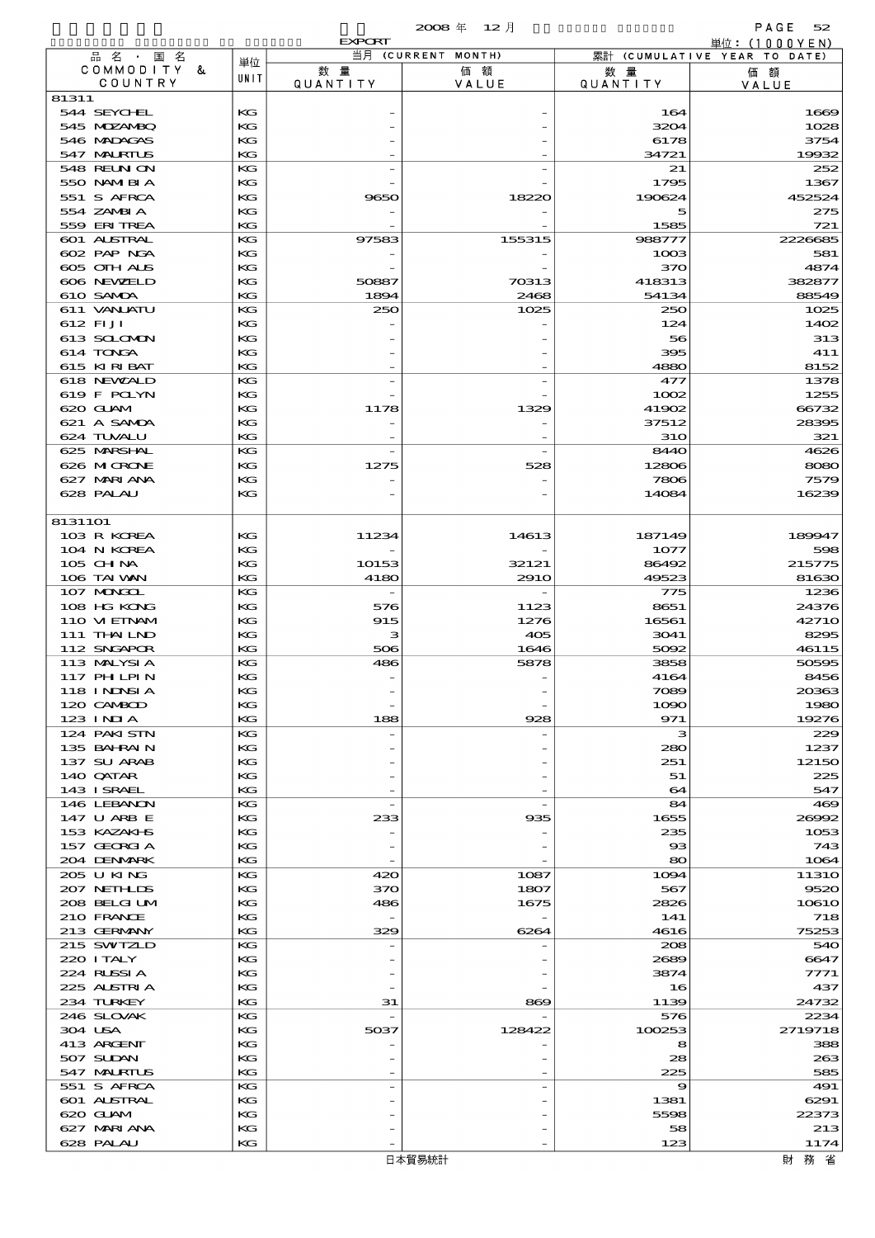|                                  |          | <b>EXPORT</b>         |                    |                       | 単位:(1000YEN)                 |
|----------------------------------|----------|-----------------------|--------------------|-----------------------|------------------------------|
| 品名·国名                            | 単位       |                       | 当月 (CURRENT MONTH) |                       | 累計 (CUMULATIVE YEAR TO DATE) |
| COMMODITY &<br>COUNTRY           | UNIT     | 数量<br><b>QUANTITY</b> | 価額<br>VALUE        | 数量<br><b>QUANTITY</b> | 価額<br>VALUE                  |
| 81311                            |          |                       |                    |                       |                              |
| 544 SEYCHL                       | KG       |                       |                    | 164                   | 1669                         |
| 545 MDZANBQ                      | KG       |                       |                    | 3204                  | 1028                         |
| 546 MADAGAS                      | KG       |                       |                    | 6178                  | 3754                         |
| 547 MALRIUS<br>548 REUN ON       | KG<br>KG |                       |                    | 34721<br>21           | 19932<br>252                 |
| 550 NAMERIA                      | КG       |                       |                    | 1795                  | 1367                         |
| 551 S AFRCA                      | KG       | 9650                  | 18220              | 190624                | 452524                       |
| 554 ZAMBIA                       | КG       |                       |                    | 5                     | 275                          |
| 559 ERITREA                      | KG       |                       |                    | 1585                  | 721                          |
| 601 ALSTRAL<br>602 PAP NGA       | KG<br>КG | 97583                 | 155315             | 988777<br>1003        | 2226685<br>581               |
| 605 OIH ALS                      | KG       |                       |                    | 370                   | 4874                         |
| 606 NEWELD                       | КG       | 50887                 | 70313              | 418313                | 382877                       |
| 610 SAMDA                        | KG       | 1894                  | 2468               | 54134                 | 88549                        |
| 611 VANLATU                      | KG       | 250                   | 1025               | 250                   | 1025                         |
| 612 FIJI<br>613 SCLOMON          | KG<br>KG |                       |                    | 124<br>56             | 1402<br>313                  |
| 614 TONGA                        | КG       |                       |                    | 395                   | 411                          |
| 615 KIRIBAT                      | KG       |                       |                    | 4880                  | 8152                         |
| 618 NEWALD                       | KG       |                       |                    | 477                   | 1378                         |
| 619 F POLYN                      | КG       |                       |                    | 1002                  | 1255                         |
| 620 GLAM                         | KG       | 1178                  | 1329               | 41902                 | 66732                        |
| 621 A SAMDA<br>624 TUVALU        | КG<br>KG |                       |                    | 37512<br><b>310</b>   | 28395<br>321                 |
| 625 MARSHAL                      | KG       |                       |                    | 8440                  | 4626                         |
| 626 MICRONE                      | KG       | 1275                  | 528                | 12806                 | 8080                         |
| 627 MARI ANA                     | KG       |                       |                    | 7806                  | 7579                         |
| 628 PALAU                        | KG       |                       |                    | 14084                 | 16239                        |
| 8131101                          |          |                       |                    |                       |                              |
| 103 R KOREA                      | KG       | 11234                 | 14613              | 187149                | 189947                       |
| 104 N KOREA                      | KG       |                       |                    | 1077                  | 598                          |
| $105$ CHNA                       | КG       | 10153                 | 32121              | 86492                 | 215775                       |
| 106 TAI VAN                      | KG       | 4180                  | <b>2910</b>        | 49523                 | 81630                        |
| 107 MONGOL<br>108 HG KONG        | KG<br>KG |                       | 1123               | 775<br>8651           | 1236                         |
| 110 VIEINAM                      | KG       | 576<br>915            | 1276               | 16561                 | 24376<br>42710               |
| 111 THAILND                      | КG       | з                     | 405                | 3041                  | 8295                         |
| 112 SNGAPOR                      | KG       | 506                   | 1646               | 5092                  | 46115                        |
| 113 MALYSIA                      | KG       | 486                   | 5878               | 3858                  | 50595                        |
| <b>117 PHLPIN</b><br>118 INNSI A | KG<br>KG |                       |                    | 4164<br>7089          | 8456<br>20363                |
| 120 CAMBOD                       | КG       |                       |                    | 1090                  | 1980                         |
| $123$ INIA                       | КG       | 188                   | 928                | 971                   | 19276                        |
| 124 PAKISTN                      | KG       |                       |                    | з                     | 229                          |
| 135 BAHRAIN                      | KG       |                       |                    | 280                   | 1237                         |
| 137 SU ARAB<br>140 QATAR         | KG<br>КG |                       |                    | 251<br>51             | 12150<br>225                 |
| 143 ISRAEL                       | KG       |                       |                    | 64                    | 547                          |
| 146 LEBANON                      | KG       |                       |                    | 84                    | 469                          |
| 147 U ARB E                      | KG       | 233                   | 935                | 1655                  | 26992                        |
| 153 KAZAKI S                     | KG       |                       |                    | 235                   | 1053                         |
| 157 GEORGIA<br>204 DENMARK       | КG<br>KG |                       |                    | $_{\rm \bf 33}$       | 743                          |
| 205 U KING                       | KG       | 420                   | 1087               | 80<br>1094            | 1064<br><b>11310</b>         |
| 207 NETHLIS                      | KG       | 370                   | 1807               | 567                   | 9520                         |
| 208 BELGI UM                     | КG       | 486                   | 1675               | 2826                  | <b>10610</b>                 |
| 210 FRANCE                       | КG       |                       |                    | 141                   | 718                          |
| 213 GERMANY                      | KG       | 329                   | 6264               | 4616                  | 75253                        |
| 215 SWIZLD<br>220 I TALY         | KG<br>KG |                       |                    | 208<br>2689           | 540<br>6647                  |
| 224 RUSSIA                       | KG       |                       |                    | 3874                  | 7771                         |
| 225 ALSTRIA                      | КG       |                       |                    | 16                    | 437                          |
| 234 TURKEY                       | KG       | 31                    | 869                | 1139                  | 24732                        |
| 246 SLOVAK                       | KG       |                       |                    | 576                   | 2234                         |
| 304 USA<br>413 ARCENT            | KG<br>KG | 5037                  | 128422             | 100253<br>8           | 2719718<br>388               |
| 507 SUDAN                        | КG       |                       |                    | 28                    | 263                          |
| 547 MALRIUS                      | KG       |                       |                    | 225                   | 585                          |
| 551 S AFRCA                      | KG       |                       |                    | 9                     | 491                          |
| 601 ALSTRAL                      | KG       |                       |                    | 1381                  | 6291                         |
| 620 GLAM<br>627 MARIANA          | KG<br>КG |                       |                    | 5598<br>58            | 22373<br>213                 |
| 628 PALAU                        | KG       |                       |                    | 123                   | 1174                         |
|                                  |          |                       |                    |                       |                              |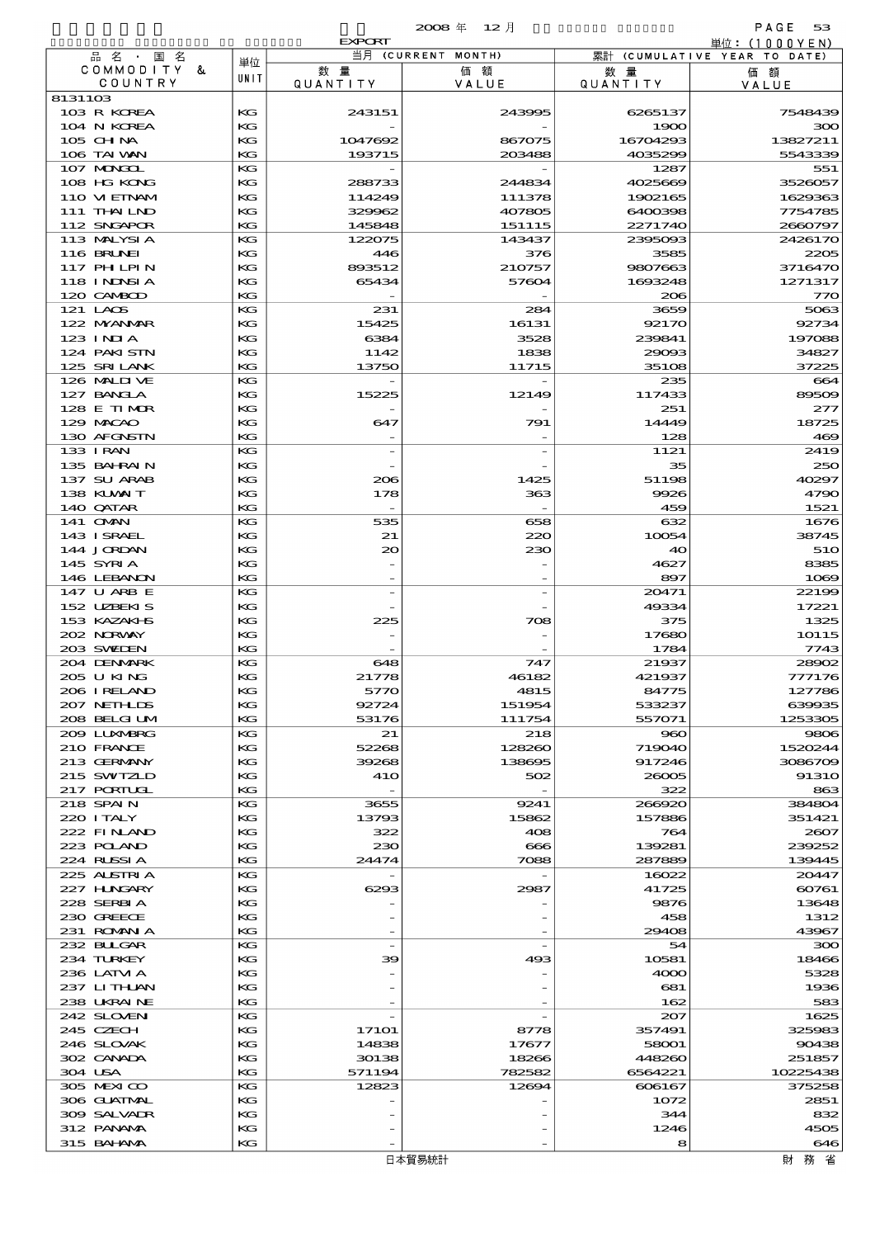|                                  |          | <b>EXPORT</b>            |                    |                       | 単位:(1000YEN)                 |
|----------------------------------|----------|--------------------------|--------------------|-----------------------|------------------------------|
| 品名・国名                            | 単位       |                          | 当月 (CURRENT MONTH) |                       | 累計 (CUMULATIVE YEAR TO DATE) |
| COMMODITY &<br>COUNTRY           | UNIT     | 数量<br>QUANTITY           | 価額<br>VALUE        | 数量<br><b>QUANTITY</b> | 価額<br>VALUE                  |
| 8131103                          |          |                          |                    |                       |                              |
| 103 R KOREA                      | KG       | 243151                   | 243995             | 6265137               | 7548439                      |
| 104 N KOREA                      | KG       |                          |                    | 1900                  | 300                          |
| 105 CH NA                        | KG       | 1047692                  | 867075             | 16704293              | 13827211                     |
| 106 TAI WAN<br>107 MAGAL         | KG<br>KG | 193715                   | 203488             | 4035299<br>1287       | 5543339<br>551               |
| 108 HG KONG                      | KG       | 288733                   | 244834             | 4025669               | 3526057                      |
| 110 VIEINAM                      | KG       | 114249                   | 111378             | 1902165               | 1629363                      |
| 111 THAILND                      | KG       | 329962                   | 407805             | 6400398               | 7754785                      |
| 112 SNGAPOR                      | KG       | 145848                   | 151115             | 2271740               | 2660797                      |
| 113 MALYSIA                      | KG       | 122075                   | 143437             | 2395093               | 2426170                      |
| <b>116 BRUNEI</b><br>117 PH LPIN | KG<br>KG | 446<br>893512            | 376<br>210757      | 3585<br>9807663       | 2205<br>3716470              |
| 118 I NDSI A                     | KG       | 65434                    | 57604              | 1693248               | 1271317                      |
| 120 CAMBOD                       | KG       |                          |                    | 206                   | 770                          |
| 121 LAOS                         | KG       | 231                      | 284                | 3659                  | 5063                         |
| 122 NYANAR                       | KG       | 15425                    | 16131              | 92170                 | 92734                        |
| $123$ $1$ NIA                    | KG       | 6384                     | 3528               | 239841                | 197088                       |
| 124 PAKI STN<br>125 SRILANK      | KG<br>KG | 1142<br>13750            | 1838<br>11715      | 29093<br>35108        | 34827<br>37225               |
| 126 MALIJ VE                     | KG       |                          |                    | 235                   | 664                          |
| 127 BANCLA                       | KG       | 15225                    | 12149              | 117433                | 89509                        |
| 128 E TIMOR                      | KG       |                          |                    | 251                   | 277                          |
| 129 MACAO                        | KG       | 647                      | 791                | 14449                 | 18725                        |
| 130 AFGNSTN                      | KG       |                          |                    | 128                   | 469                          |
| 133 I RAN<br>135 BAHRAIN         | KG<br>KG |                          |                    | 1121<br>35            | 2419<br>250                  |
| 137 SU ARAB                      | KG       | 206                      | 1425               | 51198                 | 40297                        |
| 138 KUWAIT                       | KG       | 178                      | 363                | 9926                  | 4790                         |
| 140 QATAR                        | KG       | $\overline{\phantom{a}}$ |                    | 459                   | 1521                         |
| 141 <b>OMN</b>                   | KG       | 535                      | 658                | 632                   | 1676                         |
| 143 ISRAEL                       | KG       | 21                       | 220                | 10054                 | 38745                        |
| 144 JORDAN<br>145 SYRIA          | KG<br>KG | $\infty$                 | 230                | 40<br>4627            | 51O<br>8385                  |
| 146 LEBANON                      | KG       | $\overline{\phantom{a}}$ |                    | 897                   | 1069                         |
| 147 U ARB E                      | KG       |                          |                    | 20471                 | 22199                        |
| 152 UZBEKIS                      | KG       |                          |                    | 49334                 | 17221                        |
| 153 KAZAKI B                     | KG       | 225                      | 708                | 375                   | 1325                         |
| 202 NORWAY                       | KG       |                          |                    | 17680                 | 10115                        |
| 203 SWIDEN<br>204 DENMARK        | KG<br>KG |                          | 747                | 1784                  | 7743                         |
| 205 U KING                       | KG       | 648<br>21778             | 46182              | 21937<br>421937       | 28902<br>777176              |
| 206 I RELAND                     | KG       | 5770                     | 4815               | 84775                 | 127786                       |
| 207 NETHLIS                      | КG       | 92724                    | 151954             | 533237                | 639935                       |
| 208 BELGI UM                     | KG       | 53176                    | 111754             | 557071                | 1253305                      |
| 2009 LUNABRG                     | КG       | 21                       | 218                | 980                   | 9806                         |
| 210 FRANCE                       | KG       | 52268                    | 128260             | 719040                | 1520244                      |
| 213 GERMANY<br>215 SWIZLD        | КG<br>КG | 39268<br>41O             | 138695<br>502      | 917246<br>26005       | 3086709<br><b>91310</b>      |
| 217 PORTUGL                      | КG       | $\overline{\phantom{a}}$ |                    | 322                   | 863                          |
| 218 SPAIN                        | КG       | 3655                     | 9241               | 266920                | 384804                       |
| 220 I TALY                       | KG       | 13793                    | 15862              | 157886                | 351421                       |
| 222 FINAND                       | КG       | 322                      | 408                | 764                   | 2607                         |
| 223 POLAND                       | KG       | 230                      | $\bf{666}$         | 139281                | 239252                       |
| 224 RUSSIA<br>225 ALSTRIA        | KG<br>КG | 24474                    | 7088               | 287889<br>16022       | 139445<br>20447              |
| 227 HUNGARY                      | KG       | 6293                     | 2987               | 41725                 | 60761                        |
| 228 SERBIA                       | КG       |                          |                    | 9876                  | 13648                        |
| 230 GREECE                       | KG       |                          |                    | 458                   | 1312                         |
| 231 ROMANIA                      | КG       |                          |                    | 29408                 | 43967                        |
| 232 BULGAR                       | КG       |                          |                    | 54                    | 300                          |
| 234 TURKEY<br>236 LATM A         | KG<br>КG | 39                       | 493                | 10581<br>4000         | 18466<br>5328                |
| 237 LITHAN                       | KG       |                          |                    | 681                   | 1936                         |
| 238 UKRAINE                      | КG       |                          |                    | 162                   | 583                          |
| 242 SLOVEN                       | КG       |                          |                    | 207                   | 1625                         |
| 245 CZECH                        | KG       | <b>17101</b>             | 8778               | 357491                | 325983                       |
| 246 SLOVAK                       | KG       | 14838                    | 17677              | 58001                 | 90438                        |
| 302 CANADA                       | KG       | 30138                    | 18266              | 448260                | 251857                       |
| 304 USA<br>305 MEXICO            | KG<br>КG | 571194<br>12823          | 782582<br>12694    | 6564221<br>606167     | 10225438<br>375258           |
| 306 GUATMAL                      | KG       |                          |                    | 1072                  | 2851                         |
| 309 SALVADR                      | КG       |                          |                    | 344                   | 832                          |
| 312 PANAMA                       | КG       |                          |                    | 1246                  | 4505                         |
| 315 BAHANAA                      | KG       |                          |                    | 8                     | 646                          |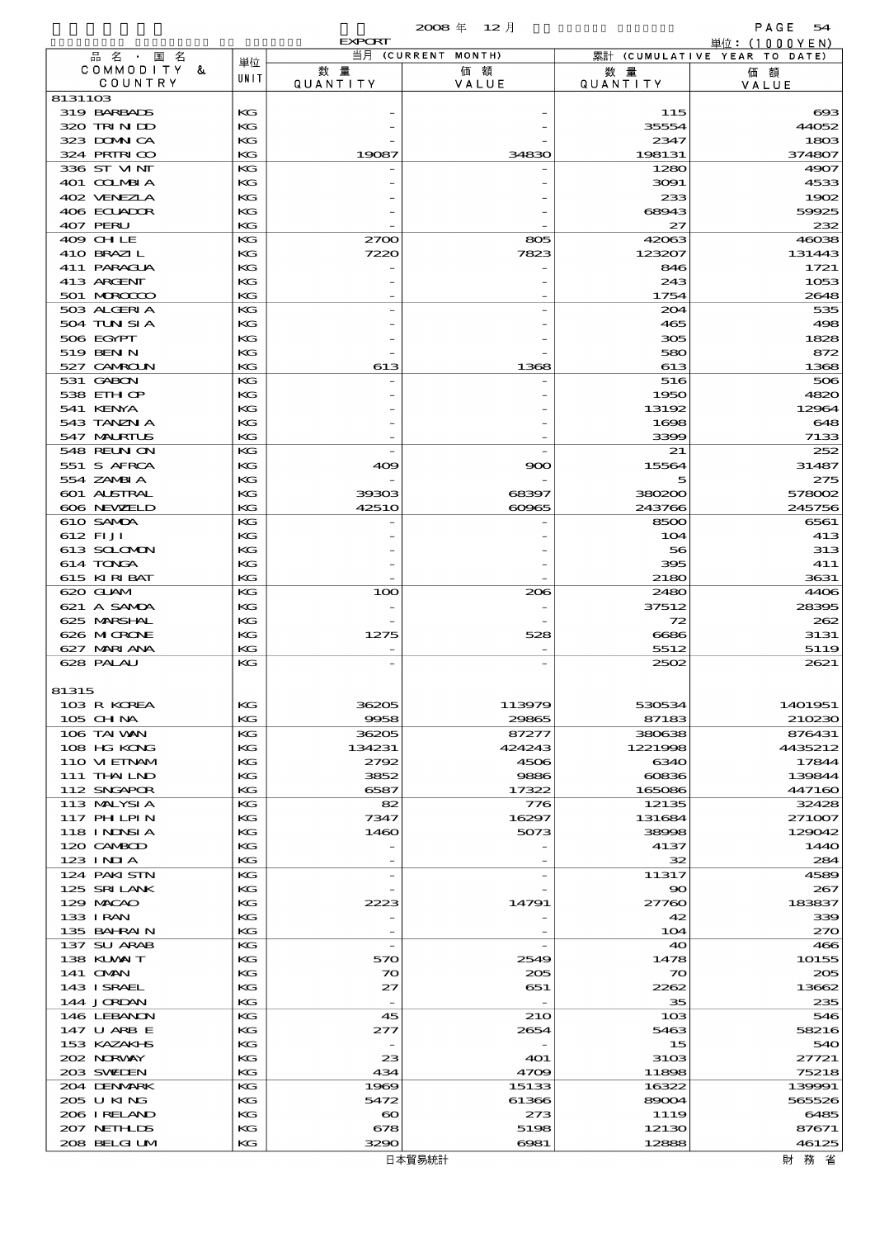|                                  |          |                       | $2008$ 年 12月       |                 | PAGE<br>54                   |
|----------------------------------|----------|-----------------------|--------------------|-----------------|------------------------------|
|                                  |          | <b>EXPORT</b>         | 当月 (CURRENT MONTH) |                 | 単位: $(1000YEN)$              |
| 品名·国名<br>COMMODITY &             | 単位       | 数量                    | 価額                 | 数 量             | 累計 (CUMULATIVE YEAR TO DATE) |
| COUNTRY                          | UNIT     | QUANTITY              | VALUE              | <b>QUANTITY</b> | 価額<br>VALUE                  |
| 8131103                          |          |                       |                    |                 |                              |
| 319 BARBADS                      | KG       |                       |                    | 115             | $\boldsymbol{\alpha}$        |
| 320 TRINDO                       | КG       |                       |                    | 35554           | 44052                        |
| 323 DOMNICA<br>324 PRIRICO       | КG<br>KG | 19087                 | 34830              | 2347<br>198131  | 1803<br>374807               |
| 336 ST MNT                       | КG       |                       |                    | 1280            | 4907                         |
| 401 COLMBIA                      | KG       |                       |                    | 3091            | 4533                         |
| 402 VENEZIA                      | КG       |                       |                    | 233             | 1902                         |
| 406 ECUADOR                      | KG       |                       |                    | 68943           | 59925                        |
| 407 PERU                         | KG       |                       |                    | 27              | 232                          |
| 409 CHLE                         | КG       | 2700                  | 805                | 42063           | 46038                        |
| 410 BRAZIL<br>411 PARAGUA        | KG<br>КG | 7220                  | 7823               | 123207<br>846   | 131443<br>1721               |
| 413 ARCENT                       | KG       |                       |                    | 243             | 1053                         |
| 501 MROCCO                       | KG       |                       |                    | 1754            | 2648                         |
| 503 ALGERIA                      | КG       |                       |                    | 204             | 535                          |
| 504 TUN SI A                     | KG       |                       |                    | 465             | 498                          |
| 506 EGYPT                        | KG       |                       |                    | 305             | 1828                         |
| 519 BEN N                        | KG       |                       |                    | 580             | 872                          |
| 527 CAMROLN<br>531 GABON         | KG<br>КG | 613                   | 1368               | 613<br>516      | 1368<br>506                  |
| 538 EIH OP                       | KG       |                       |                    | 1950            | 4820                         |
| 541 KENYA                        | КG       |                       |                    | 13192           | 12964                        |
| 543 TANZN A                      | KG       |                       |                    | 1698            | 648                          |
| 547 MALRIUS                      | KG       |                       |                    | 3399            | 7133                         |
| 548 REUN ON                      | КG       |                       |                    | 21              | 252                          |
| 551 S AFRCA                      | KG       | 409                   | 900                | 15564           | 31487                        |
| 554 ZAMBIA<br><b>601 ALSTRAL</b> | КG<br>KG | 39303                 | 68397              | 5<br>380200     | 275<br>578002                |
| 606 NEWELD                       | KG       | <b>42510</b>          | 60965              | 243766          | 245756                       |
| 610 SAMDA                        | КG       |                       |                    | 8500            | 6561                         |
| 612 FIJI                         | KG       |                       |                    | 104             | 413                          |
| 613 SCLOMON                      | KG       |                       |                    | 56              | 313                          |
| 614 TONGA                        | KG       |                       |                    | 395             | 411                          |
| 615 KIRIBAT                      | KG       |                       |                    | 2180            | 3631                         |
| 620 GUAM<br>621 A SAMDA          | КG<br>KG | 100                   | 206                | 2480<br>37512   | 4406<br>28395                |
| 625 MARSHAL                      | КG       |                       |                    | 72              | 262                          |
| 626 MCRONE                       | KG       | 1275                  | 528                | 6686            | 3131                         |
| 627 MARI ANA                     | KG       |                       |                    | 5512            | 5119                         |
| 628 PALAU                        | KG       |                       |                    | 2502            | 2621                         |
|                                  |          |                       |                    |                 |                              |
| 81315                            |          |                       |                    |                 |                              |
| 103 R KOREA<br>$105$ CHNA        | KG<br>KG | 36205<br>9958         | 113979<br>29865    | 530534<br>87183 | 1401951<br>210230            |
| 106 TAI VAN                      | KG       | 36205                 | 87277              | 380638          | 876431                       |
| 108 HG KONG                      | KG       | 134231                | 424243             | 1221998         | 4435212                      |
| 110 VIEINAM                      | КG       | 2792                  | 4506               | 6340            | 17844                        |
| 111 THAILND                      | КG       | 3852                  | 9886               | 60836           | 139844                       |
| 112 SNGAPOR                      | KG       | 6587                  | 17322              | 165086          | 447160                       |
| 113 MALYSIA                      | КG       | 82                    | 776                | 12135           | 32428<br>271007              |
| 117 PH LPIN<br>118 I NDSI A      | KG<br>КG | 7347<br>1460          | 16297<br>5073      | 131684<br>38998 | 129042                       |
| 120 CAMBOD                       | KG       |                       |                    | 4137            | 144O                         |
| $123$ INJA                       | KG       |                       |                    | 32              | 284                          |
| 124 PAKISTN                      | КG       | $\overline{a}$        |                    | 11317           | 4589                         |
| 125 SRILANK                      | KG       |                       |                    | $\infty$        | 267                          |
| 129 MACAO                        | КG       | 2223                  | 14791              | 27760           | 183837                       |
| 133 I RAN<br>135 BAHRAIN         | KG<br>KG |                       |                    | 42<br>104       | 339<br>270                   |
| 137 SU ARAB                      | КG       | $\overline{a}$        |                    | 40              | 466                          |
| 138 KUWAIT                       | КG       | 570                   | 2549               | 1478            | 10155                        |
| 141 OMN                          | КG       | 70                    | 205                | 70              | 205                          |
| 143 ISRAEL                       | KG       | 27                    | 651                | 2262            | 13662                        |
| 144 JORDAN                       | KG       | $\qquad \qquad -$     |                    | 35              | 235                          |
| 146 LEBANON                      | КG       | 45                    | 210                | 10 <sup>3</sup> | 546                          |
| 147 U ARB E<br>153 KAZAKI B      | KG<br>КG | 277                   | 2654               | 5463<br>15      | 58216<br>540                 |
| 202 NORWAY                       | KG       | 23                    | <b>401</b>         | 3103            | 27721                        |
| 203 SWIDEN                       | KG       | 434                   | 4709               | 11898           | 75218                        |
| 204 DENMARK                      | КG       | 1969                  | 15133              | 16322           | 139991                       |
| 205 U KING                       | KG       | 5472                  | 61366              | 89004           | 565526                       |
| 206 I RELAND                     | КG       | $\boldsymbol{\infty}$ | 273                | 1119            | 6485                         |
| 207 NETHLIS<br>208 BELGI UM      | KG<br>KG | 678<br>3290           | 5198               | 12130<br>12888  | 87671<br>46125               |
|                                  |          |                       | 6981               |                 |                              |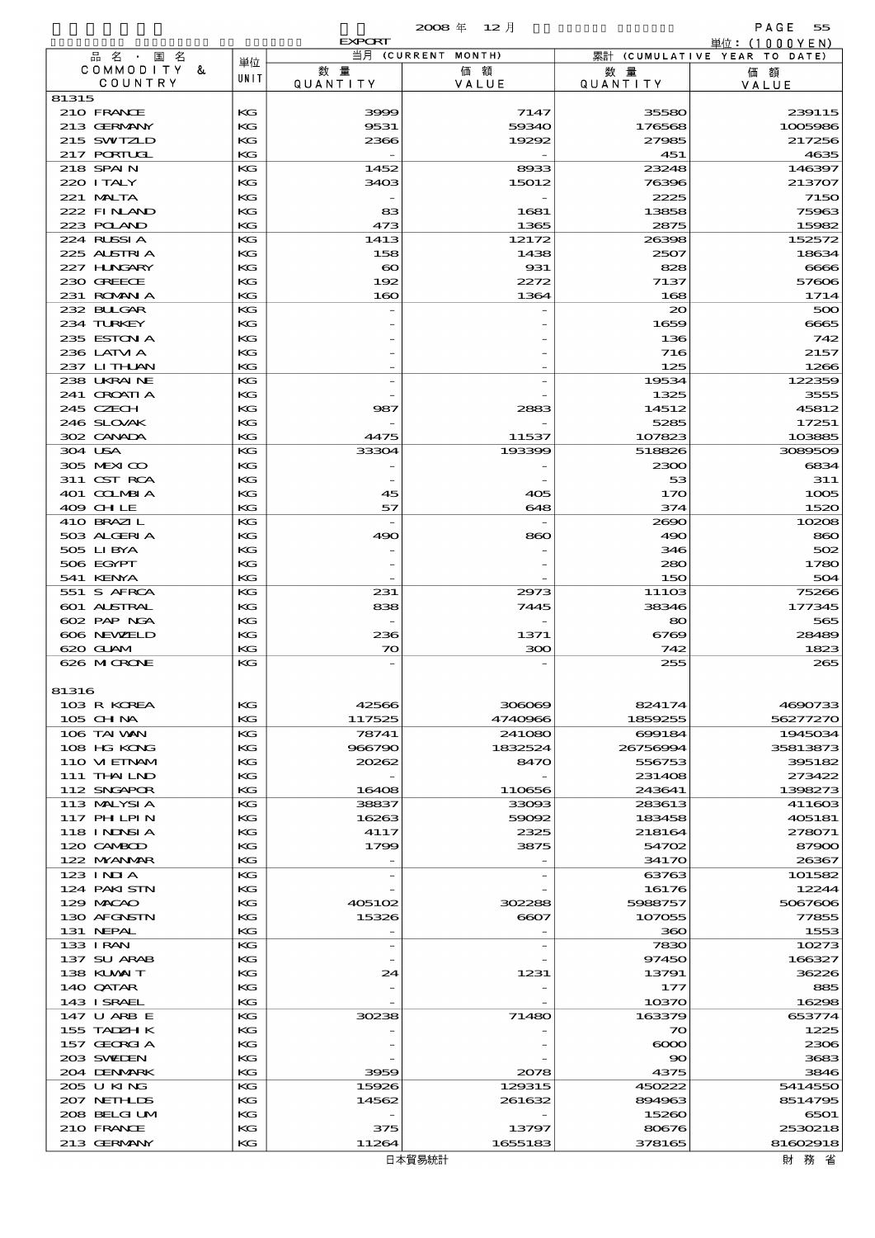|                                  |          | <b>EXPORT</b>         |                    |                  | 単位:(1000YEN)                 |
|----------------------------------|----------|-----------------------|--------------------|------------------|------------------------------|
| 品名・国名                            | 単位       |                       | 当月 (CURRENT MONTH) |                  | 累計 (CUMULATIVE YEAR TO DATE) |
| COMMODITY &<br>COUNTRY           | UNIT     | 数量                    | 価額                 | 数 量              | 価額                           |
| 81315                            |          | <b>QUANTITY</b>       | VALUE              | <b>QUANTITY</b>  | VALUE                        |
| 210 FRANCE                       | КG       | 3999                  | 7147               | 35580            | 239115                       |
| 213 GERMANY                      | KG       | 9531                  | 59340              | 176568           | 1005986                      |
| 215 SWIZLD                       | КG       | 2366                  | 19292              | 27985            | 217256                       |
| 217 PORTUGL                      | KG       |                       |                    | 451              | 4635                         |
| 218 SPAIN                        | КG       | 1452                  | 8933               | 23248            | 146397                       |
| 220 I TALY                       | КG       | 3403                  | 15012              | 76396            | 213707                       |
| 221 MALTA                        | KG       |                       |                    | 2225             | 7150                         |
| 222 FINAND<br>223 POLAND         | КG<br>KG | 83                    | 1681               | 13858            | 75963                        |
| 224 RUSSIA                       | KG       | 473<br>1413           | 1365<br>12172      | 2875<br>26398    | 15982<br>152572              |
| 225 ALSTRIA                      | КG       | 158                   | 1438               | 2507             | 18634                        |
| 227 H.NGARY                      | KG       | $\boldsymbol{\infty}$ | 931                | 828              | 6666                         |
| 230 GREECE                       | КG       | 192                   | 2272               | 7137             | 57606                        |
| 231 ROMANIA                      | KG       | 160                   | 1364               | 168              | 1714                         |
| 232 BULGAR                       | KG       |                       |                    | $\infty$         | 500                          |
| 234 TURKEY                       | KG       |                       |                    | 1659             | 6665                         |
| 235 ESTON A                      | KG       |                       |                    | 136              | 742                          |
| 236 LATM A                       | KG       |                       |                    | 716              | 2157                         |
| 237 LITHAN<br>238 UKRAINE        | KG<br>KG |                       |                    | 125<br>19534     | 1266<br>122359               |
| 241 CROATIA                      | КG       |                       |                    | 1325             | 3555                         |
| 245 CZECH                        | KG       | 987                   | 2883               | 14512            | 45812                        |
| 246 SLOVAK                       | KG       |                       |                    | 5285             | 17251                        |
| 302 CANADA                       | KG       | 4475                  | 11537              | 107823           | 103885                       |
| 304 USA                          | KG       | 33304                 | 193399             | 518826           | 3089509                      |
| 305 MEXICO                       | KG       |                       |                    | 2300             | 6834                         |
| 311 CST RCA                      | KG       |                       |                    | 53               | 311                          |
| 401 COLMBIA                      | КG       | 45                    | 405                | 170              | 1005                         |
| 409 CHLE                         | KG       | 57                    | 648                | 374              | 1520                         |
| 410 BRAZIL<br>503 ALGERIA        | KG<br>KG | 490                   | 860                | 2690<br>490      | 10208<br>860                 |
| 505 LIBYA                        | KG       |                       |                    | 346              | 502                          |
| 506 EGYPT                        | КG       |                       |                    | 280              | 1780                         |
| 541 KENYA                        | KG       |                       |                    | 150              | 504                          |
| 551 S AFRCA                      | КG       | 231                   | 2973               | 11103            | 75266                        |
| <b>601 ALSTRAL</b>               | KG       | 838                   | 7445               | 38346            | 177345                       |
| 602 PAP NGA                      | KG       |                       |                    | 80               | 565                          |
| 606 NEWELD                       | КG       | 236                   | 1371               | 6769             | 28489                        |
| 620 GUAM                         | KG       | 70                    | 300                | 742              | 1823                         |
| 626 MICRONE                      | KG       |                       |                    | 255              | 265                          |
| 81316                            |          |                       |                    |                  |                              |
| 103 R KOREA                      | КG       | 42566                 | 306069             | 824174           | 4690733                      |
| $105$ CHNA                       | KG       | 117525                | 4740966            | 1859255          | 56277270                     |
| 106 TAI VAN                      | KG       | 78741                 | 241080             | 699184           | 1945034                      |
| 108 HG KONG                      | KG       | 966790                | 1832524            | 26756994         | 35813873                     |
| 110 VIEINAM                      | КG       | 20262                 | 8470               | 556753           | 395182                       |
| 111 THAILND                      | КG       |                       |                    | 231408           | 273422                       |
| 112 SNGAPOR                      | KG       | 16408                 | 110656             | 243641           | 1398273                      |
| 113 MALYSIA<br><b>117 PHLPIN</b> | KG<br>KG | 38837<br>16263        | 33093<br>59092     | 283613<br>183458 | 411603<br>405181             |
| 118 I NJNSI A                    | КG       | 4117                  | 2325               | 218164           | 278071                       |
| 120 CAMBOD                       | КG       | 1799                  | 3875               | 54702            | 87900                        |
| 122 NYANAR                       | KG       |                       |                    | 34170            | 26367                        |
| $123$ INIA                       | КG       |                       |                    | 63763            | 101582                       |
| 124 PAKISTN                      | KG       |                       |                    | 16176            | 12244                        |
| 129 MACAO                        | КG       | 405102                | 302288             | 5988757          | 5067606                      |
| 130 AFGNSTN                      | КG       | 15326                 | 6607               | 107055           | 77855                        |
| 131 NEPAL                        | KG       |                       |                    | 360              | 1553                         |
| 133 I RAN<br>137 SU ARAB         | KG<br>KG |                       |                    | 7830<br>97450    | 10273<br>166327              |
| 138 KLVXIT                       | KG       | 24                    | 1231               | 13791            | 36226                        |
| 140 QATAR                        | КG       |                       |                    | 177              | 885                          |
| 143 ISRAEL                       | KG       |                       |                    | 10370            | 16298                        |
| 147 U ARB E                      | KG       | 30238                 | 71480              | 163379           | 653774                       |
| 155 TADZH K                      | KG       |                       |                    | 70               | 1225                         |
| 157 GEORGIA                      | KG       |                       |                    | $\infty$         | 2306                         |
| 203 SWIDEN                       | КG       |                       |                    | 90               | 3683                         |
| 204 DENMARK                      | KG       | 3959                  | 2078               | 4375             | 3846                         |
| 205 U KING<br>207 NETHLIDS       | KG<br>KG | 15926<br>14562        | 129315<br>261632   | 450222<br>894963 | 5414550<br>8514795           |
| 208 BELGI UM                     | КG       |                       |                    | 15260            | 6501                         |
| 210 FRANCE                       | КG       | 375                   | 13797              | 80676            | 2530218                      |
| 213 GERMANY                      | KG       | 11264                 | 1655183            | 378165           | 81602918                     |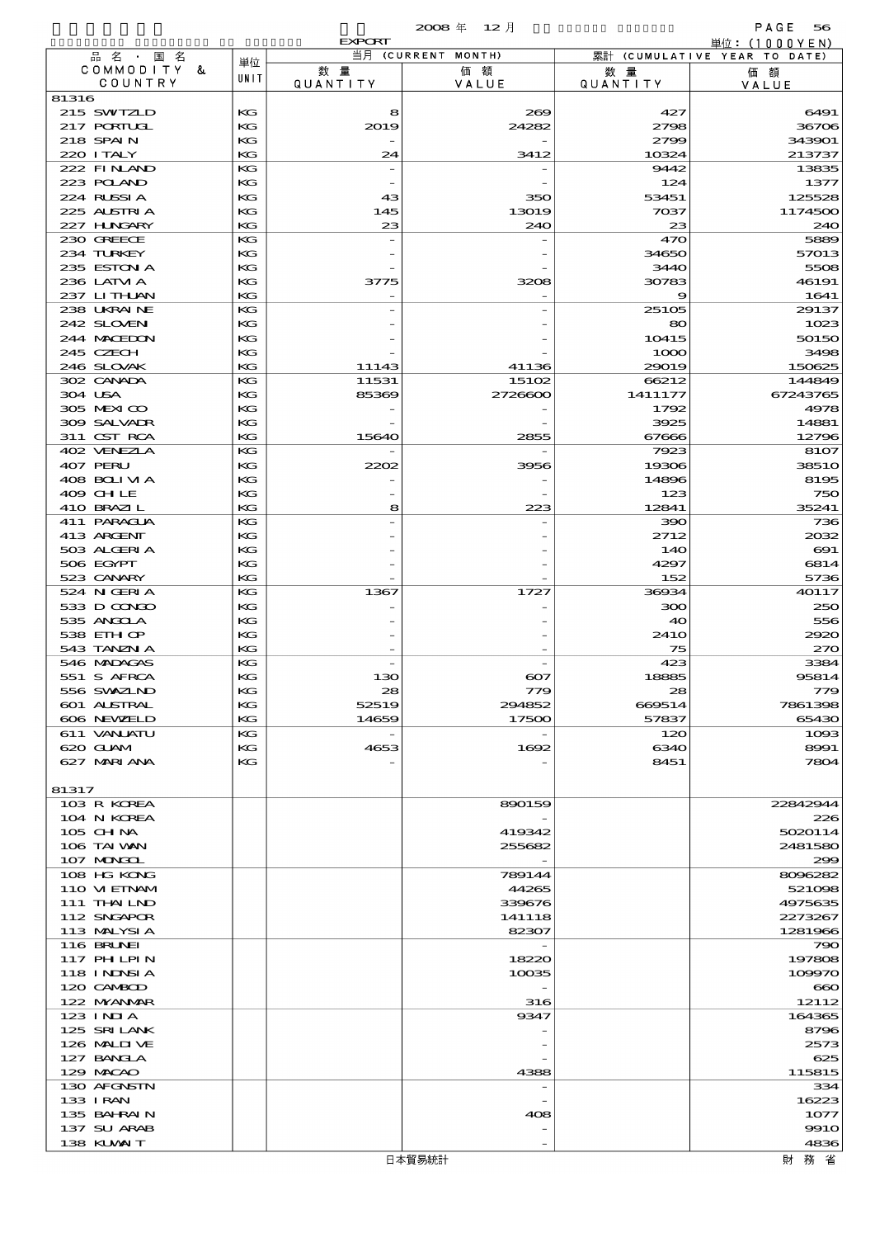|                            |          | <b>EXPORT</b>         |                    |                       | 単位: (1000YEN)                 |
|----------------------------|----------|-----------------------|--------------------|-----------------------|-------------------------------|
| 品名・国名                      | 単位       |                       | 当月 (CURRENT MONTH) |                       | 累計 (CUMULATIVE YEAR TO DATE)  |
| COMMODITY &<br>COUNTRY     | UNIT     | 数量<br><b>QUANTITY</b> | 価額<br>VALUE        | 数量<br><b>QUANTITY</b> | 価額<br>VALUE                   |
| 81316                      |          |                       |                    |                       |                               |
| 215 SWIZLD                 | KG       | 8                     | 269                | 427                   | 6491                          |
| 217 PORTUGL                | KG       | 2019                  | 24282              | 2798                  | 36706                         |
| 218 SPAIN                  | KG       |                       |                    | 2799                  | 343901                        |
| 220 I TALY<br>222 FINAND   | KG<br>KG | 24                    | 3412               | 10324<br>9442         | 213737<br>13835               |
| 223 POLAND                 | KG       |                       |                    | 124                   | 1377                          |
| 224 RUSSIA                 | KG       | 43                    | 350                | 53451                 | 125528                        |
| 225 ALSTRIA                | KG       | 145                   | 13019              | 7037                  | 1174500                       |
| 227 H.NGARY                | KG       | 23                    | 240                | 23                    | 240                           |
| 230 GREECE                 | KG       |                       |                    | 470                   | 5889                          |
| 234 TURKEY<br>235 ESTON A  | KG<br>KG |                       |                    | 34650<br>3440         | 57013<br>5508                 |
| 236 LATVI A                | KG       | 3775                  | 3208               | 30783                 | 46191                         |
| 237 LITHAN                 | KG       |                       |                    | 9                     | 1641                          |
| 238 UKRAINE                | KG       |                       |                    | 25105                 | 29137                         |
| 242 SLOVEN                 | KG       |                       |                    | 80                    | 1023                          |
| 244 MACEDON                | KG       |                       |                    | 10415                 | 50150                         |
| 245 CZECH<br>246 SLOVAK    | KG<br>KG | 11143                 | 41136              | 1000<br>29019         | 3498<br>150625                |
| 302 CANADA                 | KG       | 11531                 | 15102              | 66212                 | 144849                        |
| 304 USA                    | KG       | 85369                 | 2726600            | 1411177               | 67243765                      |
| 305 MEXICO                 | KG       |                       |                    | 1792                  | 4978                          |
| 309 SALVADR                | KG       |                       |                    | 3925                  | 14881                         |
| 311 CST RCA                | KG       | 15640                 | 2855               | 67666                 | 12796                         |
| 402 VENEZIA<br>407 PERU    | KG<br>KG | 2202                  | 3956               | 7923<br>19306         | 8107<br><b>38510</b>          |
| 408 BOLIVIA                | KG       |                       |                    | 14896                 | 8195                          |
| 409 CHLE                   | KG       |                       |                    | 123                   | 750                           |
| 410 BRAZIL                 | KG       | 8                     | 223                | 12841                 | 35241                         |
| 411 PARAGUA                | KG       |                       |                    | 390                   | 736                           |
| 413 ARCENT                 | KG       |                       |                    | 2712                  | 2032                          |
| 503 ALGERIA<br>506 EGYPT   | KG<br>KG |                       |                    | 14O<br>4297           | $\boldsymbol{\infty}$<br>6814 |
| 523 CANARY                 | KG       |                       |                    | 152                   | 5736                          |
| 524 N GERIA                | KG       | 1367                  | 1727               | 36934                 | 40117                         |
| 533 D CONCO                | KG       |                       |                    | 300                   | 250                           |
| 535 ANGCLA                 | KG       |                       |                    | 40                    | 556                           |
| 538 EIH OP                 | KG       |                       |                    | <b>2410</b>           | 2920                          |
| 543 TANZN A<br>546 MADAGAS | KG<br>KG |                       |                    | 75<br>423             | 270<br>3384                   |
| 551 S AFRCA                | KG       | 130                   | $\infty$           | 18885                 | 95814                         |
| 556 SVXZIND                | KG       | 28                    | 779                | 28                    | 779                           |
| 601 ALSTRAL                | KG       | 52519                 | 294852             | 669514                | 7861398                       |
| 606 NEWELD                 | KG       | 14659                 | 17500              | 57837                 | 65430                         |
| 611 VANJATU                | KG       |                       |                    | 120                   | 1093                          |
| 620 GLAM<br>627 MARIANA    | КG<br>KG | 4653                  | 1692               | 6340<br>8451          | 8991<br>7804                  |
|                            |          |                       |                    |                       |                               |
| 81317                      |          |                       |                    |                       |                               |
| 103 R KOREA                |          |                       | 890159             |                       | 22842944                      |
| 104 N KOREA                |          |                       |                    |                       | 226                           |
| $105$ CHNA                 |          |                       | 419342             |                       | 5020114                       |
| 106 TAI VAN<br>107 MONGOL  |          |                       | 255682             |                       | 2481580<br>299                |
| 108 HG KONG                |          |                       | 789144             |                       | 8096282                       |
| 110 VIEINAM                |          |                       | 44265              |                       | 521098                        |
| 111 THAILND                |          |                       | 339676             |                       | 4975635                       |
| 112 SNGAPOR                |          |                       | 141118             |                       | 2273267                       |
| 113 MALYSIA                |          |                       | 82307              |                       | 1281966                       |
| 116 BRUNEI<br>117 PH LPIN  |          |                       |                    |                       | 790<br>197808                 |
| 118 I NJNSI A              |          |                       | 18220<br>10035     |                       | 109970                        |
| 120 CAMBOD                 |          |                       |                    |                       | 660                           |
| 122 NYANAR                 |          |                       | 316                |                       | 12112                         |
| 123 INIA                   |          |                       | 9347               |                       | 164365                        |
| 125 SRILANK                |          |                       |                    |                       | 8796                          |
| 126 MALIJ VE<br>127 BANCLA |          |                       |                    |                       | 2573<br>625                   |
| 129 MACAO                  |          |                       | 4388               |                       | 115815                        |
| 130 AFGNSTN                |          |                       |                    |                       | 334                           |
| 133 I RAN                  |          |                       |                    |                       | 16223                         |
| 135 BAHRAIN                |          |                       | 408                |                       | 1077                          |
| 137 SU ARAB                |          |                       |                    |                       | <b>9910</b>                   |
| 138 KUWAIT                 |          |                       |                    |                       | 4836                          |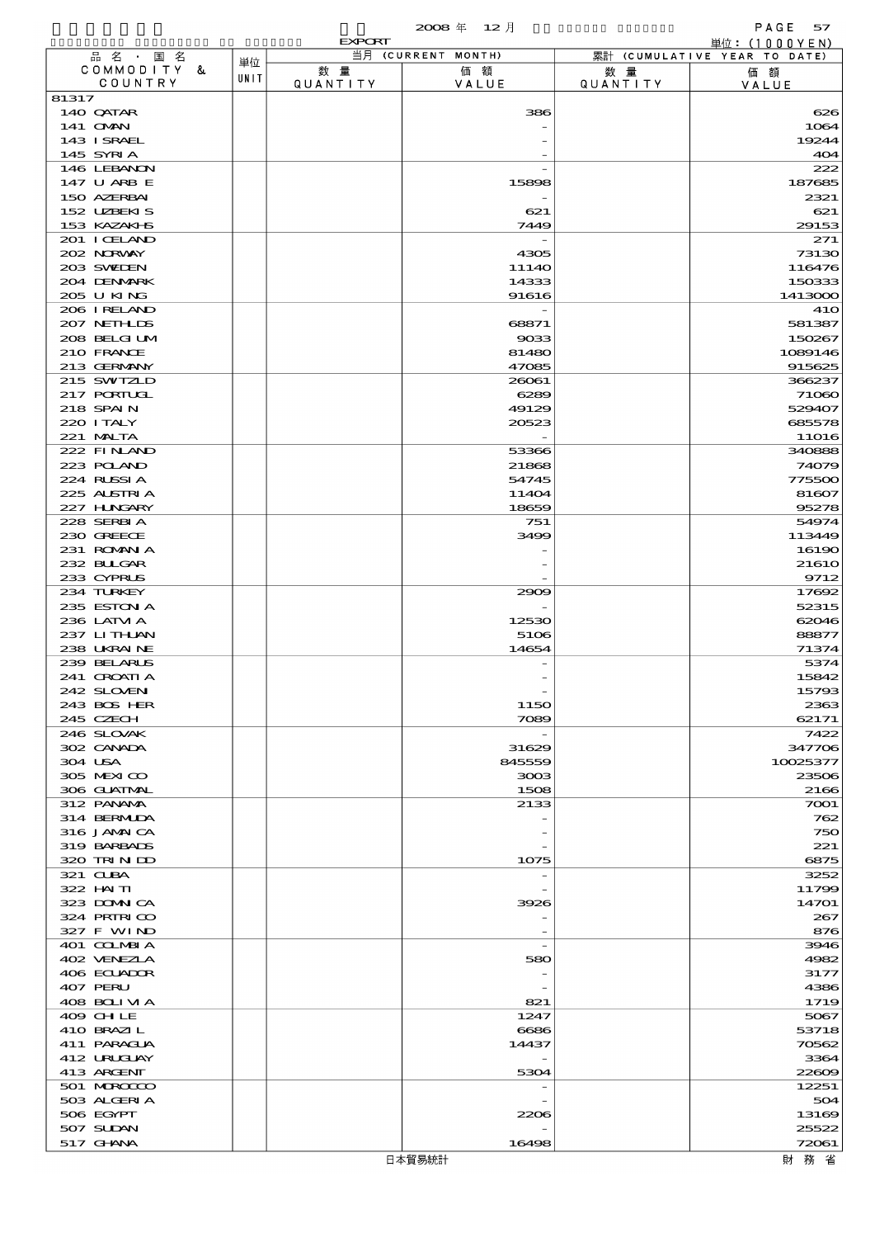概況品別国別表 輸 出 2008 12 確定 (Fixed Annual) 57

|                             |      | <b>EXPORT</b>   |                    |                       | 単位: (1000YEN)                |
|-----------------------------|------|-----------------|--------------------|-----------------------|------------------------------|
| 品名・国名<br>COMMODITY &        | 単位   | 数量              | 当月 (CURRENT MONTH) |                       | 累計 (CUMULATIVE YEAR TO DATE) |
| COUNTRY                     | UNIT | <b>QUANTITY</b> | 価額<br>VALUE        | 数量<br><b>QUANTITY</b> | 価額<br>VALUE                  |
| 81317                       |      |                 |                    |                       |                              |
| 140 QATAR                   |      |                 | 386                |                       | 626                          |
| 141 CMAN<br>143 ISRAEL      |      |                 |                    |                       | 1064<br>19244                |
| 145 SYRIA                   |      |                 |                    |                       | 404                          |
| 146 LEBANON                 |      |                 |                    |                       | 222                          |
| 147 U ARB E                 |      |                 | 15898              |                       | 187685                       |
| 150 AZERBAI<br>152 UZBEKIS  |      |                 | 621                |                       | 2321<br>621                  |
| 153 KAZAKI B                |      |                 | 7449               |                       | 29153                        |
| 201 I CELAND                |      |                 |                    |                       | 271                          |
| 202 NORWAY                  |      |                 | 4305               |                       | 73130                        |
| 203 SWIDEN                  |      |                 | 11140              |                       | 116476                       |
| 204 DENMARK<br>205 U KING   |      |                 | 14333<br>91616     |                       | 150333<br>1413000            |
| 206 IRELAND                 |      |                 |                    |                       | 41O                          |
| 207 NETHLIDS                |      |                 | 68871              |                       | 581387                       |
| 208 BELGI UM                |      |                 | 9033               |                       | 150267                       |
| 210 FRANCE<br>213 GERMANY   |      |                 | 81480<br>47085     |                       | 1089146<br>915625            |
| 215 SWIZLD                  |      |                 | 26061              |                       | 366237                       |
| 217 PORTUGL                 |      |                 | 6289               |                       | 71060                        |
| 218 SPAIN                   |      |                 | 49129              |                       | 529407                       |
| 220 I TALY                  |      |                 | 20523              |                       | 685578                       |
| 221 MALTA<br>222 FINAND     |      |                 | 53366              |                       | <b>11O16</b><br>340888       |
| 223 POLAND                  |      |                 | 21868              |                       | 74079                        |
| 224 RUSSIA                  |      |                 | 54745              |                       | 775500                       |
| 225 ALSTRIA                 |      |                 | 11404              |                       | 81607                        |
| 227 H.NGARY<br>228 SERBIA   |      |                 | 18659<br>751       |                       | 95278<br>54974               |
| 230 GREECE                  |      |                 | 3499               |                       | 113449                       |
| 231 ROMANIA                 |      |                 |                    |                       | 16190                        |
| 232 BULGAR                  |      |                 |                    |                       | 21610                        |
| 233 CYPRUS                  |      |                 |                    |                       | 9712                         |
| 234 TURKEY<br>235 ESTON A   |      |                 | 2909               |                       | 17692<br>52315               |
| 236 LATM A                  |      |                 | 12530              |                       | 62046                        |
| 237 LITHAN                  |      |                 | 5106               |                       | 88877                        |
| 238 UKRAINE                 |      |                 | 14654              |                       | 71374                        |
| 239 BELARUS<br>241 CROATI A |      |                 |                    |                       | 5374<br>15842                |
| 242 SLOVEN                  |      |                 |                    |                       | 15793                        |
| 243 BOS HER                 |      |                 | <b>1150</b>        |                       | 2363                         |
| 245 CZECH                   |      |                 | 7089               |                       | 62171                        |
| 246 SLOVAK<br>302 CANADA    |      |                 | 31629              |                       | 7422<br>347706               |
| 304 USA                     |      |                 | 845559             |                       | 10025377                     |
| 305 MEXICO                  |      |                 | 3003               |                       | 23506                        |
| 306 GUATMAL                 |      |                 | 1508               |                       | 2166                         |
| 312 PANAMA<br>314 BERMIDA   |      |                 | 2133               |                       | 7001<br>762                  |
| 316 JAMAICA                 |      |                 |                    |                       | 750                          |
| 319 BARBADS                 |      |                 |                    |                       | 221                          |
| 320 TRINDO                  |      |                 | 1075               |                       | 6875                         |
| 321 CLBA<br>322 HN TI       |      |                 |                    |                       | 3252                         |
| 323 DOMNICA                 |      |                 | 3926               |                       | 11799<br>14701               |
| 324 PRIRICO                 |      |                 |                    |                       | 267                          |
| 327 F WIND                  |      |                 |                    |                       | 876                          |
| 401 COLMBIA                 |      |                 |                    |                       | 3946                         |
| 402 VENEZIA<br>406 ECUADOR  |      |                 | 580                |                       | 4982<br>3177                 |
| 407 PERU                    |      |                 |                    |                       | 4386                         |
| 408 BOLIVIA                 |      |                 | 821                |                       | 1719                         |
| 409 CHLE                    |      |                 | 1247               |                       | 5067                         |
| 410 BRAZIL<br>411 PARAGUA   |      |                 | 6686<br>14437      |                       | 53718<br>70562               |
| 412 URUGUAY                 |      |                 |                    |                       | 3364                         |
| 413 ARGENT                  |      |                 | 5304               |                       | 22609                        |
| 501 MROCCO                  |      |                 |                    |                       | 12251                        |
| 503 ALGERIA                 |      |                 |                    |                       | 504                          |
| 506 EGYPT<br>507 SUDAN      |      |                 | 2206               |                       | 13169<br>25522               |
| 517 GHNA                    |      |                 | 16498              |                       | 72061                        |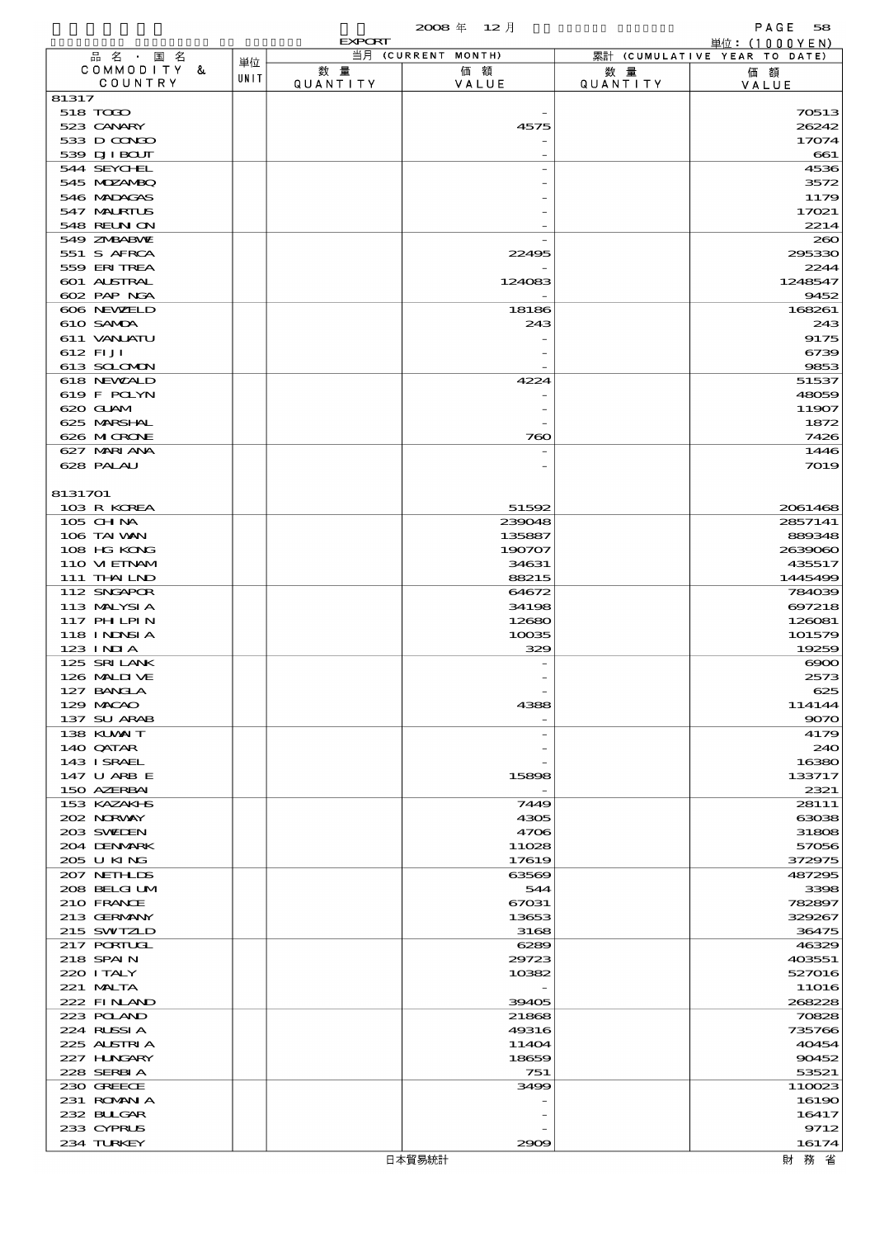|                             |      |               | 2008年 12月          |                 | PAGE<br>58                         |
|-----------------------------|------|---------------|--------------------|-----------------|------------------------------------|
|                             |      | <b>EXPORT</b> | 当月 (CURRENT MONTH) |                 | 単位:(1000YEN)                       |
| 品名·国名<br>COMMODITY &        | 単位   | 数量            | 価額                 | 数量              | 累計 (CUMULATIVE YEAR TO DATE)<br>価額 |
| COUNTRY                     | UNIT | QUANTITY      | VALUE              | <b>QUANTITY</b> | VALUE                              |
| 81317                       |      |               |                    |                 |                                    |
| 518 TODO                    |      |               |                    |                 | 70513                              |
| 523 CANARY                  |      |               | 4575               |                 | 26242                              |
| 533 D CONDO<br>539 DJI BOUT |      |               |                    |                 | 17074<br>661                       |
| 544 SEYCHEL                 |      |               |                    |                 | 4536                               |
| 545 MDZANBQ                 |      |               |                    |                 | 3572                               |
| 546 MADAGAS                 |      |               |                    |                 | 1179                               |
| 547 MALRIUS                 |      |               |                    |                 | 17021                              |
| <b>548 REUN ON</b>          |      |               |                    |                 | 2214                               |
| 549 ZNBABVE                 |      |               |                    |                 | 200                                |
| 551 S AFRCA                 |      |               | 22495              |                 | 295330                             |
| 559 ERITREA<br>601 ALSTRAL  |      |               | 124083             |                 | 2244<br>1248547                    |
| 602 PAP NGA                 |      |               |                    |                 | 9452                               |
| 606 NEWELD                  |      |               | 18186              |                 | 168261                             |
| 610 SAMDA                   |      |               | 243                |                 | 243                                |
| 611 VANLATU                 |      |               |                    |                 | 9175                               |
| 612 FIJI                    |      |               |                    |                 | 6739                               |
| 613 SCLOMON                 |      |               |                    |                 | 9853                               |
| 618 NEWALD<br>619 F POLYN   |      |               | 4224               |                 | 51537<br>48059                     |
| 620 GLAM                    |      |               |                    |                 | 11907                              |
| 625 MARSHAL                 |      |               |                    |                 | 1872                               |
| 626 MICRONE                 |      |               | 760                |                 | 7426                               |
| 627 MARI ANA                |      |               |                    |                 | 1446                               |
| 628 PALAU                   |      |               |                    |                 | 7019                               |
|                             |      |               |                    |                 |                                    |
| 8131701                     |      |               | 51592              |                 | 2061468                            |
| 103 R KOREA<br>105 CHNA     |      |               | 239048             |                 | 2857141                            |
| 106 TAI WAN                 |      |               | 135887             |                 | 889348                             |
| 108 HG KONG                 |      |               | 190707             |                 | 2639060                            |
| 110 VIEINAM                 |      |               | 34631              |                 | 435517                             |
| 111 THAILND                 |      |               | 88215              |                 | 1445499                            |
| 112 SNGAPOR                 |      |               | 64672              |                 | 784039                             |
| 113 MALYSIA                 |      |               | 34198              |                 | 697218                             |
| 117 PH LPIN<br>118 INNSI A  |      |               | 12680<br>10035     |                 | 126081<br>101579                   |
| $123$ INIA                  |      |               | 329                |                 | 19259                              |
| 125 SRILANK                 |      |               |                    |                 | $\infty$                           |
| 126 MAID VE                 |      |               |                    |                 | 2573                               |
| 127 BANCLA                  |      |               |                    |                 | 625                                |
| 129 MACAO                   |      |               | 4388               |                 | 114144                             |
| 137 SU ARAB                 |      |               |                    |                 | 9070                               |
| 138 KUWAIT<br>140 QATAR     |      |               |                    |                 | 4179<br>240                        |
| 143 ISRAEL                  |      |               |                    |                 | 16380                              |
| 147 U ARB E                 |      |               | 15898              |                 | 133717                             |
| 150 AZERBAI                 |      |               |                    |                 | 2321                               |
| 153 KAZAKI B                |      |               | 7449               |                 | 28111                              |
| 202 NORWAY                  |      |               | 4305               |                 | 63038                              |
| 203 SWIDEN                  |      |               | 4706               |                 | 31808                              |
| 204 DENMARK<br>205 U KING   |      |               | 11028<br>17619     |                 | 57056<br>372975                    |
| 207 NETHLIS                 |      |               | 63569              |                 | 487295                             |
| 208 BELGI UM                |      |               | 544                |                 | 3398                               |
| 210 FRANCE                  |      |               | 67031              |                 | 782897                             |
| 213 GERMANY                 |      |               | 13653              |                 | 329267                             |
| 215 SWIZLD                  |      |               | 3168               |                 | 36475                              |
| 217 PORTUGL                 |      |               | 6289               |                 | 46329                              |
| 218 SPAIN<br>220 I TALY     |      |               | 29723<br>10382     |                 | 403551<br>527016                   |
| 221 MALTA                   |      |               |                    |                 | <b>11O16</b>                       |
| 222 FINAND                  |      |               | 39405              |                 | 268228                             |
| 223 POLAND                  |      |               | 21868              |                 | 70828                              |
| 224 RUSSIA                  |      |               | 49316              |                 | 735766                             |
| 225 ALSTRIA                 |      |               | 11404              |                 | 40454                              |
| 227 H.NGARY                 |      |               | 18659              |                 | 90452                              |
| 228 SERBIA                  |      |               | 751                |                 | 53521                              |
| 230 GREECE<br>231 ROMANIA   |      |               | 3499               |                 | 110023<br>16190                    |
| 232 BULGAR                  |      |               |                    |                 | 16417                              |
| 233 CYPRUS                  |      |               |                    |                 | 9712                               |
| 234 TURKEY                  |      |               | 2909               |                 | 16174                              |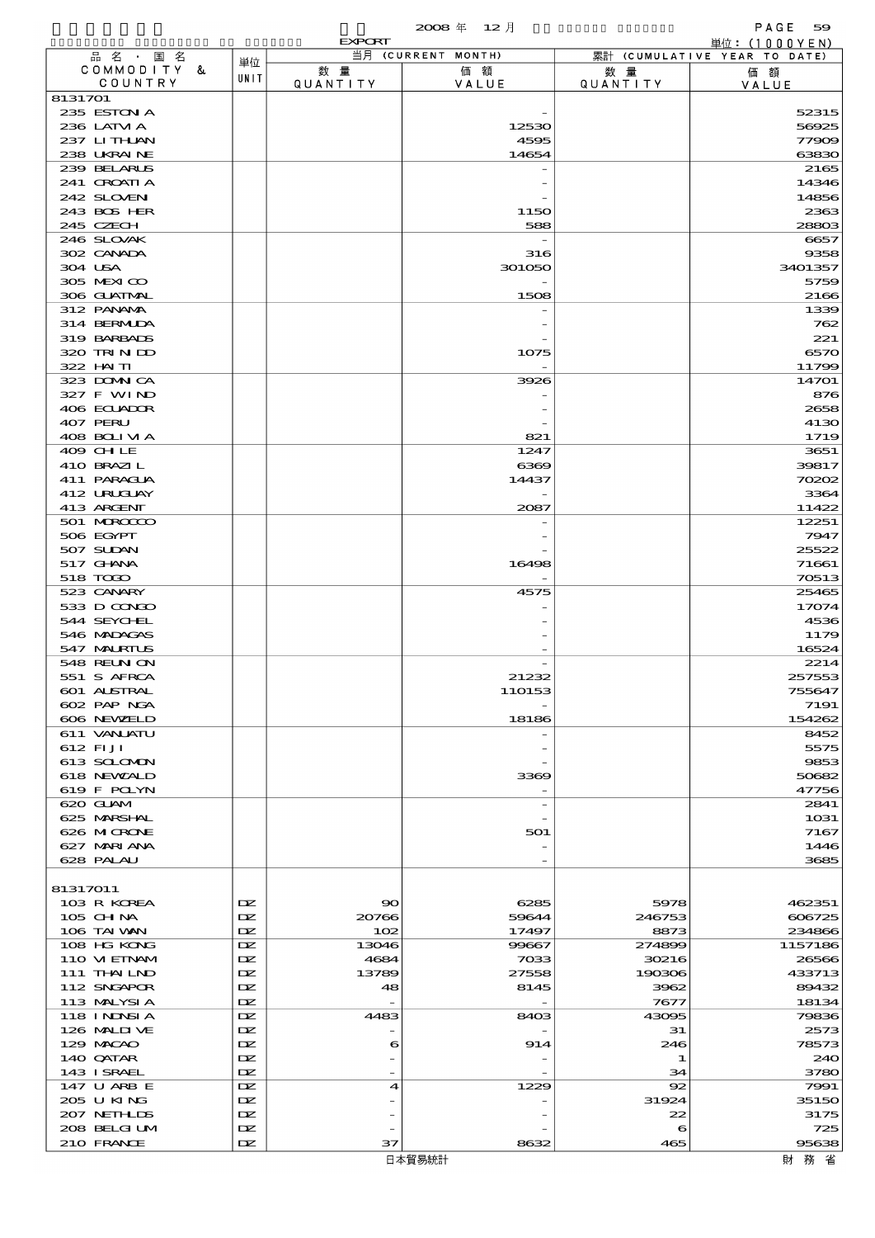|                            |                  | <b>EXPORT</b>         |                    |                        | 単位: $(1000YEN)$              |
|----------------------------|------------------|-----------------------|--------------------|------------------------|------------------------------|
| 品名・国名                      | 単位               |                       | 当月 (CURRENT MONTH) |                        | 累計 (CUMULATIVE YEAR TO DATE) |
| COMMODITY &<br>COUNTRY     | UNIT             | 数量<br><b>QUANTITY</b> | 価額<br>VALUE        | 数 量<br><b>QUANTITY</b> | 価額                           |
| 8131701                    |                  |                       |                    |                        | VALUE                        |
| 235 ESTON A                |                  |                       |                    |                        | 52315                        |
| 236 LATM A                 |                  |                       | 12530              |                        | 56925                        |
| 237 LITHLAN                |                  |                       | 4595               |                        | 77909                        |
| 238 UKRAINE                |                  |                       | 14654              |                        | 63830                        |
| 239 BELARUS                |                  |                       |                    |                        | 2165                         |
| 241 CROATIA<br>242 SLOVEN  |                  |                       |                    |                        | 14346<br>14856               |
| 243 BOS HER                |                  |                       | 1150               |                        | 2363                         |
| 245 CZECH                  |                  |                       | 588                |                        | 28803                        |
| 246 SLOVAK                 |                  |                       |                    |                        | 6657                         |
| 302 CANADA                 |                  |                       | 316                |                        | 9358                         |
| 304 USA                    |                  |                       | 301050             |                        | 3401357                      |
| 305 MEXICO                 |                  |                       |                    |                        | 5759                         |
| 306 GUATMAL<br>312 PANAMA  |                  |                       | 1508               |                        | 2166<br>1339                 |
| 314 BERMIDA                |                  |                       |                    |                        | 762                          |
| 319 BARBADS                |                  |                       |                    |                        | 221                          |
| 320 TRINDO                 |                  |                       | 1075               |                        | 6570                         |
| 322 HAITI                  |                  |                       |                    |                        | 11799                        |
| 323 DOMNICA                |                  |                       | 3926               |                        | 14701                        |
| 327 F WIND                 |                  |                       |                    |                        | 876                          |
| 406 ECUADOR<br>407 PERU    |                  |                       |                    |                        | 2658                         |
| 408 BOLIVIA                |                  |                       | 821                |                        | 4130<br>1719                 |
| 409 CHLE                   |                  |                       | 1247               |                        | 3651                         |
| 410 BRAZIL                 |                  |                       | 6369               |                        | 39817                        |
| 411 PARAGUA                |                  |                       | 14437              |                        | 70202                        |
| 412 URUCUAY                |                  |                       |                    |                        | 3364                         |
| 413 ARGENT                 |                  |                       | 2087               |                        | 11422                        |
| 501 MROCCO                 |                  |                       |                    |                        | 12251                        |
| 506 EGYPT<br>507 SUDAN     |                  |                       |                    |                        | 7947<br>25522                |
| 517 GHANA                  |                  |                       | 16498              |                        | 71661                        |
| 518 TOGO                   |                  |                       |                    |                        | 70513                        |
| 523 CANARY                 |                  |                       | 4575               |                        | 25465                        |
| 533 D CONDO                |                  |                       |                    |                        | 17074                        |
| 544 SEYCHEL                |                  |                       |                    |                        | 4536                         |
| 546 MADAGAS<br>547 MALRIUS |                  |                       |                    |                        | 1179<br>16524                |
| 548 REUN ON                |                  |                       |                    |                        | 2214                         |
| 551 S AFRCA                |                  |                       | 21232              |                        | 257553                       |
| 601 ALSTRAL                |                  |                       | 110153             |                        | 755647                       |
| 602 PAP NGA                |                  |                       |                    |                        | 7191                         |
| 606 NEWELD                 |                  |                       | 18186              |                        | 154262                       |
| 611 VANJATU                |                  |                       |                    |                        | 8452                         |
| 612 FI JI<br>613 SCLOMON   |                  |                       |                    |                        | 5575<br>9853                 |
| 618 NEWALD                 |                  |                       | 3369               |                        | 50682                        |
| 619 F POLYN                |                  |                       |                    |                        | 47756                        |
| 620 GLAM                   |                  |                       |                    |                        | 2841                         |
| 625 MARSHAL                |                  |                       |                    |                        | 1031                         |
| 626 MICRONE                |                  |                       | 501                |                        | 7167                         |
| 627 MARIANA<br>628 PALAU   |                  |                       |                    |                        | 1446<br>3685                 |
|                            |                  |                       |                    |                        |                              |
| 81317011                   |                  |                       |                    |                        |                              |
| 103 R KOREA                | DZ.              | 90                    | 6285               | 5978                   | 462351                       |
| 105 CH NA                  | DZ.              | 20766                 | 59644              | 246753                 | 606725                       |
| 106 TAI VAN                | DZ.              | 102                   | 17497              | 8873                   | 234866                       |
| 108 HG KONG                | DZ.              | 13046                 | 99667              | 274899                 | 1157186                      |
| 110 VIEINAM<br>111 THAILND | DZ.<br><b>IX</b> | 4684<br>13789         | 7033<br>27558      | 30216<br>190306        | 26566<br>433713              |
| 112 SNGAPOR                | DZ.              | 48                    | 8145               | 3962                   | 89432                        |
| 113 MALYSIA                | DZ.              |                       |                    | 7677                   | 18134                        |
| 118 I NJNSI A              | DZ.              | 4483                  | 8403               | 43095                  | 79836                        |
| 126 MALIJ VE               | DZ.              |                       |                    | 31                     | 2573                         |
| 129 MACAO                  | <b>IX</b>        | 6                     | 914                | 246                    | 78573                        |
| 140 QATAR                  | DZ.<br>DZ.       |                       |                    | 1                      | 240                          |
| 143 ISRAEL<br>147 U ARB E  | DZ.              | 4                     | 1229               | 34<br>92               | 3780<br>7991                 |
| 205 U KING                 | DZ.              |                       |                    | 31924                  | 35150                        |
| 207 NETHLIS                | <b>IX</b>        |                       |                    | 22                     | 3175                         |
| 208 BELGI UM               | DZ.              |                       |                    | 6                      | 725                          |
| 210 FRANCE                 | DZ.              | 37                    | 8632               | 465                    | 95638                        |

財務省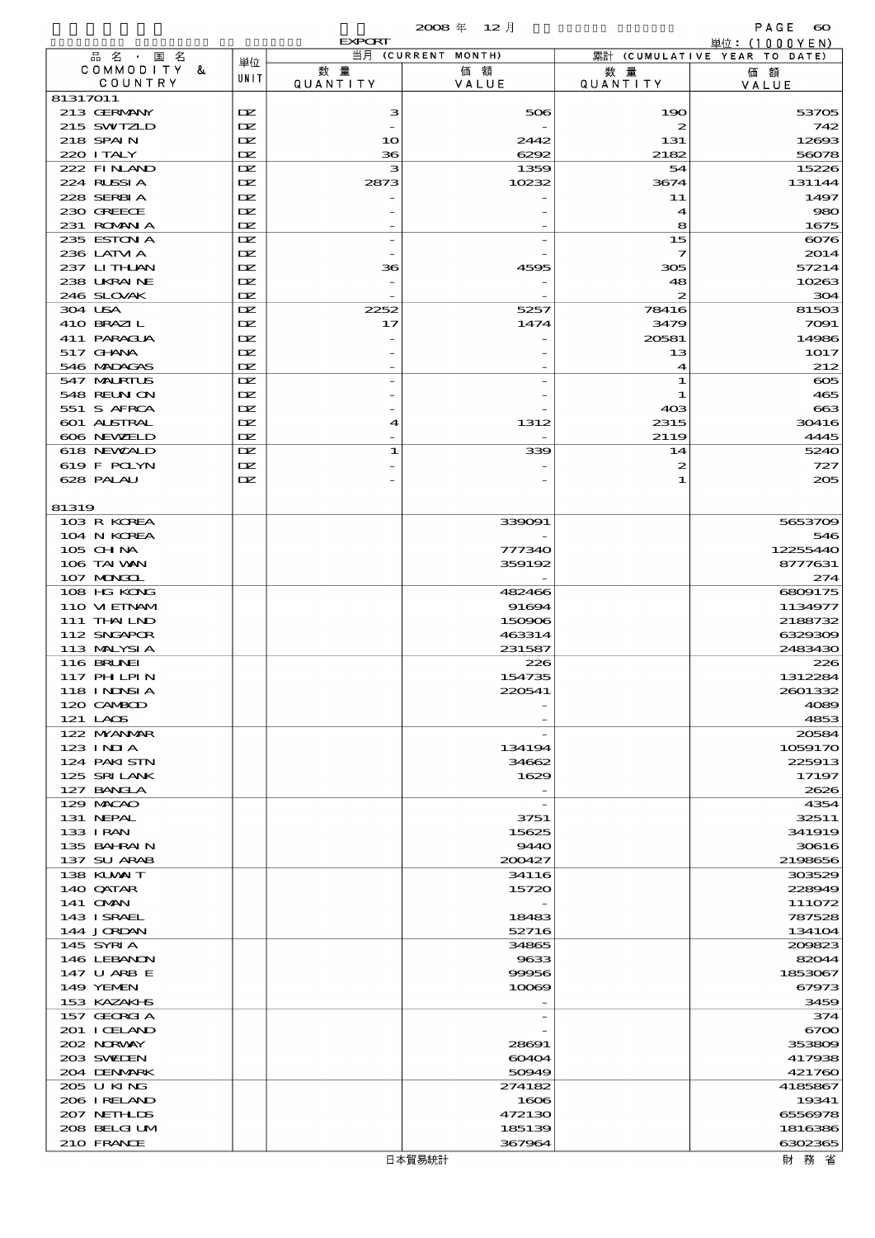|                            |              | <b>EXPORT</b>   | 当月 (CURRENT MONTH) |                            | 単位: (1000YEN)                |
|----------------------------|--------------|-----------------|--------------------|----------------------------|------------------------------|
| 品名・国名<br>COMMODITY &       | 単位           | 数量              | 価額                 | 数 暈                        | 累計 (CUMULATIVE YEAR TO DATE) |
| COUNTRY                    | UNIT         | <b>QUANTITY</b> | VALUE              | <b>QUANTITY</b>            | 価額<br>VALUE                  |
| 81317011                   |              |                 |                    |                            |                              |
| 213 GERMANY                | DZ.          | з               | 506                | 190                        | 53705                        |
| 215 SWIZLD<br>218 SPAIN    | IX<br>DZ.    | 10              | 2442               | $\boldsymbol{z}$<br>131    | 742<br>12693                 |
| 220 I TALY                 | DZ.          | 36              | 6292               | 2182                       | 56078                        |
| 222 FINAND                 | DZ.          | з               | 1359               | 54                         | 15226                        |
| 224 RUSSIA                 | DZ.          | 2873            | 10232              | 3674                       | 131144                       |
| 228 SERBIA                 | DZ.          |                 |                    | 11                         | 1497                         |
| 230 GREECE                 | DZ.          |                 |                    | $\boldsymbol{\mathcal{A}}$ | 980                          |
| 231 ROMNA<br>235 ESTON A   | DZ.<br>DZ.   |                 |                    | 8<br>15                    | 1675<br>6076                 |
| 236 LATM A                 | DZ.          |                 |                    | 7                          | 2014                         |
| 237 LITHAN                 | DZ.          | 36              | 4595               | 305                        | 57214                        |
| 238 UKRAINE                | DZ.          |                 |                    | 48                         | 10263                        |
| 246 SLOVAK                 | DZ.          |                 |                    | 2                          | 304                          |
| 304 USA                    | DZ.          | 2252            | 5257               | 78416                      | 81503                        |
| 410 BRAZIL<br>411 PARAGUA  | DZ.<br>DZ.   | 17              | 1474               | 3479<br>20581              | 7091<br>14986                |
| 517 GHANA                  | DZ.          |                 |                    | 13                         | 1017                         |
| 546 MDAGAS                 | DZ.          |                 |                    | 4                          | 212                          |
| 547 MALRIUS                | $\mathbf{D}$ |                 |                    | 1                          | $\infty$                     |
| 548 REUN ON                | DZ.          |                 |                    | 1                          | 465                          |
| 551 S AFRCA                | DZ.          |                 |                    | 40 <sup>3</sup>            | 663                          |
| 601 ALSTRAL<br>606 NEWELD  | DZ.<br>DZ.   | 4               | 1312               | 2315<br>2119               | 30416<br>4445                |
| 618 NEWALD                 | DZ.          | 1               | 339                | 14                         | 5240                         |
| 619 F POLYN                | DZ.          |                 |                    | 2                          | 727                          |
| 628 PALAU                  | DZ.          |                 |                    | 1                          | 205                          |
|                            |              |                 |                    |                            |                              |
| 81319<br>103 R KOREA       |              |                 | 339091             |                            | 5653709                      |
| 104 N KOREA                |              |                 |                    |                            | 546                          |
| 105 CH NA                  |              |                 | 777340             |                            | 12255440                     |
| 106 TAI WAN                |              |                 | 359192             |                            | 8777631                      |
| 107 MONGOL                 |              |                 |                    |                            | 274                          |
| 108 HG KONG                |              |                 | 482466             |                            | 6809175                      |
| 110 VIEINAM<br>111 THAILND |              |                 | 91694<br>150906    |                            | 1134977<br>2188732           |
| 112 SNGAPOR                |              |                 | 463314             |                            | 6329309                      |
| 113 MALYSIA                |              |                 | 231587             |                            | 2483430                      |
| <b>116 BRUNEI</b>          |              |                 | 226                |                            | 226                          |
| 117 PH LPIN                |              |                 | 154735             |                            | 1312284                      |
| 118 INNSI A                |              |                 | 220541             |                            | 2601332                      |
| 120 CAMBOD<br>121 LAOS     |              |                 |                    |                            | 4089<br>4853                 |
| 122 NYANAR                 |              |                 |                    |                            | 20584                        |
| $123$ INJA                 |              |                 | 134194             |                            | 1059170                      |
| 124 PAKISTN                |              |                 | 34662              |                            | 225913                       |
| 125 SRILANK                |              |                 | 1629               |                            | 17197                        |
| 127 BANCLA<br>129 MACAO    |              |                 |                    |                            | 2626<br>4354                 |
| 131 NEPAL                  |              |                 | 3751               |                            | 32511                        |
| 133 I RAN                  |              |                 | 15625              |                            | 341919                       |
| 135 BAHRAIN                |              |                 | 9440               |                            | 30616                        |
| 137 SU ARAB                |              |                 | 200427             |                            | 2198656                      |
| 138 KUWAIT<br>140 QATAR    |              |                 | 34116<br>15720     |                            | 303529<br>228949             |
| 141 <b>OMN</b>             |              |                 |                    |                            | 111072                       |
| 143 ISRAEL                 |              |                 | 18483              |                            | 787528                       |
| 144 JORDAN                 |              |                 | 52716              |                            | 134104                       |
| 145 SYRIA                  |              |                 | 34865              |                            | 200823                       |
| 146 LEBANON                |              |                 | 9633               |                            | 82044                        |
| 147 U ARB E<br>149 YEMEN   |              |                 | 99956<br>10069     |                            | 1853067<br>67973             |
| 153 KAZAKI B               |              |                 |                    |                            | 3459                         |
| 157 GEORGIA                |              |                 |                    |                            | 374                          |
| 201 ICELAND                |              |                 |                    |                            | 6700                         |
| 202 NORWAY                 |              |                 | 28691              |                            | 353809                       |
| 203 SWIDEN                 |              |                 | 60404              |                            | 417938                       |
| 204 DENMARK<br>205 U KING  |              |                 | 50949<br>274182    |                            | 421760<br>4185867            |
| 206 I RELAND               |              |                 | 1606               |                            | 19341                        |
| 207 NETHLIS                |              |                 | 472130             |                            | 6556978                      |
| 208 BELGI UM               |              |                 | 185139             |                            | 1816386                      |
| 210 FRANCE                 |              |                 | 367964             |                            | 6302365                      |

財務省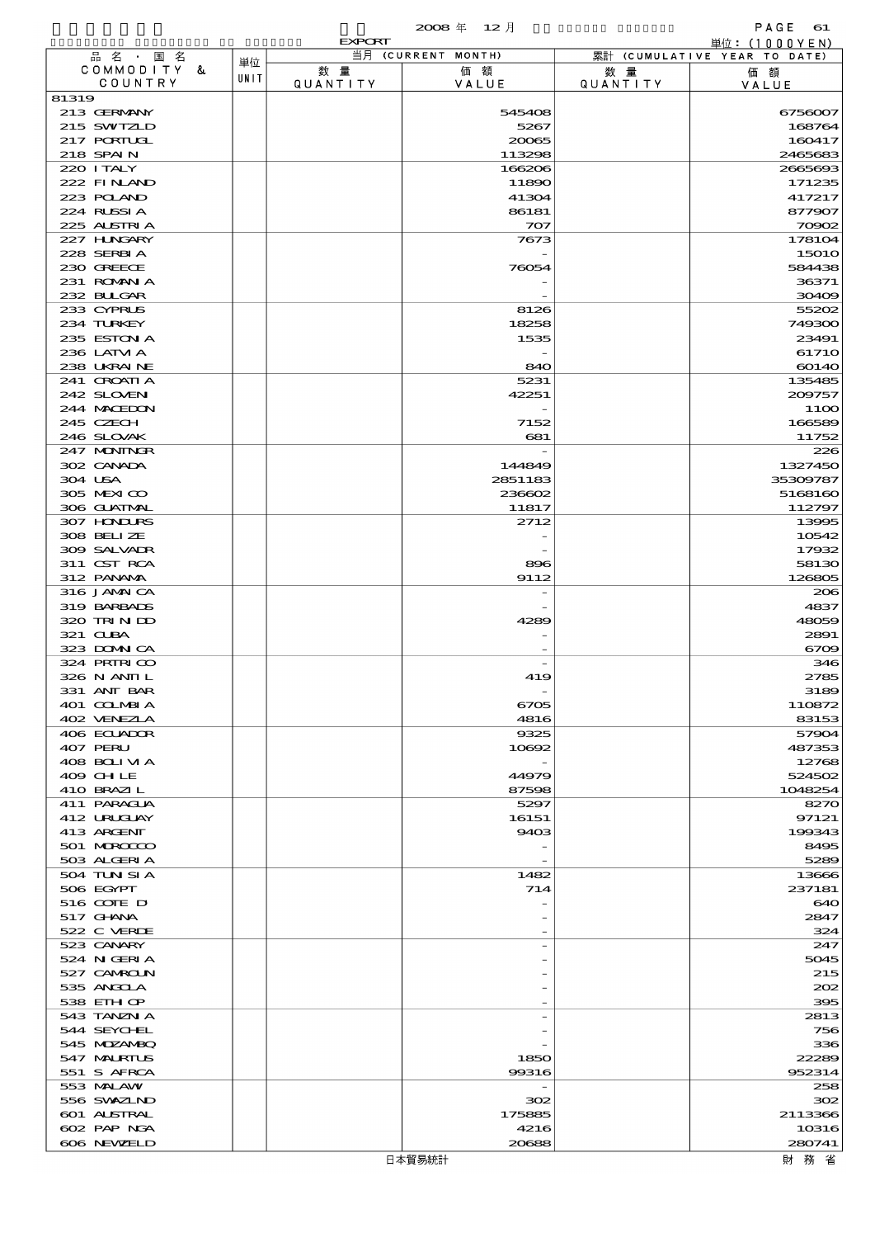|                                   |      |               | 2008年 12月          |                 | PAGE<br>61                                    |
|-----------------------------------|------|---------------|--------------------|-----------------|-----------------------------------------------|
| 品名 · 国名                           |      | <b>EXPORT</b> | 当月 (CURRENT MONTH) |                 | 単位: (1000YEN)<br>累計 (CUMULATIVE YEAR TO DATE) |
| COMMODITY &                       | 単位   | 数量            | 価額                 | 数量              | 価額                                            |
| COUNTRY                           | UNIT | QUANTITY      | VALUE              | <b>QUANTITY</b> | VALUE                                         |
| 81319                             |      |               |                    |                 |                                               |
| 213 GERMANY                       |      |               | 545408             |                 | 6756007                                       |
| 215 SWIZLD<br>217 PORTUGL         |      |               | 5267<br>20065      |                 | 168764<br>160417                              |
| 218 SPAIN                         |      |               | 113298             |                 | 2465683                                       |
| 220 ITALY                         |      |               | 166206             |                 | 2665693                                       |
| 222 FINAND                        |      |               | 11890              |                 | 171235                                        |
| 223 POLAND                        |      |               | 41304              |                 | 417217                                        |
| 224 RUSSIA                        |      |               | 86181              |                 | 877907                                        |
| 225 ALSTRIA<br>227 H.NGARY        |      |               | 707<br>7673        |                 | 70902<br>178104                               |
| 228 SERBIA                        |      |               |                    |                 | <b>15010</b>                                  |
| 230 GREECE                        |      |               | 76054              |                 | 584438                                        |
| 231 ROMNA                         |      |               |                    |                 | 36371                                         |
| 232 BLIGAR                        |      |               |                    |                 | 30409                                         |
| 233 CYPRUS                        |      |               | 8126               |                 | 55202                                         |
| 234 TURKEY<br>235 ESTON A         |      |               | 18258<br>1535      |                 | 749300<br>23491                               |
| 236 LATM A                        |      |               |                    |                 | 61710                                         |
| 238 UKRAINE                       |      |               | 840                |                 | 60140                                         |
| 241 CROATIA                       |      |               | 5231               |                 | 135485                                        |
| 242 SLOVEN                        |      |               | 42251              |                 | 209757                                        |
| 244 MACEDON                       |      |               |                    |                 | 11OO                                          |
| 245 CZECH                         |      |               | 7152               |                 | 166589                                        |
| 246 SLOVAK<br>247 MUNINGR         |      |               | 681                |                 | 11752<br>226                                  |
| 302 CANADA                        |      |               | 144849             |                 | 1327450                                       |
| 304 USA                           |      |               | 2851183            |                 | 35309787                                      |
| 305 MEXICO                        |      |               | 236602             |                 | 5168160                                       |
| 306 GUATMAL                       |      |               | 11817              |                 | 112797                                        |
| 307 HNURS                         |      |               | 2712               |                 | 13995                                         |
| 308 BELIZE                        |      |               |                    |                 | 10542                                         |
| 309 SALVADR<br>311 CST RCA        |      |               |                    |                 | 17932                                         |
| 312 PANAMA                        |      |               | 896<br>9112        |                 | 58130<br>126805                               |
| 316 JAMAICA                       |      |               |                    |                 | 206                                           |
| 319 BARBADS                       |      |               |                    |                 | 4837                                          |
| 320 TRINDO                        |      |               | 4289               |                 | 48059                                         |
| 321 CUBA                          |      |               |                    |                 | 2891                                          |
| 323 DOMNICA                       |      |               |                    |                 | 6709                                          |
| 324 PRIRICO<br>326 N ANII L       |      |               | 419                |                 | 346<br>2785                                   |
| 331 ANT BAR                       |      |               |                    |                 | 3189                                          |
| 401 COLMBIA                       |      |               | 6705               |                 | 110872                                        |
| 402 VENEZIA                       |      |               | 4816               |                 | 83153                                         |
| 406 ECUADOR                       |      |               | 9325               |                 | 57904                                         |
| 407 PERU                          |      |               | 10692              |                 | 487353                                        |
| 408 BOLIVIA<br>409 CHLE           |      |               | 44979              |                 | 12768<br>524502                               |
| 410 BRAZIL                        |      |               | 87598              |                 | 1048254                                       |
| 411 PARAGUA                       |      |               | 5297               |                 | 8270                                          |
| 412 URUGUAY                       |      |               | 16151              |                 | 97121                                         |
| 413 ARGENT                        |      |               | 9403               |                 | 199343                                        |
| 501 MROCCO                        |      |               |                    |                 | 8495                                          |
| 503 ALGERIA                       |      |               |                    |                 | 5289                                          |
| 504 TUN SI A<br>506 EGYPT         |      |               | 1482<br>714        |                 | 13666<br>237181                               |
| 516 COTE D                        |      |               |                    |                 | 640                                           |
| 517 GHNA                          |      |               |                    |                 | 2847                                          |
| 522 C VERDE                       |      |               |                    |                 | 324                                           |
| 523 CANARY                        |      |               |                    |                 | 247                                           |
| 524 N GERIA                       |      |               |                    |                 | 5045                                          |
| 527 CAMROLN                       |      |               |                    |                 | 215                                           |
| 535 ANGOLA<br>538 EIH OP          |      |               |                    |                 | 202<br>395                                    |
| 543 TANZN A                       |      |               |                    |                 | 2813                                          |
| 544 SEYCHEL                       |      |               |                    |                 | 756                                           |
| 545 MDZANBQ                       |      |               |                    |                 | 336                                           |
| 547 MALRIUS                       |      |               | 1850               |                 | 22289                                         |
| 551 S AFRCA                       |      |               | 99316              |                 | 952314                                        |
| 553 MALAW                         |      |               |                    |                 | 258                                           |
| 556 SVXZIND                       |      |               | 302                |                 | 302                                           |
| <b>601 ALSTRAL</b><br>602 PAP NGA |      |               | 175885<br>4216     |                 | 2113366<br>10316                              |
| 606 NEWELD                        |      |               | 20688              |                 | 280741                                        |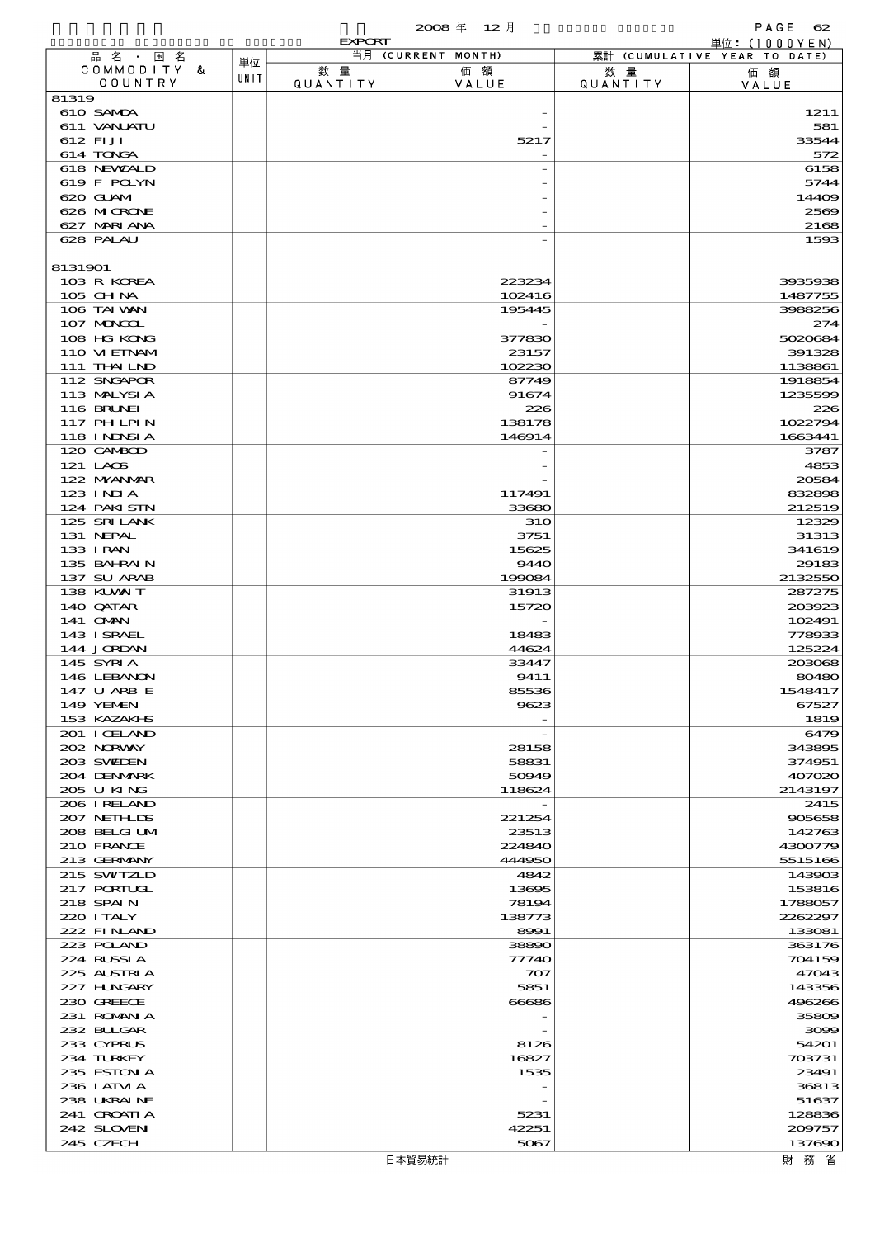|                            |      |                 | 2008年 12月          |          | PAGE<br>62                                      |
|----------------------------|------|-----------------|--------------------|----------|-------------------------------------------------|
| 品名・国名                      |      | <b>EXPORT</b>   | 当月 (CURRENT MONTH) |          | 単位: $(1000YEN)$<br>累計 (CUMULATIVE YEAR TO DATE) |
| COMMODITY &                | 単位   | 数量              | 価額                 | 数 量      | 価額                                              |
| COUNTRY                    | UNIT | <b>QUANTITY</b> | VALUE              | QUANTITY | VALUE                                           |
| 81319                      |      |                 |                    |          |                                                 |
| 610 SAMDA                  |      |                 |                    |          | 1211                                            |
| 611 VANLATU<br>612 FIJI    |      |                 | 5217               |          | 581<br>33544                                    |
| 614 TONGA                  |      |                 |                    |          | 572                                             |
| 618 NEWALD                 |      |                 |                    |          | 6158                                            |
| 619 F POLYN                |      |                 |                    |          | 5744                                            |
| 620 GUAM                   |      |                 |                    |          | 14409                                           |
| 626 MICRONE                |      |                 |                    |          | 2569                                            |
| 627 MARIANA<br>628 PALAU   |      |                 |                    |          | 2168<br>1593                                    |
|                            |      |                 |                    |          |                                                 |
| 8131901                    |      |                 |                    |          |                                                 |
| 103 R KOREA                |      |                 | 223234             |          | 3935938                                         |
| 105 CH NA                  |      |                 | 102416             |          | 1487755                                         |
| 106 TAI VAN                |      |                 | 195445             |          | 3988256                                         |
| 107 MONGOL                 |      |                 |                    |          | 274<br>5020684                                  |
| 108 HG KONG<br>110 VIEINAM |      |                 | 377830<br>23157    |          | 391328                                          |
| 111 THAILND                |      |                 | 102230             |          | 1138861                                         |
| 112 SNGAPOR                |      |                 | 87749              |          | 1918854                                         |
| 113 MALYSIA                |      |                 | 91674              |          | 1235599                                         |
| 116 BRUNEI                 |      |                 | 226                |          | 226                                             |
| 117 PH LPIN                |      |                 | 138178             |          | 1022794                                         |
| 118 I NJNSI A              |      |                 | 146914             |          | 1663441                                         |
| 120 CAMBOD<br>121 LAOS     |      |                 |                    |          | 3787<br>4853                                    |
| 122 NYANAR                 |      |                 |                    |          | 20584                                           |
| $123$ INJA                 |      |                 | 117491             |          | 832898                                          |
| 124 PAKISTN                |      |                 | 33680              |          | 212519                                          |
| 125 SRILANK                |      |                 | <b>31O</b>         |          | 12329                                           |
| 131 NEPAL                  |      |                 | 3751               |          | 31313                                           |
| 133 I RAN                  |      |                 | 15625              |          | 341619                                          |
| 135 BAHRAIN<br>137 SU ARAB |      |                 | 9440<br>199084     |          | 29183<br>2132550                                |
| 138 KUWAIT                 |      |                 | 31913              |          | 287275                                          |
| 140 QATAR                  |      |                 | 15720              |          | 203923                                          |
| 141 <b>OMN</b>             |      |                 |                    |          | 102491                                          |
| 143 ISRAEL                 |      |                 | 18483              |          | 778933                                          |
| 144 JORDAN                 |      |                 | 44624              |          | 125224                                          |
| 145 SYRIA                  |      |                 | 33447              |          | 203068                                          |
| 146 LEBANON<br>147 U ARB E |      |                 | 9411<br>85536      |          | 80480<br>1548417                                |
| 149 YEMEN                  |      |                 | 9623               |          | 67527                                           |
| 153 KAZAKI B               |      |                 |                    |          | 1819                                            |
| 201 I CELAND               |      |                 |                    |          | 6479                                            |
| 202 NORVAY                 |      |                 | 28158              |          | 343895                                          |
| 203 SWIDEN                 |      |                 | 58831              |          | 374951                                          |
| 204 DENMARK                |      |                 | 50949              |          | 407020                                          |
| 205 U KING<br>206 I RELAND |      |                 | 118624             |          | 2143197<br>2415                                 |
| 207 NETH LIS               |      |                 | 221254             |          | 905658                                          |
| 208 BELGI UM               |      |                 | 23513              |          | 142763                                          |
| 210 FRANCE                 |      |                 | 224840             |          | 4300779                                         |
| 213 GERMANY                |      |                 | 444950             |          | 5515166                                         |
| 215 SWIZLD                 |      |                 | 4842               |          | 143903                                          |
| 217 PORTUGL<br>218 SPAIN   |      |                 | 13695<br>78194     |          | 153816<br>1788057                               |
| 220 I TALY                 |      |                 | 138773             |          | 2262297                                         |
| 222 FINAND                 |      |                 | 8991               |          | 133081                                          |
| 223 POLAND                 |      |                 | 38890              |          | 363176                                          |
| 224 RUSSIA                 |      |                 | 77740              |          | 704159                                          |
| 225 ALSTRIA                |      |                 | 707                |          | 47043                                           |
| 227 HUNGARY<br>230 GREECE  |      |                 | 5851<br>66686      |          | 143356<br>496266                                |
| 231 ROMANIA                |      |                 |                    |          | 35809                                           |
| 232 BULGAR                 |      |                 |                    |          | 3099                                            |
| 233 CYPRUS                 |      |                 | 8126               |          | 54201                                           |
| 234 TURKEY                 |      |                 | 16827              |          | 703731                                          |
| 235 ESTON A                |      |                 | 1535               |          | 23491                                           |
| 236 LATM A                 |      |                 |                    |          | 36813                                           |
| 238 UKRAINE                |      |                 |                    |          | 51637                                           |
| 241 GROATIA<br>242 SLOVEN  |      |                 | 5231<br>42251      |          | 128836<br>209757                                |
| 245 CZECH                  |      |                 | 5067               |          | 137690                                          |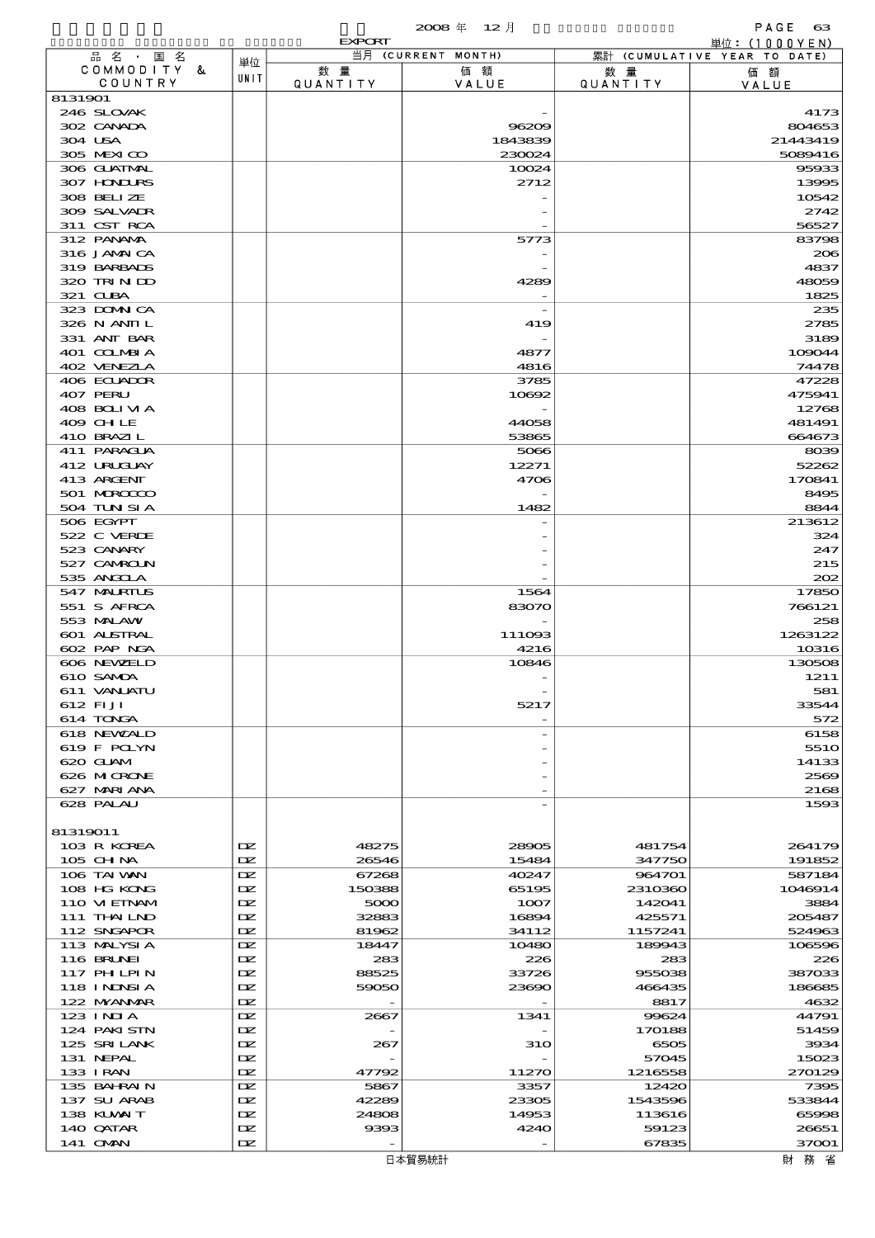|                            |            | <b>EXPORT</b>   |                    |                 | 単位: (1000YEN)                |
|----------------------------|------------|-----------------|--------------------|-----------------|------------------------------|
| 品名・国名<br>COMMODITY &       | 単位         |                 | 当月 (CURRENT MONTH) |                 | 累計 (CUMULATIVE YEAR TO DATE) |
| COUNTRY                    | UNIT       | 数 量<br>QUANTITY | 価額<br>VALUE        | 数 量<br>QUANTITY | 価額<br>VALUE                  |
| 8131901                    |            |                 |                    |                 |                              |
| 246 SLOVAK                 |            |                 |                    |                 | 4173                         |
| 302 CANADA                 |            |                 | 96209              |                 | 804653                       |
| 304 USA                    |            |                 | 1843839            |                 | 21443419                     |
| 305 MEXICO                 |            |                 | 230024             |                 | 5089416                      |
| 306 GLATMAL                |            |                 | 10024              |                 | 95933                        |
| 307 HONDURS                |            |                 | 2712               |                 | 13995                        |
| 308 BELIZE<br>309 SALVADR  |            |                 |                    |                 | 10542<br>2742                |
| 311 CST RCA                |            |                 |                    |                 | 56527                        |
| 312 PANAMA                 |            |                 | 5773               |                 | 83798                        |
| 316 JAMAICA                |            |                 |                    |                 | 206                          |
| 319 BARBADS                |            |                 |                    |                 | 4837                         |
| 320 TRINDO                 |            |                 | 4289               |                 | 48059                        |
| 321 CLBA                   |            |                 |                    |                 | 1825                         |
| 323 DOMNICA                |            |                 |                    |                 | 235                          |
| 326 N ANII L               |            |                 | 419                |                 | 2785                         |
| 331 ANT BAR                |            |                 |                    |                 | 3189                         |
| 401 COLMBIA                |            |                 | 4877               |                 | 109044                       |
| 402 VENEZIA<br>406 ECLADOR |            |                 | 4816<br>3785       |                 | 74478<br>47228               |
| 407 PERU                   |            |                 | 10692              |                 | 475941                       |
| 408 BOLIVIA                |            |                 |                    |                 | 12768                        |
| 409 CH LE                  |            |                 | 44058              |                 | 481491                       |
| 410 BRAZIL                 |            |                 | 53865              |                 | 664673                       |
| 411 PARACLA                |            |                 | 5066               |                 | 8039                         |
| 412 URUCUAY                |            |                 | 12271              |                 | 52262                        |
| 413 ARGENT                 |            |                 | 4706               |                 | 170841                       |
| 501 MROCCO                 |            |                 |                    |                 | 8495                         |
| 504 TUN SI A               |            |                 | 1482               |                 | 8844                         |
| 506 EGYPT                  |            |                 |                    |                 | 213612                       |
| 522 C VERDE                |            |                 |                    |                 | 324                          |
| 523 CANARY                 |            |                 |                    |                 | 247                          |
| 527 CAMROLN<br>535 ANGCLA  |            |                 |                    |                 | 215<br>202                   |
| 547 MALRIUS                |            |                 | 1564               |                 | 17850                        |
| 551 S AFRCA                |            |                 | 83070              |                 | 766121                       |
| 553 MALAW                  |            |                 |                    |                 | 258                          |
| <b>601 ALSTRAL</b>         |            |                 | 111093             |                 | 1263122                      |
| 602 PAP NGA                |            |                 | 4216               |                 | 10316                        |
| 606 NEWELD                 |            |                 | 10846              |                 | 130508                       |
| 610 SAMDA                  |            |                 |                    |                 | 1211                         |
| 611 VANLATU                |            |                 |                    |                 | 581                          |
| 612 FIJI                   |            |                 | 5217               |                 | 33544                        |
| 614 TONGA                  |            |                 |                    |                 | 572                          |
| 618 NEWALD                 |            |                 |                    |                 | 6158                         |
| 619 F POLYN<br>620 GLAM    |            |                 |                    |                 | 551O<br>14133                |
| 626 MICRONE                |            |                 |                    |                 | 2569                         |
| 627 MARIANA                |            |                 |                    |                 | 2168                         |
| 628 PALAU                  |            |                 |                    |                 | 1593                         |
|                            |            |                 |                    |                 |                              |
| 81319011                   |            |                 |                    |                 |                              |
| 103 R KOREA                | DZ.        | 48275           | 28905              | 481754          | 264179                       |
| 105 CH NA                  | DZ.        | 26546           | 15484              | 347750          | 191852                       |
| 106 TAI VAN                | DZ.        | 67268           | 40247              | 964701          | 587184                       |
| 108 HG KONG                | DZ.        | 150388          | 65195              | 2310360         | 1046914                      |
| 110 VIEINAM                | DZ.        | 5000            | 1007               | 142041          | 3884                         |
| 111 THAILND                | DZ.        | 32883           | 16894              | 425571          | 205487                       |
| 112 SNGAPOR                | DZ.        | 81962           | 34112              | 1157241         | 524963                       |
| 113 MALYSIA<br>116 BRUNEI  | DZ.<br>DZ. | 18447<br>283    | 10480<br>226       | 189943<br>283   | 106596<br>226                |
| 117 PH LPIN                | DZ.        | 88525           | 33726              | 955038          | 387033                       |
| 118 I NDSI A               | DZ.        | 59050           | 23690              | 466435          | 186685                       |
| 122 NYANAR                 | DZ.        |                 |                    | 8817            | 4632                         |
| 123 INIA                   | DZ.        | 2667            | 1341               | 99624           | 44791                        |
| 124 PAKISTN                | DZ.        |                 |                    | 170188          | 51459                        |
| 125 SRILANK                | DZ.        | 267             | <b>31O</b>         | 6505            | 3934                         |
| 131 NEPAL                  | DZ.        |                 |                    | 57045           | 15023                        |
| 133 I RAN                  | DZ.        | 47792           | 11270              | 1216558         | 270129                       |
| 135 BAHRAIN                | DZ.        | 5867            | 3357               | 12420           | 7395                         |
| 137 SU ARAB                | DZ.        | 42289           | 23305              | 1543596         | 533844                       |
| 138 KUWAIT                 | DZ.        | 24808           | 14953              | 113616          | 65998                        |
| 140 QATAR                  | DZ.        | 9393            | 4240               | 59123           | 26651                        |
| 141 CMAN                   | DZ.        |                 |                    | 67835           | 37001                        |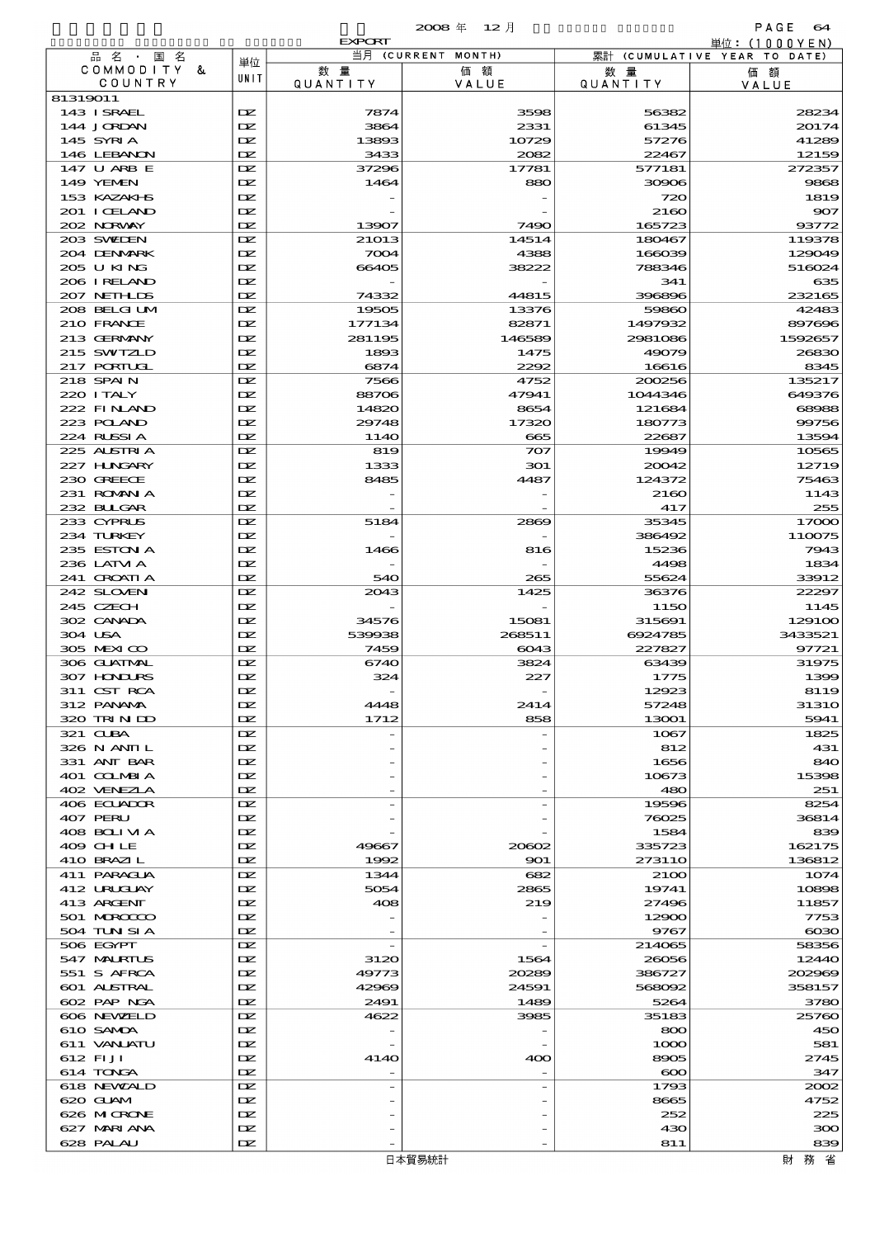|                              |            | <b>EXPORT</b>  |                    |                  | 単位: (1000 Y E N)             |
|------------------------------|------------|----------------|--------------------|------------------|------------------------------|
| 品名・<br>国名                    | 単位         |                | 当月 (CURRENT MONTH) |                  | 累計 (CUMULATIVE YEAR TO DATE) |
| COMMODITY &<br>COUNTRY       | UNIT       | 数量             | 価額                 | 数 量              | 価額                           |
| 81319011                     |            | QUANTITY       | VALUE              | QUANTITY         | VALUE                        |
| 143 ISRAEL                   | DZ.        | 7874           | 3598               | 56382            | 28234                        |
| 144 JORDAN                   | IX         | 3864           | 2331               | 61345            | 20174                        |
| 145 SYRIA                    | DZ.        | 13893          | 10729              | 57276            | 41289                        |
| 146 LEBANON                  | DZ.        | 3433           | 2082               | 22467            | 12159                        |
| 147 U ARB E                  | DZ.        | 37296          | 17781              | 577181           | 272357                       |
| 149 YEMEN                    | DZ.        | 1464           | 880                | 30906            | 9868                         |
| 153 KAZAKI B<br>201 I CELAND | DZ.        |                |                    | 720              | 1819                         |
| 202 NRWAY                    | DZ.<br>DZ. | 13907          | 7490               | 2160<br>165723   | 907<br>93772                 |
| 203 SWIDEN                   | DZ.        | 21013          | 14514              | 180467           | 119378                       |
| 204 DENMARK                  | DZ.        | 7004           | 4388               | 166039           | 129049                       |
| 205 U KING                   | DZ.        | 66405          | 38222              | 788346           | 516024                       |
| 206 I RELAND                 | DZ.        |                |                    | 341              | 635                          |
| 207 NETHLIS                  | DZ.        | 74332          | 44815              | 396896           | 232165                       |
| 208 BELGI UM                 | DZ.        | 19505          | 13376              | 59860            | 42483                        |
| 210 FRANCE                   | DZ.        | 177134         | 82871              | 1497932          | 897696                       |
| 213 GERMANY<br>215 SWIZLD    | DZ.<br>DZ. | 281195<br>1893 | 146589<br>1475     | 2981086<br>49079 | 1592657<br>26830             |
| 217 PORTUGL                  | DZ.        | 6874           | 2292               | 16616            | 8345                         |
| 218 SPAIN                    | DZ.        | 7566           | 4752               | 200256           | 135217                       |
| 220 I TALY                   | DZ.        | 88706          | 47941              | 1044346          | 649376                       |
| 222 FINAND                   | DZ.        | 14820          | 8654               | 121684           | 68988                        |
| 223 POLAND                   | DZ.        | 29748          | 17320              | 180773           | 99756                        |
| 224 RUSSIA                   | DZ.        | 114O           | 665                | 22687            | 13594                        |
| 225 ALSTRIA                  | DZ.        | 819            | 707                | 19949            | 10565                        |
| 227 HUNGARY<br>230 GREECE    | DZ.<br>DZ. | 1333<br>8485   | 301<br>4487        | 20042<br>124372  | 12719<br>75463               |
| 231 ROMANIA                  | DZ.        |                |                    | 2160             | 1143                         |
| 232 BULGAR                   | DZ.        |                |                    | 417              | 255                          |
| 233 CYPRUS                   | DZ.        | 5184           | 2869               | 35345            | 17000                        |
| 234 TURKEY                   | DZ.        |                |                    | 386492           | 110075                       |
| 235 ESTON A                  | DZ.        | 1466           | 816                | 15236            | 7943                         |
| 236 LATM A                   | DZ.        |                |                    | 4498             | 1834                         |
| 241 CROATIA<br>242 SLOVEN    | DZ.<br>DZ. | 540<br>2043    | 265<br>1425        | 55624<br>36376   | 33912<br>22297               |
| 245 CZECH                    | DZ.        |                |                    | 1150             | 1145                         |
| 302 CANADA                   | IX         | 34576          | 15081              | 315691           | 129100                       |
| 304 USA                      | DZ.        | 539938         | 268511             | 6924785          | 3433521                      |
| 305 MEXICO                   | DZ.        | 7459           | 6043               | 227827           | 97721                        |
| 306 GLATMAL                  | DZ.        | 6740           | 3824               | 63439            | 31975                        |
| 307 HONDURS                  | DZ.        | 324            | 227                | 1775             | 1399                         |
| 311 CST RCA                  | DZ.        |                |                    | 12923            | 8119                         |
| 312 PANAMA<br>320 TRINDO     | DZ.<br>DZ. | 4448<br>1712   | 2414<br>858        | 57248<br>13001   | <b>31310</b><br>5941         |
| 321 CLBA                     | DZ.        |                |                    | 1067             | 1825                         |
| 326 N ANII L                 | IX         |                |                    | 812              | 431                          |
| 331 ANT BAR                  | IX         |                |                    | 1656             | 840                          |
| 401 COLMBIA                  | DZ.        |                |                    | 10673            | 15398                        |
| 402 VENEZIA                  | DZ.        |                |                    | 480              | 251                          |
| 406 ECUADOR                  | DZ.        |                |                    | 19596            | 8254                         |
| 407 PERU<br>408 BOLIVIA      | DZ.<br>DZ. |                |                    | 76025<br>1584    | 36814<br>839                 |
| 409 CHLE                     | DZ.        | 49667          | 20602              | 335723           | 162175                       |
| 410 BRAZIL                   | DZ.        | 1992           | 901                | 273110           | 136812                       |
| 411 PARAGUA                  | IX         | 1344           | 682                | 2100             | 1074                         |
| 412 URUGUAY                  | IX         | 5054           | 2865               | 19741            | 10898                        |
| 413 ARGENT                   | DZ.        | 408            | 219                | 27496            | 11857                        |
| 501 MROCCO                   | DZ.        |                |                    | 12900            | 7753                         |
| 504 TUN SI A                 | DZ.<br>DZ. |                |                    | 9767             | $\infty$                     |
| 506 EGYPT<br>547 MALRIUS     | DZ.        | 3120           | 1564               | 214065<br>26056  | 58356<br>12440               |
| 551 S AFRCA                  | DZ.        | 49773          | 20289              | 386727           | 202969                       |
| 601 ALSTRAL                  | DZ.        | 42969          | 24591              | 568092           | 358157                       |
| 602 PAP NGA                  | DZ.        | 2491           | 1489               | 5264             | 3780                         |
| 606 NEWELD                   | IX         | 4622           | 3985               | 35183            | 25760                        |
| 610 SAMDA                    | DZ.        |                |                    | 800              | 450                          |
| 611 VANLATU                  | DZ.        |                |                    | 1000             | 581                          |
| 612 FIJI<br>614 TONGA        | DZ.<br>DZ. | 414O           | 400                | 8905<br>$\infty$ | 2745<br>347                  |
| 618 NEWALD                   | IX         |                |                    | 1793             | 2002                         |
| 620 GLAM                     | DZ.        |                |                    | 8665             | 4752                         |
| 626 MICRONE                  | DZ.        |                |                    | 252              | 225                          |
| 627 MARIANA                  | DZ.        |                |                    | 430              | 300                          |
| 628 PALAU                    | DZ.        |                |                    | 811              | 839                          |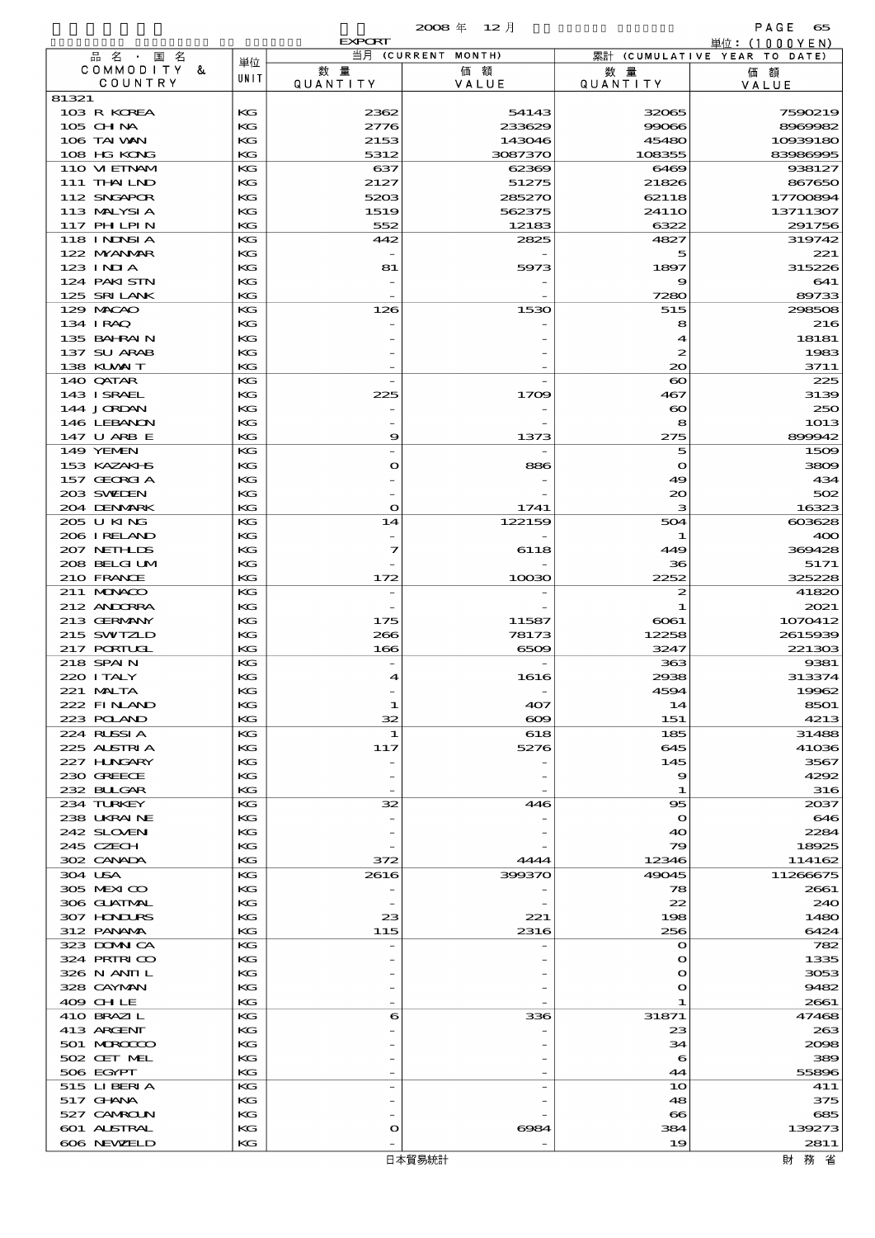|                            |          | <b>EXPORT</b>    |                    |                              | 単位: (1000 Y E N)             |
|----------------------------|----------|------------------|--------------------|------------------------------|------------------------------|
| 品名・国名                      | 単位       |                  | 当月 (CURRENT MONTH) |                              | 累計 (CUMULATIVE YEAR TO DATE) |
| COMMODITY &<br>COUNTRY     | UNIT     | 数量<br>QUANTITY   | 価額<br>VALUE        | 数 量<br><b>QUANTITY</b>       | 価額                           |
| 81321                      |          |                  |                    |                              | VALUE                        |
| 103 R KOREA                | KG       | 2362             | 54143              | 32065                        | 7590219                      |
| 105 CHNA                   | KG       | 2776             | 233629             | 99066                        | 8969982                      |
| 106 TAI VAN                | KG       | 2153             | 143046             | 45480                        | 10939180                     |
| 108 HG KONG                | KG       | 5312             | 3087370            | 108355                       | 83986995                     |
| 110 VIEINAM                | KG       | 637              | 62369              | 6469                         | 938127                       |
| 111 THAILND                | KG       | 2127             | 51275              | 21826                        | 867650                       |
| 112 SNGAPOR                | КG       | 5203             | 285270             | 62118                        | 17700894                     |
| 113 MALYSIA<br>117 PH LPIN | KG<br>KG | 1519<br>552      | 562375<br>12183    | 2411O<br>6322                | 13711307<br>291756           |
| 118 I NJNSI A              | KG       | 442              | 2825               | 4827                         | 319742                       |
| 122 MYANMAR                | KG       |                  |                    | 5                            | 221                          |
| $123$ INIA                 | КG       | 81               | 5973               | 1897                         | 315226                       |
| 124 PAKISTN                | KG       |                  |                    | 9                            | 641                          |
| 125 SRILANK                | KG       |                  |                    | 7280                         | 89733                        |
| 129 MACAO                  | KG       | 126              | 1530               | 515                          | 298508                       |
| 134 I RAQ                  | KG       |                  |                    | 8                            | 216                          |
| 135 BAHRAIN<br>137 SU ARAB | КG       |                  |                    | 4                            | 18181                        |
| 138 KUWAIT                 | KG<br>KG |                  |                    | $\boldsymbol{z}$<br>$\infty$ | 1983<br>3711                 |
| 140 QATAR                  | KG       |                  |                    | $\boldsymbol{\infty}$        | 225                          |
| 143 ISRAEL                 | KG       | 225              | 1709               | 467                          | 3139                         |
| 144 JORDAN                 | КG       |                  |                    | $\boldsymbol{\infty}$        | 250                          |
| 146 LEBANON                | KG       |                  |                    | 8                            | 1013                         |
| 147 U ARB E                | KG       | 9                | 1373               | 275                          | 899942                       |
| 149 YEMEN                  | KG       |                  |                    | 5                            | 1509                         |
| 153 KAZAKI B               | KG       | $\mathbf o$      | 886                | $\Omega$                     | 3809                         |
| 157 GEORGIA                | КG       |                  |                    | 49                           | 434                          |
| 203 SWIDEN<br>204 DENMARK  | KG<br>KG | $\mathbf{o}$     | 1741               | 20<br>з                      | 502<br>16323                 |
| 205 U KING                 | KG       | 14               | 122159             | 504                          | 603628                       |
| 206 I RELAND               | KG       |                  |                    | -1                           | 400                          |
| 207 NETHLIS                | КG       | 7                | 6118               | 449                          | 369428                       |
| 208 BELGI UM               | KG       |                  |                    | 36                           | 5171                         |
| 210 FRANCE                 | KG       | 172              | 10030              | 2252                         | 325228                       |
| 211 MUNACO                 | KG       |                  |                    | 2                            | 41820                        |
| 212 ANDORRA                | KG       |                  |                    | 1                            | 2021                         |
| 213 GERMANY                | КG       | 175              | 11587              | 6061                         | 1070412                      |
| 215 SWIZLD<br>217 PORTUGL  | KG<br>KG | 266<br>166       | 78173<br>6509      | 12258<br>3247                | 2615939<br>221303            |
| 218 SPAIN                  | KG       |                  |                    | 363                          | 9381                         |
| 220 I TALY                 | КG       | $\boldsymbol{4}$ | 1616               | 2938                         | 313374                       |
| 221 MALTA                  | KG       |                  |                    | 4594                         | 19962                        |
| 222 FINAND                 | KG       | 1                | 407                | 14                           | 8501                         |
| 223 POLAND                 | КG       | 32               | ഌ                  | 151                          | 4213                         |
| 224 RUSSIA                 | KG       | 1                | 618                | 185                          | 31488                        |
| 225 ALSTRIA                | KG       | 117              | 5276               | 645                          | 41036                        |
| 227 HUNGARY<br>230 GREECE  | КG<br>KG |                  |                    | 145<br>9                     | 3567<br>4292                 |
| 232 BUGAR                  | KG       |                  |                    | 1                            | 316                          |
| 234 TURKEY                 | KG       | 32               | 446                | $\bf{95}$                    | 2037                         |
| 238 UKRAINE                | KG       |                  |                    | $\Omega$                     | 646                          |
| 242 SLOVEN                 | КG       |                  |                    | 40                           | 2284                         |
| 245 CZECH                  | KG       |                  |                    | 79                           | 18925                        |
| 302 CANADA                 | KG       | 372              | 4444               | 12346                        | 114162                       |
| 304 USA                    | KG       | 2616             | 399370             | 49045                        | 11266675                     |
| 305 MEXICO                 | KG       |                  |                    | 78                           | 2661                         |
| 306 GUATMAL<br>307 HONDURS | КG<br>КG | 23               | 221                | 22<br>198                    | 240<br>1480                  |
| 312 PANAMA                 | KG       | 115              | 2316               | 256                          | 6424                         |
| 323 DOMNICA                | KG       |                  |                    | $\Omega$                     | 782                          |
| 324 PRIRICO                | KG       |                  |                    | $\bullet$                    | 1335                         |
| 326 N ANII L               | КG       |                  |                    | o                            | 3053                         |
| 328 CAYMAN                 | KG       |                  |                    | $\mathbf o$                  | 9482                         |
| 409 CHLE                   | KG       |                  |                    | 1                            | 2661                         |
| 410 BRAZIL                 | KG       | 6                | 336                | 31871                        | 47468                        |
| 413 ARGENT<br>501 MERCECCO | KG<br>КG |                  |                    | 23<br>34                     | 263<br>2008                  |
| 502 CET MEL                | KG       |                  |                    | 6                            | 389                          |
| 506 EGYPT                  | KG       |                  |                    | 44                           | 55896                        |
| 515 LIBERIA                | KG       |                  |                    | 10                           | 411                          |
| 517 GHNA                   | KG       |                  |                    | 48                           | 375                          |
| 527 CAMROLN                | КG       |                  |                    | $\boldsymbol{\infty}$        | 685                          |
| 601 ALSTRAL                | KG       | $\circ$          | 6984               | 384                          | 139273                       |
| 606 NEWELD                 | KG       |                  |                    | 19                           | 2811                         |

財務省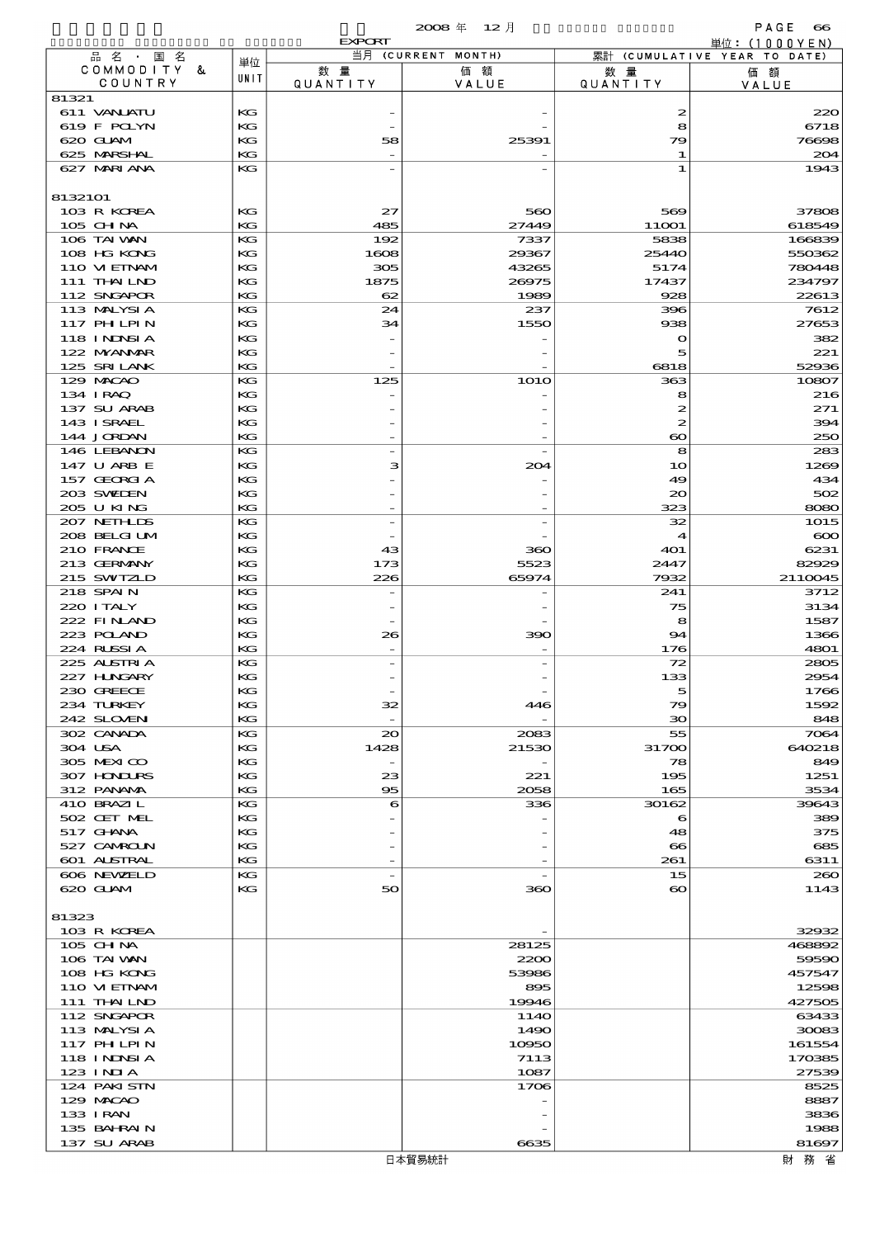# 概況品別国別表 輸 出 2008 12 確定 (Fixed Annual) 66

|                              |          | <b>EXPORT</b>            |                          |                        | 単位:(1000YEN)                 |
|------------------------------|----------|--------------------------|--------------------------|------------------------|------------------------------|
| 品 名 ・ 国 名<br>COMMODITY &     | 単位       | 数量                       | 当月 (CURRENT MONTH)<br>価額 |                        | 累計 (CUMULATIVE YEAR TO DATE) |
| COUNTRY                      | UNIT     | QUANTITY                 | VALUE                    | 数 量<br><b>QUANTITY</b> | 価額<br>VALUE                  |
| 81321                        |          |                          |                          |                        |                              |
| 611 VANLATU<br>619 F POLYN   | KG       |                          |                          | 2                      | 220<br>6718                  |
| 620 GLAM                     | КG<br>KG | 58                       | 25391                    | 8<br>79                | 76698                        |
| 625 MARSHAL                  | KG       |                          |                          | -1                     | 204                          |
| 627 MARIANA                  | KG       |                          |                          | 1                      | 1943                         |
|                              |          |                          |                          |                        |                              |
| 8132101<br>103 R KOREA       | KG       | 27                       | 560                      | 569                    | 37808                        |
| 105 CHNA                     | KG       | 485                      | 27449                    | 11001                  | 618549                       |
| 106 TAI VAN                  | KG       | 192                      | 7337                     | 5838                   | 166839                       |
| 108 HG KONG                  | KG       | 1608                     | 29367                    | 25440                  | 550362                       |
| 110 VI EINAM<br>111 THAILND  | KG<br>KG | 305<br>1875              | 43265<br>26975           | 5174<br>17437          | 780448<br>234797             |
| 112 SNGAPOR                  | KG       | 62                       | 1989                     | 928                    | 22613                        |
| 113 MALYSIA                  | KG       | 24                       | 237                      | 396                    | 7612                         |
| 117 PH LPIN                  | KG       | 34                       | 1550                     | 938                    | 27653                        |
| 118 I NDSI A<br>122 NYANAR   | KG<br>KG |                          |                          | $\mathbf{o}$<br>5      | 382<br>221                   |
| 125 SRILANK                  | KG       |                          |                          | 6818                   | 52936                        |
| 129 MACAO                    | KG       | 125                      | <b>1O1O</b>              | 363                    | 10807                        |
| 134 IRAQ                     | KG       |                          |                          | 8                      | 216                          |
| 137 SU ARAB<br>143 ISRAEL    | KG<br>KG |                          |                          | 2<br>$\boldsymbol{z}$  | 271<br>394                   |
| 144 JORDAN                   | KG       |                          |                          | $\boldsymbol{\infty}$  | 250                          |
| 146 LEBANON                  | KG       | $\overline{a}$           |                          | 8                      | 283                          |
| 147 U ARB E                  | KG       | з                        | 204                      | 10                     | 1269                         |
| 157 GEORGIA<br>203 SWIDEN    | KG<br>KG |                          |                          | 49<br>$\infty$         | 434<br>502                   |
| 205 U KING                   | KG       |                          |                          | 323                    | 8080                         |
| 207 NETHLIS                  | KG       | $\overline{a}$           |                          | 32                     | 1015                         |
| 208 BELGI UM                 | KG       |                          |                          | $\boldsymbol{4}$       | $\infty$                     |
| 210 FRANCE<br>213 GERMANY    | KG<br>KG | 43<br>173                | 360<br>5523              | 401<br>2447            | 6231<br>82929                |
| 215 SWIZLD                   | KG       | 226                      | 65974                    | 7932                   | 2110045                      |
| 218 SPAIN                    | KG       |                          |                          | 241                    | 3712                         |
| 220 I TALY                   | KG       |                          |                          | 75                     | 3134                         |
| 222 FINAND<br>223 POLAND     | KG<br>КG |                          | 390                      | 8<br>94                | 1587<br>1366                 |
| 224 RUSSIA                   | KG       | 26                       |                          | 176                    | 4801                         |
| 225 ALSTRIA                  | KG       |                          |                          | 72                     | 2805                         |
| 227 H.NGARY                  | KG       |                          |                          | 133                    | 2954                         |
| 230 GREECE<br>234 TURKEY     | KG<br>КG | 32                       | 446                      | $\sim$<br>79           | 1766<br>1592                 |
| 242 SLOVEN                   | KG       | $\overline{\phantom{a}}$ |                          | 30                     | 848                          |
| 302 CANADA                   | КG       | $\infty$                 | 2083                     | 55                     | 7064                         |
| 304 USA                      | KG       | 1428                     | 21530                    | 31700                  | 640218                       |
| 305 MEXICO<br>307 HONDURS    | КG<br>КG | 23                       | 221                      | 78<br>195              | 849<br>1251                  |
| 312 PANAMA                   | KG       | $\infty$                 | 2058                     | 165                    | 3534                         |
| 410 BRAZIL                   | КG       | 6                        | 336                      | 30162                  | 39643                        |
| 502 CET MEL                  | KG       |                          |                          | 6                      | 389                          |
| 517 GHNA<br>527 CAMROLN      | КG<br>КG |                          |                          | 48<br>$\bf{66}$        | 375<br>685                   |
| 601 ALSTRAL                  | KG       | $\overline{\phantom{a}}$ |                          | 261                    | 6311                         |
| 606 NEWELD                   | KG       | $\overline{\phantom{a}}$ |                          | 15                     | 200                          |
| 620 GLAM                     | KG       | 50                       | 360                      | $\boldsymbol{\infty}$  | 1143                         |
| 81323                        |          |                          |                          |                        |                              |
| 103 R KOREA                  |          |                          |                          |                        | 32932                        |
| 105 CH NA                    |          |                          | 28125                    |                        | 468892                       |
| 106 TAI VAN                  |          |                          | 2200                     |                        | 59590                        |
| 108 HG KONG<br>110 VIEINAM   |          |                          | 53986<br>895             |                        | 457547<br>12598              |
| 111 THAILND                  |          |                          | 19946                    |                        | 427505                       |
| 112 SNGAPOR                  |          |                          | 114O                     |                        | 63433                        |
| 113 MALYSIA                  |          |                          | 1490                     |                        | 30083                        |
| 117 PH LPIN<br>118 I NJNSI A |          |                          | 10950<br>7113            |                        | 161554<br>170385             |
| 123 INIA                     |          |                          | 1087                     |                        | 27539                        |
| 124 PAKISTN                  |          |                          | 1706                     |                        | 8525                         |
| 129 MACAO                    |          |                          |                          |                        | 8887                         |
| 133 I RAN<br>135 BAHRAIN     |          |                          |                          |                        | 3836<br>1988                 |
| 137 SU ARAB                  |          |                          | 6635                     |                        | 81697                        |
|                              |          |                          |                          |                        |                              |

財務省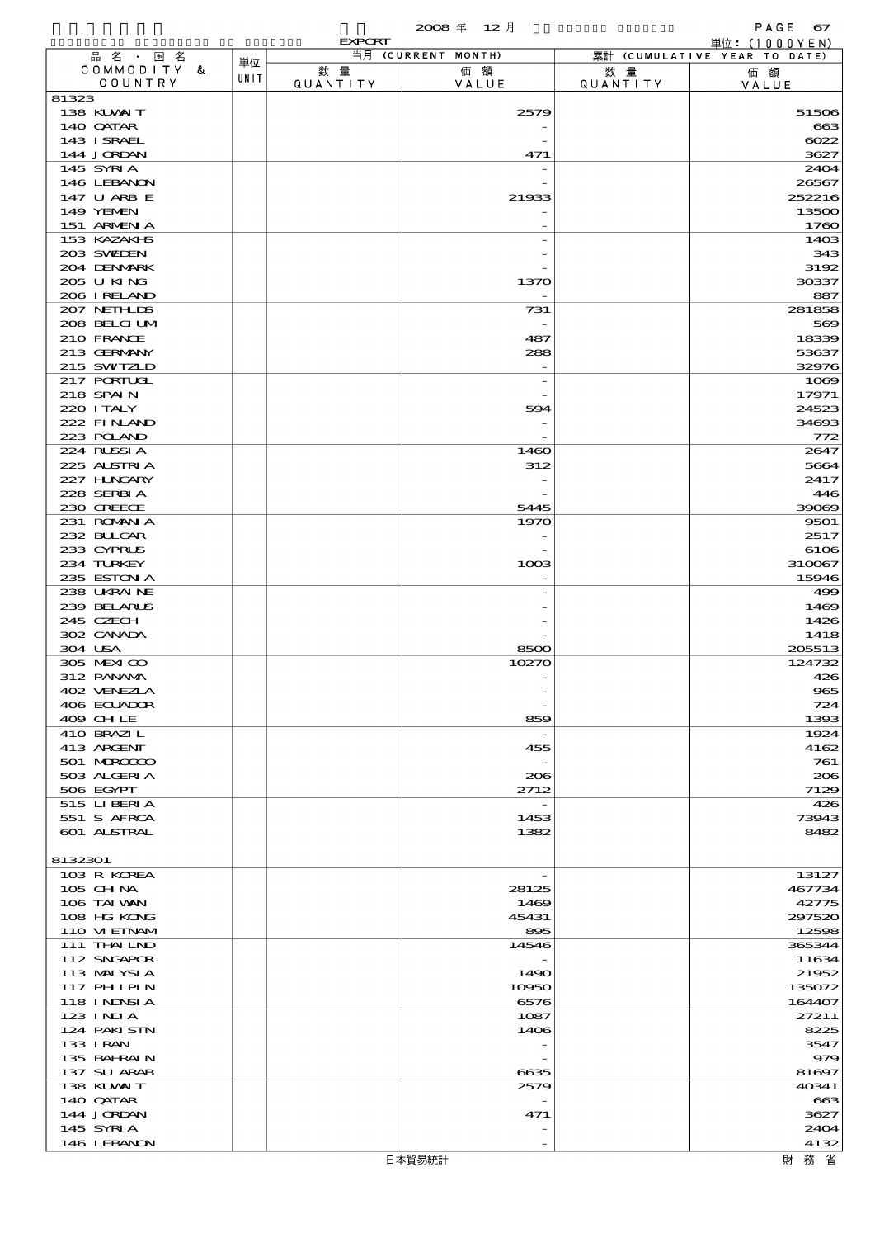|                             |      | <b>EXPORT</b>  |                    |                       | 単位: (1000YEN)                |
|-----------------------------|------|----------------|--------------------|-----------------------|------------------------------|
| 品名·国名<br>COMMODITY &        | 単位   |                | 当月 (CURRENT MONTH) |                       | 累計 (CUMULATIVE YEAR TO DATE) |
| COUNTRY                     | UNIT | 数量<br>QUANTITY | 価額<br>VALUE        | 数量<br><b>QUANTITY</b> | 価額<br>VALUE                  |
| 81323                       |      |                |                    |                       |                              |
| 138 KUWAIT                  |      |                | 2579               |                       | 51506                        |
| 140 QATAR                   |      |                |                    |                       | 663                          |
| 143 ISRAEL<br>144 JORDAN    |      |                | 471                |                       | 6022<br>3627                 |
| 145 SYRIA                   |      |                |                    |                       | 2404                         |
| 146 LEBANON                 |      |                |                    |                       | 26567                        |
| 147 U ARB E                 |      |                | 21933              |                       | 252216                       |
| 149 YEMEN                   |      |                |                    |                       | 13500                        |
| 151 ARMENIA<br>153 KAZAKI S |      |                |                    |                       | 1760<br>1403                 |
| 203 SWIDEN                  |      |                |                    |                       | 343                          |
| 204 DENMARK                 |      |                |                    |                       | 3192                         |
| 205 U KING                  |      |                | 1370               |                       | 30337                        |
| 206 I RELAND                |      |                |                    |                       | 887                          |
| 207 NETHLIS<br>208 BELGI UM |      |                | 731                |                       | 281858<br>569                |
| 210 FRANCE                  |      |                | 487                |                       | 18339                        |
| 213 GERMANY                 |      |                | 288                |                       | 53637                        |
| 215 SWIZLD                  |      |                |                    |                       | 32976                        |
| 217 PORTUGL                 |      |                |                    |                       | 1069                         |
| 218 SPAIN<br>220 I TALY     |      |                | 594                |                       | 17971<br>24523               |
| 222 FINAND                  |      |                |                    |                       | 34693                        |
| 223 POLAND                  |      |                |                    |                       | 772                          |
| 224 RUSSIA                  |      |                | 1460               |                       | 2647                         |
| 225 ALSTRIA                 |      |                | 312                |                       | 5664                         |
| 227 H.NGARY<br>228 SERBIA   |      |                |                    |                       | 2417<br>446                  |
| 230 GREECE                  |      |                | 5445               |                       | 39069                        |
| 231 ROMANIA                 |      |                | 1970               |                       | 9501                         |
| 232 BULGAR                  |      |                |                    |                       | 2517                         |
| 233 CYPRUS                  |      |                |                    |                       | 6106                         |
| 234 TURKEY<br>235 ESTON A   |      |                | 1003               |                       | 310067<br>15946              |
| 238 UKRAINE                 |      |                |                    |                       | 499                          |
| 239 BELARUS                 |      |                |                    |                       | 1469                         |
| 245 CZECH                   |      |                |                    |                       | 1426                         |
| 302 CANADA                  |      |                |                    |                       | 1418                         |
| 304 USA<br>305 MEXICO       |      |                | 8500<br>10270      |                       | 205513<br>124732             |
| 312 PANAMA                  |      |                |                    |                       | 426                          |
| 402 VENEZLA                 |      |                |                    |                       | 965                          |
| 406 ECUADOR                 |      |                |                    |                       | 724                          |
| 409 CHLE                    |      |                | 859                |                       | 1393                         |
| 410 BRAZIL<br>413 ARGENT    |      |                | 455                |                       | 1924<br>4162                 |
| 501 MROCCO                  |      |                |                    |                       | 761                          |
| 503 ALGERIA                 |      |                | 206                |                       | 206                          |
| 506 EGYPT                   |      |                | 2712               |                       | 7129                         |
| 515 LIBERIA<br>551 S AFRCA  |      |                | 1453               |                       | 426<br>73943                 |
| 601 ALSTRAL                 |      |                | 1382               |                       | 8482                         |
|                             |      |                |                    |                       |                              |
| 8132301                     |      |                |                    |                       |                              |
| 103 R KOREA                 |      |                |                    |                       | 13127                        |
| $105$ CHNA<br>106 TAI VAN   |      |                | 28125<br>1469      |                       | 467734<br>42775              |
| 108 HG KONG                 |      |                | 45431              |                       | 297520                       |
| 110 VIEINAM                 |      |                | 895                |                       | 12598                        |
| 111 THAILND                 |      |                | 14546              |                       | 365344                       |
| 112 SNGAPOR                 |      |                |                    |                       | 11634                        |
| 113 MALYSIA<br>117 PH LPIN  |      |                | 1490<br>10950      |                       | 21952<br>135072              |
| 118 I NJNSI A               |      |                | 6576               |                       | 164407                       |
| 123 INIA                    |      |                | 1087               |                       | 27211                        |
| 124 PAKISTN                 |      |                | 1406               |                       | 8225                         |
| 133 I RAN<br>135 BAHRAIN    |      |                |                    |                       | 3547<br>979                  |
| 137 SU ARAB                 |      |                | 6635               |                       | 81697                        |
| 138 KUWAIT                  |      |                | 2579               |                       | 40341                        |
| 140 QATAR                   |      |                |                    |                       | 663                          |
| 144 JORDAN                  |      |                | 471                |                       | 3627                         |
| 145 SYRIA                   |      |                |                    |                       | 2404                         |
| 146 LEBANON                 |      |                |                    |                       | 4132                         |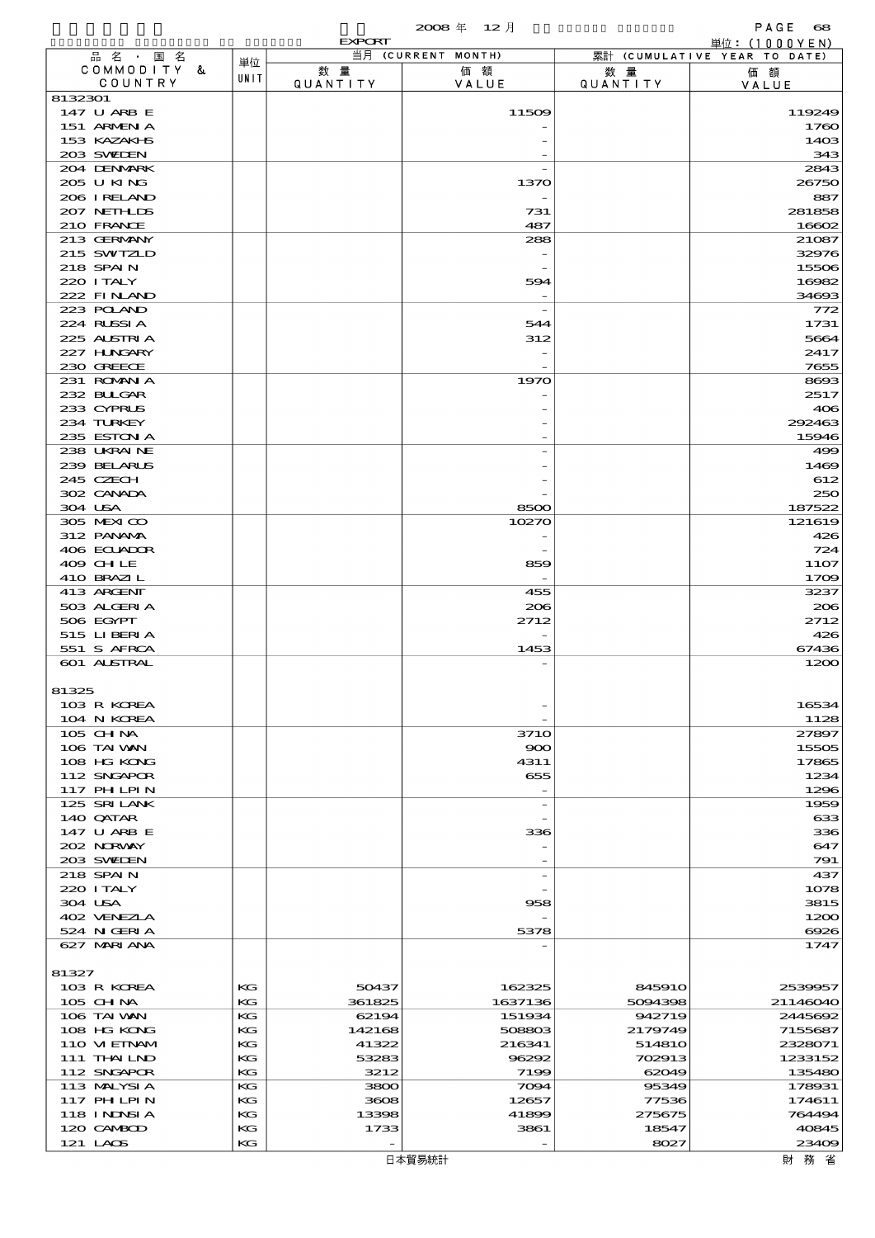|                             |          | <b>EXPORT</b>   |                          |                       | 単位: (1000 Y E N )            |
|-----------------------------|----------|-----------------|--------------------------|-----------------------|------------------------------|
| 品名・国名                       | 単位       |                 | 当月 (CURRENT MONTH)       |                       | 累計 (CUMULATIVE YEAR TO DATE) |
| COMMODITY &<br>COUNTRY      | UNIT     | 数 量<br>QUANTITY | 価額<br>VALUE              | 数量<br><b>QUANTITY</b> | 価額<br>VALUE                  |
| 8132301                     |          |                 |                          |                       |                              |
| 147 U ARB E                 |          |                 | 11509                    |                       | 119249                       |
| 151 ARMENIA<br>153 KAZAKI B |          |                 |                          |                       | 1760<br>1403                 |
| 203 SWIDEN                  |          |                 |                          |                       | 343                          |
| 204 DENMARK                 |          |                 |                          |                       | 2843                         |
| 205 U KING                  |          |                 | 1370                     |                       | 26750                        |
| 206 I RELAND                |          |                 |                          |                       | 887                          |
| 207 NETHLIS<br>210 FRANCE   |          |                 | 731<br>487               |                       | 281858<br>16602              |
| 213 GERMANY                 |          |                 | 288                      |                       | 21087                        |
| 215 SWIZLD                  |          |                 |                          |                       | 32976                        |
| 218 SPAIN                   |          |                 |                          |                       | 15506                        |
| 220 I TALY                  |          |                 | 594                      |                       | 16982                        |
| 222 FINAND<br>223 POLAND    |          |                 |                          |                       | 34693<br>772                 |
| 224 RUSSIA                  |          |                 | 544                      |                       | 1731                         |
| 225 ALSTRIA                 |          |                 | 312                      |                       | 5664                         |
| 227 H.NGARY                 |          |                 |                          |                       | 2417                         |
| 230 GREECE<br>231 ROMAN A   |          |                 | 1970                     |                       | 7655<br>8693                 |
| 232 BULGAR                  |          |                 |                          |                       | 2517                         |
| 233 CYPRUS                  |          |                 |                          |                       | 406                          |
| 234 TURKEY                  |          |                 |                          |                       | 292463                       |
| 235 ESTON A                 |          |                 |                          |                       | 15946                        |
| 238 UKRAINE<br>239 BELARUS  |          |                 |                          |                       | 499<br>1469                  |
| 245 CZECH                   |          |                 |                          |                       | 612                          |
| 302 CANADA                  |          |                 |                          |                       | 250                          |
| 304 USA                     |          |                 | 8500                     |                       | 187522                       |
| 305 MEXICO                  |          |                 | 10270                    |                       | 121619                       |
| 312 PANAMA<br>406 ECUADOR   |          |                 |                          |                       | 426<br>724                   |
| 409 CHLE                    |          |                 | 859                      |                       | 1107                         |
| 410 BRAZIL                  |          |                 |                          |                       | 1709                         |
| 413 ARGENT                  |          |                 | 455                      |                       | 3237                         |
| 503 ALGERIA<br>506 EGYPT    |          |                 | 206                      |                       | 206<br>2712                  |
| 515 LIBERIA                 |          |                 | 2712                     |                       | 426                          |
| 551 S AFRCA                 |          |                 | 1453                     |                       | 67436                        |
| 601 ALSTRAL                 |          |                 |                          |                       | 1200                         |
| 81325                       |          |                 |                          |                       |                              |
| 103 R KOREA                 |          |                 |                          |                       | 16534                        |
| 104 N KOREA                 |          |                 |                          |                       | 1128                         |
| 105 CHNA                    |          |                 | 371O                     |                       | 27897                        |
| 106 TAI VAN                 |          |                 | 900                      |                       | 15505                        |
| 108 HG KONG<br>112 SNGAPOR  |          |                 | 4311<br>655              |                       | 17865<br>1234                |
| 117 PH LPIN                 |          |                 |                          |                       | 1296                         |
| 125 SRILANK                 |          |                 | $\overline{\phantom{a}}$ |                       | 1959                         |
| 140 QATAR                   |          |                 |                          |                       | 633                          |
| 147 U ARB E<br>202 NORWAY   |          |                 | 336                      |                       | 336<br>647                   |
| 203 SWIDEN                  |          |                 |                          |                       | 791                          |
| 218 SPAIN                   |          |                 | $\overline{\phantom{a}}$ |                       | 437                          |
| 220 I TALY                  |          |                 |                          |                       | 1078                         |
| 304 USA<br>402 VENEZIA      |          |                 | 958                      |                       | 3815<br>1200                 |
| 524 N GERIA                 |          |                 | 5378                     |                       | 6926                         |
| 627 MARIANA                 |          |                 |                          |                       | 1747                         |
|                             |          |                 |                          |                       |                              |
| 81327<br>103 R KOREA        | КG       |                 |                          |                       | 2539957                      |
| 105 CH NA                   | KG       | 50437<br>361825 | 162325<br>1637136        | 845910<br>5094398     | 21146040                     |
| 106 TAI VAN                 | КG       | 62194           | 151934                   | 942719                | 2445692                      |
| 108 HG KONG                 | KG       | 142168          | 508803                   | 2179749               | 7155687                      |
| 110 VIEINAM                 | КG       | 41322           | 216341                   | 514810                | 2328071                      |
| 111 THAILND<br>112 SNGAPOR  | КG<br>KG | 53283<br>3212   | 96292<br>7199            | 702913<br>62049       | 1233152<br>135480            |
| 113 MALYSIA                 | КG       | 3800            | 7094                     | 95349                 | 178931                       |
| 117 PH LPIN                 | KG       | 3608            | 12657                    | 77536                 | 174611                       |
| 118 I NJNSI A               | КG       | 13398           | 41899                    | 275675                | 764494                       |
| 120 CAMBOD<br>121 LAOS      | КG<br>КG | 1733            | 3861                     | 18547<br>8027         | 40845<br>23409               |
|                             |          |                 |                          |                       |                              |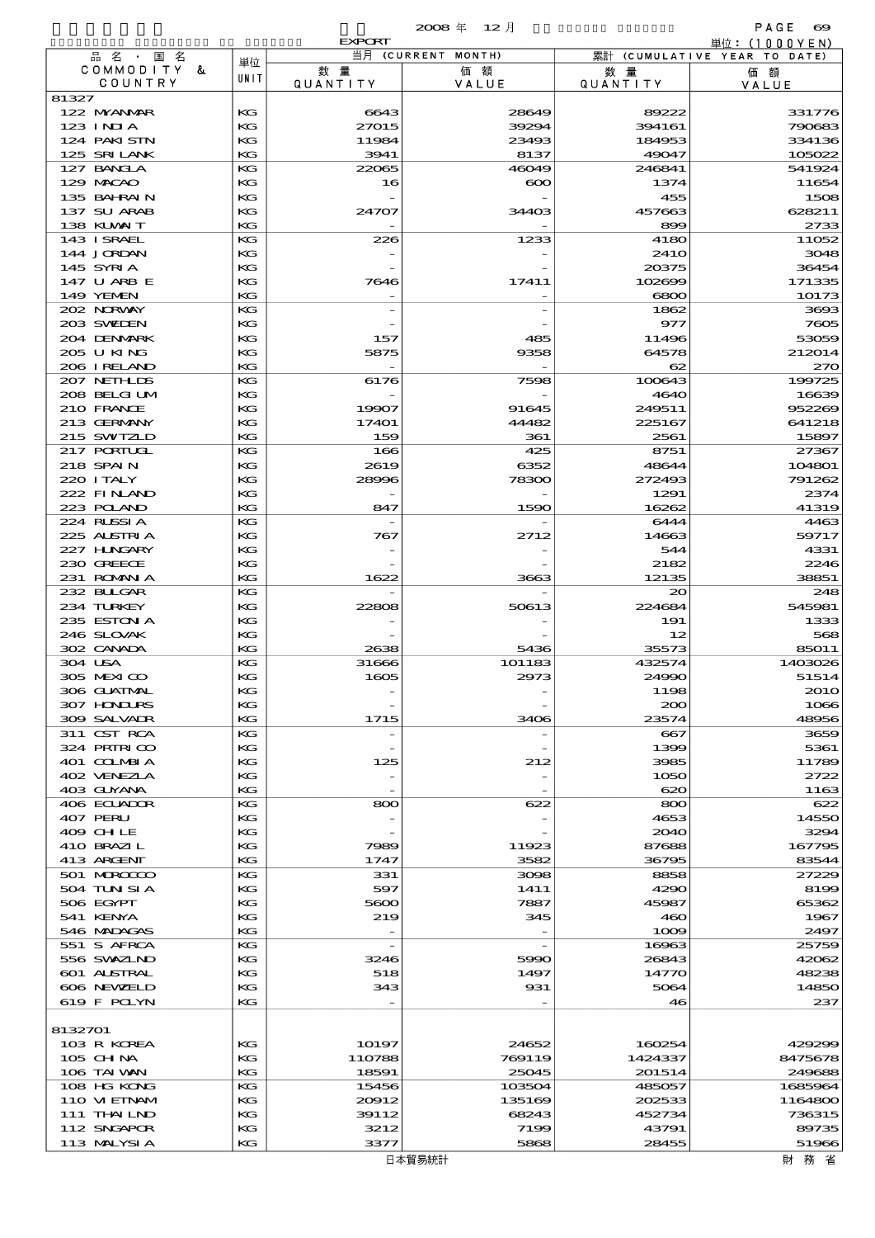|                             |          | <b>EXPORT</b>            |                          |                        | 単位:(1000YEN)                 |
|-----------------------------|----------|--------------------------|--------------------------|------------------------|------------------------------|
| 品名・国名<br>COMMODITY &        | 単位       | 数量                       | 当月 (CURRENT MONTH)<br>価額 |                        | 累計 (CUMULATIVE YEAR TO DATE) |
| COUNTRY                     | UNIT     | QUANTITY                 | VALUE                    | 数 量<br><b>QUANTITY</b> | 価額<br>VALUE                  |
| 81327                       |          |                          |                          |                        |                              |
| 122 MYANMAR                 | KG       | 6643                     | 28649                    | 89222                  | 331776                       |
| $123$ INIA                  | KG       | 27015                    | 39294                    | 394161                 | 790683                       |
| 124 PAKI STN<br>125 SRILANK | KG<br>KG | 11984<br>3941            | 23493<br>8137            | 184953<br>49047        | 334136<br>105022             |
| 127 BANCLA                  | KG       | 22065                    | 46049                    | 246841                 | 541924                       |
| 129 MACAO                   | KG       | 16                       | $\infty$                 | 1374                   | 11654                        |
| 135 BAHRAIN                 | KG       |                          |                          | 455                    | 1508                         |
| 137 SU ARAB                 | КG       | 24707                    | 34403                    | 457663                 | 628211                       |
| 138 KUWAIT                  | KG       |                          |                          | 899                    | 2733                         |
| 143 I SRAEL                 | KG<br>KG | 226                      | 1233                     | 4180                   | 11052<br>3048                |
| 144 JORDAN<br>145 SYRIA     | KG       |                          |                          | 241O<br>20375          | 36454                        |
| 147 U ARB E                 | КG       | 7646                     | 17411                    | 102699                 | 171335                       |
| 149 YEMEN                   | KG       |                          |                          | 6800                   | 10173                        |
| 202 NORWAY                  | KG       |                          |                          | 1862                   | 3693                         |
| 203 SWIDEN                  | KG       |                          |                          | 977                    | 7605                         |
| 204 DENMARK                 | KG       | 157                      | 485                      | 11496                  | 53059                        |
| 205 U KING<br>206 I RELAND  | КG<br>KG | 5875                     | 9358                     | 64578<br>62            | 212014<br>270                |
| 207 NETHLIDS                | KG       | 6176                     | 7598                     | 100643                 | 199725                       |
| 208 BELGI UM                | KG       |                          |                          | 4640                   | 16639                        |
| 210 FRANCE                  | KG       | 19907                    | 91645                    | 249511                 | 952269                       |
| 213 GERMANY                 | КG       | 17401                    | 44482                    | 225167                 | 641218                       |
| 215 SWIZLD                  | KG       | 159                      | 361                      | 2561                   | 15897                        |
| 217 PORTUGL                 | KG       | 166                      | 425                      | 8751                   | 27367                        |
| 218 SPAIN                   | KG       | 2619                     | 6352                     | 48644                  | 104801                       |
| 220 I TALY<br>222 FINAND    | KG<br>КG | 28996                    | 78300                    | 272493<br>1291         | 791262<br>2374               |
| 223 POLAND                  | KG       | 847                      | 1590                     | 16262                  | 41319                        |
| 224 RUSSIA                  | KG       |                          |                          | 6444                   | 4463                         |
| 225 ALSTRIA                 | KG       | 767                      | 2712                     | 14663                  | 59717                        |
| 227 H.NGARY                 | KG       |                          |                          | 544                    | 4331                         |
| 230 GREECE                  | КG       |                          |                          | 2182                   | 2246                         |
| 231 ROMANIA                 | KG       | 1622                     | 3663                     | 12135                  | 38851                        |
| 232 BULGAR<br>234 TURKEY    | KG<br>KG | 22808                    | 50613                    | 20<br>224684           | 248<br>545981                |
| 235 ESTON A                 | KG       |                          |                          | 191                    | 1333                         |
| 246 SLOVAK                  | КG       |                          |                          | 12                     | 568                          |
| 302 CANADA                  | KG       | 2638                     | 5436                     | 35573                  | 85011                        |
| 304 USA                     | KG       | 31666                    | 101183                   | 432574                 | 1403026                      |
| 305 MEXICO                  | KG       | 1605                     | 2973                     | 24990                  | 51514                        |
| 306 GLATNAL                 | KG       |                          |                          | 1198                   | <b>2010</b>                  |
| 307 HNURS<br>309 SALVAIR    | КG<br>KG | 1715                     | 3406                     | 200<br>23574           | 1066<br>48956                |
| 311 CST RCA                 | КG       |                          |                          | $-667$                 | 3659                         |
| 324 PRIRICO                 | КG       |                          |                          | 1399                   | 5361                         |
| 401 COLMBIA                 | КG       | 125                      | 212                      | 3985                   | 11789                        |
| 402 VENEZIA                 | КG       | $\overline{\phantom{0}}$ |                          | 1050                   | 2722                         |
| 403 GUYANA                  | KG       | $\overline{\phantom{a}}$ |                          | 620                    | 1163                         |
| 406 ECUADOR<br>407 PERU     | КG<br>КG | 800                      | 622                      | 800<br>4653            | 622<br>14550                 |
| 409 CHLE                    | КG       |                          |                          | 2040                   | 3294                         |
| 410 BRAZIL                  | КG       | 7989                     | 11923                    | 87688                  | 167795                       |
| 413 ARGENT                  | KG       | 1747                     | 3582                     | 36795                  | 83544                        |
| 501 MROCCO                  | KG       | 331                      | 3098                     | 8858                   | 27229                        |
| 504 TUN SI A                | КG       | 597                      | 1411                     | 4290                   | 8199                         |
| 506 EGYPT<br>541 KENYA      | КG<br>КG | 5600<br>219              | 7887<br>345              | 45987<br>460           | 65362<br>1967                |
| 546 MADAGAS                 | KG       | $\overline{\phantom{a}}$ |                          | 1009                   | 2497                         |
| 551 S AFRCA                 | KG       | $\overline{\phantom{a}}$ |                          | 16963                  | 25759                        |
| 556 SVXZIND                 | КG       | 3246                     | 5990                     | 26843                  | 42062                        |
| 601 ALSTRAL                 | КG       | 518                      | 1497                     | 14770                  | 48238                        |
| 606 NEWELD                  | КG       | 343                      | 931                      | 5064                   | 14850                        |
| 619 F POLYN                 | KG       |                          |                          | 46                     | 237                          |
| 8132701                     |          |                          |                          |                        |                              |
| 103 R KOREA                 | КG       | 10197                    | 24652                    | 160254                 | 429299                       |
| 105 CH NA                   | КG       | 110788                   | 769119                   | 1424337                | 8475678                      |
| 106 TAI VAN                 | KG       | 18591                    | 25045                    | 201514                 | 249688                       |
| 108 HG KONG                 | KG       | 15456                    | 103504                   | 485057                 | 1685964                      |
| 110 VIEINAM                 | КG       | 20012                    | 135169                   | 202533                 | 1164800                      |
| 111 THAILND<br>112 SNGAPOR  | KG<br>КG | 39112<br>3212            | 68243<br>7199            | 452734<br>43791        | 736315<br>89735              |
| 113 MALYSIA                 | KG       | 3377                     | 5868                     | 28455                  | 51966                        |
|                             |          |                          |                          |                        |                              |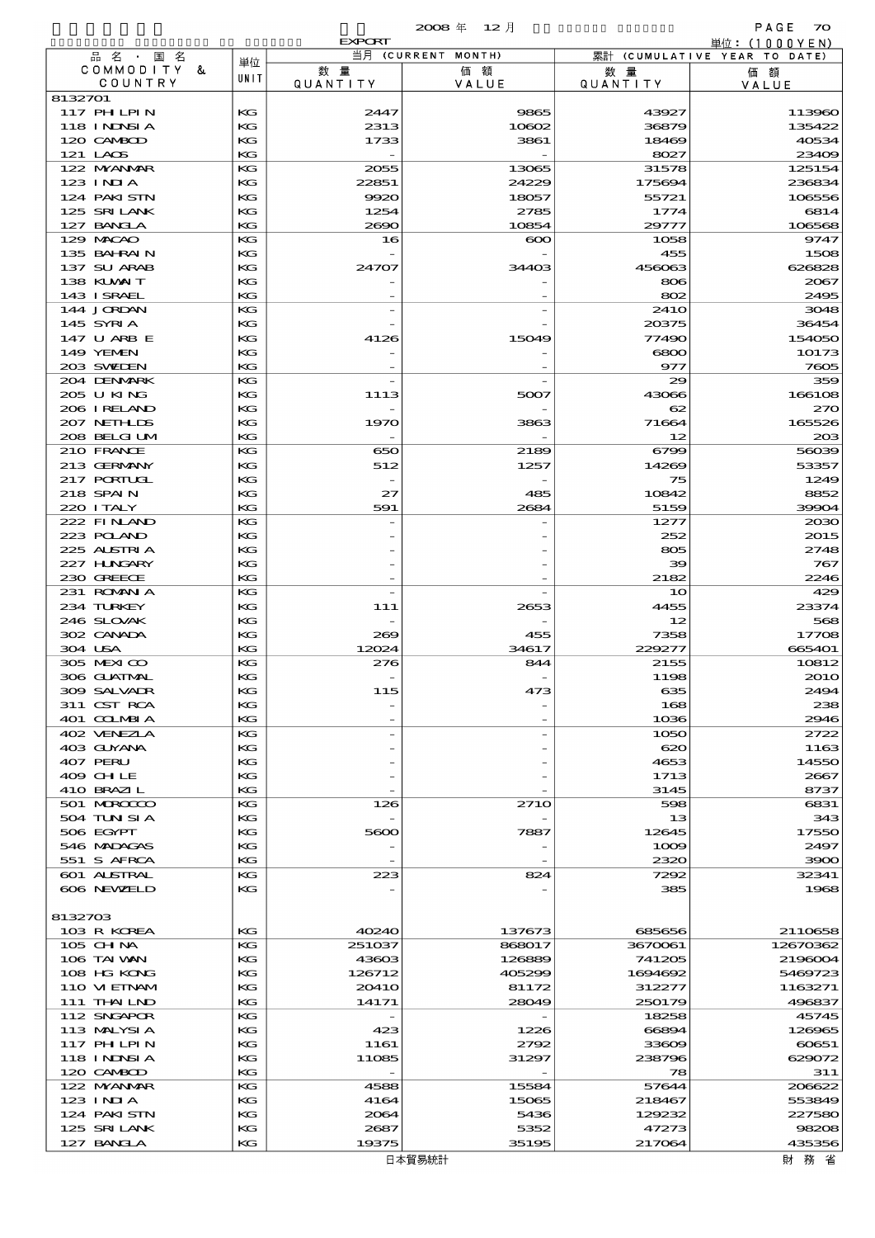# 概況品別国別表 輸 出 2008 12 確定 (Fixed Annual) 70

|                             |          | <b>EXPORT</b>         |                    |                       | 単位:(1000YEN)                 |
|-----------------------------|----------|-----------------------|--------------------|-----------------------|------------------------------|
| 品名・国名                       | 単位       |                       | 当月 (CURRENT MONTH) |                       | 累計 (CUMULATIVE YEAR TO DATE) |
| COMMODITY &<br>COUNTRY      | UNIT     | 数量<br><b>QUANTITY</b> | 価額<br>VALUE        | 数量<br><b>QUANTITY</b> | 価額<br>VALUE                  |
| 8132701                     |          |                       |                    |                       |                              |
| <b>117 PHLPIN</b>           | KG       | 2447                  | 9865               | 43927                 | 113960                       |
| 118 INNSI A                 | KG       | 2313                  | 10602              | 36879                 | 135422                       |
| 120 CAMBOD                  | KG       | 1733                  | 3861               | 18469                 | 40534                        |
| 121 LAOS                    | KG       |                       |                    | 8027                  | 23409                        |
| 122 NYANAR                  | KG       | 2055                  | 13065              | 31578                 | 125154                       |
| $123$ INIA<br>124 PAKI STN  | KG<br>KG | 22851<br>9920         | 24229<br>18057     | 175694<br>55721       | 236834<br>106556             |
| 125 SRILANK                 | KG       | 1254                  | 2785               | 1774                  | 6814                         |
| 127 BANCLA                  | KG       | 2690                  | 10854              | 29777                 | 106568                       |
| 129 MACAO                   | KG       | 16                    | $\infty$           | 1058                  | 9747                         |
| 135 BAHRAIN                 | KG       |                       |                    | 455                   | 1508                         |
| 137 SU ARAB                 | KG       | 24707                 | 34403              | 456063                | 626828                       |
| 138 KUWAIT                  | KG       |                       |                    | 806                   | 2067                         |
| 143 ISRAEL                  | KG<br>KG |                       |                    | 802                   | 2495<br>3048                 |
| 144 JORDAN<br>145 SYRIA     | KG       |                       |                    | 241O<br>20375         | 36454                        |
| 147 U ARB E                 | KG       | 4126                  | 15049              | 77490                 | 154050                       |
| 149 YEMEN                   | KG       |                       |                    | 6800                  | 10173                        |
| 203 SWIDEN                  | KG       |                       |                    | 977                   | 7605                         |
| 204 DENMARK                 | KG       |                       |                    | 29                    | 359                          |
| 205 U KING                  | KG       | 1113                  | 5007               | 43066                 | 166108                       |
| 206 I RELAND                | KG       |                       |                    | 62                    | 270                          |
| 207 NETHLIS<br>208 BELGI UM | KG<br>KG | 1970                  | 3863               | 71664<br>12           | 165526<br>203                |
| 210 FRANCE                  | KG       | 650                   | 2189               | 6799                  | 56039                        |
| 213 GERMANY                 | KG       | 512                   | 1257               | 14269                 | 53357                        |
| 217 PORTUGL                 | KG       |                       |                    | 75                    | 1249                         |
| 218 SPAIN                   | KG       | 27                    | 485                | 10842                 | 8852                         |
| 220 I TALY                  | KG       | 591                   | 2684               | 5159                  | 39904                        |
| 222 FINAND                  | KG       |                       |                    | 1277                  | 2030                         |
| 223 POLAND                  | KG       |                       |                    | 252                   | 2015                         |
| 225 ALSTRIA<br>227 HUNGARY  | KG<br>KG |                       |                    | 805<br>39             | 2748<br>767                  |
| 230 GREECE                  | KG       |                       |                    | 2182                  | 2246                         |
| 231 ROMANIA                 | KG       |                       |                    | 10                    | 429                          |
| 234 TURKEY                  | KG       | 111                   | 2653               | 4455                  | 23374                        |
| 246 SLOVAK                  | KG       |                       |                    | 12                    | 568                          |
| 302 CANADA                  | KG       | 269                   | 455                | 7358                  | 17708                        |
| 304 USA                     | KG       | 12024                 | 34617              | 229277                | 665401                       |
| 305 MEXICO<br>306 GUATMAL   | KG       | 276                   | 844                | 2155                  | 10812<br>2010                |
| 309 SALVADR                 | KG<br>KG | 115                   | 473                | 1198<br>635           | 2494                         |
| 311 CST RCA                 | КG       |                       |                    | 168                   | 238                          |
| 401 COLMBIA                 | KG       |                       |                    | 1036                  | 2946                         |
| 402 VENEZIA                 | KG       |                       |                    | 1050                  | 2722                         |
| 403 GUYANA                  | KG       |                       |                    | 620                   | 1163                         |
| 407 PERU                    | KG       |                       |                    | 4653                  | 14550                        |
| 409 CHLE                    | KG       |                       |                    | 1713                  | 2667                         |
| 410 BRAZIL<br>501 MROCCO    | KG<br>KG | 126                   | <b>2710</b>        | 3145<br>598           | 8737<br>6831                 |
| 504 TUN SI A                | KG       |                       |                    | 13                    | 343                          |
| 506 EGYPT                   | КG       | 5600                  | 7887               | 12645                 | 17550                        |
| 546 MADAGAS                 | КG       |                       |                    | 1009                  | 2497                         |
| 551 S AFRCA                 | KG       |                       |                    | 2320                  | 3900                         |
| 601 ALSTRAL                 | КG       | 223                   | 824                | 7292                  | 32341                        |
| 606 NEWELD                  | KG       |                       |                    | 385                   | 1968                         |
| 8132703                     |          |                       |                    |                       |                              |
| 103 R KOREA                 | KG       | 40240                 | 137673             | 685656                | 2110658                      |
| 105 CHNA                    | КG       | 251037                | 868017             | 3670061               | 12670362                     |
| 106 TAI VAN                 | KG       | 43603                 | 126889             | 741205                | 2196004                      |
| 108 HG KONG                 | KG       | 126712                | 405299             | 1694692               | 5469723                      |
| 110 VIEINAM                 | КG       | <b>20410</b>          | 81172              | 312277                | 1163271                      |
| 111 THAILND                 | KG       | 14171                 | 28049              | 250179                | 496837                       |
| 112 SNGAPOR                 | KG       |                       |                    | 18258                 | 45745                        |
| 113 MALYSIA<br>117 PH LPIN  | KG<br>КG | 423                   | 1226               | 66894                 | 126965                       |
| 118 I NDSI A                | КG       | 1161<br>11085         | 2792<br>31297      | 33609<br>238796       | 60651<br>629072              |
| 120 CAMBOD                  | KG       |                       |                    | 78                    | 311                          |
| 122 NYANAR                  | KG       | 4588                  | 15584              | 57644                 | 206622                       |
| 123 INIA                    | KG       | 4164                  | 15065              | 218467                | 553849                       |
| 124 PAKISTN                 | KG       | 2064                  | 5436               | 129232                | 227580                       |
| 125 SRILANK                 | KG       | 2687                  | 5352               | 47273                 | 98208                        |
| 127 BANCLA                  | KG       | 19375                 | 35195              | 217064                | 435356                       |
|                             |          |                       | 日本貿易統計             |                       | 財 務 省                        |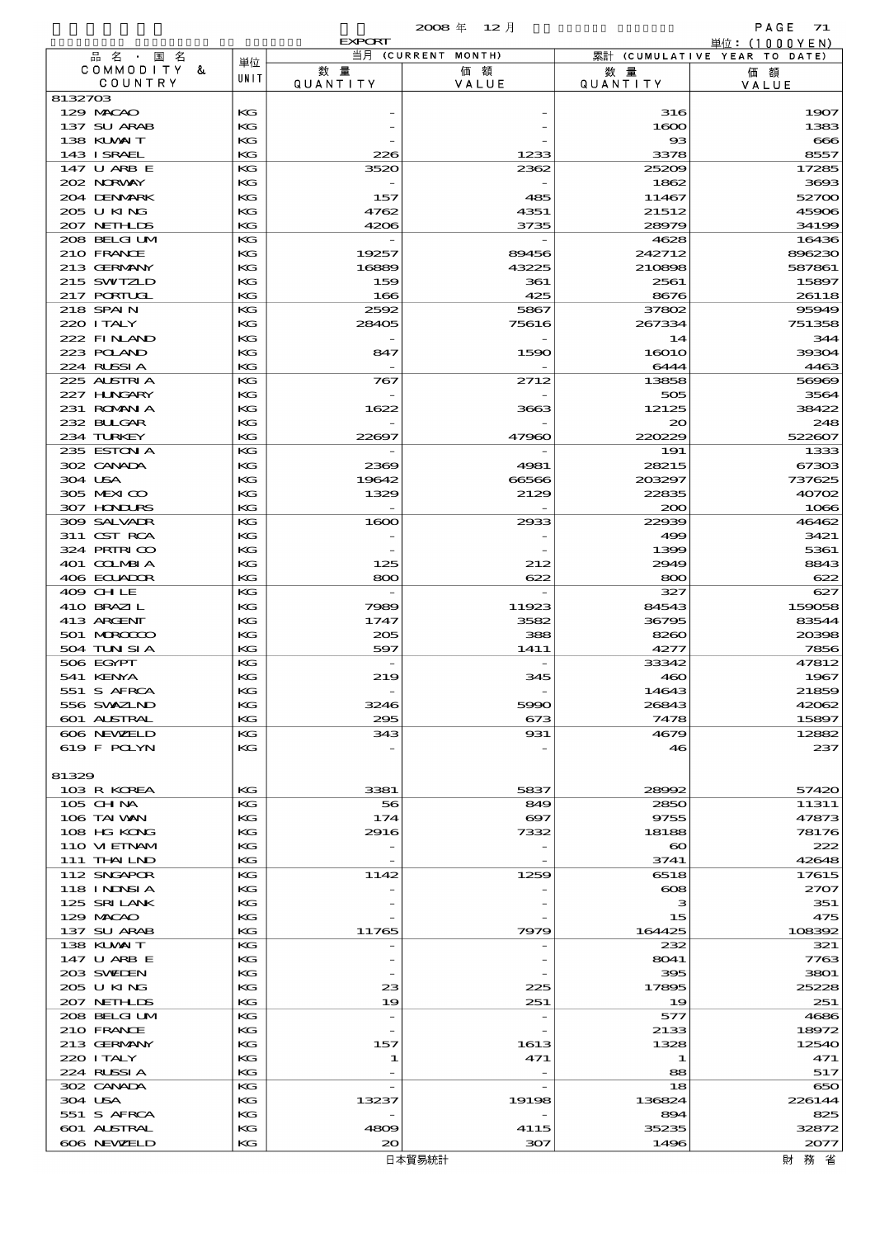|                            |          | <b>EXPORT</b>            |                       |                        | 単位:(1000YEN)                 |
|----------------------------|----------|--------------------------|-----------------------|------------------------|------------------------------|
| 品名・国名                      | 単位       |                          | 当月 (CURRENT MONTH)    |                        | 累計 (CUMULATIVE YEAR TO DATE) |
| COMMODITY<br>&<br>COUNTRY  | UNIT     | 数量<br>QUANTITY           | 価額<br>VALUE           | 数 暈<br><b>QUANTITY</b> | 価額<br>VALUE                  |
| 8132703                    |          |                          |                       |                        |                              |
| 129 MACAO                  | КG       |                          |                       | 316                    | 1907                         |
| 137 SU ARAB                | КG       |                          |                       | 1600                   | 1383                         |
| 138 KUWAIT                 | KG       |                          |                       | $_{\rm \bf 33}$        | $\bf{666}$                   |
| 143 ISRAEL<br>147 U ARB E  | KG<br>КG | 226<br>3520              | 1233<br>2362          | 3378<br>25209          | 8557<br>17285                |
| 202 NORWAY                 | КG       |                          |                       | 1862                   | 3693                         |
| 204 DENMARK                | КG       | 157                      | 485                   | 11467                  | 52700                        |
| 205 U KING                 | КG       | 4762                     | 4351                  | 21512                  | 45906                        |
| 207 NEIHLDS                | KG       | 4206                     | 3735                  | 28979                  | 34199                        |
| 208 BELGI UM<br>210 FRANCE | КG<br>КG | 19257                    | 89456                 | 4628<br>242712         | 16436<br>896230              |
| 213 GERMANY                | КG       | 16889                    | 43225                 | 210898                 | 587861                       |
| 215 SWIZLD                 | КG       | 159                      | 361                   | 2561                   | 15897                        |
| 217 PORTUGL                | KG       | 166                      | 425                   | 8676                   | 26118                        |
| 218 SPAIN                  | КG       | 2592                     | 5867                  | 37802                  | 95949                        |
| 220 I TALY<br>222 FINAND   | КG<br>КG | 28405                    | 75616                 | 267334                 | 751358                       |
| 223 POLAND                 | КG       | 847                      | 1590                  | 14<br>16010            | 344<br>39304                 |
| 224 RLSSIA                 | KG       |                          |                       | 6444                   | 4463                         |
| 225 ALSTRIA                | КG       | 767                      | 2712                  | 13858                  | 56969                        |
| 227 H.NGARY                | КG       |                          |                       | 505                    | 3564                         |
| 231 ROMAN A                | КG       | 1622                     | 3663                  | 12125                  | 38422                        |
| 232 BULGAR<br>234 TURKEY   | КG<br>KG | 22697                    | 47960                 | $_{\infty}$<br>220229  | 248<br>522607                |
| 235 ESTON A                | КG       |                          |                       | 191                    | 1333                         |
| 302 CANADA                 | КG       | 2369                     | 4981                  | 28215                  | 67303                        |
| 304 USA                    | КG       | 19642                    | 66566                 | 203297                 | 737625                       |
| 305 MEXICO                 | КG       | 1329                     | 2129                  | 22835                  | 40702                        |
| 307 HONDURS<br>309 SALVADR | KG<br>КG |                          |                       | 200<br>22939           | 1066                         |
| 311 CST RCA                | КG       | 1600                     | 2933                  | 499                    | 46462<br>3421                |
| 324 PRINICO                | КG       |                          |                       | 1399                   | 5361                         |
| 401 COLMBIA                | КG       | 125                      | 212                   | 2949                   | 8843                         |
| 406 ECUADOR                | KG       | 800                      | 622                   | 800                    | 622                          |
| 409 CHLE                   | КG       |                          |                       | 327                    | 627                          |
| 410 BRAZIL<br>413 ARCENT   | КG<br>KG | 7989<br>1747             | 11923<br>3582         | 84543<br>36795         | 159058<br>83544              |
| 501 MROCCO                 | КG       | 205                      | 388                   | 8260                   | 20398                        |
| 504 TUN SI A               | KG       | 597                      | 1411                  | 4277                   | 7856                         |
| 506 EGYPT                  | КG       |                          |                       | 33342                  | 47812                        |
| 541 KENYA                  | KG       | 219                      | 345                   | 460                    | 1967                         |
| 551 S AFRCA<br>556 SWAZIND | KG<br>КG | 3246                     | 5990                  | 14643<br>26843         | 21859<br>42062               |
| <b>601 ALSTRAL</b>         | КG       | 295                      | 673                   | 7478                   | 15897                        |
| 606 NEWELD                 | KG       | 343                      | 931                   | 4679                   | 12882                        |
| 619 F POLYN                | КG       |                          |                       | 46                     | 237                          |
|                            |          |                          |                       |                        |                              |
| 81329<br>103 R KOREA       |          |                          |                       |                        |                              |
| 105 CH NA                  | KG<br>КG | 3381<br>56               | 5837<br>849           | 28992<br>2850          | 57420<br>11311               |
| 106 TAI VAN                | KG       | 174                      | $\boldsymbol{\infty}$ | 9755                   | 47873                        |
| 108 HG KONG                | KG       | 2916                     | 7332                  | 18188                  | 78176                        |
| 110 VIEINAM                | КG       |                          |                       | $\boldsymbol{\infty}$  | 222                          |
| 111 THAILND<br>112 SNGAPOR | KG<br>KG |                          | 1259                  | 3741                   | 42648                        |
| 118 I NJNSI A              | КG       | 1142                     |                       | 6518<br>$\infty$       | 17615<br>2707                |
| 125 SRILANK                | KG       |                          |                       | з                      | 351                          |
| 129 MACAO                  | КG       |                          |                       | 15                     | 475                          |
| 137 SU ARAB                | KG       | 11765                    | 7979                  | 164425                 | 108392                       |
| 138 KUWAIT                 | KG       |                          |                       | 232                    | 321                          |
| 147 U ARB E<br>203 SWIEN   | КG<br>KG |                          |                       | 8041<br>395            | 7763<br>3801                 |
| 205 U KING                 | КG       | 23                       | 225                   | 17895                  | 25228                        |
| 207 NETHLIS                | KG       | 19                       | 251                   | 19                     | 251                          |
| 208 BELGI UM               | KG       | $\overline{a}$           |                       | 577                    | 4686                         |
| 210 FRANCE                 | КG       |                          |                       | 2133                   | 18972                        |
| 213 GERMANY<br>220 I TALY  | KG<br>КG | 157<br>1                 | 1613<br>471           | 1328<br>1              | 12540<br>471                 |
| 224 RUSSIA                 | KG       |                          |                       | 88                     | 517                          |
| 302 CANADA                 | KG       | $\overline{\phantom{a}}$ |                       | 18                     | 650                          |
| 304 USA                    | КG       | 13237                    | 19198                 | 136824                 | 226144                       |
| 551 S AFRCA                | KG       |                          |                       | 894                    | 825                          |
| 601 ALSTRAL<br>606 NEWELD  | КG<br>KG | 4809<br>$\infty$         | 4115<br>307           | 35235<br>1496          | 32872<br>2077                |
|                            |          |                          |                       |                        |                              |